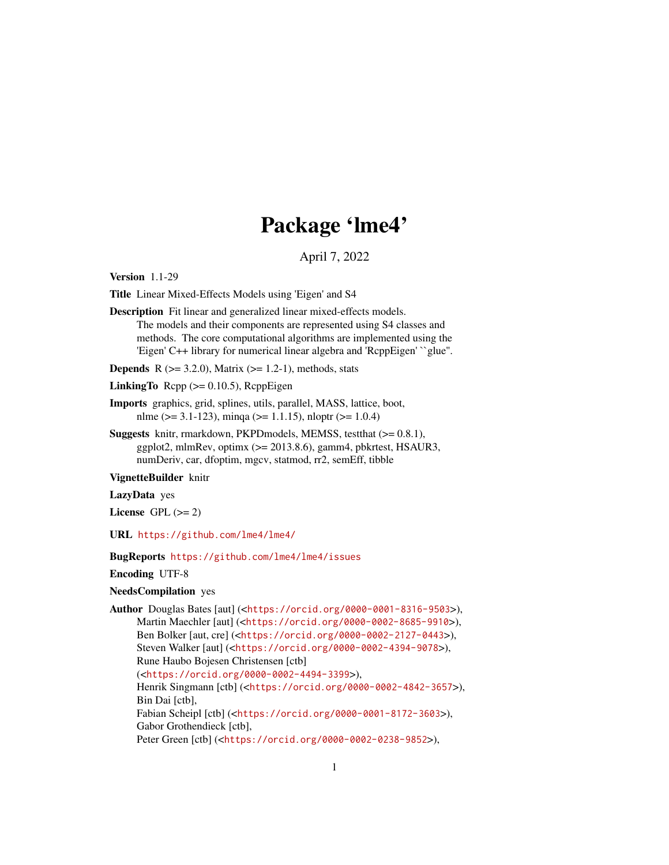# Package 'lme4'

April 7, 2022

<span id="page-0-0"></span>Version 1.1-29

Title Linear Mixed-Effects Models using 'Eigen' and S4

Description Fit linear and generalized linear mixed-effects models. The models and their components are represented using S4 classes and methods. The core computational algorithms are implemented using the 'Eigen' C++ library for numerical linear algebra and 'RcppEigen' ``glue''.

**Depends** R  $(>= 3.2.0)$ , Matrix  $(>= 1.2-1)$ , methods, stats

LinkingTo  $\text{Rcpp} (> = 0.10.5)$ ,  $\text{RcppEigen}$ 

- Imports graphics, grid, splines, utils, parallel, MASS, lattice, boot, nlme ( $> = 3.1 - 123$ ), minqa ( $> = 1.1.15$ ), nloptr ( $> = 1.0.4$ )
- Suggests knitr, rmarkdown, PKPDmodels, MEMSS, testthat (>= 0.8.1), ggplot2, mlmRev, optimx (>= 2013.8.6), gamm4, pbkrtest, HSAUR3, numDeriv, car, dfoptim, mgcv, statmod, rr2, semEff, tibble

VignetteBuilder knitr

LazyData yes

License GPL  $(>= 2)$ 

URL <https://github.com/lme4/lme4/>

BugReports <https://github.com/lme4/lme4/issues>

Encoding UTF-8

## NeedsCompilation yes

Author Douglas Bates [aut] (<<https://orcid.org/0000-0001-8316-9503>>), Martin Maechler [aut] (<<https://orcid.org/0000-0002-8685-9910>>), Ben Bolker [aut, cre] (<<https://orcid.org/0000-0002-2127-0443>>), Steven Walker [aut] (<<https://orcid.org/0000-0002-4394-9078>>), Rune Haubo Bojesen Christensen [ctb] (<<https://orcid.org/0000-0002-4494-3399>>), Henrik Singmann [ctb] (<<https://orcid.org/0000-0002-4842-3657>>), Bin Dai [ctb], Fabian Scheipl [ctb] (<<https://orcid.org/0000-0001-8172-3603>>), Gabor Grothendieck [ctb], Peter Green [ctb] (<<https://orcid.org/0000-0002-0238-9852>>),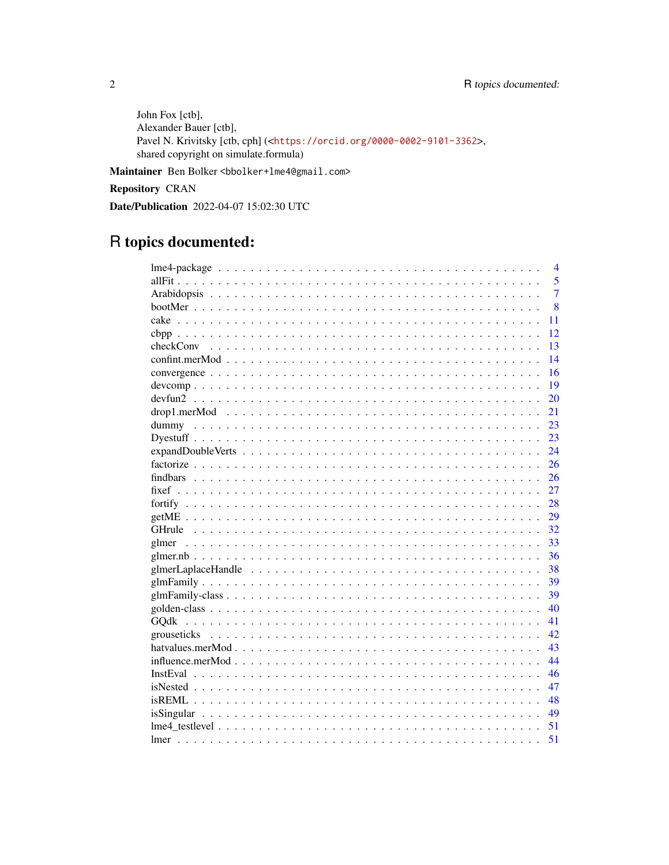John Fox [ctb], Alexander Bauer [ctb], Pavel N. Krivitsky [ctb, cph] (<https://orcid.org/0000-0002-9101-3362>, shared copyright on simulate.formula)

Maintainer Ben Bolker <bbolker+lme4@gmail.com>

Repository CRAN

Date/Publication 2022-04-07 15:02:30 UTC

# R topics documented:

|           |  |  | $\overline{4}$ |
|-----------|--|--|----------------|
|           |  |  | 5              |
|           |  |  | $\overline{7}$ |
|           |  |  | 8              |
|           |  |  | 11             |
|           |  |  | 12             |
| checkConv |  |  | 13             |
|           |  |  | 14             |
|           |  |  | 16             |
|           |  |  | 19             |
|           |  |  | 20             |
|           |  |  | 21             |
|           |  |  | 23             |
|           |  |  | 23             |
|           |  |  | 24             |
|           |  |  | 26             |
|           |  |  | 26             |
|           |  |  | 27             |
|           |  |  | 28             |
|           |  |  | 29             |
|           |  |  | 32             |
|           |  |  | 33             |
|           |  |  | 36             |
|           |  |  | 38             |
|           |  |  | 39             |
|           |  |  | 39             |
|           |  |  | 40             |
|           |  |  | 41             |
|           |  |  | 42             |
|           |  |  | 43             |
|           |  |  | 44             |
|           |  |  | 46             |
|           |  |  | 47             |
|           |  |  | 48             |
|           |  |  | 49             |
|           |  |  | 51             |
| lmer      |  |  | 51             |

 $\sqrt{2}$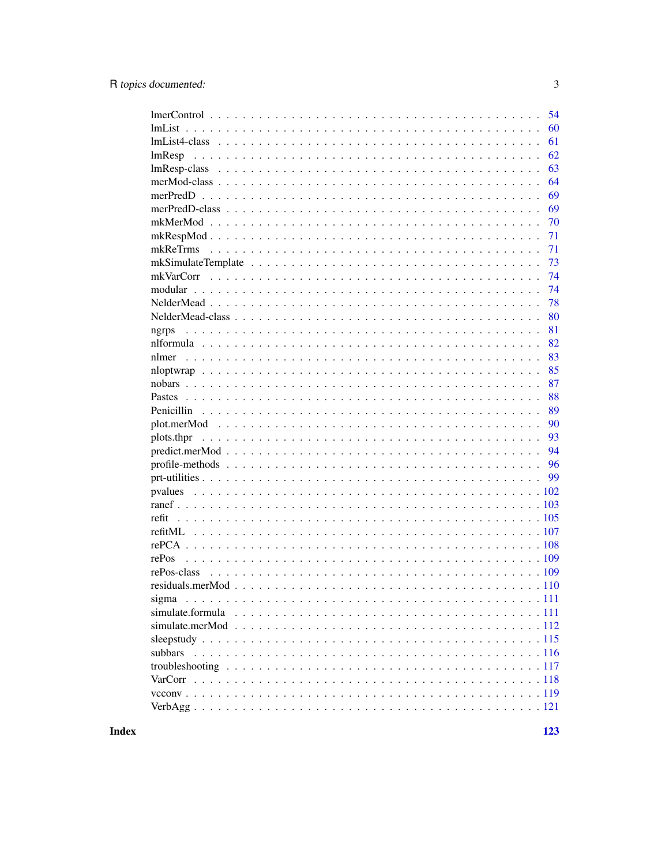| 54                                        |
|-------------------------------------------|
| 60                                        |
| $lmList4-class                    $<br>61 |
| 62<br>lmResp                              |
| 63                                        |
| 64                                        |
| 69                                        |
| 69                                        |
| 70                                        |
| 71                                        |
| 71                                        |
| 73                                        |
| 74                                        |
| 74                                        |
| 78                                        |
| 80                                        |
| 81<br>ngrps                               |
| 82                                        |
| 83                                        |
| 85                                        |
| 87                                        |
| 88                                        |
| 89                                        |
| 90                                        |
| 93<br>plots.thpr                          |
| 94                                        |
| 96                                        |
| 99                                        |
| pvalues                                   |
|                                           |
| refit                                     |
|                                           |
|                                           |
| rePos                                     |
| rePos-class                               |
|                                           |
| sigma                                     |
|                                           |
|                                           |
|                                           |
| subbars                                   |
|                                           |
|                                           |
|                                           |
|                                           |
|                                           |

**Index**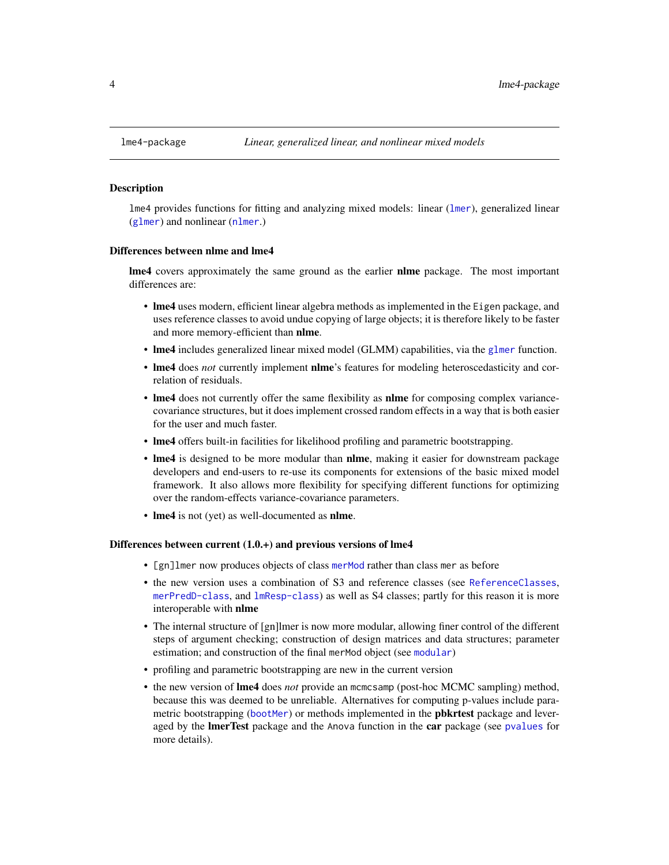<span id="page-3-0"></span>

#### **Description**

lme4 provides functions for fitting and analyzing mixed models: linear ([lmer](#page-50-1)), generalized linear ([glmer](#page-32-1)) and nonlinear ([nlmer](#page-82-1).)

#### Differences between nlme and lme4

**lme4** covers approximately the same ground as the earlier **nlme** package. The most important differences are:

- lme4 uses modern, efficient linear algebra methods as implemented in the Eigen package, and uses reference classes to avoid undue copying of large objects; it is therefore likely to be faster and more memory-efficient than nlme.
- Ime4 includes generalized linear mixed model (GLMM) capabilities, via the [glmer](#page-32-1) function.
- lme4 does *not* currently implement nlme's features for modeling heteroscedasticity and correlation of residuals.
- lme4 does not currently offer the same flexibility as **nlme** for composing complex variancecovariance structures, but it does implement crossed random effects in a way that is both easier for the user and much faster.
- lme4 offers built-in facilities for likelihood profiling and parametric bootstrapping.
- lme4 is designed to be more modular than nlme, making it easier for downstream package developers and end-users to re-use its components for extensions of the basic mixed model framework. It also allows more flexibility for specifying different functions for optimizing over the random-effects variance-covariance parameters.
- **lme4** is not (yet) as well-documented as **nlme**.

#### Differences between current (1.0.+) and previous versions of lme4

- [gn]lmer now produces objects of class [merMod](#page-63-1) rather than class mer as before
- the new version uses a combination of S3 and reference classes (see [ReferenceClasses](#page-0-0), [merPredD-class](#page-68-1), and [lmResp-class](#page-62-1)) as well as S4 classes; partly for this reason it is more interoperable with nlme
- The internal structure of [gn]lmer is now more modular, allowing finer control of the different steps of argument checking; construction of design matrices and data structures; parameter estimation; and construction of the final merMod object (see [modular](#page-73-1))
- profiling and parametric bootstrapping are new in the current version
- the new version of lme4 does *not* provide an mcmcsamp (post-hoc MCMC sampling) method, because this was deemed to be unreliable. Alternatives for computing p-values include parametric bootstrapping ([bootMer](#page-7-1)) or methods implemented in the **pbkrtest** package and leveraged by the **ImerTest** package and the Anova function in the **car** package (see [pvalues](#page-101-1) for more details).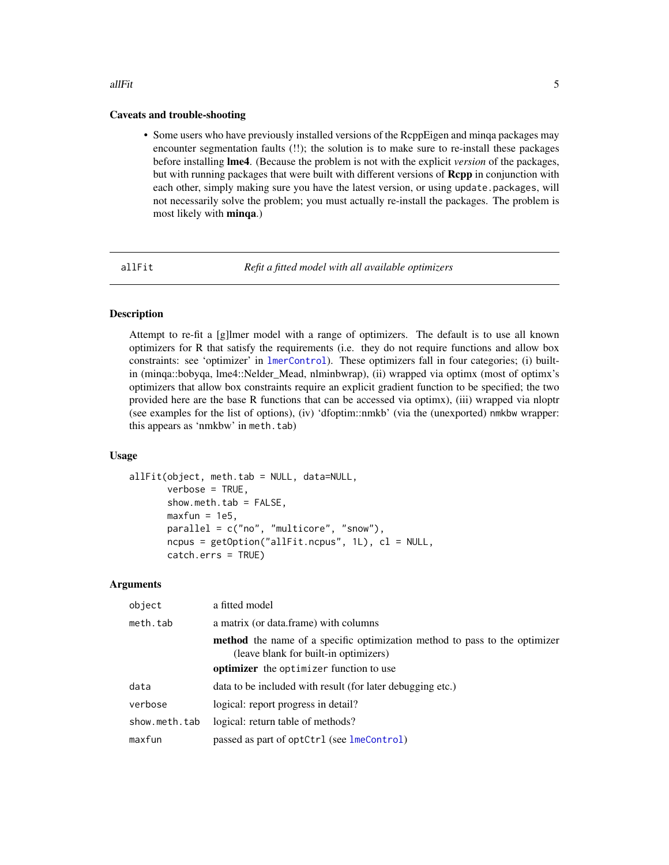#### <span id="page-4-0"></span>allFit 5

## Caveats and trouble-shooting

• Some users who have previously installed versions of the RcppEigen and minqa packages may encounter segmentation faults (!!); the solution is to make sure to re-install these packages before installing lme4. (Because the problem is not with the explicit *version* of the packages, but with running packages that were built with different versions of Rcpp in conjunction with each other, simply making sure you have the latest version, or using update.packages, will not necessarily solve the problem; you must actually re-install the packages. The problem is most likely with minqa.)

<span id="page-4-1"></span>

allFit *Refit a fitted model with all available optimizers*

## Description

Attempt to re-fit a [g]lmer model with a range of optimizers. The default is to use all known optimizers for R that satisfy the requirements (i.e. they do not require functions and allow box constraints: see 'optimizer' in [lmerControl](#page-53-1)). These optimizers fall in four categories; (i) builtin (minqa::bobyqa, lme4::Nelder\_Mead, nlminbwrap), (ii) wrapped via optimx (most of optimx's optimizers that allow box constraints require an explicit gradient function to be specified; the two provided here are the base R functions that can be accessed via optimx), (iii) wrapped via nloptr (see examples for the list of options), (iv) 'dfoptim::nmkb' (via the (unexported) nmkbw wrapper: this appears as 'nmkbw' in meth.tab)

## Usage

```
allFit(object, meth.tab = NULL, data=NULL,
       verbose = TRUE,
       show.neth.tab = FALSE,maxfun = 1e5,
       parallel = c("no", "multicore", "snow"),
       ncpus = getOption("allFit.ncpus", 1L), cl = NULL,catch.errs = TRUE)
```

| object        | a fitted model                                                                                                             |
|---------------|----------------------------------------------------------------------------------------------------------------------------|
| meth.tab      | a matrix (or data.frame) with columns                                                                                      |
|               | <b>method</b> the name of a specific optimization method to pass to the optimizer<br>(leave blank for built-in optimizers) |
|               | <b>optimizer</b> the optimizer function to use                                                                             |
| data          | data to be included with result (for later debugging etc.)                                                                 |
| verbose       | logical: report progress in detail?                                                                                        |
| show.meth.tab | logical: return table of methods?                                                                                          |
| maxfun        | passed as part of optCtrl (see lmeControl)                                                                                 |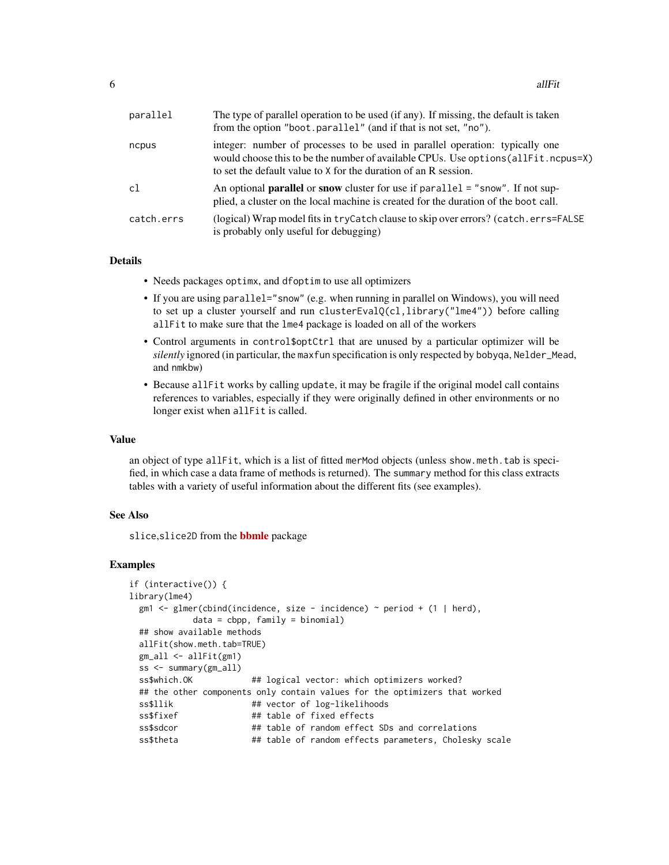| parallel   | The type of parallel operation to be used (if any). If missing, the default is taken<br>from the option "boot.parallel" (and if that is not set, "no").                                                                                 |
|------------|-----------------------------------------------------------------------------------------------------------------------------------------------------------------------------------------------------------------------------------------|
| ncpus      | integer: number of processes to be used in parallel operation: typically one<br>would choose this to be the number of available CPUs. Use options (all Fit. ncpus=X)<br>to set the default value to X for the duration of an R session. |
| c1         | An optional <b>parallel</b> or snow cluster for use if $parallel = "snow".$ If not sup-<br>plied, a cluster on the local machine is created for the duration of the boot call.                                                          |
| catch.errs | (logical) Wrap model fits in tryCatch clause to skip over errors? (catch.errs=FALSE)<br>is probably only useful for debugging)                                                                                                          |

## Details

- Needs packages optimx, and dfoptim to use all optimizers
- If you are using parallel="snow" (e.g. when running in parallel on Windows), you will need to set up a cluster yourself and run clusterEvalQ(cl,library("lme4")) before calling allFit to make sure that the lme4 package is loaded on all of the workers
- Control arguments in control\$optCtrl that are unused by a particular optimizer will be *silently* ignored (in particular, the maxfun specification is only respected by bobyqa, Nelder\_Mead, and nmkbw)
- Because allFit works by calling update, it may be fragile if the original model call contains references to variables, especially if they were originally defined in other environments or no longer exist when allFit is called.

# Value

an object of type allFit, which is a list of fitted merMod objects (unless show.meth.tab is specified, in which case a data frame of methods is returned). The summary method for this class extracts tables with a variety of useful information about the different fits (see examples).

#### See Also

slice, slice 2D from the **[bbmle](https://CRAN.R-project.org/package=bbmle)** package

```
if (interactive()) {
library(lme4)
 gm1 \leq glmer(cbind(incidence, size - incidence) \approx period + (1 | herd),data = cbpp, family = binomial## show available methods
 allFit(show.meth.tab=TRUE)
 gm_all <- allFit(gm1)
 ss <- summary(gm_all)
 ss$which.OK ## logical vector: which optimizers worked?
 ## the other components only contain values for the optimizers that worked
 ss$llik ## vector of log-likelihoods
 ss$fixef ## table of fixed effects
 ss$sdcor ## table of random effect SDs and correlations
 ss$theta ## table of random effects parameters, Cholesky scale
```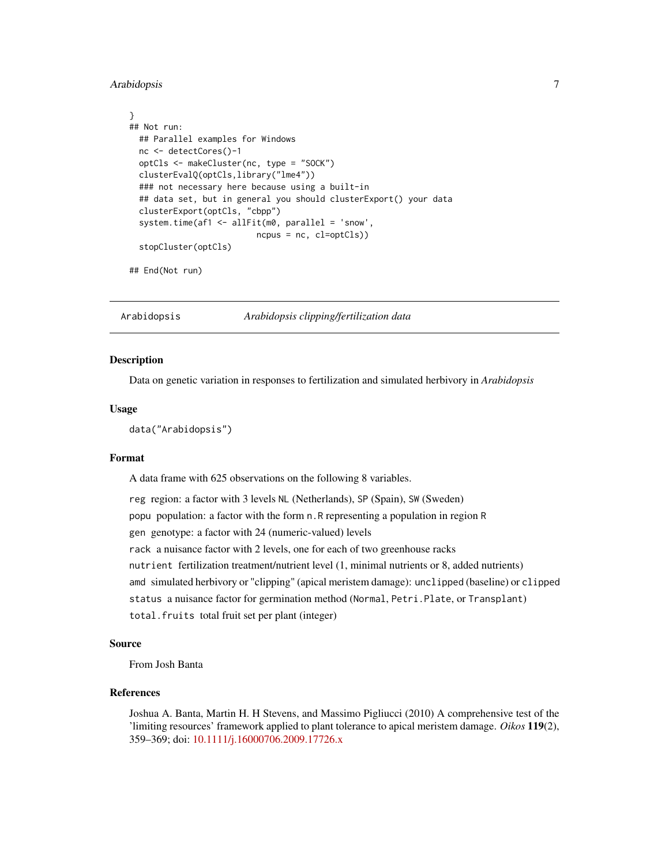## <span id="page-6-0"></span>Arabidopsis 7

```
}
## Not run:
 ## Parallel examples for Windows
 nc <- detectCores()-1
 optCls <- makeCluster(nc, type = "SOCK")
 clusterEvalQ(optCls,library("lme4"))
 ### not necessary here because using a built-in
 ## data set, but in general you should clusterExport() your data
 clusterExport(optCls, "cbpp")
 system.time(af1 <- allFit(m0, parallel = 'snow',
                          ncpus = nc, cl=optCls))
 stopCluster(optCls)
```
## End(Not run)

Arabidopsis *Arabidopsis clipping/fertilization data*

## Description

Data on genetic variation in responses to fertilization and simulated herbivory in *Arabidopsis*

#### Usage

```
data("Arabidopsis")
```
## Format

A data frame with 625 observations on the following 8 variables.

reg region: a factor with 3 levels NL (Netherlands), SP (Spain), SW (Sweden) popu population: a factor with the form n.R representing a population in region R gen genotype: a factor with 24 (numeric-valued) levels rack a nuisance factor with 2 levels, one for each of two greenhouse racks nutrient fertilization treatment/nutrient level (1, minimal nutrients or 8, added nutrients) amd simulated herbivory or "clipping" (apical meristem damage): unclipped (baseline) or clipped status a nuisance factor for germination method (Normal, Petri.Plate, or Transplant) total.fruits total fruit set per plant (integer)

## Source

From Josh Banta

## References

Joshua A. Banta, Martin H. H Stevens, and Massimo Pigliucci (2010) A comprehensive test of the 'limiting resources' framework applied to plant tolerance to apical meristem damage. *Oikos* 119(2), 359–369; doi: [10.1111/j.16000706.2009.17726.x](https://doi.org/10.1111/j.1600-0706.2009.17726.x)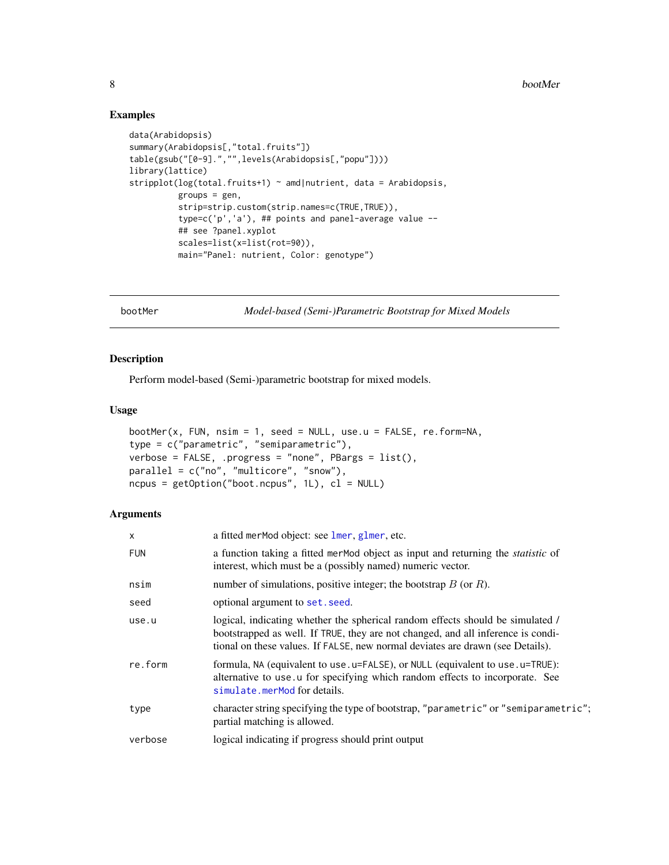# Examples

```
data(Arabidopsis)
summary(Arabidopsis[,"total.fruits"])
table(gsub("[0-9].","",levels(Arabidopsis[,"popu"])))
library(lattice)
stripplot(log(total.fruits+1) ~ amd|nutrient, data = Arabidopsis,
          groups = gen,
          strip=strip.custom(strip.names=c(TRUE,TRUE)),
          type=c('p','a'), ## points and panel-average value --
          ## see ?panel.xyplot
         scales=list(x=list(rot=90)),
         main="Panel: nutrient, Color: genotype")
```
<span id="page-7-1"></span>bootMer *Model-based (Semi-)Parametric Bootstrap for Mixed Models*

# Description

Perform model-based (Semi-)parametric bootstrap for mixed models.

#### Usage

```
bootMer(x, FUN, nsim = 1, seed = NULL, use.u = FALSE, re.form=NA,
type = c("parametric", "semiparametric"),
verbose = FALSE, .progress = "none", PBargs = list(),
parallel = c("no", "multicore", "snow"),
ncpus = getOption("boot.ncpus", 1L), cl = NULL)
```

| X          | a fitted merMod object: see lmer, glmer, etc.                                                                                                                                                                                                        |
|------------|------------------------------------------------------------------------------------------------------------------------------------------------------------------------------------------------------------------------------------------------------|
| <b>FUN</b> | a function taking a fitted mer Mod object as input and returning the <i>statistic</i> of<br>interest, which must be a (possibly named) numeric vector.                                                                                               |
| nsim       | number of simulations, positive integer; the bootstrap $B$ (or $R$ ).                                                                                                                                                                                |
| seed       | optional argument to set. seed.                                                                                                                                                                                                                      |
| use.u      | logical, indicating whether the spherical random effects should be simulated /<br>bootstrapped as well. If TRUE, they are not changed, and all inference is condi-<br>tional on these values. If FALSE, new normal deviates are drawn (see Details). |
| re.form    | formula, NA (equivalent to use. u=FALSE), or NULL (equivalent to use. u=TRUE):<br>alternative to use u for specifying which random effects to incorporate. See<br>simulate.merMod for details.                                                       |
| type       | character string specifying the type of bootstrap, "parametric" or "semiparametric";<br>partial matching is allowed.                                                                                                                                 |
| verbose    | logical indicating if progress should print output                                                                                                                                                                                                   |

<span id="page-7-0"></span>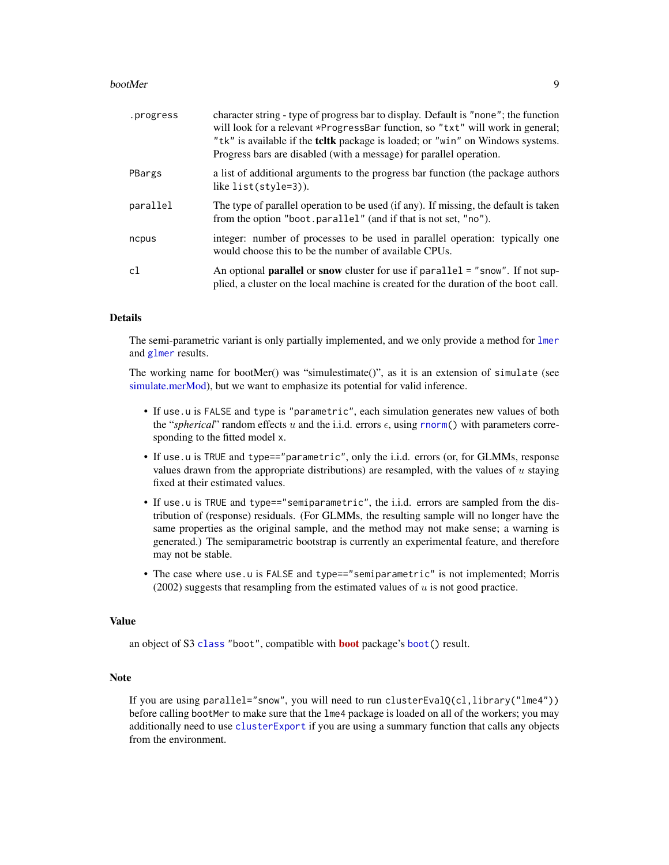#### bootMer 9

| .progress | character string - type of progress bar to display. Default is "none"; the function<br>will look for a relevant *ProgressBar function, so "txt" will work in general;<br>"tk" is available if the <b>teltk</b> package is loaded; or "win" on Windows systems.<br>Progress bars are disabled (with a message) for parallel operation. |
|-----------|---------------------------------------------------------------------------------------------------------------------------------------------------------------------------------------------------------------------------------------------------------------------------------------------------------------------------------------|
| PBargs    | a list of additional arguments to the progress bar function (the package authors)<br>like list(style=3)).                                                                                                                                                                                                                             |
| parallel  | The type of parallel operation to be used (if any). If missing, the default is taken<br>from the option "boot.parallel" (and if that is not set, "no").                                                                                                                                                                               |
| ncpus     | integer: number of processes to be used in parallel operation: typically one<br>would choose this to be the number of available CPUs.                                                                                                                                                                                                 |
| c1        | An optional <b>parallel</b> or snow cluster for use if parallel = "snow". If not sup-<br>plied, a cluster on the local machine is created for the duration of the boot call.                                                                                                                                                          |

# Details

The semi-parametric variant is only partially implemented, and we only provide a method for [lmer](#page-50-1) and [glmer](#page-32-1) results.

The working name for bootMer() was "simulestimate()", as it is an extension of simulate (see [simulate.merMod\)](#page-111-1), but we want to emphasize its potential for valid inference.

- If use.u is FALSE and type is "parametric", each simulation generates new values of both the "*spherical*" random effects u and the i.i.d. errors  $\epsilon$ , using [rnorm\(](#page-0-0)) with parameters corresponding to the fitted model x.
- If use.u is TRUE and type=="parametric", only the i.i.d. errors (or, for GLMMs, response values drawn from the appropriate distributions) are resampled, with the values of  $u$  staying fixed at their estimated values.
- If use.u is TRUE and type=="semiparametric", the i.i.d. errors are sampled from the distribution of (response) residuals. (For GLMMs, the resulting sample will no longer have the same properties as the original sample, and the method may not make sense; a warning is generated.) The semiparametric bootstrap is currently an experimental feature, and therefore may not be stable.
- The case where use.u is FALSE and type=="semiparametric" is not implemented; Morris (2002) suggests that resampling from the estimated values of  $u$  is not good practice.

#### Value

an object of S3 [class](#page-0-0) "[boot](https://CRAN.R-project.org/package=boot)", compatible with **boot** package's [boot\(](#page-0-0)) result.

# Note

If you are using parallel="snow", you will need to run clusterEval $O(cl, library('lme4''))$ before calling bootMer to make sure that the lme4 package is loaded on all of the workers; you may additionally need to use [clusterExport](#page-0-0) if you are using a summary function that calls any objects from the environment.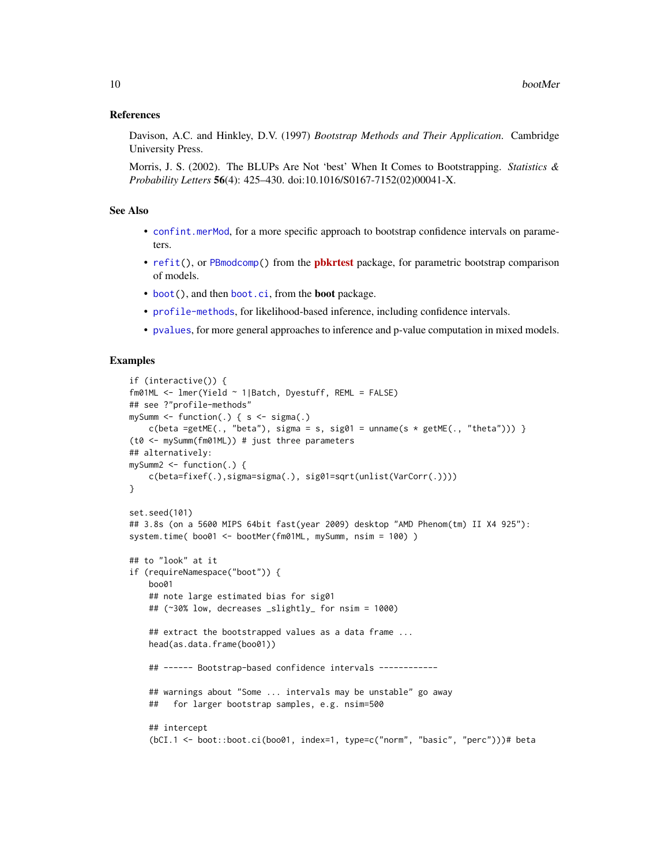#### References

Davison, A.C. and Hinkley, D.V. (1997) *Bootstrap Methods and Their Application*. Cambridge University Press.

Morris, J. S. (2002). The BLUPs Are Not 'best' When It Comes to Bootstrapping. *Statistics & Probability Letters* 56(4): 425–430. doi:10.1016/S0167-7152(02)00041-X.

## See Also

- [confint.merMod](#page-13-1), for a more specific approach to bootstrap confidence intervals on parameters.
- [refit\(](#page-104-1)), or [PBmodcomp\(](#page-0-0)) from the **[pbkrtest](https://CRAN.R-project.org/package=pbkrtest)** package, for parametric bootstrap comparison of models.
- [boot\(](#page-0-0)), and then [boot.ci](#page-0-0), from the boot package.
- [profile-methods](#page-95-1), for likelihood-based inference, including confidence intervals.
- [pvalues](#page-101-1), for more general approaches to inference and p-value computation in mixed models.

```
if (interactive()) {
fm01ML <- lmer(Yield ~ 1|Batch, Dyestuff, REML = FALSE)
## see ?"profile-methods"
mySumm <- function(.) { s <- sigma(.)
   c(beta =getME(., "beta"), sigma = s, sig01 = unname(s * getME(., "theta")) )(t0 <- mySumm(fm01ML)) # just three parameters
## alternatively:
mySumm2 \leq -function(.) {
    c(beta=fixef(.),sigma=sigma(.), sig01=sqrt(unlist(VarCorr(.))))
}
set.seed(101)
## 3.8s (on a 5600 MIPS 64bit fast(year 2009) desktop "AMD Phenom(tm) II X4 925"):
system.time( boo01 <- bootMer(fm01ML, mySumm, nsim = 100) )
## to "look" at it
if (requireNamespace("boot")) {
   boo01
    ## note large estimated bias for sig01
    ## (~30% low, decreases _slightly_ for nsim = 1000)
    ## extract the bootstrapped values as a data frame ...
    head(as.data.frame(boo01))
    ## ------ Bootstrap-based confidence intervals ------------
    ## warnings about "Some ... intervals may be unstable" go away
    ## for larger bootstrap samples, e.g. nsim=500
    ## intercept
    (bCI.1 <- boot::boot.ci(boo01, index=1, type=c("norm", "basic", "perc")))# beta
```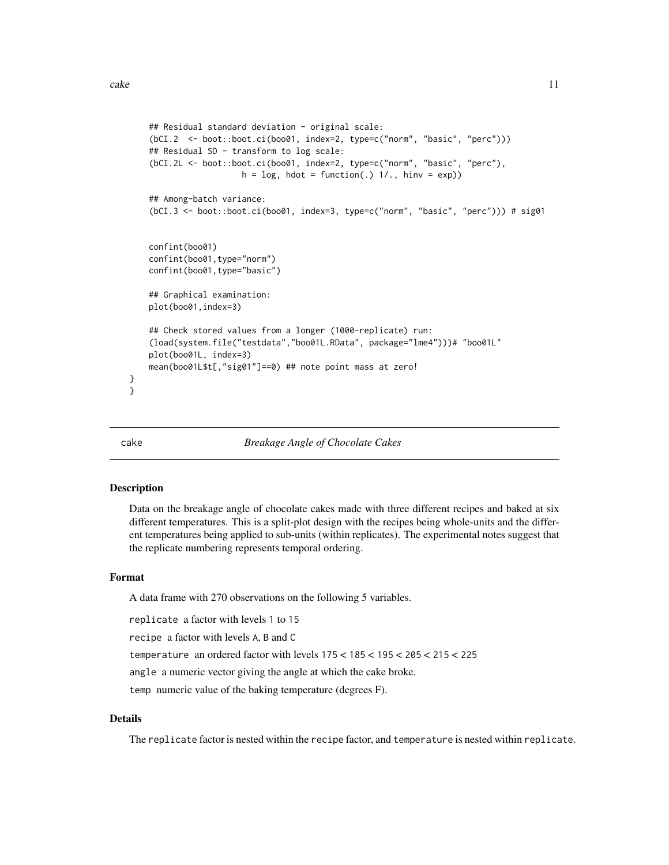```
## Residual standard deviation - original scale:
(bCI.2 <- boot::boot.ci(boo01, index=2, type=c("norm", "basic", "perc")))
## Residual SD - transform to log scale:
(bCI.2L <- boot::boot.ci(boo01, index=2, type=c("norm", "basic", "perc"),
                  h = log, hdot = function(.) 1/., hinv = exp()## Among-batch variance:
(bCI.3 <- boot::boot.ci(boo01, index=3, type=c("norm", "basic", "perc"))) # sig01
confint(boo01)
confint(boo01,type="norm")
confint(boo01,type="basic")
## Graphical examination:
plot(boo01,index=3)
## Check stored values from a longer (1000-replicate) run:
(load(system.file("testdata","boo01L.RData", package="lme4")))# "boo01L"
plot(boo01L, index=3)
mean(boo01L$t[,"sig01"]==0) ## note point mass at zero!
```
} }

cake *Breakage Angle of Chocolate Cakes*

#### Description

Data on the breakage angle of chocolate cakes made with three different recipes and baked at six different temperatures. This is a split-plot design with the recipes being whole-units and the different temperatures being applied to sub-units (within replicates). The experimental notes suggest that the replicate numbering represents temporal ordering.

## Format

A data frame with 270 observations on the following 5 variables.

replicate a factor with levels 1 to 15

recipe a factor with levels A, B and C

temperature an ordered factor with levels 175 < 185 < 195 < 205 < 215 < 225

angle a numeric vector giving the angle at which the cake broke.

temp numeric value of the baking temperature (degrees F).

## Details

The replicate factor is nested within the recipe factor, and temperature is nested within replicate.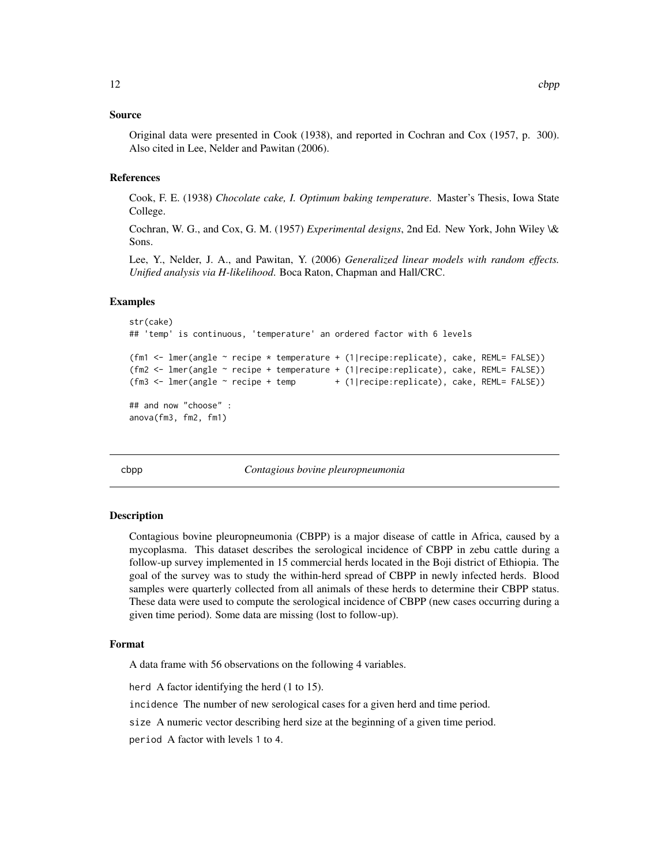#### <span id="page-11-0"></span>Source

Original data were presented in Cook (1938), and reported in Cochran and Cox (1957, p. 300). Also cited in Lee, Nelder and Pawitan (2006).

#### **References**

Cook, F. E. (1938) *Chocolate cake, I. Optimum baking temperature*. Master's Thesis, Iowa State College.

Cochran, W. G., and Cox, G. M. (1957) *Experimental designs*, 2nd Ed. New York, John Wiley \& Sons.

Lee, Y., Nelder, J. A., and Pawitan, Y. (2006) *Generalized linear models with random effects. Unified analysis via H-likelihood*. Boca Raton, Chapman and Hall/CRC.

#### Examples

```
str(cake)
## 'temp' is continuous, 'temperature' an ordered factor with 6 levels
(fm1 <- lmer(angle ~ recipe * temperature + (1|recipe:replicate), cake, REML= FALSE))
(fm2 <- lmer(angle ~ recipe + temperature + (1|recipe:replicate), cake, REML= FALSE))
(fm3 <- lmer(angle ~ recipe + temp + (1|recipe:replicate), cake, REML= FALSE))
## and now "choose" :
anova(fm3, fm2, fm1)
```
cbpp *Contagious bovine pleuropneumonia*

#### Description

Contagious bovine pleuropneumonia (CBPP) is a major disease of cattle in Africa, caused by a mycoplasma. This dataset describes the serological incidence of CBPP in zebu cattle during a follow-up survey implemented in 15 commercial herds located in the Boji district of Ethiopia. The goal of the survey was to study the within-herd spread of CBPP in newly infected herds. Blood samples were quarterly collected from all animals of these herds to determine their CBPP status. These data were used to compute the serological incidence of CBPP (new cases occurring during a given time period). Some data are missing (lost to follow-up).

#### Format

A data frame with 56 observations on the following 4 variables.

herd A factor identifying the herd (1 to 15).

incidence The number of new serological cases for a given herd and time period.

size A numeric vector describing herd size at the beginning of a given time period.

period A factor with levels 1 to 4.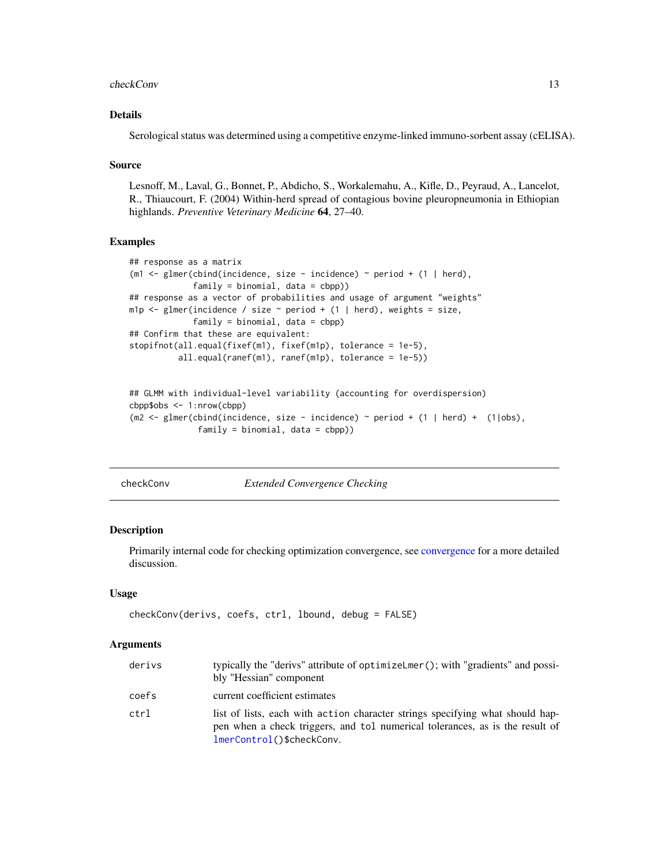#### <span id="page-12-0"></span>checkConv 13

## Details

Serological status was determined using a competitive enzyme-linked immuno-sorbent assay (cELISA).

#### Source

Lesnoff, M., Laval, G., Bonnet, P., Abdicho, S., Workalemahu, A., Kifle, D., Peyraud, A., Lancelot, R., Thiaucourt, F. (2004) Within-herd spread of contagious bovine pleuropneumonia in Ethiopian highlands. *Preventive Veterinary Medicine* 64, 27–40.

#### Examples

```
## response as a matrix
(m1 <- glmer(cbind(incidence, size - incidence) \sim period + (1 | herd),
             family = binomial, data = cbp)## response as a vector of probabilities and usage of argument "weights"
m1p \le glmer(incidence / size \sim period + (1 | herd), weights = size,
             family = binomial, data = cbpp)
## Confirm that these are equivalent:
stopifnot(all.equal(fixef(m1), fixef(m1p), tolerance = 1e-5),
          all.equal(ranef(m1), ranef(m1p), tolerance = 1e-5))
```

```
## GLMM with individual-level variability (accounting for overdispersion)
cbpp$obs <- 1:nrow(cbpp)
(m2 \le glmer(cbind(incidence, size - incidence) \sim period + (1 | herd) + (1|obs),
              family = binomial, data = cbpp)
```
checkConv *Extended Convergence Checking*

#### **Description**

Primarily internal code for checking optimization convergence, see [convergence](#page-15-1) for a more detailed discussion.

#### Usage

```
checkConv(derivs, coefs, ctrl, lbound, debug = FALSE)
```

| derivs | typically the "derivs" attribute of optimizeLmer(); with "gradients" and possi-<br>bly "Hessian" component                                                                                 |
|--------|--------------------------------------------------------------------------------------------------------------------------------------------------------------------------------------------|
| coefs  | current coefficient estimates                                                                                                                                                              |
| ctrl   | list of lists, each with action character strings specifying what should hap-<br>pen when a check triggers, and tol numerical tolerances, as is the result of<br>lmerControl()\$checkConv. |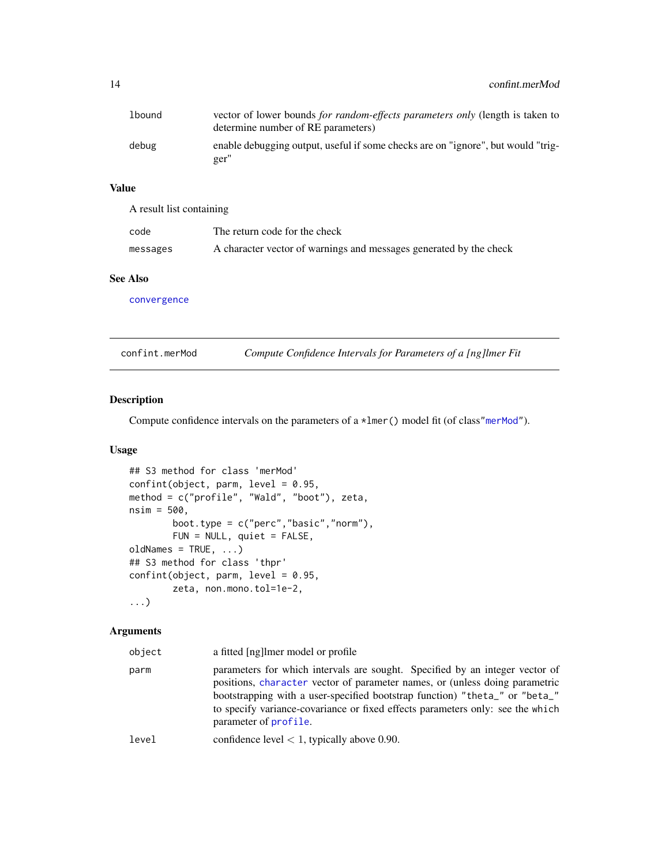<span id="page-13-0"></span>

| lbound | vector of lower bounds for random-effects parameters only (length is taken to<br>determine number of RE parameters) |
|--------|---------------------------------------------------------------------------------------------------------------------|
| debug  | enable debugging output, useful if some checks are on "ignore", but would "trig-<br>ger"                            |

# Value

A result list containing code The return code for the check messages A character vector of warnings and messages generated by the check

## See Also

[convergence](#page-15-1)

<span id="page-13-1"></span>

| confint.merMod |  | Compute Confidence Intervals for Parameters of a [ng]lmer Fit |  |
|----------------|--|---------------------------------------------------------------|--|
|----------------|--|---------------------------------------------------------------|--|

## Description

Compute confidence intervals on the parameters of a \*lmer() model fit (of class["merMod"](#page-63-1)).

# Usage

```
## S3 method for class 'merMod'
confint(object, parm, level = 0.95,method = c("profile", "Wald", "boot"), zeta,
nsim = 500,
        boot.type = c("perc", "basic", "norm"),FUN = NULL, quiet = FALSE,
oldNames = TRUE, ...)
## S3 method for class 'thpr'
confint(object, parm, level = 0.95,zeta, non.mono.tol=1e-2,
...)
```

| object | a fitted [ng] lmer model or profile                                                                                                                                                                                                                                                                                                                   |
|--------|-------------------------------------------------------------------------------------------------------------------------------------------------------------------------------------------------------------------------------------------------------------------------------------------------------------------------------------------------------|
| parm   | parameters for which intervals are sought. Specified by an integer vector of<br>positions, character vector of parameter names, or (unless doing parametric<br>bootstrapping with a user-specified bootstrap function) "theta_" or "beta_"<br>to specify variance-covariance or fixed effects parameters only: see the which<br>parameter of profile. |
| level  | confidence level $< 1$ , typically above 0.90.                                                                                                                                                                                                                                                                                                        |
|        |                                                                                                                                                                                                                                                                                                                                                       |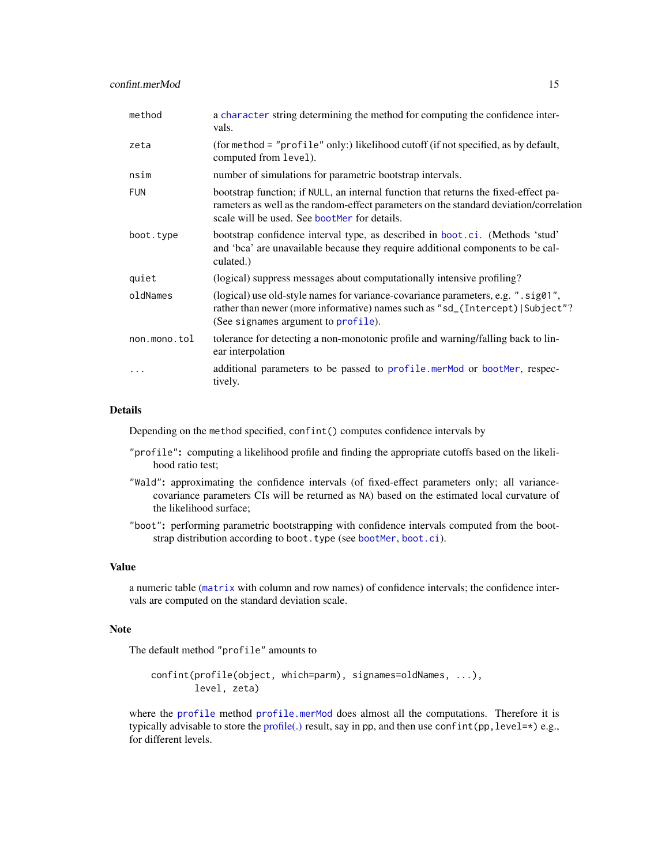| method       | a character string determining the method for computing the confidence inter-<br>vals.                                                                                                                                        |
|--------------|-------------------------------------------------------------------------------------------------------------------------------------------------------------------------------------------------------------------------------|
| zeta         | (for method = "profile" only:) likelihood cutoff (if not specified, as by default,<br>computed from level).                                                                                                                   |
| nsim         | number of simulations for parametric bootstrap intervals.                                                                                                                                                                     |
| <b>FUN</b>   | bootstrap function; if NULL, an internal function that returns the fixed-effect pa-<br>rameters as well as the random-effect parameters on the standard deviation/correlation<br>scale will be used. See bootMer for details. |
| boot.type    | bootstrap confidence interval type, as described in boot.ci. (Methods 'stud'<br>and 'bca' are unavailable because they require additional components to be cal-<br>culated.)                                                  |
| quiet        | (logical) suppress messages about computationally intensive profiling?                                                                                                                                                        |
| oldNames     | (logical) use old-style names for variance-covariance parameters, e.g. ".sig01",<br>rather than newer (more informative) names such as "sd_(Intercept) Subject"?<br>(See signames argument to profile).                       |
| non.mono.tol | tolerance for detecting a non-monotonic profile and warning/falling back to lin-<br>ear interpolation                                                                                                                         |
| $\cdots$     | additional parameters to be passed to profile.merMod or bootMer, respec-<br>tively.                                                                                                                                           |

#### Details

Depending on the method specified, confint() computes confidence intervals by

- "profile": computing a likelihood profile and finding the appropriate cutoffs based on the likelihood ratio test;
- "Wald": approximating the confidence intervals (of fixed-effect parameters only; all variancecovariance parameters CIs will be returned as NA) based on the estimated local curvature of the likelihood surface;
- "boot": performing parametric bootstrapping with confidence intervals computed from the bootstrap distribution according to boot.type (see [bootMer](#page-7-1), [boot.ci](#page-0-0)).

#### Value

a numeric table ([matrix](#page-0-0) with column and row names) of confidence intervals; the confidence intervals are computed on the standard deviation scale.

# Note

The default method "profile" amounts to

confint(profile(object, which=parm), signames=oldNames, ...), level, zeta)

where the [profile](#page-0-0) method [profile.merMod](#page-95-2) does almost all the computations. Therefore it is typically advisable to store the [profile\(.\)](#page-95-2) result, say in pp, and then use confinit (pp, level= $*)$  e.g., for different levels.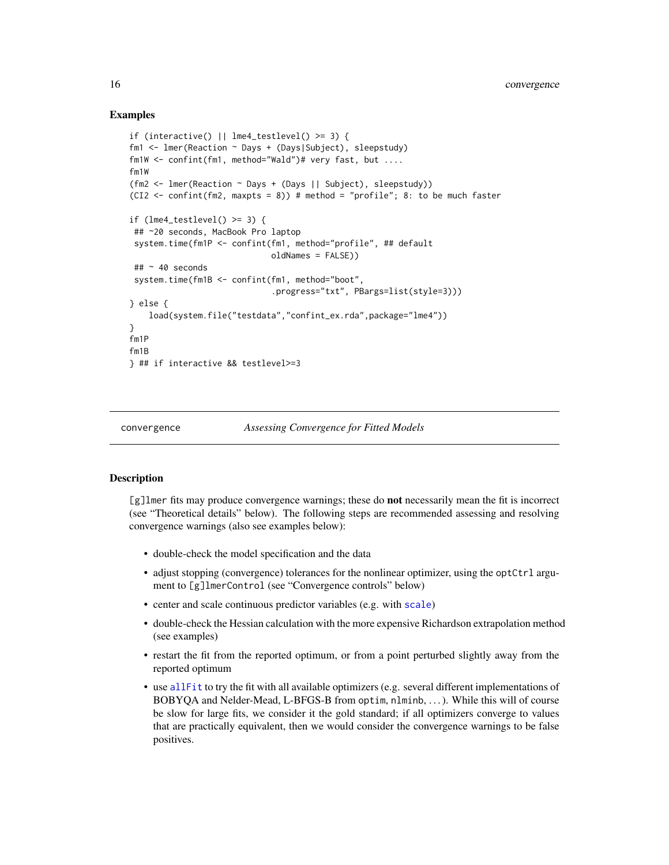## Examples

```
if (interactive() || lme4_testlevel() >= 3) {
fm1 <- lmer(Reaction ~ Days + (Days|Subject), sleepstudy)
fm1W <- confint(fm1, method="Wald")# very fast, but ....
fm1W
(fm2 <- lmer(Reaction ~ Days + (Days || Subject), sleepstudy))
(CI2 \leq -\text{confint}(fm2, \text{maxpts} = 8)) # method = "profile"; 8: to be much faster
if (lme4_testlevel() >= 3) {
## ~20 seconds, MacBook Pro laptop
 system.time(fm1P <- confint(fm1, method="profile", ## default
                             oldNames = FALSE))
## ~ 40 seconds
 system.time(fm1B <- confint(fm1, method="boot",
                              .progress="txt", PBargs=list(style=3)))
} else {
    load(system.file("testdata","confint_ex.rda",package="lme4"))
}
fm1P
fm1B
} ## if interactive && testlevel>=3
```
<span id="page-15-1"></span>

```
convergence Assessing Convergence for Fitted Models
```
#### **Description**

[g]lmer fits may produce convergence warnings; these do **not** necessarily mean the fit is incorrect (see "Theoretical details" below). The following steps are recommended assessing and resolving convergence warnings (also see examples below):

- double-check the model specification and the data
- adjust stopping (convergence) tolerances for the nonlinear optimizer, using the optCtrl argument to [g]lmerControl (see "Convergence controls" below)
- center and scale continuous predictor variables (e.g. with [scale](#page-0-0))
- double-check the Hessian calculation with the more expensive Richardson extrapolation method (see examples)
- restart the fit from the reported optimum, or from a point perturbed slightly away from the reported optimum
- use [allFit](#page-4-1) to try the fit with all available optimizers (e.g. several different implementations of BOBYQA and Nelder-Mead, L-BFGS-B from optim, nlminb, . . . ). While this will of course be slow for large fits, we consider it the gold standard; if all optimizers converge to values that are practically equivalent, then we would consider the convergence warnings to be false positives.

<span id="page-15-0"></span>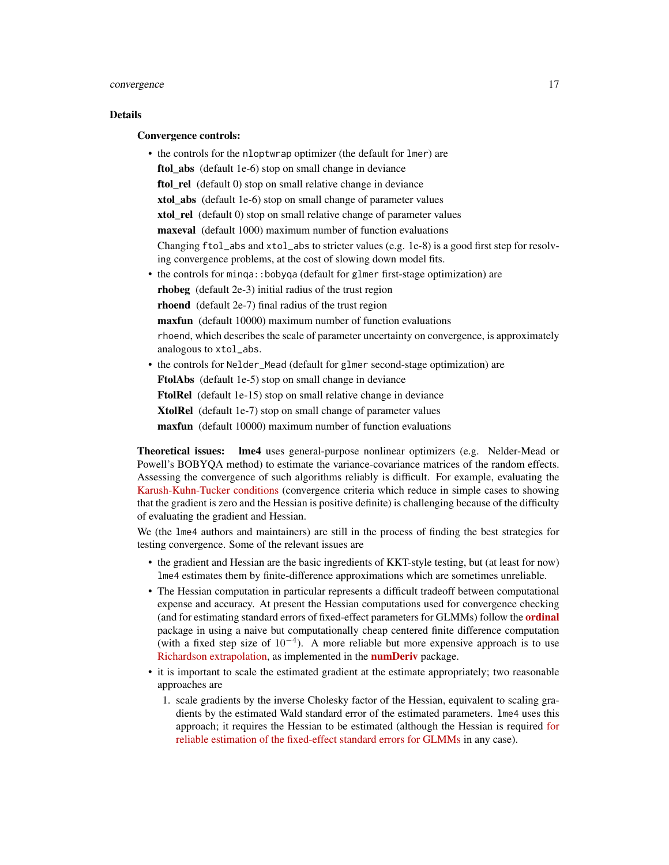#### Details

## Convergence controls:

- the controls for the nloptwrap optimizer (the default for lmer) are ftol\_abs (default 1e-6) stop on small change in deviance ftol rel (default 0) stop on small relative change in deviance xtol abs (default 1e-6) stop on small change of parameter values xtol\_rel (default 0) stop on small relative change of parameter values maxeval (default 1000) maximum number of function evaluations Changing ftol\_abs and xtol\_abs to stricter values (e.g. 1e-8) is a good first step for resolving convergence problems, at the cost of slowing down model fits. • the controls for minqa::bobyqa (default for glmer first-stage optimization) are
- - rhobeg (default 2e-3) initial radius of the trust region
- rhoend (default 2e-7) final radius of the trust region
- maxfun (default 10000) maximum number of function evaluations

rhoend, which describes the scale of parameter uncertainty on convergence, is approximately analogous to xtol\_abs.

- the controls for Nelder\_Mead (default for glmer second-stage optimization) are
	- FtolAbs (default 1e-5) stop on small change in deviance
	- FtolRel (default 1e-15) stop on small relative change in deviance
	- XtolRel (default 1e-7) stop on small change of parameter values
	- maxfun (default 10000) maximum number of function evaluations

Theoretical issues: lme4 uses general-purpose nonlinear optimizers (e.g. Nelder-Mead or Powell's BOBYQA method) to estimate the variance-covariance matrices of the random effects. Assessing the convergence of such algorithms reliably is difficult. For example, evaluating the [Karush-Kuhn-Tucker conditions](https://en.wikipedia.org/wiki/Karush%E2%80%93Kuhn%E2%80%93Tucker_conditions) (convergence criteria which reduce in simple cases to showing that the gradient is zero and the Hessian is positive definite) is challenging because of the difficulty of evaluating the gradient and Hessian.

We (the lme4 authors and maintainers) are still in the process of finding the best strategies for testing convergence. Some of the relevant issues are

- the gradient and Hessian are the basic ingredients of KKT-style testing, but (at least for now) lme4 estimates them by finite-difference approximations which are sometimes unreliable.
- The Hessian computation in particular represents a difficult tradeoff between computational expense and accuracy. At present the Hessian computations used for convergence checking (and for estimating standard errors of fixed-effect parameters for GLMMs) follow the [ordinal](https://CRAN.R-project.org/package=ordinal) package in using a naive but computationally cheap centered finite difference computation (with a fixed step size of  $10^{-4}$ ). A more reliable but more expensive approach is to use [Richardson extrapolation,](https://en.wikipedia.org/wiki/Richardson_extrapolation) as implemented in the **[numDeriv](https://CRAN.R-project.org/package=numDeriv)** package.
- it is important to scale the estimated gradient at the estimate appropriately; two reasonable approaches are
	- 1. scale gradients by the inverse Cholesky factor of the Hessian, equivalent to scaling gradients by the estimated Wald standard error of the estimated parameters. lme4 uses this approach; it requires the Hessian to be estimated (although the Hessian is required [for](https://github.com/lme4/lme4/issues/47) [reliable estimation of the fixed-effect standard errors for GLMMs](https://github.com/lme4/lme4/issues/47) in any case).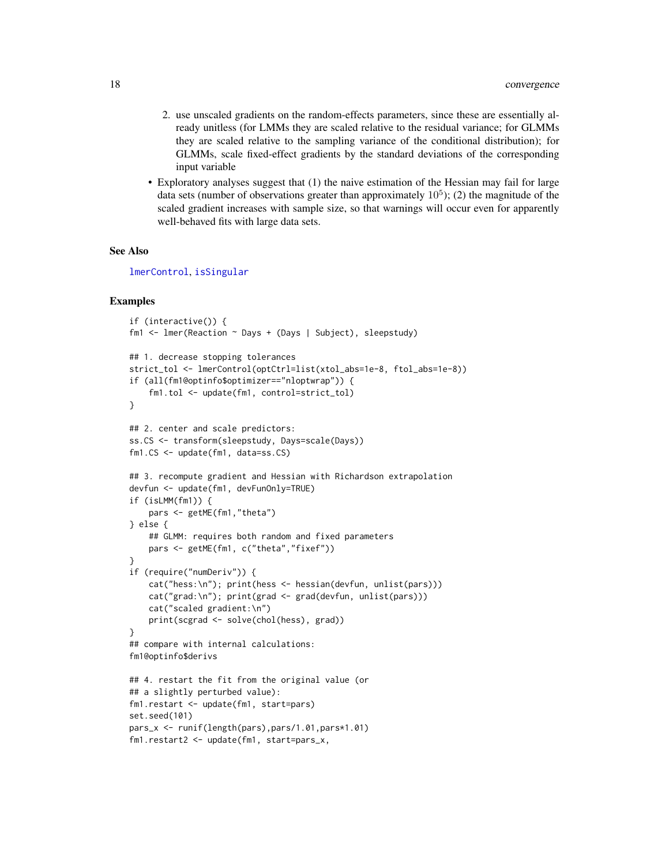- 2. use unscaled gradients on the random-effects parameters, since these are essentially already unitless (for LMMs they are scaled relative to the residual variance; for GLMMs they are scaled relative to the sampling variance of the conditional distribution); for GLMMs, scale fixed-effect gradients by the standard deviations of the corresponding input variable
- Exploratory analyses suggest that (1) the naive estimation of the Hessian may fail for large data sets (number of observations greater than approximately  $10<sup>5</sup>$ ); (2) the magnitude of the scaled gradient increases with sample size, so that warnings will occur even for apparently well-behaved fits with large data sets.

## See Also

[lmerControl](#page-53-1), [isSingular](#page-48-1)

```
if (interactive()) {
fm1 <- lmer(Reaction ~ Days + (Days | Subject), sleepstudy)
## 1. decrease stopping tolerances
strict_tol <- lmerControl(optCtrl=list(xtol_abs=1e-8, ftol_abs=1e-8))
if (all(fm1@optinfo$optimizer=="nloptwrap")) {
    fm1.tol <- update(fm1, control=strict_tol)
}
## 2. center and scale predictors:
ss.CS <- transform(sleepstudy, Days=scale(Days))
fm1.CS <- update(fm1, data=ss.CS)
## 3. recompute gradient and Hessian with Richardson extrapolation
devfun <- update(fm1, devFunOnly=TRUE)
if (isLMM(fm1)) {
    pars <- getME(fm1,"theta")
} else {
    ## GLMM: requires both random and fixed parameters
   pars <- getME(fm1, c("theta","fixef"))
}
if (require("numDeriv")) {
    cat("hess:\n"); print(hess <- hessian(devfun, unlist(pars)))
    cat("grad:\n"); print(grad <- grad(devfun, unlist(pars)))
    cat("scaled gradient:\n")
   print(scgrad <- solve(chol(hess), grad))
}
## compare with internal calculations:
fm1@optinfo$derivs
## 4. restart the fit from the original value (or
## a slightly perturbed value):
fm1.restart <- update(fm1, start=pars)
set.seed(101)
pars_x <- runif(length(pars),pars/1.01,pars*1.01)
fm1.restart2 <- update(fm1, start=pars_x,
```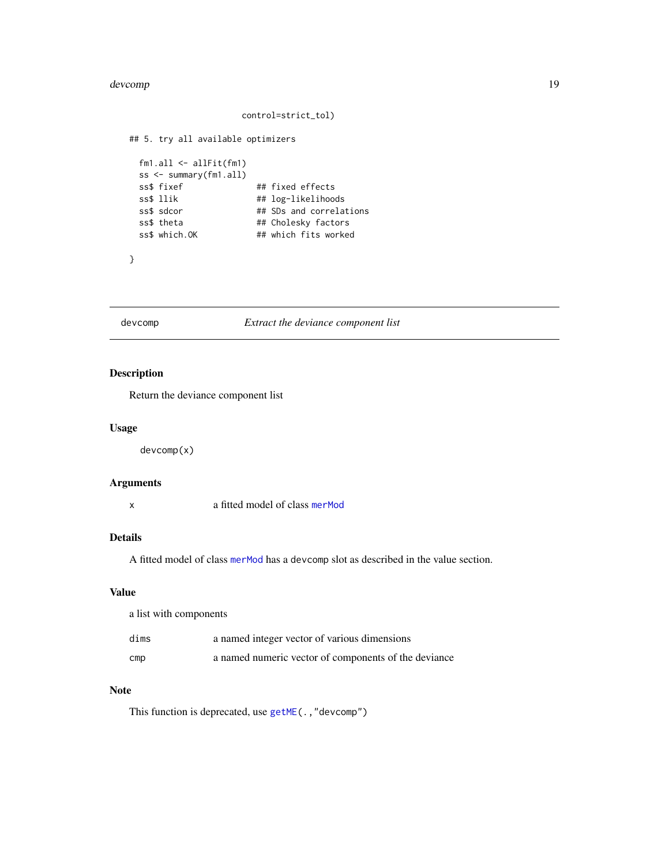#### <span id="page-18-0"></span>devcomp and the set of the set of the set of the set of the set of the set of the set of the set of the set of the set of the set of the set of the set of the set of the set of the set of the set of the set of the set of t

#### control=strict\_tol)

```
## 5. try all available optimizers
 fm1.all <- allFit(fm1)
 ss <- summary(fm1.all)
 ss$ fixef ## fixed effects
 ss$ llik ## log-likelihoods
 ss$ sdcor ## SDs and correlations
 ss$ theta ## Cholesky factors
 ss$ which.OK ## which fits worked
```
}

## devcomp *Extract the deviance component list*

## Description

Return the deviance component list

## Usage

devcomp(x)

## Arguments

x a fitted model of class [merMod](#page-63-1)

# Details

A fitted model of class [merMod](#page-63-1) has a devcomp slot as described in the value section.

## Value

| a list with components |                                                      |  |  |
|------------------------|------------------------------------------------------|--|--|
| dims                   | a named integer vector of various dimensions         |  |  |
| $_{\text{cmp}}$        | a named numeric vector of components of the deviance |  |  |

## Note

This function is deprecated, use [getME\(](#page-28-1).,"devcomp")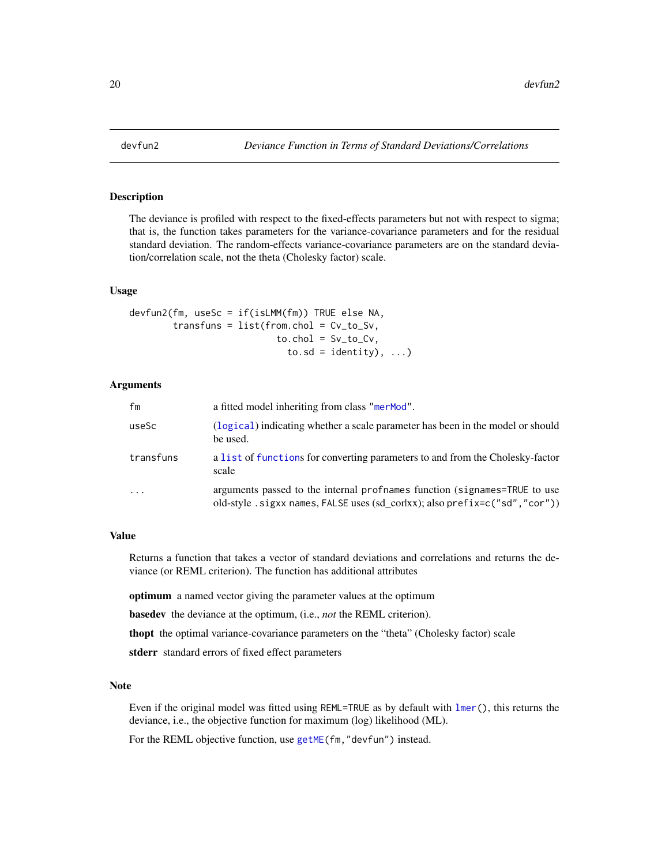<span id="page-19-0"></span>

## Description

The deviance is profiled with respect to the fixed-effects parameters but not with respect to sigma; that is, the function takes parameters for the variance-covariance parameters and for the residual standard deviation. The random-effects variance-covariance parameters are on the standard deviation/correlation scale, not the theta (Cholesky factor) scale.

#### Usage

```
devfun2(fm, useSc = if(isLMM(fm)) TRUE else NA,
        transfuns = list(from.chol = Cv_to_Sv,
                            to.chol = Sv\_to_Cv,
                              to.sd = identity), \ldots)
```
#### Arguments

| fm        | a fitted model inheriting from class "merMod".                                                                                                            |
|-----------|-----------------------------------------------------------------------------------------------------------------------------------------------------------|
| useSc     | (logical) indicating whether a scale parameter has been in the model or should<br>be used.                                                                |
| transfuns | a list of functions for converting parameters to and from the Cholesky-factor<br>scale                                                                    |
| $\cdots$  | arguments passed to the internal profinames function (signames=TRUE to use<br>old-style .sigxx names, FALSE uses (sd_cor xx); also prefix=c("sd", "cor")) |

#### Value

Returns a function that takes a vector of standard deviations and correlations and returns the deviance (or REML criterion). The function has additional attributes

optimum a named vector giving the parameter values at the optimum

basedev the deviance at the optimum, (i.e., *not* the REML criterion).

thopt the optimal variance-covariance parameters on the "theta" (Cholesky factor) scale

stderr standard errors of fixed effect parameters

#### Note

Even if the original model was fitted using REML=TRUE as by default with [lmer\(](#page-50-1)), this returns the deviance, i.e., the objective function for maximum (log) likelihood (ML).

For the REML objective function, use [getME\(](#page-28-1)fm,"devfun") instead.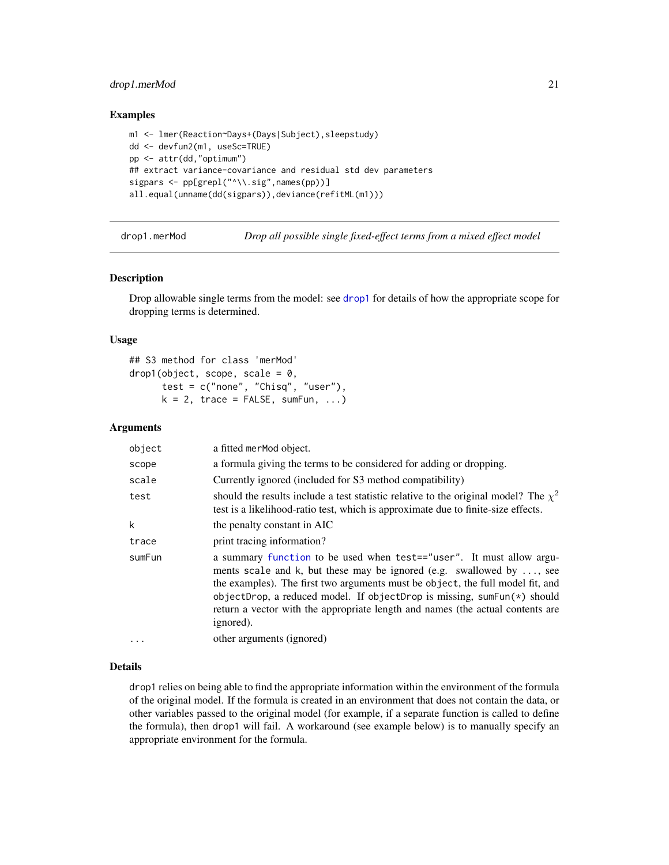# <span id="page-20-0"></span>drop1.merMod 21

#### Examples

```
m1 <- lmer(Reaction~Days+(Days|Subject),sleepstudy)
dd <- devfun2(m1, useSc=TRUE)
pp <- attr(dd,"optimum")
## extract variance-covariance and residual std dev parameters
sigpars <- pp[grepl("^\\.sig",names(pp))]
all.equal(unname(dd(sigpars)),deviance(refitML(m1)))
```
drop1.merMod *Drop all possible single fixed-effect terms from a mixed effect model*

#### Description

Drop allowable single terms from the model: see [drop1](#page-0-0) for details of how the appropriate scope for dropping terms is determined.

#### Usage

```
## S3 method for class 'merMod'
drop1(object, scope, scale = 0,test = c("none", "Chisq", "user"),
     k = 2, trace = FALSE, sumFun, ...)
```
## Arguments

| object   | a fitted merMod object.                                                                                                                                                                                                                                                                                                                                                                                  |
|----------|----------------------------------------------------------------------------------------------------------------------------------------------------------------------------------------------------------------------------------------------------------------------------------------------------------------------------------------------------------------------------------------------------------|
| scope    | a formula giving the terms to be considered for adding or dropping.                                                                                                                                                                                                                                                                                                                                      |
| scale    | Currently ignored (included for S3 method compatibility)                                                                                                                                                                                                                                                                                                                                                 |
| test     | should the results include a test statistic relative to the original model? The $\chi^2$<br>test is a likelihood-ratio test, which is approximate due to finite-size effects.                                                                                                                                                                                                                            |
| k        | the penalty constant in AIC                                                                                                                                                                                                                                                                                                                                                                              |
| trace    | print tracing information?                                                                                                                                                                                                                                                                                                                                                                               |
| sumFun   | a summary function to be used when test=="user". It must allow argu-<br>ments scale and k, but these may be ignored (e.g. swallowed by , see<br>the examples). The first two arguments must be object, the full model fit, and<br>objectDrop, a reduced model. If objectDrop is missing, sumFun(*) should<br>return a vector with the appropriate length and names (the actual contents are<br>ignored). |
| $\ddots$ | other arguments (ignored)                                                                                                                                                                                                                                                                                                                                                                                |

## Details

drop1 relies on being able to find the appropriate information within the environment of the formula of the original model. If the formula is created in an environment that does not contain the data, or other variables passed to the original model (for example, if a separate function is called to define the formula), then drop1 will fail. A workaround (see example below) is to manually specify an appropriate environment for the formula.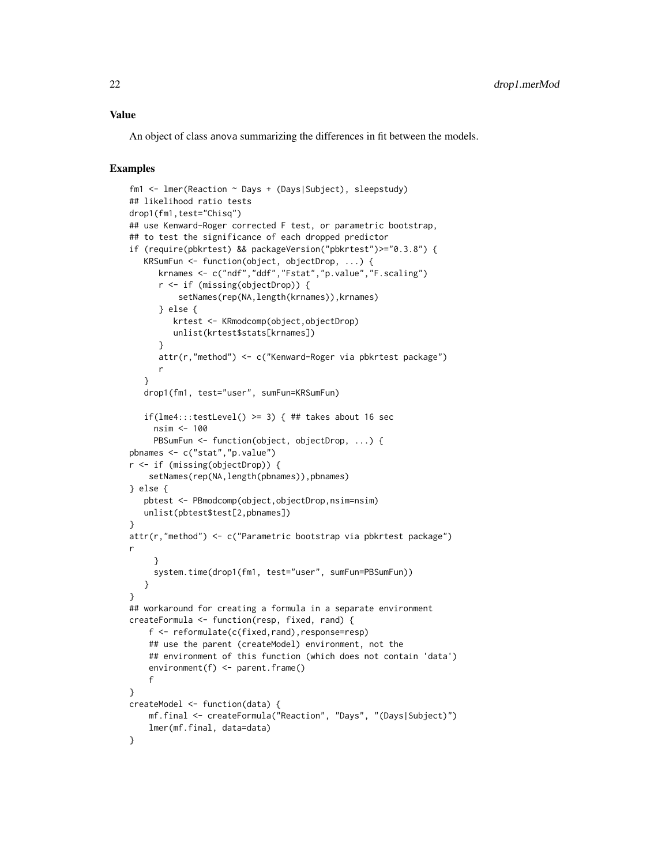#### Value

An object of class anova summarizing the differences in fit between the models.

```
fm1 <- lmer(Reaction ~ Days + (Days|Subject), sleepstudy)
## likelihood ratio tests
drop1(fm1,test="Chisq")
## use Kenward-Roger corrected F test, or parametric bootstrap,
## to test the significance of each dropped predictor
if (require(pbkrtest) && packageVersion("pbkrtest")>="0.3.8") {
   KRSumFun <- function(object, objectDrop, ...) {
      krnames <- c("ndf","ddf","Fstat","p.value","F.scaling")
      r <- if (missing(objectDrop)) {
          setNames(rep(NA,length(krnames)), krnames)
      } else {
         krtest <- KRmodcomp(object,objectDrop)
         unlist(krtest$stats[krnames])
      }
      attr(r,"method") <- c("Kenward-Roger via pbkrtest package")
      r
   }
   drop1(fm1, test="user", sumFun=KRSumFun)
   if(lme4:::testLevel() >= 3) { ## takes about 16 sec
    nsim <- 100
     PBSumFun <- function(object, objectDrop, ...) {
pbnames <- c("stat","p.value")
r <- if (missing(objectDrop)) {
    setNames(rep(NA,length(pbnames)),pbnames)
} else {
   pbtest <- PBmodcomp(object,objectDrop,nsim=nsim)
   unlist(pbtest$test[2,pbnames])
}
attr(r,"method") <- c("Parametric bootstrap via pbkrtest package")
r
     }
     system.time(drop1(fm1, test="user", sumFun=PBSumFun))
   }
}
## workaround for creating a formula in a separate environment
createFormula <- function(resp, fixed, rand) {
    f <- reformulate(c(fixed,rand),response=resp)
    ## use the parent (createModel) environment, not the
    ## environment of this function (which does not contain 'data')
    environment(f) <- parent.frame()
    f
}
createModel <- function(data) {
   mf.final <- createFormula("Reaction", "Days", "(Days|Subject)")
    lmer(mf.final, data=data)
}
```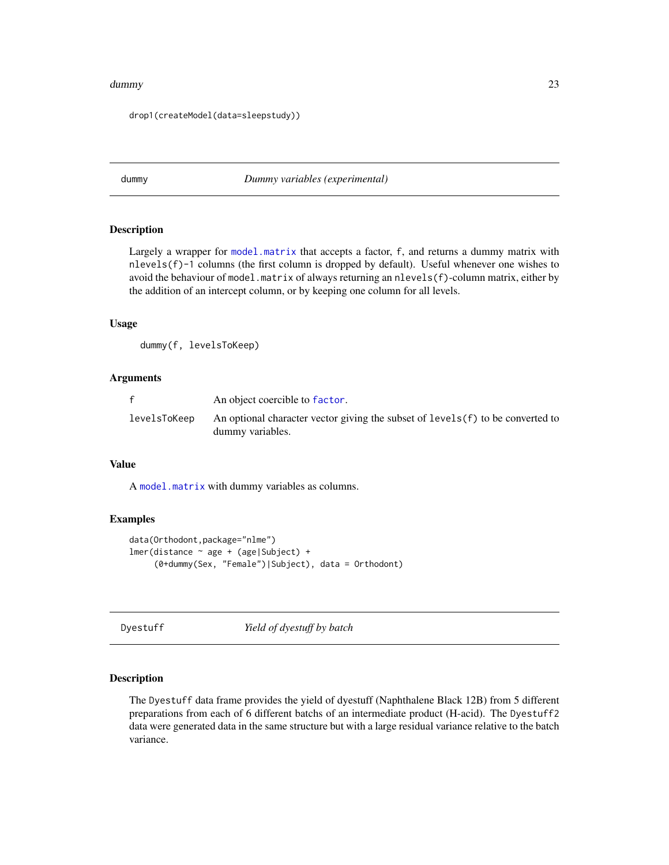#### <span id="page-22-0"></span>dummy 23

drop1(createModel(data=sleepstudy))

<span id="page-22-1"></span>dummy *Dummy variables (experimental)*

#### Description

Largely a wrapper for [model.matrix](#page-0-0) that accepts a factor, f, and returns a dummy matrix with nlevels(f)-1 columns (the first column is dropped by default). Useful whenever one wishes to avoid the behaviour of model.matrix of always returning an nlevels(f)-column matrix, either by the addition of an intercept column, or by keeping one column for all levels.

## Usage

dummy(f, levelsToKeep)

# Arguments

|              | An object coercible to factor.                                                                      |
|--------------|-----------------------------------------------------------------------------------------------------|
| levelsToKeep | An optional character vector giving the subset of levels (f) to be converted to<br>dummy variables. |

#### Value

A [model.matrix](#page-0-0) with dummy variables as columns.

#### Examples

```
data(Orthodont,package="nlme")
lmer(distance ~ age + (age|Subject) +
     (0+dummy(Sex, "Female")|Subject), data = Orthodont)
```
Dyestuff *Yield of dyestuff by batch*

## Description

The Dyestuff data frame provides the yield of dyestuff (Naphthalene Black 12B) from 5 different preparations from each of 6 different batchs of an intermediate product (H-acid). The Dyestuff2 data were generated data in the same structure but with a large residual variance relative to the batch variance.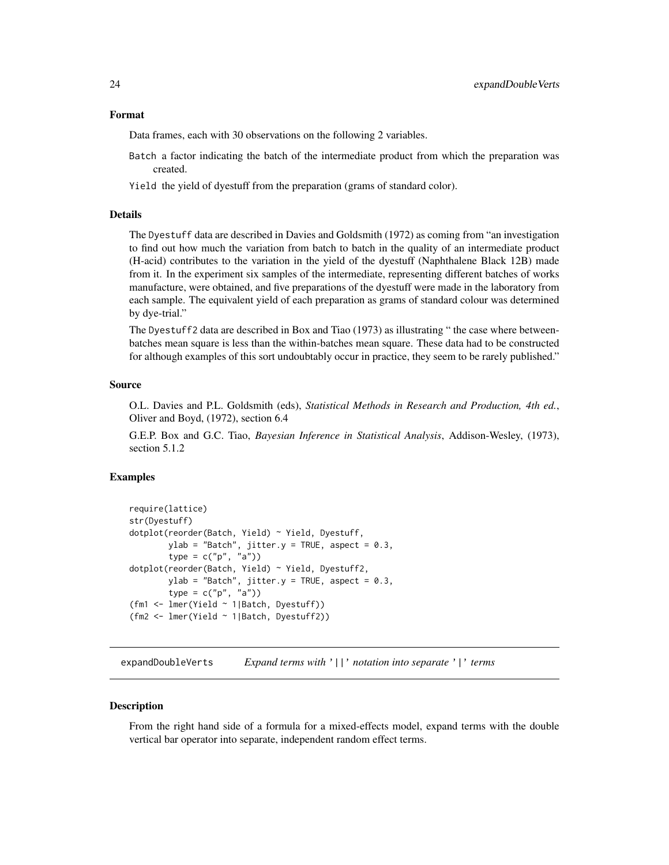#### <span id="page-23-0"></span>Format

Data frames, each with 30 observations on the following 2 variables.

- Batch a factor indicating the batch of the intermediate product from which the preparation was created.
- Yield the yield of dyestuff from the preparation (grams of standard color).

#### Details

The Dyestuff data are described in Davies and Goldsmith (1972) as coming from "an investigation to find out how much the variation from batch to batch in the quality of an intermediate product (H-acid) contributes to the variation in the yield of the dyestuff (Naphthalene Black 12B) made from it. In the experiment six samples of the intermediate, representing different batches of works manufacture, were obtained, and five preparations of the dyestuff were made in the laboratory from each sample. The equivalent yield of each preparation as grams of standard colour was determined by dye-trial."

The Dyestuff2 data are described in Box and Tiao (1973) as illustrating " the case where betweenbatches mean square is less than the within-batches mean square. These data had to be constructed for although examples of this sort undoubtably occur in practice, they seem to be rarely published."

## Source

O.L. Davies and P.L. Goldsmith (eds), *Statistical Methods in Research and Production, 4th ed.*, Oliver and Boyd, (1972), section 6.4

G.E.P. Box and G.C. Tiao, *Bayesian Inference in Statistical Analysis*, Addison-Wesley, (1973), section 5.1.2

#### Examples

```
require(lattice)
str(Dyestuff)
dotplot(reorder(Batch, Yield) ~ Yield, Dyestuff,
       ylab = "Batch", jitter.y = TRUE, aspect = 0.3,
       type = c("p", "a")dotplot(reorder(Batch, Yield) ~ Yield, Dyestuff2,
       ylab = "Batch", jitter.y = TRUE, aspect = 0.3,
       type = c("p", "a")(fm1 <- lmer(Yield ~ 1|Batch, Dyestuff))
(fm2 <- lmer(Yield ~ 1|Batch, Dyestuff2))
```
expandDoubleVerts *Expand terms with* '||' *notation into separate* '|' *terms*

#### **Description**

From the right hand side of a formula for a mixed-effects model, expand terms with the double vertical bar operator into separate, independent random effect terms.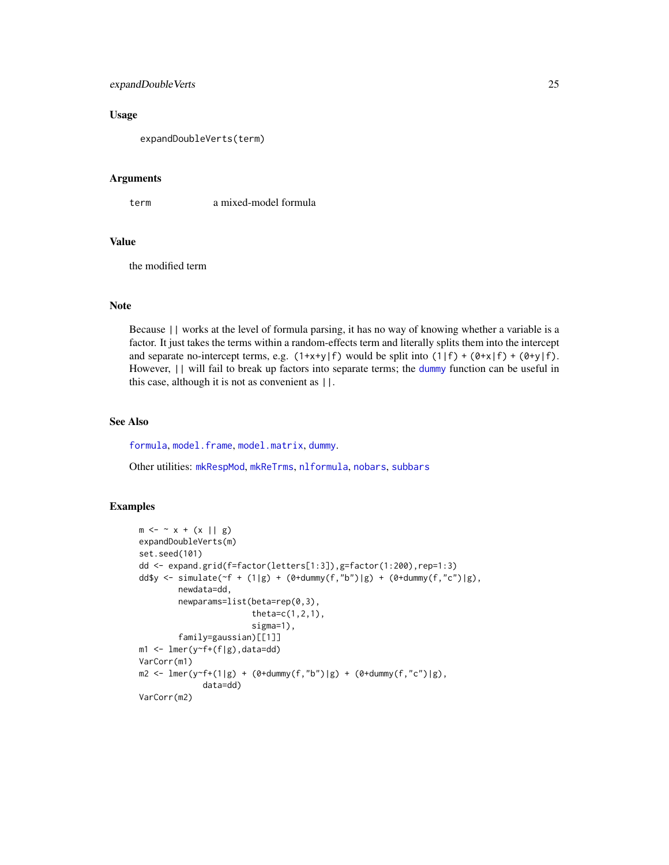# expandDoubleVerts 25

# Usage

expandDoubleVerts(term)

#### Arguments

term a mixed-model formula

#### Value

the modified term

## Note

Because || works at the level of formula parsing, it has no way of knowing whether a variable is a factor. It just takes the terms within a random-effects term and literally splits them into the intercept and separate no-intercept terms, e.g.  $(1+x+y|f)$  would be split into  $(1|f) + (0+x|f) + (0+y|f)$ . However, || will fail to break up factors into separate terms; the [dummy](#page-22-1) function can be useful in this case, although it is not as convenient as ||.

## See Also

[formula](#page-0-0), [model.frame](#page-0-0), [model.matrix](#page-0-0), [dummy](#page-22-1).

Other utilities: [mkRespMod](#page-70-1), [mkReTrms](#page-70-2), [nlformula](#page-81-1), [nobars](#page-86-1), [subbars](#page-115-1)

```
m \le - \sim x + (x || g)expandDoubleVerts(m)
set.seed(101)
dd <- expand.grid(f=factor(letters[1:3]),g=factor(1:200),rep=1:3)
dd$y <- simulate((f + (1|g) + (0+d \text{dummy}(f, "b")|g) + (0+d \text{dummy}(f, "c")|g),newdata=dd,
         newparams=list(beta=rep(0,3),
                          theta=c(1,2,1),sigma=1),
         family=gaussian)[[1]]
m1 <- lmer(y~f+(f|g),data=dd)
VarCorr(m1)
m2 \leq Imer(y \leq f + (1|g) + (0 + d \text{dummy}(f, "b")|g) + (0 + d \text{dummy}(f, "c")|g),data=dd)
VarCorr(m2)
```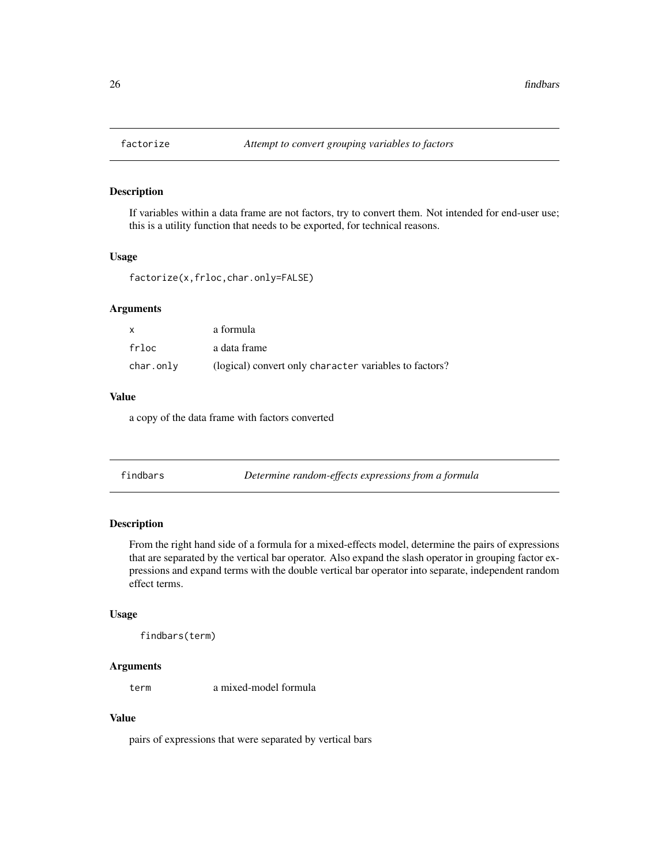<span id="page-25-0"></span>

# Description

If variables within a data frame are not factors, try to convert them. Not intended for end-user use; this is a utility function that needs to be exported, for technical reasons.

# Usage

```
factorize(x,frloc,char.only=FALSE)
```
## Arguments

| $\mathsf{x}$ | a formula                                              |
|--------------|--------------------------------------------------------|
| frloc        | a data frame                                           |
| char.only    | (logical) convert only character variables to factors? |

## Value

a copy of the data frame with factors converted

| Determine random-effects expressions from a formula<br>findbars |  |
|-----------------------------------------------------------------|--|
|-----------------------------------------------------------------|--|

## Description

From the right hand side of a formula for a mixed-effects model, determine the pairs of expressions that are separated by the vertical bar operator. Also expand the slash operator in grouping factor expressions and expand terms with the double vertical bar operator into separate, independent random effect terms.

## Usage

```
findbars(term)
```
# Arguments

term a mixed-model formula

#### Value

pairs of expressions that were separated by vertical bars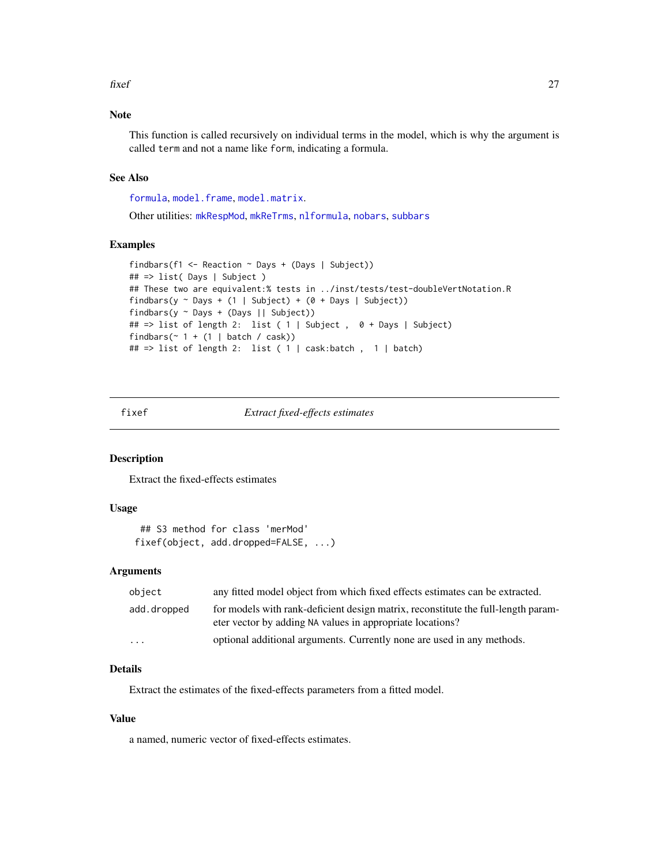<span id="page-26-0"></span>fixef 27

# Note

This function is called recursively on individual terms in the model, which is why the argument is called term and not a name like form, indicating a formula.

## See Also

[formula](#page-0-0), [model.frame](#page-0-0), [model.matrix](#page-0-0).

Other utilities: [mkRespMod](#page-70-1), [mkReTrms](#page-70-2), [nlformula](#page-81-1), [nobars](#page-86-1), [subbars](#page-115-1)

#### Examples

```
findbars(f1 <- Reaction ~ Days + (Days | Subject))
## => list( Days | Subject )
## These two are equivalent:% tests in ../inst/tests/test-doubleVertNotation.R
findbars(y \sim Days + (1 | Subject) + (0 + Days | Subject))
findbars(y ~ Days + (Days || Subject))
## => list of length 2: list ( 1 | Subject , 0 + Days | Subject)
findbars(\sim 1 + (1 | batch / cask))
## => list of length 2: list ( 1 | cask:batch , 1 | batch)
```
## <span id="page-26-1"></span>fixef *Extract fixed-effects estimates*

#### Description

Extract the fixed-effects estimates

## Usage

```
## S3 method for class 'merMod'
fixef(object, add.dropped=FALSE, ...)
```
## Arguments

| object                  | any fitted model object from which fixed effects estimates can be extracted.                                                                   |
|-------------------------|------------------------------------------------------------------------------------------------------------------------------------------------|
| add.dropped             | for models with rank-deficient design matrix, reconstitute the full-length param-<br>eter vector by adding NA values in appropriate locations? |
| $\cdot$ $\cdot$ $\cdot$ | optional additional arguments. Currently none are used in any methods.                                                                         |

## Details

Extract the estimates of the fixed-effects parameters from a fitted model.

## Value

a named, numeric vector of fixed-effects estimates.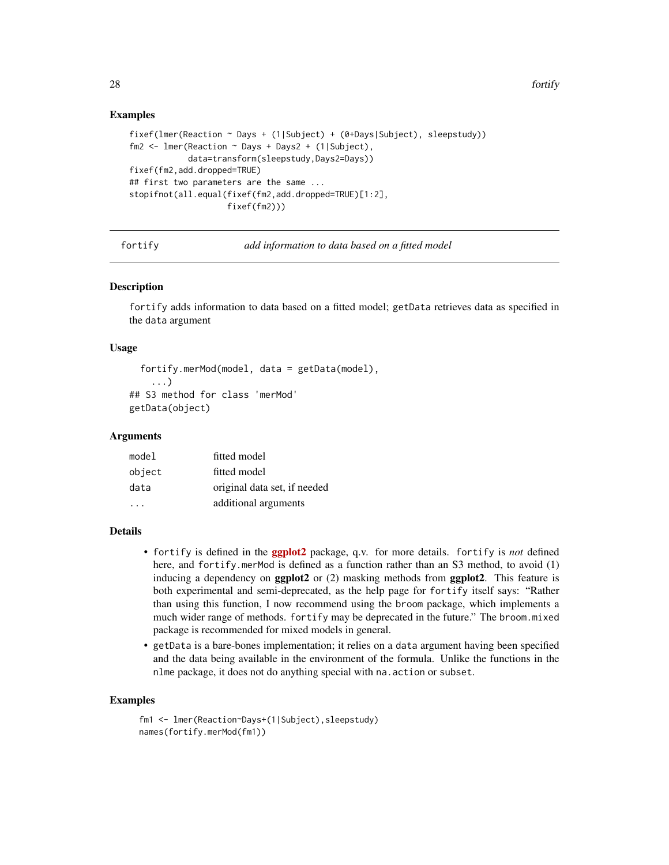## Examples

```
fixef(lmer(Reaction ~ Days + (1|Subject) + (0+Days|Subject), sleepstudy))
fm2 <- lmer(Reaction ~ Days + Days2 + (1|Subject),
            data=transform(sleepstudy,Days2=Days))
fixef(fm2,add.dropped=TRUE)
## first two parameters are the same ...
stopifnot(all.equal(fixef(fm2,add.dropped=TRUE)[1:2],
                    fixef(fm2)))
```
fortify *add information to data based on a fitted model*

#### Description

fortify adds information to data based on a fitted model; getData retrieves data as specified in the data argument

#### Usage

```
fortify.merMod(model, data = getData(model),
    ...)
## S3 method for class 'merMod'
getData(object)
```
#### Arguments

| model                | fitted model                 |
|----------------------|------------------------------|
| object               | fitted model                 |
| data                 | original data set, if needed |
| $\ddot{\phantom{1}}$ | additional arguments         |

## **Details**

- fortify is defined in the [ggplot2](https://CRAN.R-project.org/package=ggplot2) package, q.v. for more details. fortify is *not* defined here, and fortify.merMod is defined as a function rather than an S3 method, to avoid (1) inducing a dependency on **ggplot2** or (2) masking methods from **ggplot2**. This feature is both experimental and semi-deprecated, as the help page for fortify itself says: "Rather than using this function, I now recommend using the broom package, which implements a much wider range of methods. fortify may be deprecated in the future." The broom.mixed package is recommended for mixed models in general.
- getData is a bare-bones implementation; it relies on a data argument having been specified and the data being available in the environment of the formula. Unlike the functions in the nlme package, it does not do anything special with na.action or subset.

```
fm1 <- lmer(Reaction~Days+(1|Subject),sleepstudy)
names(fortify.merMod(fm1))
```
<span id="page-27-0"></span>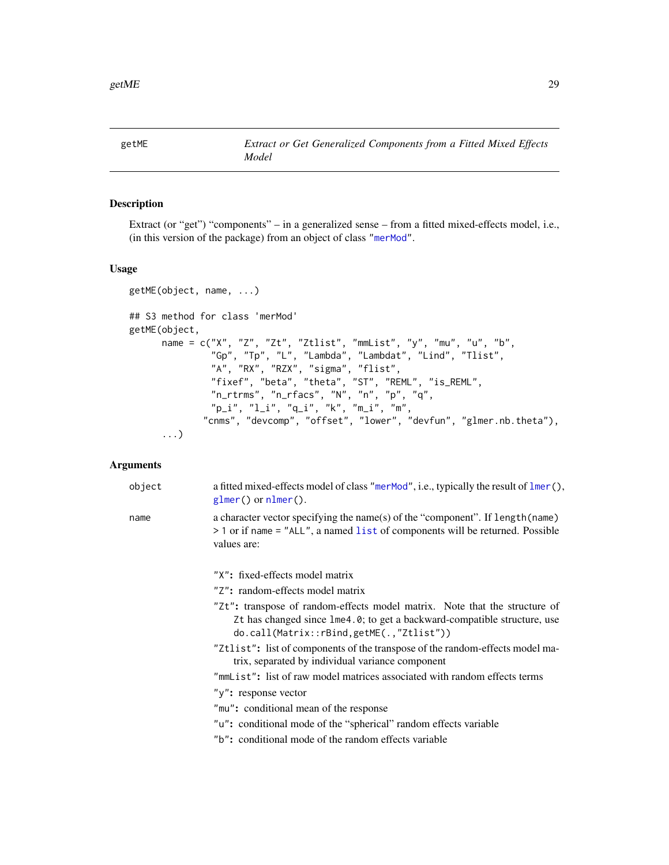<span id="page-28-1"></span><span id="page-28-0"></span>

# Description

Extract (or "get") "components" – in a generalized sense – from a fitted mixed-effects model, i.e., (in this version of the package) from an object of class ["merMod"](#page-63-1).

## Usage

```
getME(object, name, ...)
## S3 method for class 'merMod'
getME(object,
      name = c("X", "Z", "Zt", "Ztlist", "mmList", "y", "mu", "u", "b",
               "Gp", "Tp", "L", "Lambda", "Lambdat", "Lind", "Tlist",
               "A", "RX", "RZX", "sigma", "flist",
               "fixef", "beta", "theta", "ST", "REML", "is_REML",
               "n_rtrms", "n_rfacs", "N", "n", "p", "q",
               "p_i", "l_i", "q_i", "k", "m_i", "m",
             "cnms", "devcomp", "offset", "lower", "devfun", "glmer.nb.theta"),
      ...)
```

| object | a fitted mixed-effects model of class "merMod", i.e., typically the result of lmer(),<br>$glmer()$ or $nlmer()$ .                                                                                  |
|--------|----------------------------------------------------------------------------------------------------------------------------------------------------------------------------------------------------|
| name   | a character vector specifying the name(s) of the "component". If length (name)<br>$>$ 1 or if name = "ALL", a named list of components will be returned. Possible<br>values are:                   |
|        | "X": fixed-effects model matrix                                                                                                                                                                    |
|        | "Z": random-effects model matrix                                                                                                                                                                   |
|        | "Zt": transpose of random-effects model matrix. Note that the structure of<br>Zt has changed since lme4.0; to get a backward-compatible structure, use<br>do.call(Matrix::rBind,getME(.,"Ztlist")) |
|        | "Ztlist": list of components of the transpose of the random-effects model ma-<br>trix, separated by individual variance component                                                                  |
|        | "mmList": list of raw model matrices associated with random effects terms                                                                                                                          |
|        | "y": response vector                                                                                                                                                                               |
|        | "mu": conditional mean of the response                                                                                                                                                             |
|        | "u": conditional mode of the "spherical" random effects variable                                                                                                                                   |
|        | "b": conditional mode of the random effects variable                                                                                                                                               |
|        |                                                                                                                                                                                                    |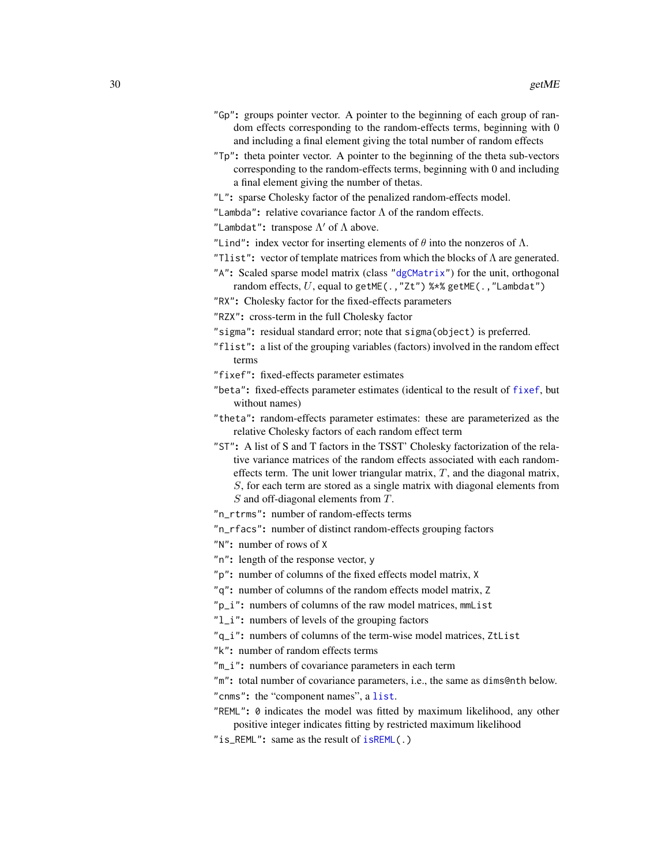- "Gp": groups pointer vector. A pointer to the beginning of each group of random effects corresponding to the random-effects terms, beginning with 0 and including a final element giving the total number of random effects
- "Tp": theta pointer vector. A pointer to the beginning of the theta sub-vectors corresponding to the random-effects terms, beginning with 0 and including a final element giving the number of thetas.
- "L": sparse Cholesky factor of the penalized random-effects model.
- "Lambda": relative covariance factor  $\Lambda$  of the random effects.
- "Lambdat": transpose  $\Lambda'$  of  $\Lambda$  above.
- "Lind": index vector for inserting elements of  $\theta$  into the nonzeros of  $\Lambda$ .
- "Tlist": vector of template matrices from which the blocks of  $\Lambda$  are generated.
- "A": Scaled sparse model matrix (class ["dgCMatrix"](#page-0-0)) for the unit, orthogonal random effects,  $U$ , equal to getME(., "Zt") %\*% getME(., "Lambdat")
- "RX": Cholesky factor for the fixed-effects parameters
- "RZX": cross-term in the full Cholesky factor
- "sigma": residual standard error; note that sigma(object) is preferred.
- "flist": a list of the grouping variables (factors) involved in the random effect terms
- "fixef": fixed-effects parameter estimates
- "beta": fixed-effects parameter estimates (identical to the result of [fixef](#page-26-1), but without names)
- "theta": random-effects parameter estimates: these are parameterized as the relative Cholesky factors of each random effect term
- "ST": A list of S and T factors in the TSST' Cholesky factorization of the relative variance matrices of the random effects associated with each randomeffects term. The unit lower triangular matrix,  $T$ , and the diagonal matrix, S, for each term are stored as a single matrix with diagonal elements from S and off-diagonal elements from T.
- "n\_rtrms": number of random-effects terms
- "n\_rfacs": number of distinct random-effects grouping factors
- "N": number of rows of X
- "n": length of the response vector, y
- "p": number of columns of the fixed effects model matrix, X
- "q": number of columns of the random effects model matrix, Z
- "p\_i": numbers of columns of the raw model matrices, mmList
- "l\_i": numbers of levels of the grouping factors
- "q\_i": numbers of columns of the term-wise model matrices, ZtList
- "k": number of random effects terms
- "m\_i": numbers of covariance parameters in each term
- "m": total number of covariance parameters, i.e., the same as dims@nth below. "cnms": the "component names", a [list](#page-0-0).
- "REML": 0 indicates the model was fitted by maximum likelihood, any other positive integer indicates fitting by restricted maximum likelihood
- "is\_REML": same as the result of [isREML\(](#page-47-1).)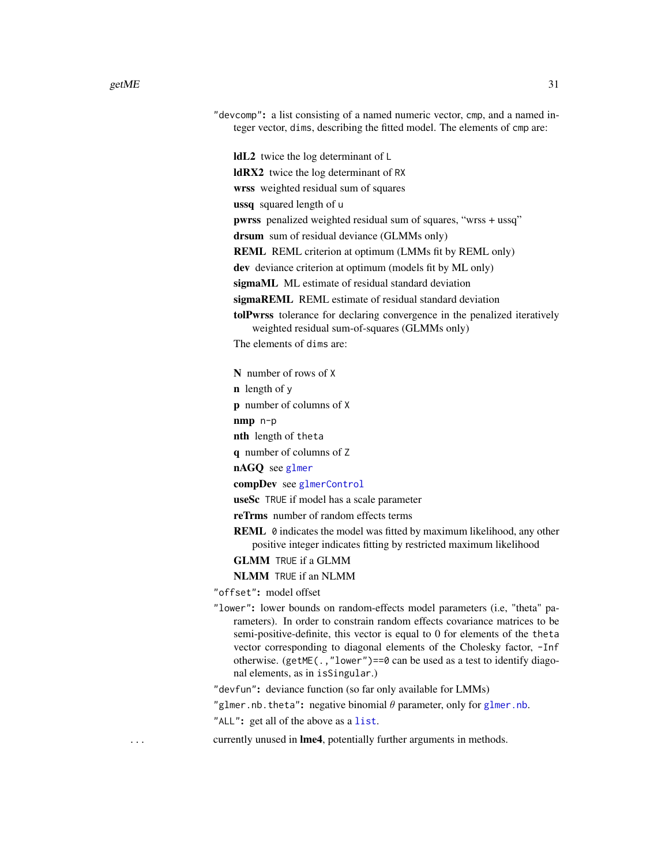| "devcomp": a list consisting of a named numeric vector, cmp, and a named in-<br>teger vector, dims, describing the fitted model. The elements of cmp are: |  |
|-----------------------------------------------------------------------------------------------------------------------------------------------------------|--|
| <b>IdL2</b> twice the log determinant of L                                                                                                                |  |
| <b>IdRX2</b> twice the log determinant of RX                                                                                                              |  |
| wrss weighted residual sum of squares                                                                                                                     |  |
| <b>ussq</b> squared length of u                                                                                                                           |  |
| <b>pwrss</b> penalized weighted residual sum of squares, "wrss + ussq"                                                                                    |  |
| <b>drsum</b> sum of residual deviance (GLMMs only)                                                                                                        |  |
| <b>REML</b> REML criterion at optimum (LMMs fit by REML only)                                                                                             |  |
| dev deviance criterion at optimum (models fit by ML only)                                                                                                 |  |
| sigmaML ML estimate of residual standard deviation                                                                                                        |  |
| <b>sigmaREML</b> REML estimate of residual standard deviation                                                                                             |  |
| <b>tolPwrss</b> tolerance for declaring convergence in the penalized iteratively<br>weighted residual sum-of-squares (GLMMs only)                         |  |
| The elements of dims are:                                                                                                                                 |  |
| N number of rows of X                                                                                                                                     |  |
|                                                                                                                                                           |  |

 $\mathbf n$  length of  $\mathbf y$ 

p number of columns of X

nmp n-p

nth length of theta

q number of columns of Z

nAGQ see [glmer](#page-32-1)

compDev see [glmerControl](#page-53-2)

useSc TRUE if model has a scale parameter

reTrms number of random effects terms

REML 0 indicates the model was fitted by maximum likelihood, any other positive integer indicates fitting by restricted maximum likelihood

GLMM TRUE if a GLMM

NLMM TRUE if an NLMM

"offset": model offset

"lower": lower bounds on random-effects model parameters (i.e, "theta" parameters). In order to constrain random effects covariance matrices to be semi-positive-definite, this vector is equal to 0 for elements of the theta vector corresponding to diagonal elements of the Cholesky factor, -Inf otherwise. (getME(.,"lower")==0 can be used as a test to identify diagonal elements, as in isSingular.)

"devfun": deviance function (so far only available for LMMs)

"[glmer.nb](#page-35-1).theta": negative binomial  $\theta$  parameter, only for glmer.nb.

"ALL": get all of the above as a [list](#page-0-0).

... currently unused in **lme4**, potentially further arguments in methods.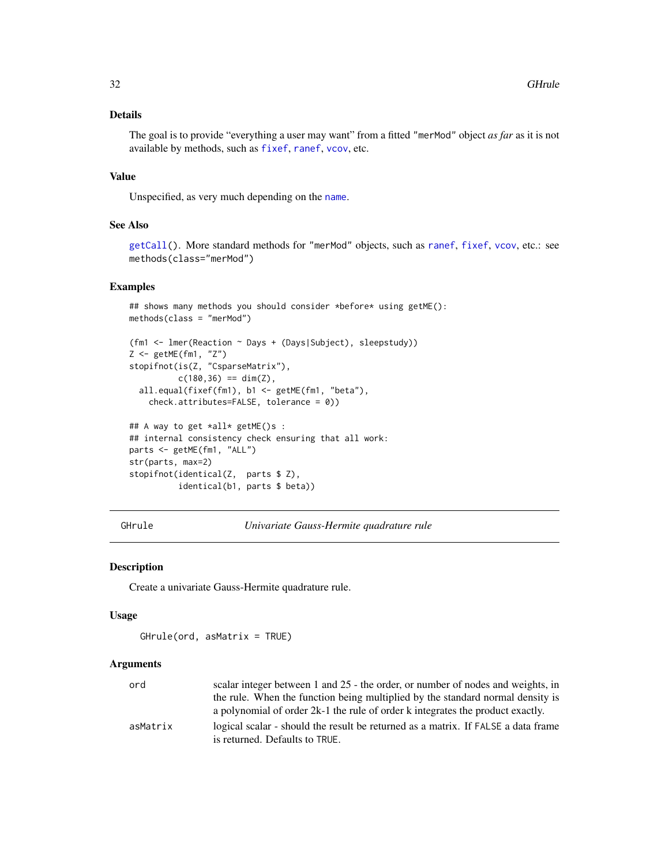## <span id="page-31-0"></span>Details

The goal is to provide "everything a user may want" from a fitted "merMod" object *as far* as it is not available by methods, such as [fixef](#page-26-1), [ranef](#page-102-1), [vcov](#page-0-0), etc.

## Value

Unspecified, as very much depending on the [name](#page-0-0).

#### See Also

[getCall\(](#page-0-0)). More standard methods for "merMod" objects, such as [ranef](#page-102-1), [fixef](#page-26-1), [vcov](#page-0-0), etc.: see methods(class="merMod")

#### Examples

```
## shows many methods you should consider *before* using getME():
methods(class = "merMod")
(fm1 <- lmer(Reaction ~ Days + (Days|Subject), sleepstudy))
Z \leq - getME(fm1, "Z")
stopifnot(is(Z, "CsparseMatrix"),
          c(180, 36) == dim(Z),
  all.equal(fixef(fm1), b1 <- getME(fm1, "beta"),
    check.attributes=FALSE, tolerance = 0))
## A way to get *all* getME()s :
## internal consistency check ensuring that all work:
parts <- getME(fm1, "ALL")
str(parts, max=2)
stopifnot(identical(Z, parts $ Z),
          identical(b1, parts $ beta))
```
GHrule *Univariate Gauss-Hermite quadrature rule*

#### Description

Create a univariate Gauss-Hermite quadrature rule.

#### Usage

GHrule(ord, asMatrix = TRUE)

| ord      | scalar integer between 1 and 25 - the order, or number of nodes and weights, in   |
|----------|-----------------------------------------------------------------------------------|
|          | the rule. When the function being multiplied by the standard normal density is    |
|          | a polynomial of order $2k-1$ the rule of order k integrates the product exactly.  |
| asMatrix | logical scalar - should the result be returned as a matrix. If FALSE a data frame |
|          | is returned. Defaults to TRUE.                                                    |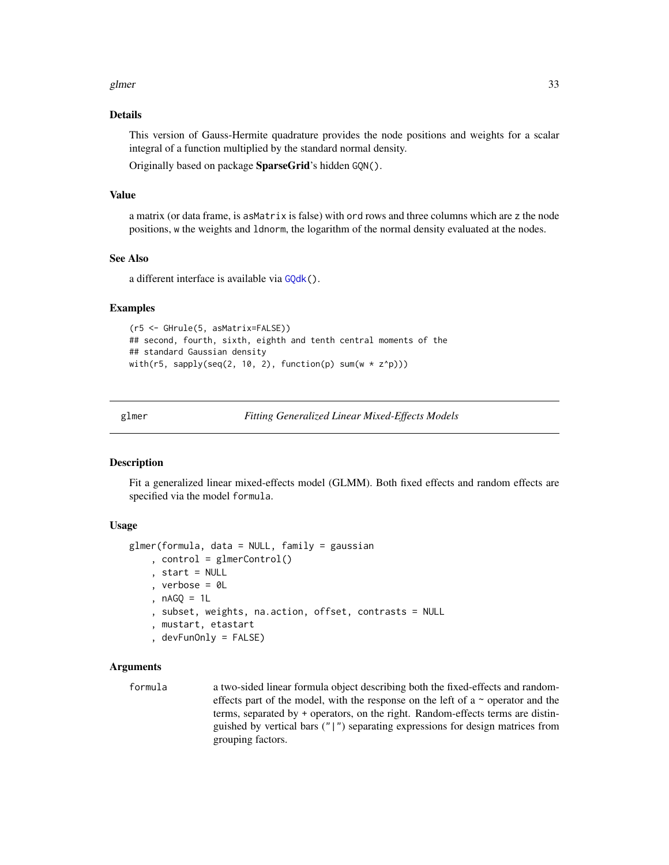#### <span id="page-32-0"></span>glmer 33

## Details

This version of Gauss-Hermite quadrature provides the node positions and weights for a scalar integral of a function multiplied by the standard normal density.

Originally based on package SparseGrid's hidden GQN().

## Value

a matrix (or data frame, is asMatrix is false) with ord rows and three columns which are z the node positions, w the weights and ldnorm, the logarithm of the normal density evaluated at the nodes.

## See Also

a different interface is available via [GQdk\(](#page-40-1)).

#### Examples

```
(r5 <- GHrule(5, asMatrix=FALSE))
## second, fourth, sixth, eighth and tenth central moments of the
## standard Gaussian density
with(r5, sapply(seq(2, 10, 2), function(p) sum(w * z^p)))
```
<span id="page-32-1"></span>

glmer *Fitting Generalized Linear Mixed-Effects Models*

## Description

Fit a generalized linear mixed-effects model (GLMM). Both fixed effects and random effects are specified via the model formula.

#### Usage

```
glmer(formula, data = NULL, family = gaussian
    , control = glmerControl()
    , start = NULL
    , verbose = OL, nAGQ = 1L
    , subset, weights, na.action, offset, contrasts = NULL
    , mustart, etastart
    , devFunOnly = FALSE)
```

```
formula a two-sided linear formula object describing both the fixed-effects and random-
                  effects part of the model, with the response on the left of a \sim operator and the
                  terms, separated by + operators, on the right. Random-effects terms are distin-
                  guished by vertical bars ("|") separating expressions for design matrices from
                  grouping factors.
```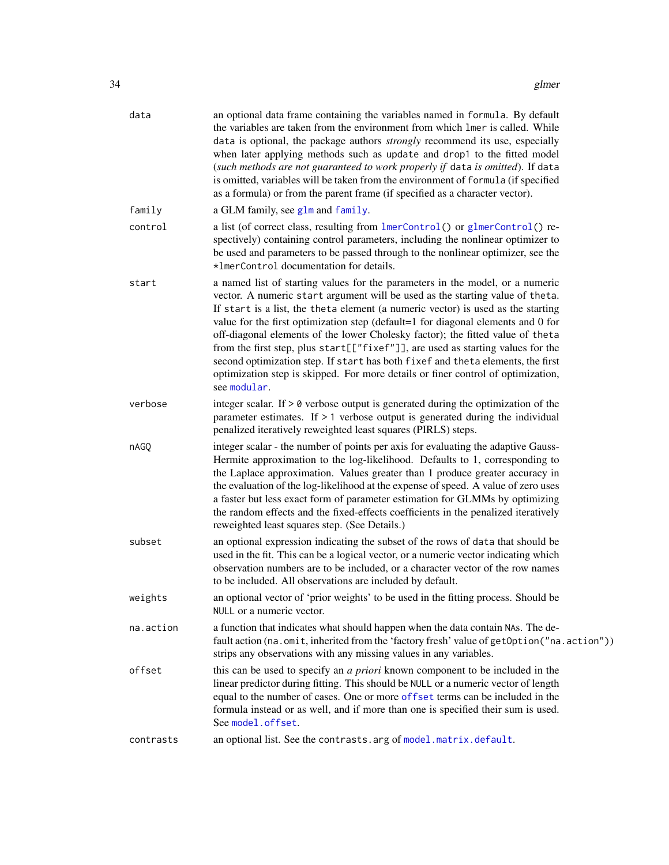| data      | an optional data frame containing the variables named in formula. By default<br>the variables are taken from the environment from which lmer is called. While<br>data is optional, the package authors <i>strongly</i> recommend its use, especially<br>when later applying methods such as update and drop1 to the fitted model<br>(such methods are not guaranteed to work properly if data is omitted). If data<br>is omitted, variables will be taken from the environment of formula (if specified<br>as a formula) or from the parent frame (if specified as a character vector).                                                                                                            |
|-----------|----------------------------------------------------------------------------------------------------------------------------------------------------------------------------------------------------------------------------------------------------------------------------------------------------------------------------------------------------------------------------------------------------------------------------------------------------------------------------------------------------------------------------------------------------------------------------------------------------------------------------------------------------------------------------------------------------|
| family    | a GLM family, see glm and family.                                                                                                                                                                                                                                                                                                                                                                                                                                                                                                                                                                                                                                                                  |
| control   | a list (of correct class, resulting from lmerControl() or glmerControl() re-<br>spectively) containing control parameters, including the nonlinear optimizer to<br>be used and parameters to be passed through to the nonlinear optimizer, see the<br>*ImerControl documentation for details.                                                                                                                                                                                                                                                                                                                                                                                                      |
| start     | a named list of starting values for the parameters in the model, or a numeric<br>vector. A numeric start argument will be used as the starting value of theta.<br>If start is a list, the theta element (a numeric vector) is used as the starting<br>value for the first optimization step (default=1 for diagonal elements and 0 for<br>off-diagonal elements of the lower Cholesky factor); the fitted value of theta<br>from the first step, plus start[["fixef"]], are used as starting values for the<br>second optimization step. If start has both fixef and theta elements, the first<br>optimization step is skipped. For more details or finer control of optimization,<br>see modular. |
| verbose   | integer scalar. If $> 0$ verbose output is generated during the optimization of the<br>parameter estimates. If $> 1$ verbose output is generated during the individual<br>penalized iteratively reweighted least squares (PIRLS) steps.                                                                                                                                                                                                                                                                                                                                                                                                                                                            |
| nAGQ      | integer scalar - the number of points per axis for evaluating the adaptive Gauss-<br>Hermite approximation to the log-likelihood. Defaults to 1, corresponding to<br>the Laplace approximation. Values greater than 1 produce greater accuracy in<br>the evaluation of the log-likelihood at the expense of speed. A value of zero uses<br>a faster but less exact form of parameter estimation for GLMMs by optimizing<br>the random effects and the fixed-effects coefficients in the penalized iteratively<br>reweighted least squares step. (See Details.)                                                                                                                                     |
| subset    | an optional expression indicating the subset of the rows of data that should be<br>used in the fit. This can be a logical vector, or a numeric vector indicating which<br>observation numbers are to be included, or a character vector of the row names<br>to be included. All observations are included by default.                                                                                                                                                                                                                                                                                                                                                                              |
| weights   | an optional vector of 'prior weights' to be used in the fitting process. Should be<br>NULL or a numeric vector.                                                                                                                                                                                                                                                                                                                                                                                                                                                                                                                                                                                    |
| na.action | a function that indicates what should happen when the data contain NAs. The de-<br>fault action (na.omit, inherited from the 'factory fresh' value of getOption("na.action"))<br>strips any observations with any missing values in any variables.                                                                                                                                                                                                                                                                                                                                                                                                                                                 |
| offset    | this can be used to specify an <i>a priori</i> known component to be included in the<br>linear predictor during fitting. This should be NULL or a numeric vector of length<br>equal to the number of cases. One or more offset terms can be included in the<br>formula instead or as well, and if more than one is specified their sum is used.<br>See model.offset.                                                                                                                                                                                                                                                                                                                               |
| contrasts | an optional list. See the contrasts. arg of model. matrix. default.                                                                                                                                                                                                                                                                                                                                                                                                                                                                                                                                                                                                                                |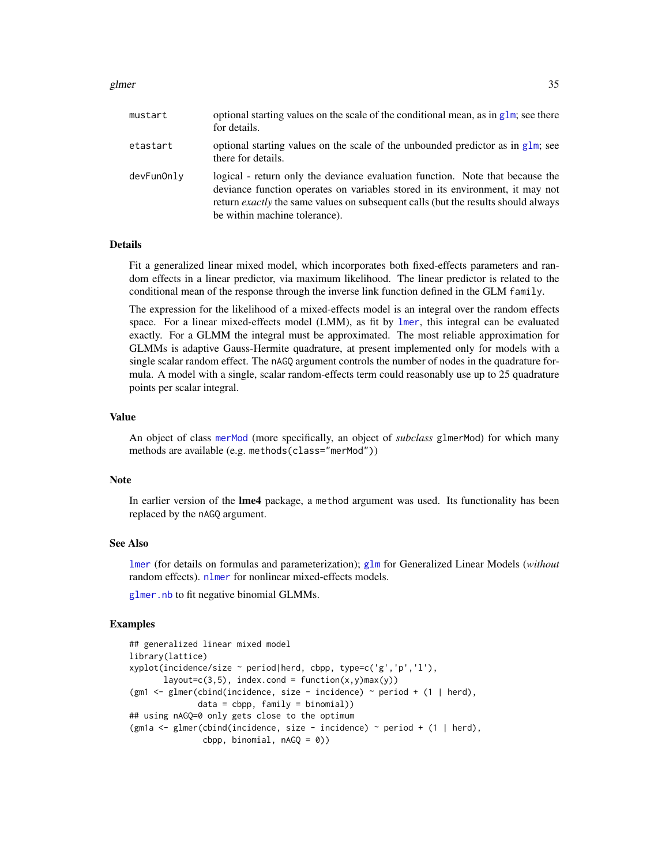#### glmer 35

| mustart    | optional starting values on the scale of the conditional mean, as in glm; see there<br>for details.                                                                                                                                                                                  |
|------------|--------------------------------------------------------------------------------------------------------------------------------------------------------------------------------------------------------------------------------------------------------------------------------------|
| etastart   | optional starting values on the scale of the unbounded predictor as in $g1m$ ; see<br>there for details.                                                                                                                                                                             |
| devFunOnly | logical - return only the deviance evaluation function. Note that because the<br>deviance function operates on variables stored in its environment, it may not<br>return exactly the same values on subsequent calls (but the results should always<br>be within machine tolerance). |

#### Details

Fit a generalized linear mixed model, which incorporates both fixed-effects parameters and random effects in a linear predictor, via maximum likelihood. The linear predictor is related to the conditional mean of the response through the inverse link function defined in the GLM family.

The expression for the likelihood of a mixed-effects model is an integral over the random effects space. For a linear mixed-effects model (LMM), as fit by [lmer](#page-50-1), this integral can be evaluated exactly. For a GLMM the integral must be approximated. The most reliable approximation for GLMMs is adaptive Gauss-Hermite quadrature, at present implemented only for models with a single scalar random effect. The nAGQ argument controls the number of nodes in the quadrature formula. A model with a single, scalar random-effects term could reasonably use up to 25 quadrature points per scalar integral.

## Value

An object of class [merMod](#page-63-1) (more specifically, an object of *subclass* glmerMod) for which many methods are available (e.g. methods(class="merMod"))

## **Note**

In earlier version of the **lme4** package, a method argument was used. Its functionality has been replaced by the nAGQ argument.

#### See Also

[lmer](#page-50-1) (for details on formulas and parameterization); [glm](#page-0-0) for Generalized Linear Models (*without* random effects). [nlmer](#page-82-1) for nonlinear mixed-effects models.

[glmer.nb](#page-35-1) to fit negative binomial GLMMs.

```
## generalized linear mixed model
library(lattice)
xyplot(incidence/size ~ period|herd, cbpp, type=c('g','p','l'),
      layout=c(3,5), index.cond = function(x,y)max(y))
(gm1 <- glmer(cbind(incidence, size - incidence) ~ period + (1 | herd),
              data = cbpp, family = binomial))
## using nAGQ=0 only gets close to the optimum
(gm1a <- glmer(cbind(incidence, size - incidence) \sim period + (1 | herd),
               cbpp, binomial, nAGQ = 0)
```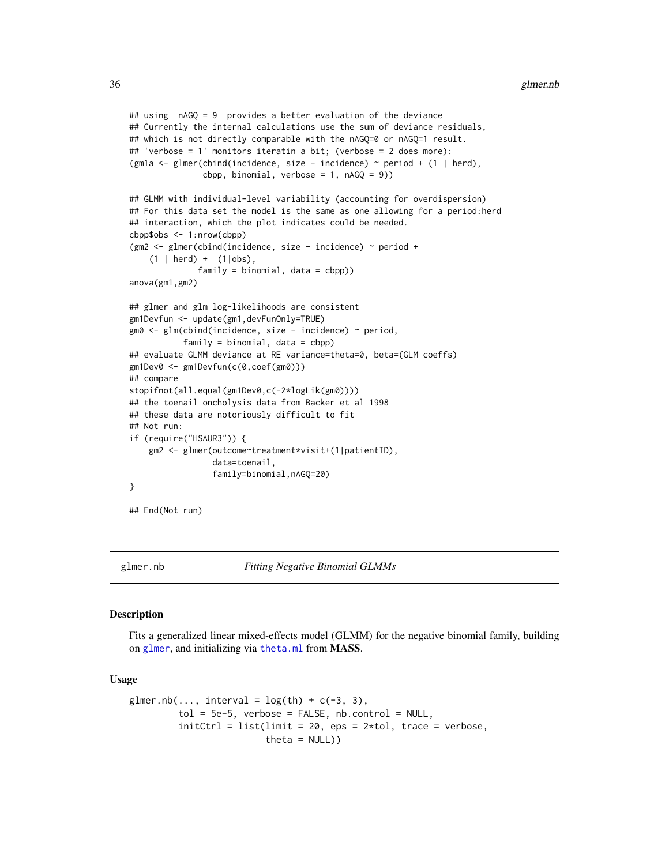```
## using nAGQ = 9 provides a better evaluation of the deviance
## Currently the internal calculations use the sum of deviance residuals,
## which is not directly comparable with the nAGQ=0 or nAGQ=1 result.
## 'verbose = 1' monitors iteratin a bit; (verbose = 2 does more):
(gm1a <- glmer(cbind(incidence, size - incidence) ~ period + (1 | herd),
               cbpp, binomial, verbose = 1, nAGQ = 9))
## GLMM with individual-level variability (accounting for overdispersion)
## For this data set the model is the same as one allowing for a period:herd
## interaction, which the plot indicates could be needed.
cbpp$obs <- 1:nrow(cbpp)
(gm2 <- glmer(cbind(incidence, size - incidence) ~ period +
    (1 | herd) + (1 | obs),family = binomial, data = cbpp)anova(gm1,gm2)
## glmer and glm log-likelihoods are consistent
gm1Devfun <- update(gm1,devFunOnly=TRUE)
gm0 <- glm(cbind(incidence, size - incidence) ~ period,
           family = binomial, data = cbp## evaluate GLMM deviance at RE variance=theta=0, beta=(GLM coeffs)
gm1Dev0 <- gm1Devfun(c(0,coef(gm0)))
## compare
stopifnot(all.equal(gm1Dev0,c(-2*logLik(gm0))))
## the toenail oncholysis data from Backer et al 1998
## these data are notoriously difficult to fit
## Not run:
if (require("HSAUR3")) {
   gm2 <- glmer(outcome~treatment*visit+(1|patientID),
                 data=toenail,
                 family=binomial,nAGQ=20)
}
## End(Not run)
```
<span id="page-35-1"></span>

glmer.nb *Fitting Negative Binomial GLMMs*

#### Description

Fits a generalized linear mixed-effects model (GLMM) for the negative binomial family, building on [glmer](#page-32-1), and initializing via [theta.ml](#page-0-0) from MASS.

#### Usage

```
glmer.nb(..., interval = log(th) + c(-3, 3),
         tol = 5e-5, verbose = FALSE, nb.control = NULL,
         initCtrl = list(limit = 20,eps = 2*tol, trace = verbose,theta = NULL))
```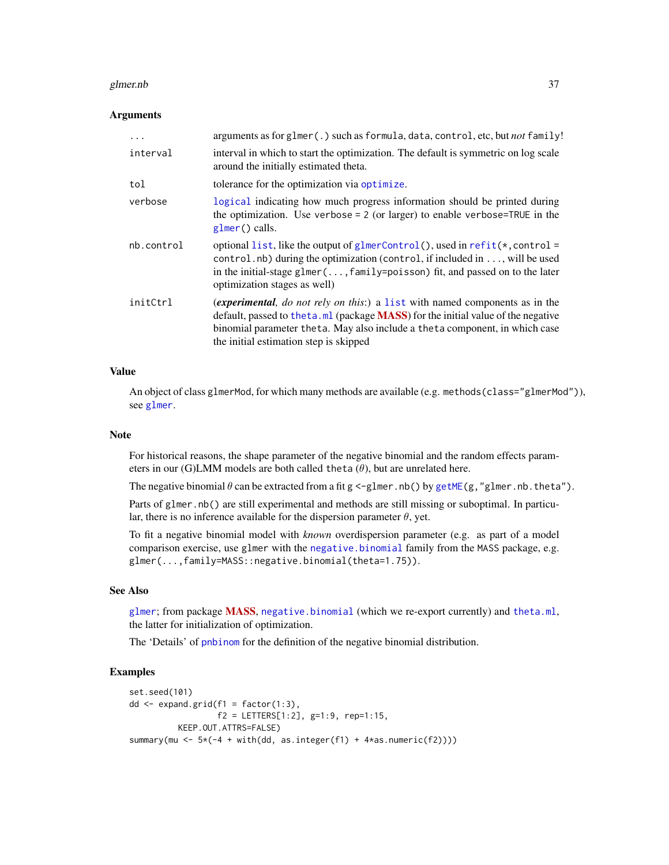### glmer.nb 37

### Arguments

| .          | arguments as for glmer(.) such as formula, data, control, etc, but <i>not</i> family!                                                                                                                                                                                                            |
|------------|--------------------------------------------------------------------------------------------------------------------------------------------------------------------------------------------------------------------------------------------------------------------------------------------------|
| interval   | interval in which to start the optimization. The default is symmetric on log scale<br>around the initially estimated theta.                                                                                                                                                                      |
| tol        | tolerance for the optimization via optimize.                                                                                                                                                                                                                                                     |
| verbose    | logical indicating how much progress information should be printed during<br>the optimization. Use verbose = $2$ (or larger) to enable verbose=TRUE in the<br>$glmer()$ calls.                                                                                                                   |
| nb.control | optional list, like the output of glmerControl(), used in refit( $\star$ , control =<br>control.nb) during the optimization (control, if included in , will be used<br>in the initial-stage glmer(, family=poisson) fit, and passed on to the later<br>optimization stages as well)              |
| initCtrl   | <i>(experimental, do not rely on this:)</i> a list with named components as in the<br>default, passed to the ta.ml (package MASS) for the initial value of the negative<br>binomial parameter theta. May also include a theta component, in which case<br>the initial estimation step is skipped |

### Value

An object of class glmerMod, for which many methods are available (e.g. methods (class="glmerMod")), see [glmer](#page-32-0).

### Note

For historical reasons, the shape parameter of the negative binomial and the random effects parameters in our (G)LMM models are both called theta  $(\theta)$ , but are unrelated here.

The negative binomial  $\theta$  can be extracted from a fit g <-glmer.nb() by [getME\(](#page-28-0)g, "glmer.nb.theta").

Parts of glmer.nb() are still experimental and methods are still missing or suboptimal. In particular, there is no inference available for the dispersion parameter  $\theta$ , yet.

To fit a negative binomial model with *known* overdispersion parameter (e.g. as part of a model comparison exercise, use glmer with the [negative.binomial](#page-35-0) family from the MASS package, e.g. glmer(...,family=MASS::negative.binomial(theta=1.75)).

# See Also

[glmer](#page-32-0); from package [MASS](https://CRAN.R-project.org/package=MASS), [negative.binomial](#page-35-0) (which we re-export currently) and [theta.ml](#page-0-0), the latter for initialization of optimization.

The 'Details' of [pnbinom](#page-0-0) for the definition of the negative binomial distribution.

# Examples

```
set.seed(101)
dd \leq expand.grid(f1 = factor(1:3),
                 f2 = LETTERS[1:2], g=1:9, rep=1:15,KEEP.OUT.ATTRS=FALSE)
summary(mu <- 5*(-4 + with(dd, as.integer(f1) + 4*as.numeric(f2))))
```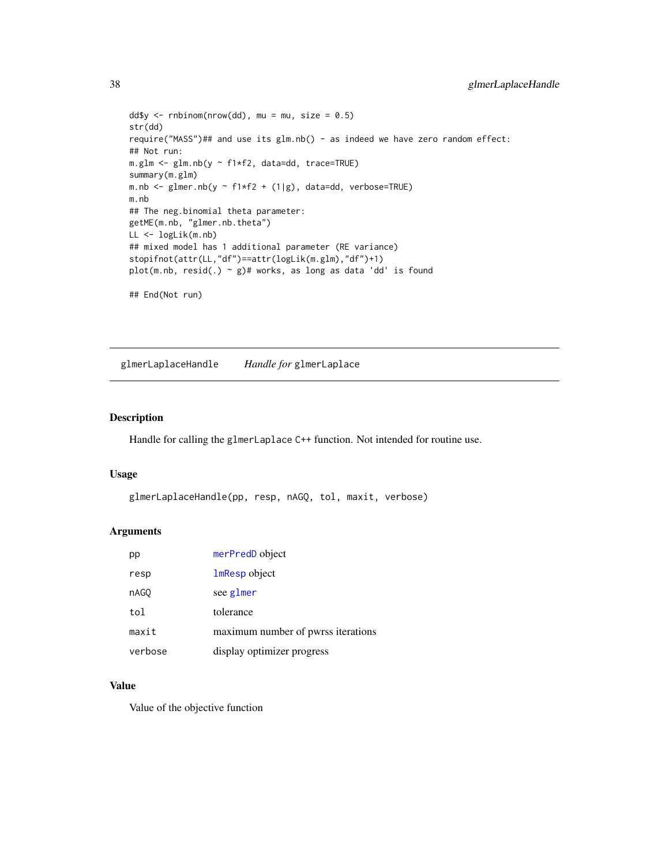```
dd$y <- rnbinom(nrow(dd), mu = mu, size = 0.5)
str(dd)
require("MASS")## and use its glm.nb() - as indeed we have zero random effect:
## Not run:
m.glm <- glm.nb(y ~ f1*f2, data=dd, trace=TRUE)
summary(m.glm)
m.nb <- glmer.nb(y \sim f1*f2 + (1|g), data=dd, verbose=TRUE)
m.nb
## The neg.binomial theta parameter:
getME(m.nb, "glmer.nb.theta")
LL <- logLik(m.nb)
## mixed model has 1 additional parameter (RE variance)
stopifnot(attr(LL,"df")==attr(logLik(m.glm),"df")+1)
plot(m.nb, resid(.) \sim g)# works, as long as data 'dd' is found
## End(Not run)
```
glmerLaplaceHandle *Handle for* glmerLaplace

### Description

Handle for calling the glmerLaplace C++ function. Not intended for routine use.

# Usage

```
glmerLaplaceHandle(pp, resp, nAGQ, tol, maxit, verbose)
```
### Arguments

| pp      | merPredD object                    |
|---------|------------------------------------|
| resp    | <b>lmResp</b> object               |
| nAGO    | see glmer                          |
| tol     | tolerance                          |
| maxit   | maximum number of pwrss iterations |
| verbose | display optimizer progress         |

# Value

Value of the objective function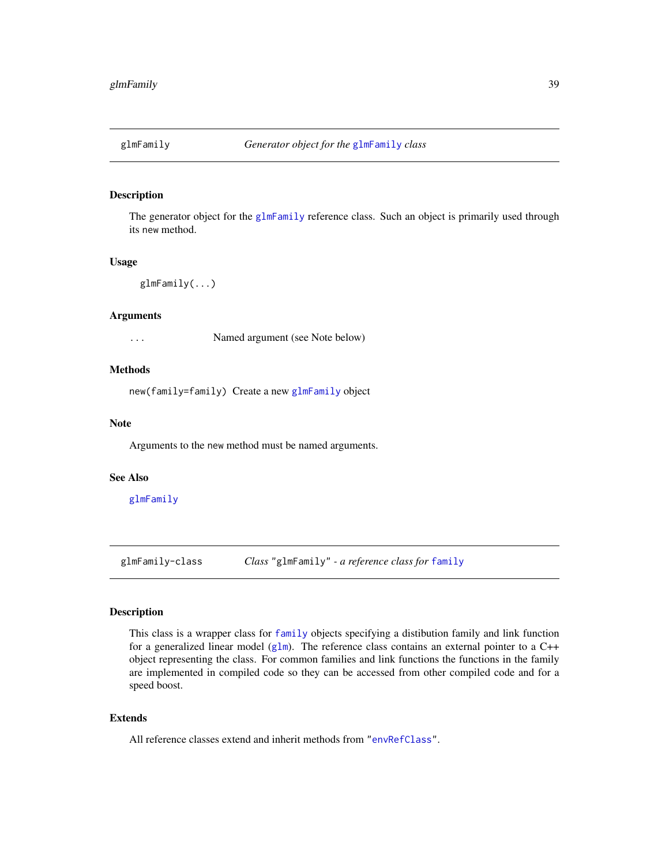<span id="page-38-1"></span>

### Description

The generator object for the [glmFamily](#page-38-0) reference class. Such an object is primarily used through its new method.

### Usage

glmFamily(...)

### Arguments

... Named argument (see Note below)

# Methods

new(family=family) Create a new [glmFamily](#page-38-0) object

# Note

Arguments to the new method must be named arguments.

### See Also

[glmFamily](#page-38-0)

<span id="page-38-0"></span>glmFamily-class *Class* "glmFamily" *- a reference class for* [family](#page-0-0)

# Description

This class is a wrapper class for [family](#page-0-0) objects specifying a distibution family and link function for a generalized linear model ([glm](#page-0-0)). The reference class contains an external pointer to a  $C++$ object representing the class. For common families and link functions the functions in the family are implemented in compiled code so they can be accessed from other compiled code and for a speed boost.

### Extends

All reference classes extend and inherit methods from ["envRefClass"](#page-0-0).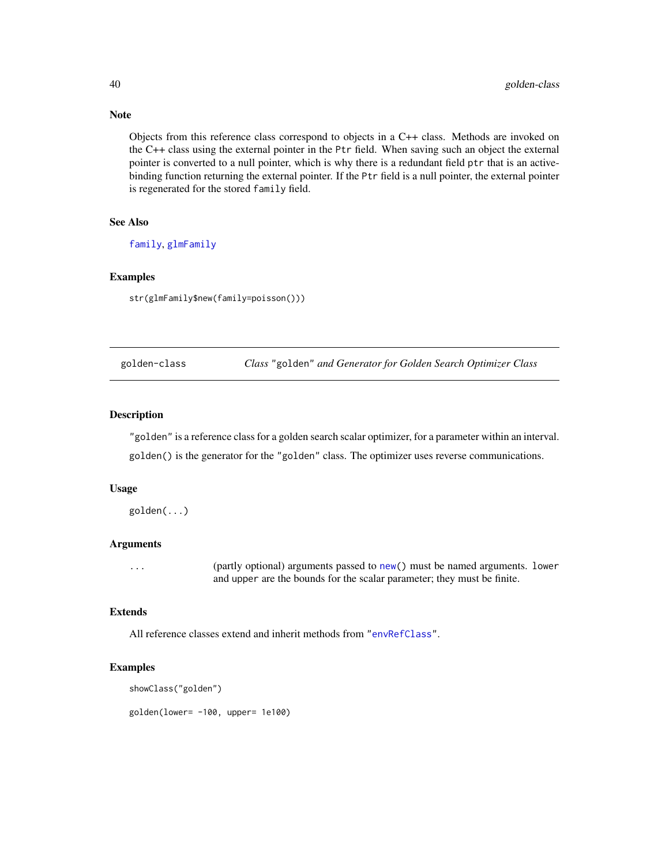Objects from this reference class correspond to objects in a C++ class. Methods are invoked on the C++ class using the external pointer in the Ptr field. When saving such an object the external pointer is converted to a null pointer, which is why there is a redundant field ptr that is an activebinding function returning the external pointer. If the Ptr field is a null pointer, the external pointer is regenerated for the stored family field.

### See Also

[family](#page-0-0), [glmFamily](#page-38-1)

# Examples

str(glmFamily\$new(family=poisson()))

golden-class *Class* "golden" *and Generator for Golden Search Optimizer Class*

# Description

"golden" is a reference class for a golden search scalar optimizer, for a parameter within an interval. golden() is the generator for the "golden" class. The optimizer uses reverse communications.

### Usage

golden(...)

### Arguments

... (partly optional) arguments passed to [new\(](#page-0-0)) must be named arguments. lower and upper are the bounds for the scalar parameter; they must be finite.

# Extends

All reference classes extend and inherit methods from ["envRefClass"](#page-0-0).

# Examples

```
showClass("golden")
```
golden(lower= -100, upper= 1e100)

# Note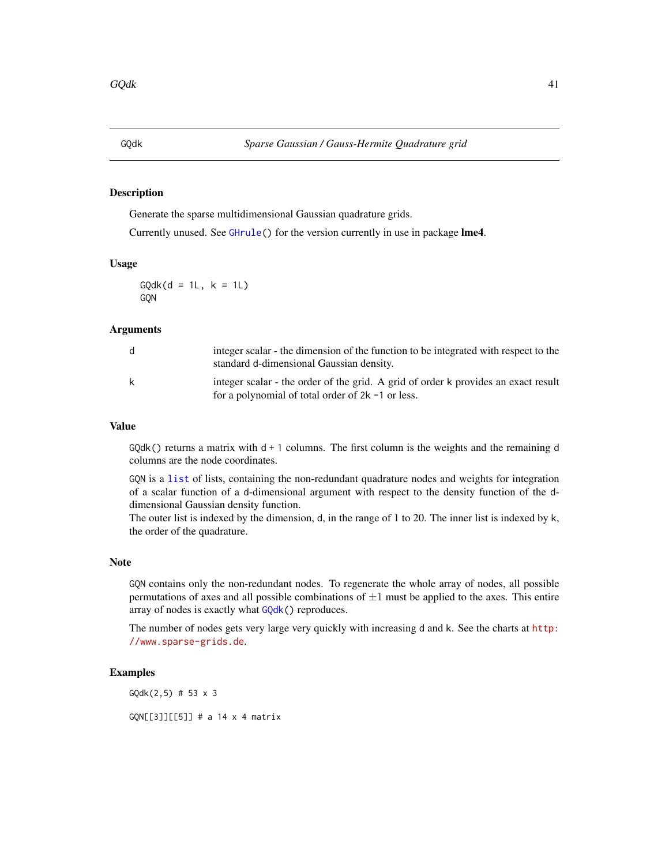#### <span id="page-40-0"></span>Description

Generate the sparse multidimensional Gaussian quadrature grids.

Currently unused. See [GHrule\(](#page-31-0)) for the version currently in use in package lme4.

# Usage

 $GQdk(d = 1L, k = 1L)$ GQN

### Arguments

| d | integer scalar - the dimension of the function to be integrated with respect to the<br>standard d-dimensional Gaussian density.            |
|---|--------------------------------------------------------------------------------------------------------------------------------------------|
| k | integer scalar - the order of the grid. A grid of order k provides an exact result<br>for a polynomial of total order of $2k - 1$ or less. |

# Value

 $GQdk()$  returns a matrix with  $d + 1$  columns. The first column is the weights and the remaining d columns are the node coordinates.

GQN is a [list](#page-0-0) of lists, containing the non-redundant quadrature nodes and weights for integration of a scalar function of a d-dimensional argument with respect to the density function of the ddimensional Gaussian density function.

The outer list is indexed by the dimension, d, in the range of 1 to 20. The inner list is indexed by k, the order of the quadrature.

### Note

GQN contains only the non-redundant nodes. To regenerate the whole array of nodes, all possible permutations of axes and all possible combinations of  $\pm 1$  must be applied to the axes. This entire array of nodes is exactly what [GQdk\(](#page-40-0)) reproduces.

The number of nodes gets very large very quickly with increasing d and k. See the charts at [http:](http://www.sparse-grids.de) [//www.sparse-grids.de](http://www.sparse-grids.de).

# Examples

GQdk(2,5) # 53 x 3

GQN[[3]][[5]] # a 14 x 4 matrix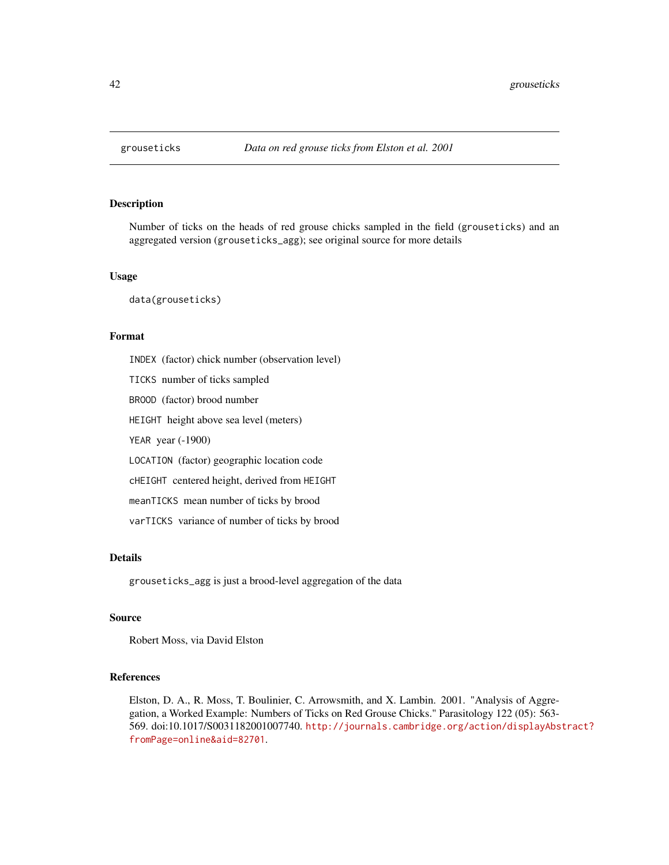# Description

Number of ticks on the heads of red grouse chicks sampled in the field (grouseticks) and an aggregated version (grouseticks\_agg); see original source for more details

### Usage

data(grouseticks)

# Format

INDEX (factor) chick number (observation level) TICKS number of ticks sampled BROOD (factor) brood number HEIGHT height above sea level (meters) YEAR year (-1900) LOCATION (factor) geographic location code cHEIGHT centered height, derived from HEIGHT meanTICKS mean number of ticks by brood varTICKS variance of number of ticks by brood

# Details

grouseticks\_agg is just a brood-level aggregation of the data

# Source

Robert Moss, via David Elston

### References

Elston, D. A., R. Moss, T. Boulinier, C. Arrowsmith, and X. Lambin. 2001. "Analysis of Aggregation, a Worked Example: Numbers of Ticks on Red Grouse Chicks." Parasitology 122 (05): 563- 569. doi:10.1017/S0031182001007740. [http://journals.cambridge.org/action/displayAbs](http://journals.cambridge.org/action/displayAbstract?fromPage=online&aid=82701)tract? [fromPage=online&aid=82701](http://journals.cambridge.org/action/displayAbstract?fromPage=online&aid=82701).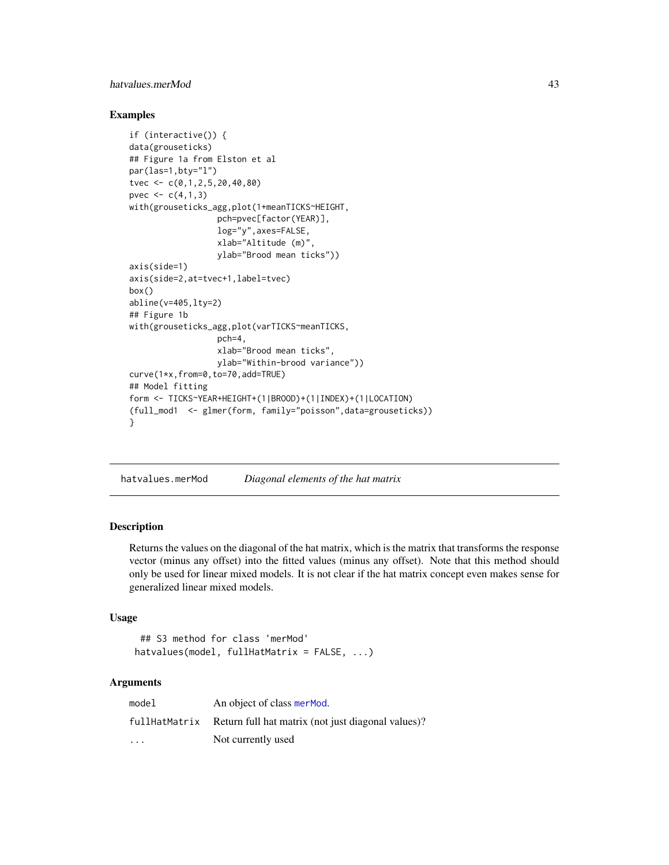# hatvalues.merMod 43

# Examples

```
if (interactive()) {
data(grouseticks)
## Figure 1a from Elston et al
par(las=1,bty="l")
tvec <- c(0,1,2,5,20,40,80)
pvec <-c(4,1,3)with(grouseticks_agg,plot(1+meanTICKS~HEIGHT,
                  pch=pvec[factor(YEAR)],
                  log="y",axes=FALSE,
                  xlab="Altitude (m)",
                  ylab="Brood mean ticks"))
axis(side=1)
axis(side=2,at=tvec+1,label=tvec)
box()
abline(v=405,lty=2)
## Figure 1b
with(grouseticks_agg,plot(varTICKS~meanTICKS,
                  pch=4,
                  xlab="Brood mean ticks",
                  ylab="Within-brood variance"))
curve(1*x,from=0,to=70,add=TRUE)
## Model fitting
form <- TICKS~YEAR+HEIGHT+(1|BROOD)+(1|INDEX)+(1|LOCATION)
(full_mod1 <- glmer(form, family="poisson",data=grouseticks))
}
```
hatvalues.merMod *Diagonal elements of the hat matrix*

### Description

Returns the values on the diagonal of the hat matrix, which is the matrix that transforms the response vector (minus any offset) into the fitted values (minus any offset). Note that this method should only be used for linear mixed models. It is not clear if the hat matrix concept even makes sense for generalized linear mixed models.

# Usage

```
## S3 method for class 'merMod'
hatvalues(model, fullHatMatrix = FALSE, ...)
```
# Arguments

| model                   | An object of class merMod.                         |
|-------------------------|----------------------------------------------------|
| fullHatMatrix           | Return full hat matrix (not just diagonal values)? |
| $\cdot$ $\cdot$ $\cdot$ | Not currently used                                 |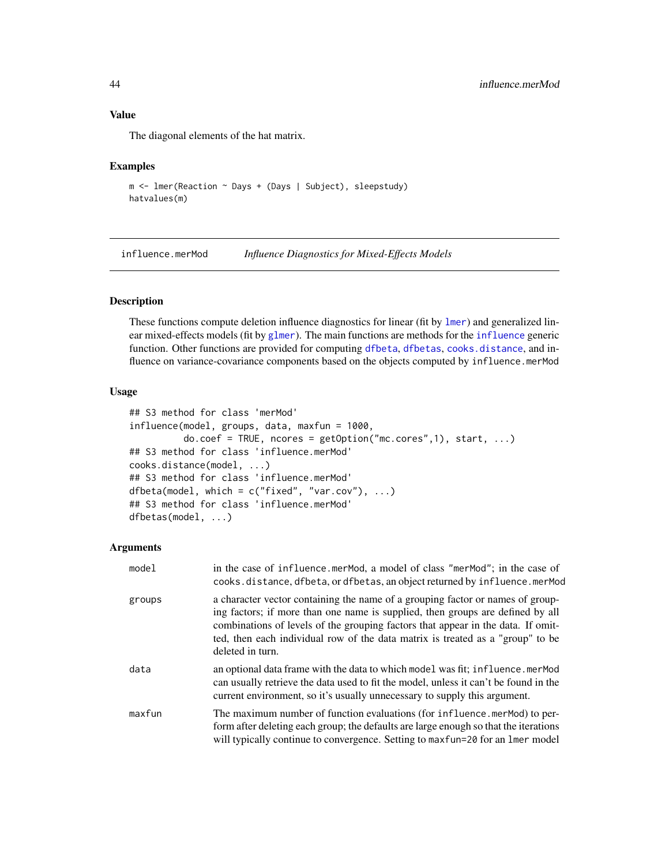# Value

The diagonal elements of the hat matrix.

### Examples

```
m <- lmer(Reaction ~ Days + (Days | Subject), sleepstudy)
hatvalues(m)
```
influence.merMod *Influence Diagnostics for Mixed-Effects Models*

# Description

These functions compute deletion influence diagnostics for linear (fit by [lmer](#page-50-0)) and generalized linear mixed-effects models (fit by [glmer](#page-32-0)). The main functions are methods for the [influence](#page-0-0) generic function. Other functions are provided for computing [dfbeta](#page-0-0), [dfbetas](#page-0-0), [cooks.distance](#page-0-0), and influence on variance-covariance components based on the objects computed by influence.merMod

### Usage

```
## S3 method for class 'merMod'
influence(model, groups, data, maxfun = 1000,
          do.coef = TRUE, noores = getOption("mc.cores", 1), start, ...)## S3 method for class 'influence.merMod'
cooks.distance(model, ...)
## S3 method for class 'influence.merMod'
dfbeta(model, which = c("fixed", "var.cov"), ...)
## S3 method for class 'influence.merMod'
dfbetas(model, ...)
```
### Arguments

| model  | in the case of influence.merMod, a model of class "merMod"; in the case of<br>cooks.distance, dfbeta, or dfbetas, an object returned by influence.merMod                                                                                                                                                                                                   |
|--------|------------------------------------------------------------------------------------------------------------------------------------------------------------------------------------------------------------------------------------------------------------------------------------------------------------------------------------------------------------|
| groups | a character vector containing the name of a grouping factor or names of group-<br>ing factors; if more than one name is supplied, then groups are defined by all<br>combinations of levels of the grouping factors that appear in the data. If omit-<br>ted, then each individual row of the data matrix is treated as a "group" to be<br>deleted in turn. |
| data   | an optional data frame with the data to which model was fit; influence.merMod<br>can usually retrieve the data used to fit the model, unless it can't be found in the<br>current environment, so it's usually unnecessary to supply this argument.                                                                                                         |
| maxfun | The maximum number of function evaluations (for influence.merMod) to per-<br>form after deleting each group; the defaults are large enough so that the iterations<br>will typically continue to convergence. Setting to maxfun=20 for an lmer model                                                                                                        |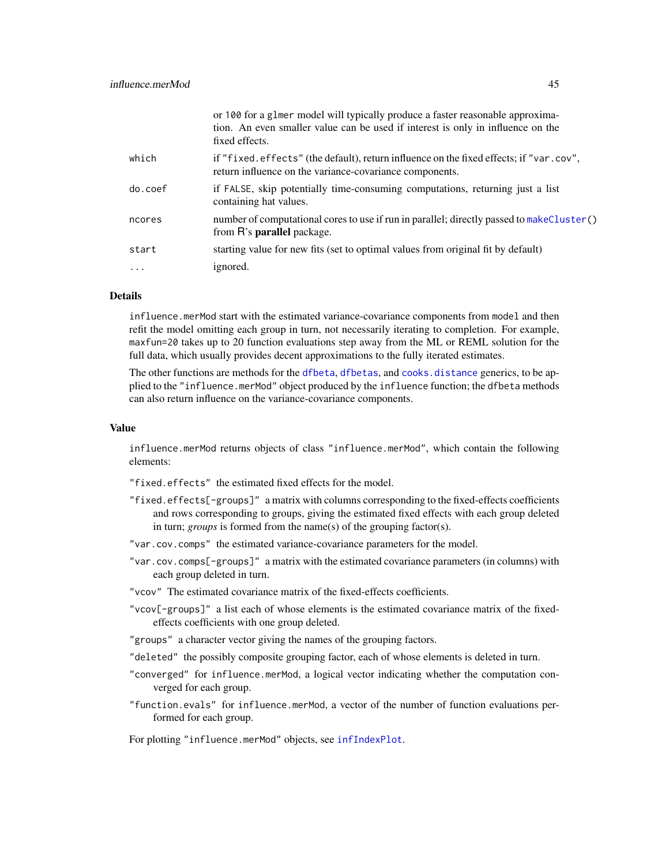|          | or 100 for a glmer model will typically produce a faster reasonable approxima-<br>tion. An even smaller value can be used if interest is only in influence on the<br>fixed effects. |
|----------|-------------------------------------------------------------------------------------------------------------------------------------------------------------------------------------|
| which    | if "fixed.effects" (the default), return influence on the fixed effects; if "var.cov",<br>return influence on the variance-covariance components.                                   |
| do.coef  | if FALSE, skip potentially time-consuming computations, returning just a list<br>containing hat values.                                                                             |
| ncores   | number of computational cores to use if run in parallel; directly passed to makeCluster()<br>from R's <b>parallel</b> package.                                                      |
| start    | starting value for new fits (set to optimal values from original fit by default)                                                                                                    |
| $\cdots$ | ignored.                                                                                                                                                                            |
|          |                                                                                                                                                                                     |

# Details

influence.merMod start with the estimated variance-covariance components from model and then refit the model omitting each group in turn, not necessarily iterating to completion. For example, maxfun=20 takes up to 20 function evaluations step away from the ML or REML solution for the full data, which usually provides decent approximations to the fully iterated estimates.

The other functions are methods for the [dfbeta](#page-0-0), [dfbetas](#page-0-0), and [cooks.distance](#page-0-0) generics, to be applied to the "influence.merMod" object produced by the influence function; the dfbeta methods can also return influence on the variance-covariance components.

# Value

influence.merMod returns objects of class "influence.merMod", which contain the following elements:

"fixed.effects" the estimated fixed effects for the model.

- "fixed.effects[-groups]" a matrix with columns corresponding to the fixed-effects coefficients and rows corresponding to groups, giving the estimated fixed effects with each group deleted in turn; *groups* is formed from the name(s) of the grouping factor(s).
- "var.cov.comps" the estimated variance-covariance parameters for the model.
- "var.cov.comps[-groups]" a matrix with the estimated covariance parameters (in columns) with each group deleted in turn.

"vcov" The estimated covariance matrix of the fixed-effects coefficients.

"vcov[-groups]" a list each of whose elements is the estimated covariance matrix of the fixedeffects coefficients with one group deleted.

"groups" a character vector giving the names of the grouping factors.

- "deleted" the possibly composite grouping factor, each of whose elements is deleted in turn.
- "converged" for influence.merMod, a logical vector indicating whether the computation converged for each group.
- "function.evals" for influence.merMod, a vector of the number of function evaluations performed for each group.

For plotting "influence.merMod" objects, see [infIndexPlot](#page-0-0).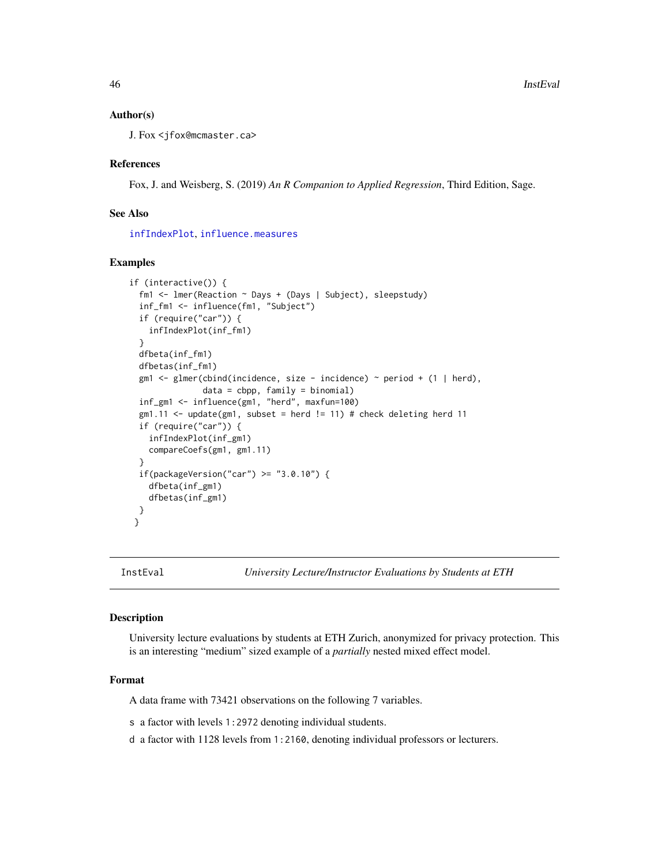# Author(s)

J. Fox <jfox@mcmaster.ca>

### References

Fox, J. and Weisberg, S. (2019) *An R Companion to Applied Regression*, Third Edition, Sage.

# See Also

[infIndexPlot](#page-0-0), [influence.measures](#page-0-0)

### Examples

```
if (interactive()) {
 fm1 <- lmer(Reaction ~ Days + (Days | Subject), sleepstudy)
 inf_fm1 <- influence(fm1, "Subject")
 if (require("car")) {
    infIndexPlot(inf_fm1)
 }
 dfbeta(inf_fm1)
 dfbetas(inf_fm1)
 gm1 <- glmer(cbind(incidence, size - incidence) ~ period + (1 | herd),
               data = cbpp, family = binomial)
 inf_gm1 <- influence(gm1, "herd", maxfun=100)
 gm1.11 \leftarrow update(gm1, subset = herd != 11) # check deleting herd 11if (require("car")) {
    infIndexPlot(inf_gm1)
   compareCoefs(gm1, gm1.11)
 }
 if(packageVersion("car") \geq "3.0.10") {
   dfbeta(inf_gm1)
    dfbetas(inf_gm1)
 }
}
```
### Description

University lecture evaluations by students at ETH Zurich, anonymized for privacy protection. This is an interesting "medium" sized example of a *partially* nested mixed effect model.

#### Format

A data frame with 73421 observations on the following 7 variables.

s a factor with levels 1:2972 denoting individual students.

d a factor with 1128 levels from 1:2160, denoting individual professors or lecturers.

InstEval *University Lecture/Instructor Evaluations by Students at ETH*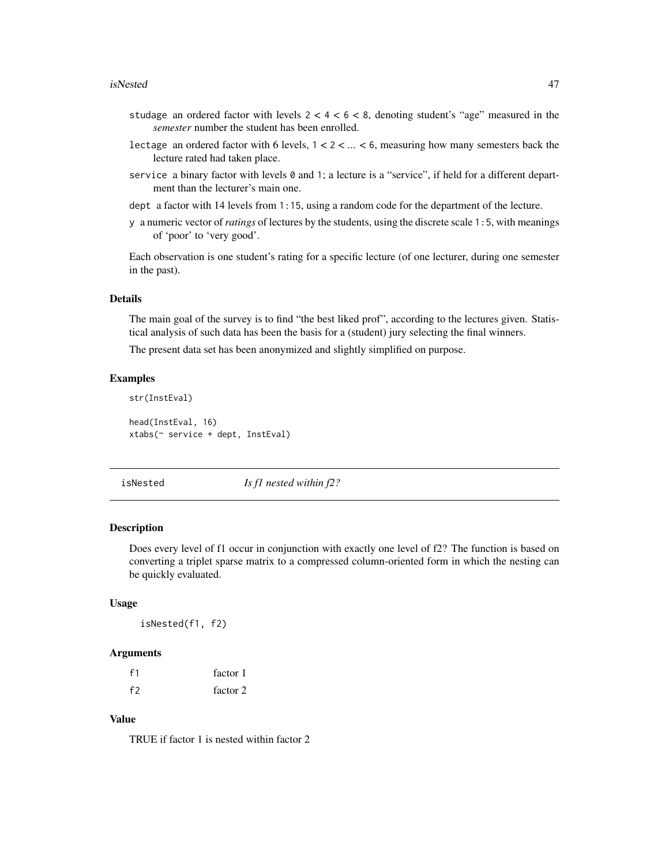### isNested 47

- studage an ordered factor with levels  $2 < 4 < 6 < 8$ , denoting student's "age" measured in the *semester* number the student has been enrolled.
- lectage an ordered factor with 6 levels,  $1 < 2 < ... < 6$ , measuring how many semesters back the lecture rated had taken place.
- service a binary factor with levels 0 and 1; a lecture is a "service", if held for a different department than the lecturer's main one.
- dept a factor with 14 levels from 1:15, using a random code for the department of the lecture.
- y a numeric vector of*ratings* of lectures by the students, using the discrete scale 1:5, with meanings of 'poor' to 'very good'.

Each observation is one student's rating for a specific lecture (of one lecturer, during one semester in the past).

### Details

The main goal of the survey is to find "the best liked prof", according to the lectures given. Statistical analysis of such data has been the basis for a (student) jury selecting the final winners.

The present data set has been anonymized and slightly simplified on purpose.

# Examples

```
str(InstEval)
head(InstEval, 16)
xtabs(~ service + dept, InstEval)
```
isNested *Is f1 nested within f2?*

# Description

Does every level of f1 occur in conjunction with exactly one level of f2? The function is based on converting a triplet sparse matrix to a compressed column-oriented form in which the nesting can be quickly evaluated.

# Usage

isNested(f1, f2)

#### Arguments

| $-f1$ | factor 1 |
|-------|----------|
| f2    | factor 2 |

### Value

TRUE if factor 1 is nested within factor 2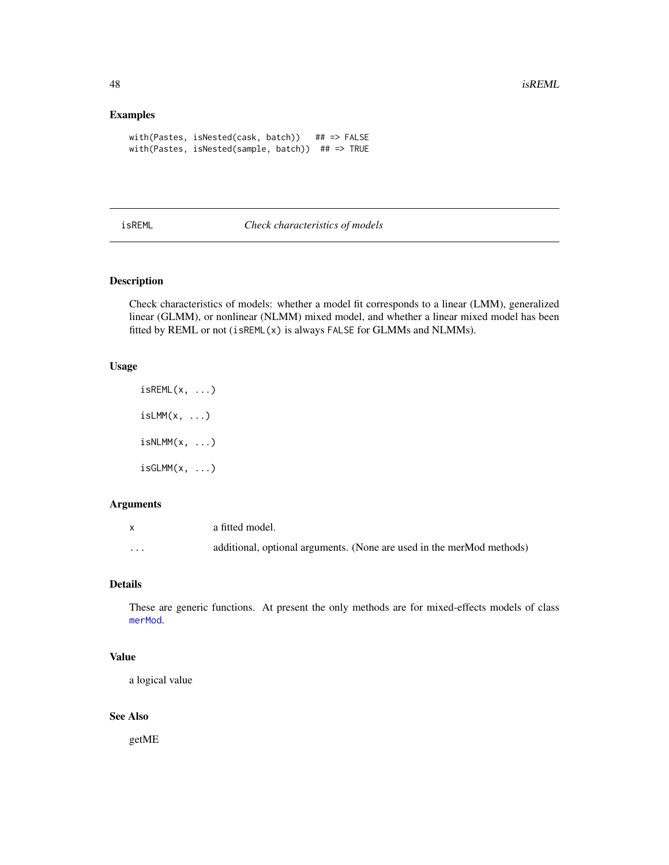# Examples

```
with(Pastes, isNested(cask, batch)) ## => FALSE
with(Pastes, isNested(sample, batch)) ## => TRUE
```
### <span id="page-47-0"></span>isREML *Check characteristics of models*

# <span id="page-47-1"></span>Description

Check characteristics of models: whether a model fit corresponds to a linear (LMM), generalized linear (GLMM), or nonlinear (NLMM) mixed model, and whether a linear mixed model has been fitted by REML or not (isREML(x) is always FALSE for GLMMs and NLMMs).

# Usage

```
isREML(x, ...)
isLMM(x, \ldots)isNLMM(x, \ldots)isGLMM(x, ...)
```
# Arguments

| $\mathbf{x}$ | a fitted model.                                                       |
|--------------|-----------------------------------------------------------------------|
| .            | additional, optional arguments. (None are used in the merMod methods) |

# Details

These are generic functions. At present the only methods are for mixed-effects models of class [merMod](#page-63-1).

# Value

a logical value

# See Also

getME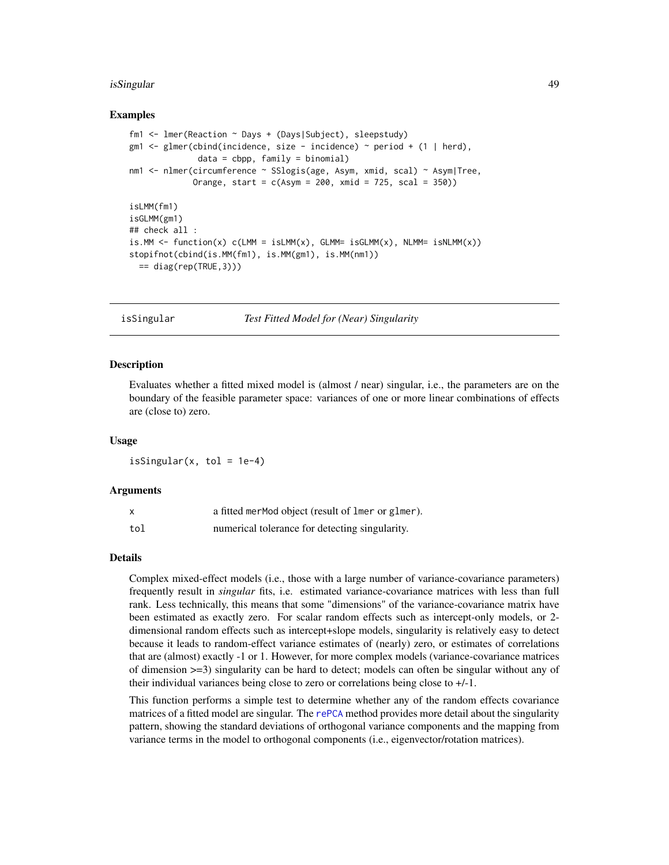### isSingular 49

### Examples

```
fm1 <- lmer(Reaction ~ Days + (Days|Subject), sleepstudy)
gm1 \le glmer(cbind(incidence, size - incidence) \sim period + (1 | herd),
              data = cbp, family = binomialnm1 <- nlmer(circumference ~ SSlogis(age, Asym, xmid, scal) ~ Asym|Tree,
             Orange, start = c(Asym = 200, xmid = 725, scal = 350))
isLMM(fm1)
isGLMM(gm1)
## check all :
is.MM <- function(x) c(LMM = isLMM(x), GLMM = isGLMM(x), NLMM = isNLMM(x))stopifnot(cbind(is.MM(fm1), is.MM(gm1), is.MM(nm1))
 == diag(rep(TRUE,3)))
```
<span id="page-48-0"></span>isSingular *Test Fitted Model for (Near) Singularity*

## **Description**

Evaluates whether a fitted mixed model is (almost / near) singular, i.e., the parameters are on the boundary of the feasible parameter space: variances of one or more linear combinations of effects are (close to) zero.

#### Usage

isSingular(x, tol =  $1e-4$ )

### Arguments

|     | a fitted merMod object (result of lmer or glmer). |
|-----|---------------------------------------------------|
| tol | numerical tolerance for detecting singularity.    |

# Details

Complex mixed-effect models (i.e., those with a large number of variance-covariance parameters) frequently result in *singular* fits, i.e. estimated variance-covariance matrices with less than full rank. Less technically, this means that some "dimensions" of the variance-covariance matrix have been estimated as exactly zero. For scalar random effects such as intercept-only models, or 2 dimensional random effects such as intercept+slope models, singularity is relatively easy to detect because it leads to random-effect variance estimates of (nearly) zero, or estimates of correlations that are (almost) exactly -1 or 1. However, for more complex models (variance-covariance matrices of dimension >=3) singularity can be hard to detect; models can often be singular without any of their individual variances being close to zero or correlations being close to +/-1.

This function performs a simple test to determine whether any of the random effects covariance matrices of a fitted model are singular. The [rePCA](#page-107-0) method provides more detail about the singularity pattern, showing the standard deviations of orthogonal variance components and the mapping from variance terms in the model to orthogonal components (i.e., eigenvector/rotation matrices).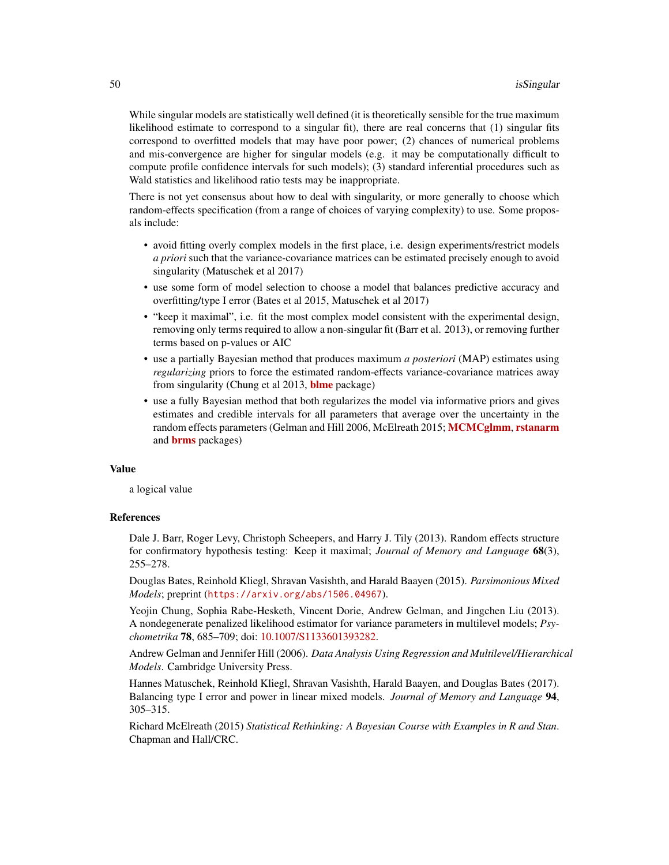While singular models are statistically well defined (it is theoretically sensible for the true maximum likelihood estimate to correspond to a singular fit), there are real concerns that (1) singular fits correspond to overfitted models that may have poor power; (2) chances of numerical problems and mis-convergence are higher for singular models (e.g. it may be computationally difficult to compute profile confidence intervals for such models); (3) standard inferential procedures such as Wald statistics and likelihood ratio tests may be inappropriate.

There is not yet consensus about how to deal with singularity, or more generally to choose which random-effects specification (from a range of choices of varying complexity) to use. Some proposals include:

- avoid fitting overly complex models in the first place, i.e. design experiments/restrict models *a priori* such that the variance-covariance matrices can be estimated precisely enough to avoid singularity (Matuschek et al 2017)
- use some form of model selection to choose a model that balances predictive accuracy and overfitting/type I error (Bates et al 2015, Matuschek et al 2017)
- "keep it maximal", i.e. fit the most complex model consistent with the experimental design, removing only terms required to allow a non-singular fit (Barr et al. 2013), or removing further terms based on p-values or AIC
- use a partially Bayesian method that produces maximum *a posteriori* (MAP) estimates using *regularizing* priors to force the estimated random-effects variance-covariance matrices away from singularity (Chung et al 2013, **[blme](https://CRAN.R-project.org/package=blme)** package)
- use a fully Bayesian method that both regularizes the model via informative priors and gives estimates and credible intervals for all parameters that average over the uncertainty in the random effects parameters (Gelman and Hill 2006, McElreath 2015; [MCMCglmm](https://CRAN.R-project.org/package=MCMCglmm), [rstanarm](https://CRAN.R-project.org/package=rstanarm) and [brms](https://CRAN.R-project.org/package=brms) packages)

### Value

a logical value

# References

Dale J. Barr, Roger Levy, Christoph Scheepers, and Harry J. Tily (2013). Random effects structure for confirmatory hypothesis testing: Keep it maximal; *Journal of Memory and Language* 68(3), 255–278.

Douglas Bates, Reinhold Kliegl, Shravan Vasishth, and Harald Baayen (2015). *Parsimonious Mixed Models*; preprint (<https://arxiv.org/abs/1506.04967>).

Yeojin Chung, Sophia Rabe-Hesketh, Vincent Dorie, Andrew Gelman, and Jingchen Liu (2013). A nondegenerate penalized likelihood estimator for variance parameters in multilevel models; *Psychometrika* 78, 685–709; doi: [10.1007/S1133601393282.](https://doi.org/10.1007/S11336-013-9328-2)

Andrew Gelman and Jennifer Hill (2006). *Data Analysis Using Regression and Multilevel/Hierarchical Models*. Cambridge University Press.

Hannes Matuschek, Reinhold Kliegl, Shravan Vasishth, Harald Baayen, and Douglas Bates (2017). Balancing type I error and power in linear mixed models. *Journal of Memory and Language* 94, 305–315.

Richard McElreath (2015) *Statistical Rethinking: A Bayesian Course with Examples in R and Stan*. Chapman and Hall/CRC.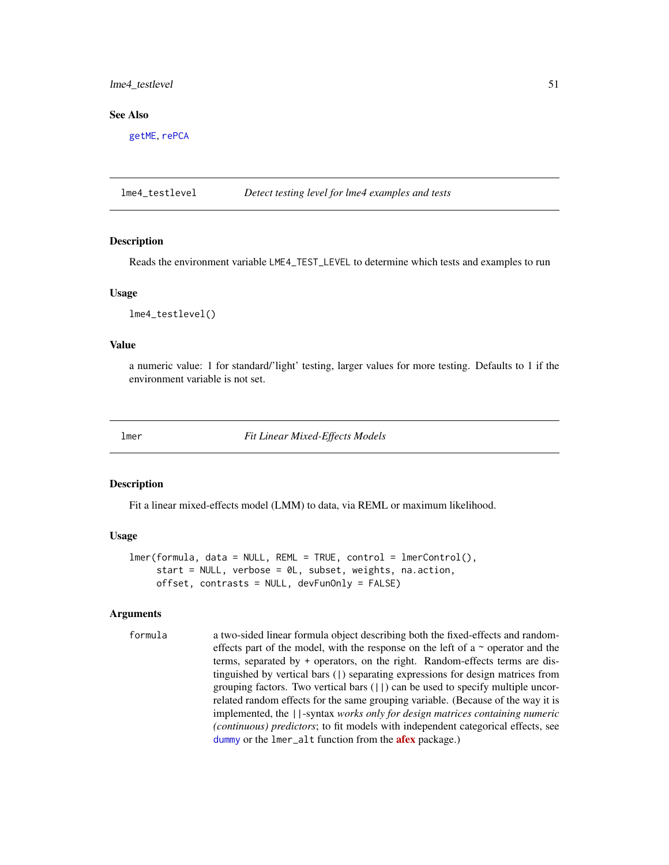# lme4\_testlevel 51

### See Also

[getME](#page-28-0), [rePCA](#page-107-0)

lme4\_testlevel *Detect testing level for lme4 examples and tests*

### **Description**

Reads the environment variable LME4\_TEST\_LEVEL to determine which tests and examples to run

### Usage

lme4\_testlevel()

### Value

a numeric value: 1 for standard/'light' testing, larger values for more testing. Defaults to 1 if the environment variable is not set.

<span id="page-50-0"></span>

lmer *Fit Linear Mixed-Effects Models*

### Description

Fit a linear mixed-effects model (LMM) to data, via REML or maximum likelihood.

#### Usage

```
lmer(formula, data = NULL, REML = TRUE, control = lmerControl(),start = NULL, verbose = 0L, subset, weights, na.action,
     offset, contrasts = NULL, devFunOnly = FALSE)
```
### Arguments

formula a two-sided linear formula object describing both the fixed-effects and randomeffects part of the model, with the response on the left of a  $\sim$  operator and the terms, separated by + operators, on the right. Random-effects terms are distinguished by vertical bars (|) separating expressions for design matrices from grouping factors. Two vertical bars  $(| \rangle)$  can be used to specify multiple uncorrelated random effects for the same grouping variable. (Because of the way it is implemented, the ||-syntax *works only for design matrices containing numeric (continuous) predictors*; to fit models with independent categorical effects, see [dummy](#page-22-0) or the lmer\_alt function from the **[afex](https://CRAN.R-project.org/package=afex)** package.)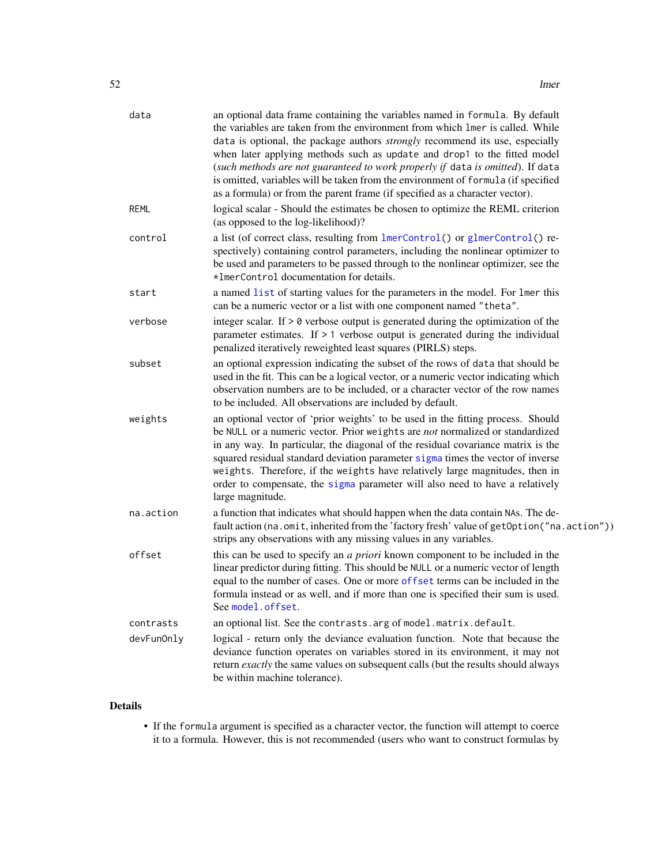| data        | an optional data frame containing the variables named in formula. By default<br>the variables are taken from the environment from which lmer is called. While<br>data is optional, the package authors <i>strongly</i> recommend its use, especially<br>when later applying methods such as update and drop1 to the fitted model<br>(such methods are not guaranteed to work properly if data is omitted). If data<br>is omitted, variables will be taken from the environment of formula (if specified<br>as a formula) or from the parent frame (if specified as a character vector). |
|-------------|-----------------------------------------------------------------------------------------------------------------------------------------------------------------------------------------------------------------------------------------------------------------------------------------------------------------------------------------------------------------------------------------------------------------------------------------------------------------------------------------------------------------------------------------------------------------------------------------|
| <b>REML</b> | logical scalar - Should the estimates be chosen to optimize the REML criterion<br>(as opposed to the log-likelihood)?                                                                                                                                                                                                                                                                                                                                                                                                                                                                   |
| control     | a list (of correct class, resulting from lmerControl() or glmerControl() re-<br>spectively) containing control parameters, including the nonlinear optimizer to<br>be used and parameters to be passed through to the nonlinear optimizer, see the<br>*ImerControl documentation for details.                                                                                                                                                                                                                                                                                           |
| start       | a named list of starting values for the parameters in the model. For lmer this<br>can be a numeric vector or a list with one component named "theta".                                                                                                                                                                                                                                                                                                                                                                                                                                   |
| verbose     | integer scalar. If $> 0$ verbose output is generated during the optimization of the<br>parameter estimates. If $> 1$ verbose output is generated during the individual<br>penalized iteratively reweighted least squares (PIRLS) steps.                                                                                                                                                                                                                                                                                                                                                 |
| subset      | an optional expression indicating the subset of the rows of data that should be<br>used in the fit. This can be a logical vector, or a numeric vector indicating which<br>observation numbers are to be included, or a character vector of the row names<br>to be included. All observations are included by default.                                                                                                                                                                                                                                                                   |
| weights     | an optional vector of 'prior weights' to be used in the fitting process. Should<br>be NULL or a numeric vector. Prior weights are not normalized or standardized<br>in any way. In particular, the diagonal of the residual covariance matrix is the<br>squared residual standard deviation parameter sigma times the vector of inverse<br>weights. Therefore, if the weights have relatively large magnitudes, then in<br>order to compensate, the sigma parameter will also need to have a relatively<br>large magnitude.                                                             |
| na.action   | a function that indicates what should happen when the data contain NAs. The de-<br>fault action (na.omit, inherited from the 'factory fresh' value of getOption ("na.action"))<br>strips any observations with any missing values in any variables.                                                                                                                                                                                                                                                                                                                                     |
| offset      | this can be used to specify an <i>a priori</i> known component to be included in the<br>linear predictor during fitting. This should be NULL or a numeric vector of length<br>equal to the number of cases. One or more offset terms can be included in the<br>formula instead or as well, and if more than one is specified their sum is used.<br>See model.offset.                                                                                                                                                                                                                    |
| contrasts   | an optional list. See the contrasts. arg of model. matrix. default.                                                                                                                                                                                                                                                                                                                                                                                                                                                                                                                     |
| devFunOnly  | logical - return only the deviance evaluation function. Note that because the<br>deviance function operates on variables stored in its environment, it may not<br>return exactly the same values on subsequent calls (but the results should always<br>be within machine tolerance).                                                                                                                                                                                                                                                                                                    |

# Details

• If the formula argument is specified as a character vector, the function will attempt to coerce it to a formula. However, this is not recommended (users who want to construct formulas by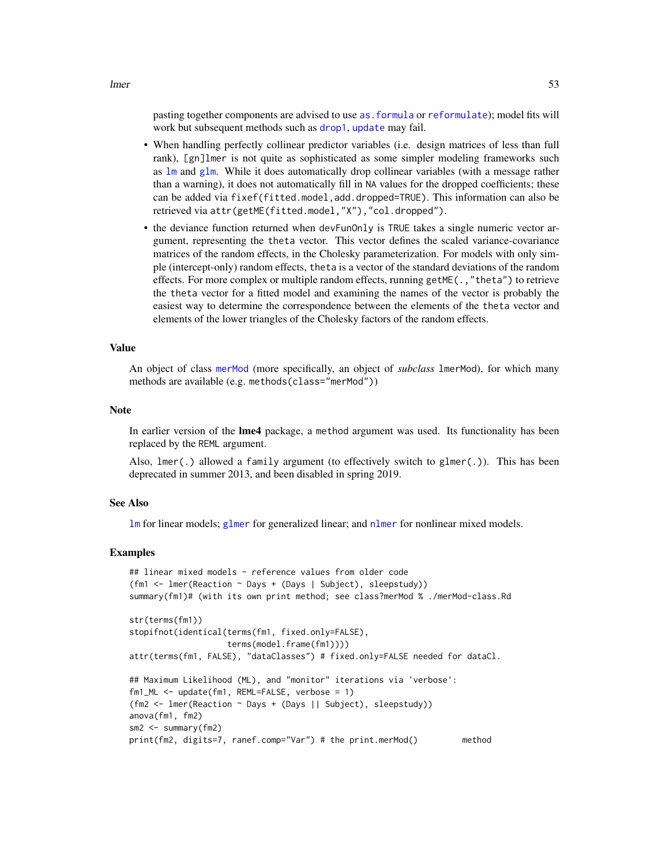lmer 53

pasting together components are advised to use [as.formula](#page-0-0) or [reformulate](#page-0-0)); model fits will work but subsequent methods such as [drop1](#page-0-0), [update](#page-0-0) may fail.

- When handling perfectly collinear predictor variables (i.e. design matrices of less than full rank), [gn]lmer is not quite as sophisticated as some simpler modeling frameworks such as [lm](#page-0-0) and [glm](#page-0-0). While it does automatically drop collinear variables (with a message rather than a warning), it does not automatically fill in NA values for the dropped coefficients; these can be added via fixef(fitted.model,add.dropped=TRUE). This information can also be retrieved via attr(getME(fitted.model,"X"),"col.dropped").
- the deviance function returned when devFunOnly is TRUE takes a single numeric vector argument, representing the theta vector. This vector defines the scaled variance-covariance matrices of the random effects, in the Cholesky parameterization. For models with only simple (intercept-only) random effects, theta is a vector of the standard deviations of the random effects. For more complex or multiple random effects, running getME $($ ., "theta") to retrieve the theta vector for a fitted model and examining the names of the vector is probably the easiest way to determine the correspondence between the elements of the theta vector and elements of the lower triangles of the Cholesky factors of the random effects.

### Value

An object of class [merMod](#page-63-1) (more specifically, an object of *subclass* lmerMod), for which many methods are available (e.g. methods(class="merMod"))

#### **Note**

In earlier version of the **lme4** package, a method argument was used. Its functionality has been replaced by the REML argument.

Also, lmer(.) allowed a family argument (to effectively switch to glmer(.)). This has been deprecated in summer 2013, and been disabled in spring 2019.

### See Also

[lm](#page-0-0) for linear models; [glmer](#page-32-0) for generalized linear; and [nlmer](#page-82-0) for nonlinear mixed models.

### Examples

```
## linear mixed models - reference values from older code
(fm1 <- lmer(Reaction ~ Days + (Days | Subject), sleepstudy))
summary(fm1)# (with its own print method; see class?merMod % ./merMod-class.Rd
str(terms(fm1))
stopifnot(identical(terms(fm1, fixed.only=FALSE),
                   terms(model.frame(fm1))))
attr(terms(fm1, FALSE), "dataClasses") # fixed.only=FALSE needed for dataCl.
## Maximum Likelihood (ML), and "monitor" iterations via 'verbose':
fm1_ML <- update(fm1, REML=FALSE, verbose = 1)
(fm2 <- lmer(Reaction ~ Days + (Days || Subject), sleepstudy))
anova(fm1, fm2)
sm2 <- summary(fm2)
print(fm2, digits=7, ranef.comp="Var") # the print.merMod() method
```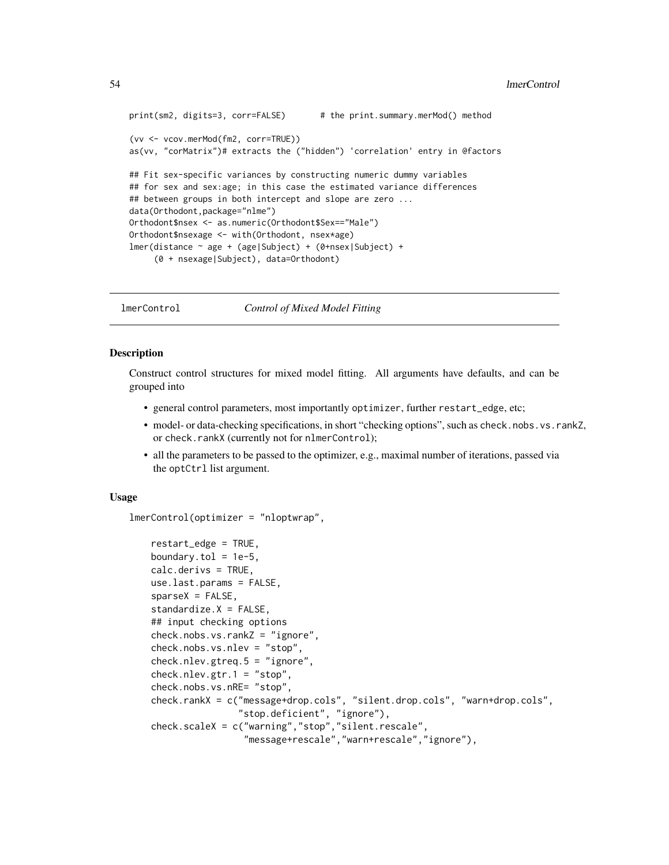```
print(sm2, digits=3, corr=FALSE) # the print.summary.merMod() method
(vv <- vcov.merMod(fm2, corr=TRUE))
as(vv, "corMatrix")# extracts the ("hidden") 'correlation' entry in @factors
## Fit sex-specific variances by constructing numeric dummy variables
## for sex and sex:age; in this case the estimated variance differences
## between groups in both intercept and slope are zero ...
data(Orthodont,package="nlme")
Orthodont$nsex <- as.numeric(Orthodont$Sex=="Male")
Orthodont$nsexage <- with(Orthodont, nsex*age)
lmer(distance ~ age + (age|Subject) + (0+nsex|Subject) +
     (0 + nsexage|Subject), data=Orthodont)
```
<span id="page-53-1"></span>lmerControl *Control of Mixed Model Fitting*

# <span id="page-53-0"></span>Description

Construct control structures for mixed model fitting. All arguments have defaults, and can be grouped into

- general control parameters, most importantly optimizer, further restart\_edge, etc;
- model- or data-checking specifications, in short "checking options", such as check.nobs.vs.rankZ, or check.rankX (currently not for nlmerControl);
- all the parameters to be passed to the optimizer, e.g., maximal number of iterations, passed via the optCtrl list argument.

### Usage

lmerControl(optimizer = "nloptwrap",

```
restart_edge = TRUE,
boundary.tol = 1e-5,
calc.derivs = TRUE,
use.last.params = FALSE,
sparseX = FALSE,standardize.X = FALSE,
## input checking options
check.nobs.vs.rankZ = "ignore",
check.nobs.vs.nlev = "stop",
check.nlev.gtreq.5 = "ignore",
check.nlev.getr.1 = "stop",check.nobs.vs.nRE= "stop",
check.rankX = c("message+drop.cols", "silent.drop.cols", "warn+drop.cols",
                "stop.deficient", "ignore"),
check.scaleX = c("warning","stop","silent.rescale",
                 "message+rescale","warn+rescale","ignore"),
```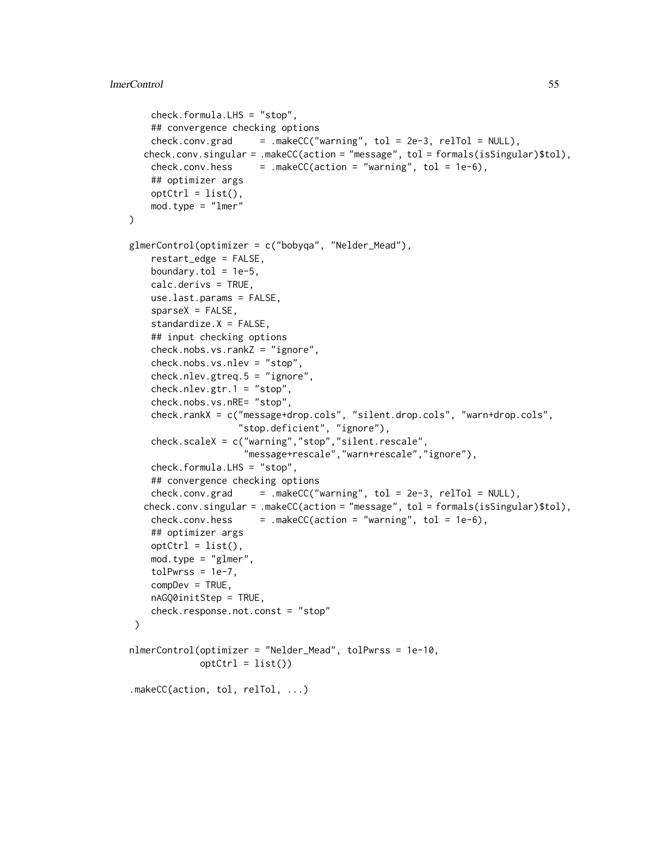```
check.formula.LHS = "stop",
   ## convergence checking options
    check.comv.grad = makeCC("warning", tol = 2e-3, relTol = NULL),check.comv.\singular = .makeC(Caction = "message", tol = formals(isSingular)*tol),check.comv.hess = .makeC(action = "warning", tol = 1e-6),## optimizer args
   optCtrl = list(),mod.type = "lmer"
\lambdaglmerControl(optimizer = c("bobyqa", "Nelder_Mead"),
   restart_edge = FALSE,
   boundary.tol = 1e-5,
   calc.derivs = TRUE,
   use.last.params = FALSE,
   sparseX = FALSE,standardize.X = FALSE,
   ## input checking options
   check.nobs.vs.rankZ = "ignore",
   check.nobs.vs.nlev = "stop",
   check.nlev.gtreq.5 = "ignore",
   check.nlev.gtr.1 = "stop",
   check.nobs.vs.nRE= "stop",
   check.rankX = c("message+drop.cols", "silent.drop.cols", "warn+drop.cols",
                    "stop.deficient", "ignore"),
   check.scaleX = c("warning","stop","silent.rescale",
                     "message+rescale","warn+rescale","ignore"),
   check.formula.LHS = "stop",
    ## convergence checking options
   check.comv.grad = .makeCC("warming", tol = 2e-3, relTol = NULL),check.comv.\singular = .makeC(action = "message", tol = formals(isSingular)*tol),check.comv.hess = .makeC(action = "warning", tol = 1e-6),## optimizer args
   optCtrl = list(),mod.type = "glmer",
   tolPwrss = 1e-7,complex = TRUE,nAGQ0initStep = TRUE,
   check.response.not.const = "stop"
\mathcal{L}nlmerControl(optimizer = "Nelder_Mead", tolPwrss = 1e-10,
            optCtrl = list().makeCC(action, tol, relTol, ...)
```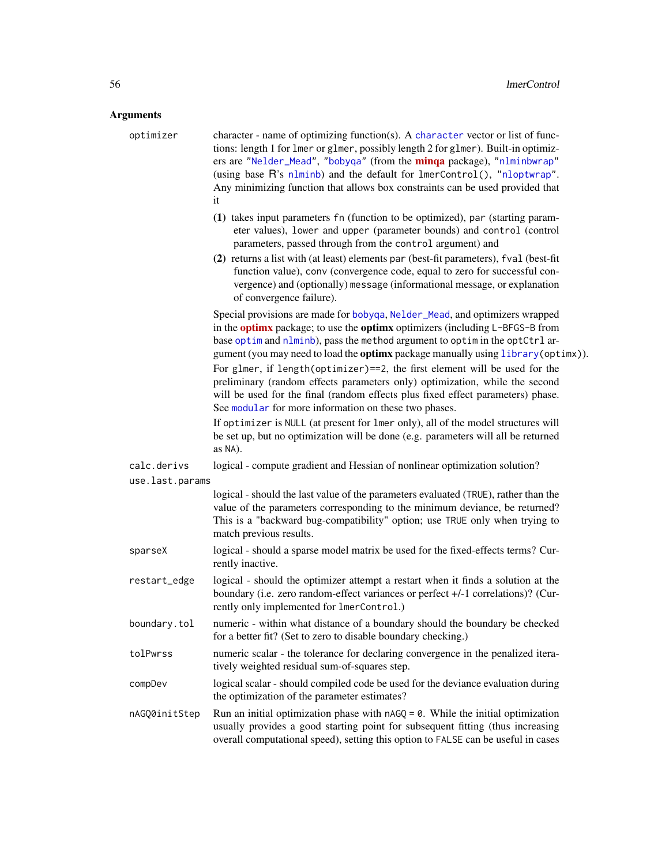# **Arguments**

| guments         |                                                                                                                                                                                                                                                                                                                                                                                                                                                                                                                                                                                                                                                         |
|-----------------|---------------------------------------------------------------------------------------------------------------------------------------------------------------------------------------------------------------------------------------------------------------------------------------------------------------------------------------------------------------------------------------------------------------------------------------------------------------------------------------------------------------------------------------------------------------------------------------------------------------------------------------------------------|
| optimizer       | character - name of optimizing function(s). A character vector or list of func-<br>tions: length 1 for 1mer or g1mer, possibly length 2 for g1mer). Built-in optimiz-<br>ers are "Nelder_Mead", "bobyqa" (from the minqa package), "nlminbwrap"<br>(using base R's nlminb) and the default for lmerControl(), "nloptwrap".<br>Any minimizing function that allows box constraints can be used provided that<br>it                                                                                                                                                                                                                                       |
|                 | (1) takes input parameters fn (function to be optimized), par (starting param-<br>eter values), lower and upper (parameter bounds) and control (control<br>parameters, passed through from the control argument) and                                                                                                                                                                                                                                                                                                                                                                                                                                    |
|                 | (2) returns a list with (at least) elements par (best-fit parameters), fval (best-fit<br>function value), conv (convergence code, equal to zero for successful con-<br>vergence) and (optionally) message (informational message, or explanation<br>of convergence failure).                                                                                                                                                                                                                                                                                                                                                                            |
|                 | Special provisions are made for bobyqa, Nelder_Mead, and optimizers wrapped<br>in the <b>optimx</b> package; to use the <b>optimx</b> optimizers (including L-BFGS-B from<br>base optim and nlminb), pass the method argument to optim in the optCtrl ar-<br>gument (you may need to load the optimx package manually using library (optimx)).<br>For glmer, if length(optimizer)==2, the first element will be used for the<br>preliminary (random effects parameters only) optimization, while the second<br>will be used for the final (random effects plus fixed effect parameters) phase.<br>See modular for more information on these two phases. |
|                 | If optimizer is NULL (at present for lmer only), all of the model structures will<br>be set up, but no optimization will be done (e.g. parameters will all be returned<br>as NA).                                                                                                                                                                                                                                                                                                                                                                                                                                                                       |
| calc.derivs     | logical - compute gradient and Hessian of nonlinear optimization solution?                                                                                                                                                                                                                                                                                                                                                                                                                                                                                                                                                                              |
| use.last.params |                                                                                                                                                                                                                                                                                                                                                                                                                                                                                                                                                                                                                                                         |
|                 | logical - should the last value of the parameters evaluated (TRUE), rather than the<br>value of the parameters corresponding to the minimum deviance, be returned?<br>This is a "backward bug-compatibility" option; use TRUE only when trying to<br>match previous results.                                                                                                                                                                                                                                                                                                                                                                            |
| sparseX         | logical - should a sparse model matrix be used for the fixed-effects terms? Cur-<br>rently inactive.                                                                                                                                                                                                                                                                                                                                                                                                                                                                                                                                                    |
| restart_edge    | logical - should the optimizer attempt a restart when it finds a solution at the<br>boundary (i.e. zero random-effect variances or perfect +/-1 correlations)? (Cur-<br>rently only implemented for lmerControl.)                                                                                                                                                                                                                                                                                                                                                                                                                                       |
| boundary.tol    | numeric - within what distance of a boundary should the boundary be checked<br>for a better fit? (Set to zero to disable boundary checking.)                                                                                                                                                                                                                                                                                                                                                                                                                                                                                                            |
| tolPwrss        | numeric scalar - the tolerance for declaring convergence in the penalized itera-<br>tively weighted residual sum-of-squares step.                                                                                                                                                                                                                                                                                                                                                                                                                                                                                                                       |
| compDev         | logical scalar - should compiled code be used for the deviance evaluation during<br>the optimization of the parameter estimates?                                                                                                                                                                                                                                                                                                                                                                                                                                                                                                                        |
| nAGQ0initStep   | Run an initial optimization phase with $nAGQ = 0$ . While the initial optimization<br>usually provides a good starting point for subsequent fitting (thus increasing<br>overall computational speed), setting this option to FALSE can be useful in cases                                                                                                                                                                                                                                                                                                                                                                                               |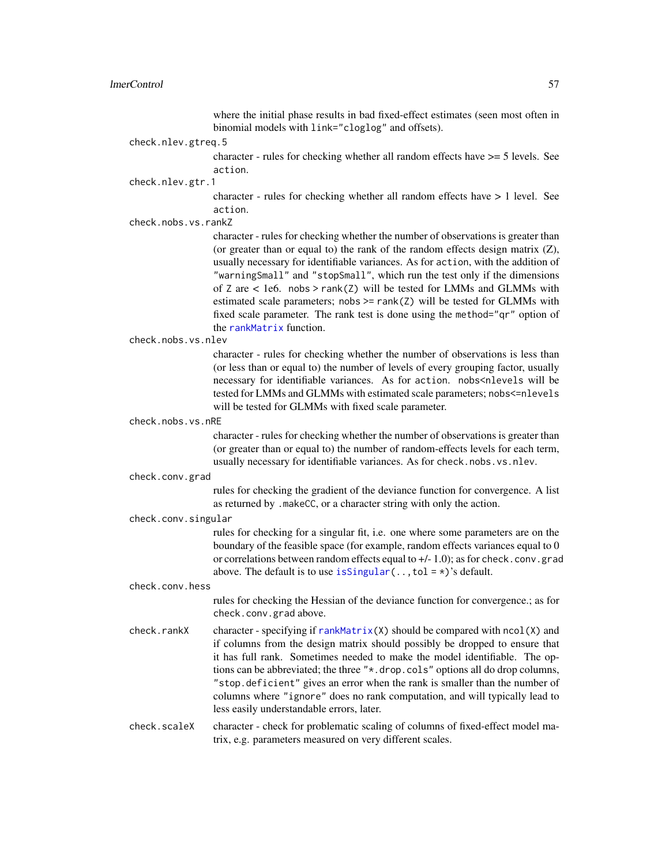where the initial phase results in bad fixed-effect estimates (seen most often in binomial models with link="cloglog" and offsets).

check.nlev.gtreq.5

character - rules for checking whether all random effects have >= 5 levels. See action.

check.nlev.gtr.1

character - rules for checking whether all random effects have > 1 level. See action.

check.nobs.vs.rankZ

character - rules for checking whether the number of observations is greater than (or greater than or equal to) the rank of the random effects design matrix (Z), usually necessary for identifiable variances. As for action, with the addition of "warningSmall" and "stopSmall", which run the test only if the dimensions of Z are  $\lt$  1e6. nobs > rank(Z) will be tested for LMMs and GLMMs with estimated scale parameters; nobs  $\ge$  rank(Z) will be tested for GLMMs with fixed scale parameter. The rank test is done using the method="qr" option of the [rankMatrix](#page-0-0) function.

check.nobs.vs.nlev

character - rules for checking whether the number of observations is less than (or less than or equal to) the number of levels of every grouping factor, usually necessary for identifiable variances. As for action. nobs<nlevels will be tested for LMMs and GLMMs with estimated scale parameters; nobs<=nlevels will be tested for GLMMs with fixed scale parameter.

check.nobs.vs.nRE

character - rules for checking whether the number of observations is greater than (or greater than or equal to) the number of random-effects levels for each term, usually necessary for identifiable variances. As for check.nobs.vs.nlev.

#### check.conv.grad

rules for checking the gradient of the deviance function for convergence. A list as returned by .makeCC, or a character string with only the action.

check.conv.singular

rules for checking for a singular fit, i.e. one where some parameters are on the boundary of the feasible space (for example, random effects variances equal to 0 or correlations between random effects equal to +/- 1.0); as for check.conv.grad above. The default is to use is Singular  $(\ldots, \text{tol} = *)$ 's default.

#### check.conv.hess

rules for checking the Hessian of the deviance function for convergence.; as for check.conv.grad above.

check.rankX character - specifying if  $rankMatrix(X)$  $rankMatrix(X)$  should be compared with ncol(X) and if columns from the design matrix should possibly be dropped to ensure that it has full rank. Sometimes needed to make the model identifiable. The options can be abbreviated; the three "\*.drop.cols" options all do drop columns, "stop.deficient" gives an error when the rank is smaller than the number of columns where "ignore" does no rank computation, and will typically lead to less easily understandable errors, later.

# check.scaleX character - check for problematic scaling of columns of fixed-effect model matrix, e.g. parameters measured on very different scales.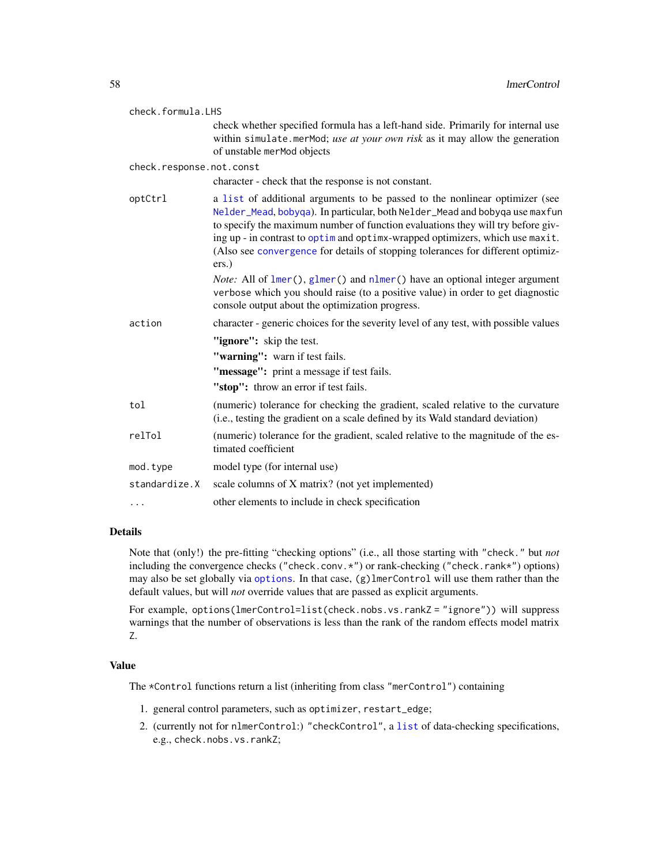| check.formula.LHS        |                                                                                                                                                                                                                                                                                                                                                                                                                            |
|--------------------------|----------------------------------------------------------------------------------------------------------------------------------------------------------------------------------------------------------------------------------------------------------------------------------------------------------------------------------------------------------------------------------------------------------------------------|
|                          | check whether specified formula has a left-hand side. Primarily for internal use<br>within simulate.merMod; use at your own risk as it may allow the generation<br>of unstable merMod objects                                                                                                                                                                                                                              |
| check.response.not.const |                                                                                                                                                                                                                                                                                                                                                                                                                            |
|                          | character - check that the response is not constant.                                                                                                                                                                                                                                                                                                                                                                       |
| optCtrl                  | a list of additional arguments to be passed to the nonlinear optimizer (see<br>Nelder_Mead, bobyqa). In particular, both Nelder_Mead and bobyqa use maxfun<br>to specify the maximum number of function evaluations they will try before giv-<br>ing up - in contrast to optim and optimx-wrapped optimizers, which use maxit.<br>(Also see convergence for details of stopping tolerances for different optimiz-<br>ers.) |
|                          | <i>Note:</i> All of $lmer()$ , glmer() and nlmer() have an optional integer argument<br>verbose which you should raise (to a positive value) in order to get diagnostic<br>console output about the optimization progress.                                                                                                                                                                                                 |
| action                   | character - generic choices for the severity level of any test, with possible values                                                                                                                                                                                                                                                                                                                                       |
|                          | "ignore": skip the test.                                                                                                                                                                                                                                                                                                                                                                                                   |
|                          | "warning": warn if test fails.                                                                                                                                                                                                                                                                                                                                                                                             |
|                          | "message": print a message if test fails.                                                                                                                                                                                                                                                                                                                                                                                  |
|                          | "stop": throw an error if test fails.                                                                                                                                                                                                                                                                                                                                                                                      |
| tol                      | (numeric) tolerance for checking the gradient, scaled relative to the curvature<br>(i.e., testing the gradient on a scale defined by its Wald standard deviation)                                                                                                                                                                                                                                                          |
| relTol                   | (numeric) tolerance for the gradient, scaled relative to the magnitude of the es-<br>timated coefficient                                                                                                                                                                                                                                                                                                                   |
| mod.type                 | model type (for internal use)                                                                                                                                                                                                                                                                                                                                                                                              |
| standardize.X            | scale columns of X matrix? (not yet implemented)                                                                                                                                                                                                                                                                                                                                                                           |
| .                        | other elements to include in check specification                                                                                                                                                                                                                                                                                                                                                                           |

# Details

Note that (only!) the pre-fitting "checking options" (i.e., all those starting with "check." but *not* including the convergence checks ("check.conv.\*") or rank-checking ("check.rank\*") options) may also be set globally via [options](#page-0-0). In that case, (g)lmerControl will use them rather than the default values, but will *not* override values that are passed as explicit arguments.

For example, options(lmerControl=list(check.nobs.vs.rankZ = "ignore")) will suppress warnings that the number of observations is less than the rank of the random effects model matrix Z.

# Value

The \*Control functions return a list (inheriting from class "merControl") containing

- 1. general control parameters, such as optimizer, restart\_edge;
- 2. (currently not for nlmerControl:) "checkControl", a [list](#page-0-0) of data-checking specifications, e.g., check.nobs.vs.rankZ;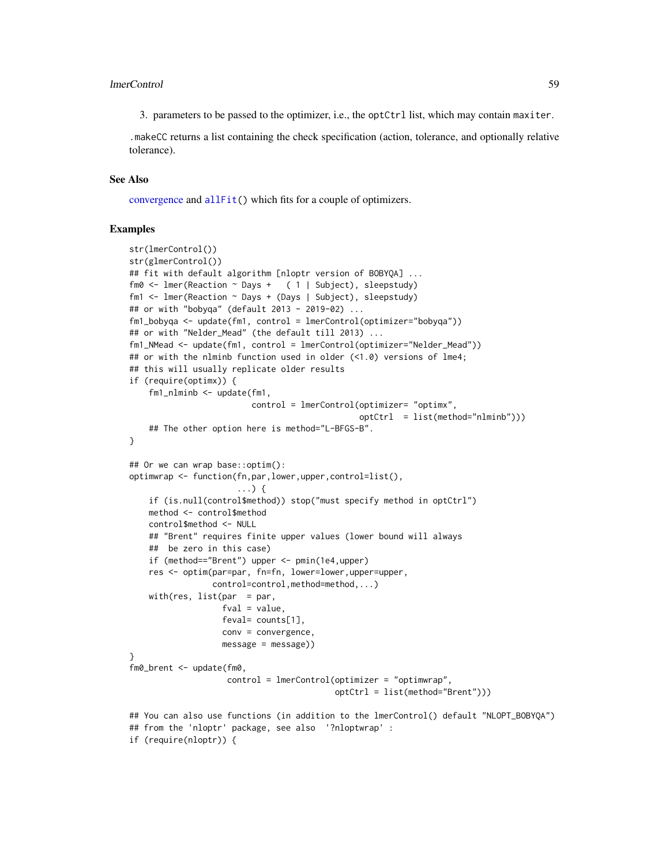### lmerControl 59

3. parameters to be passed to the optimizer, i.e., the optCtrl list, which may contain maxiter.

.makeCC returns a list containing the check specification (action, tolerance, and optionally relative tolerance).

# See Also

[convergence](#page-15-0) and [allFit\(](#page-4-0)) which fits for a couple of optimizers.

# Examples

```
str(lmerControl())
str(glmerControl())
## fit with default algorithm [nloptr version of BOBYQA] ...
fm0 <- lmer(Reaction ~ Days + ( 1 | Subject), sleepstudy)
fm1 <- lmer(Reaction ~ Days + (Days | Subject), sleepstudy)
## or with "bobyqa" (default 2013 - 2019-02) ...
fm1_bobyqa <- update(fm1, control = lmerControl(optimizer="bobyqa"))
## or with "Nelder_Mead" (the default till 2013) ...
fm1_NMead <- update(fm1, control = lmerControl(optimizer="Nelder_Mead"))
## or with the nlminb function used in older (<1.0) versions of lme4;
## this will usually replicate older results
if (require(optimx)) {
    fm1_nlminb <- update(fm1,
                         control = lmerControl(optimizer= "optimx",
                                               optCtrl = list(method="nlminb")))
    ## The other option here is method="L-BFGS-B".
}
## Or we can wrap base::optim():
optimwrap <- function(fn,par,lower,upper,control=list(),
                      ...) {
    if (is.null(control$method)) stop("must specify method in optCtrl")
   method <- control$method
   control$method <- NULL
    ## "Brent" requires finite upper values (lower bound will always
   ## be zero in this case)
   if (method=="Brent") upper <- pmin(1e4,upper)
    res <- optim(par=par, fn=fn, lower=lower,upper=upper,
                 control=control,method=method,...)
    with(res, list(par = par),
                   fval = value,
                   feval= counts[1],
                  conv = convergence,
                  message = message))
}
fm0_brent <- update(fm0,
                    control = lmerControl(optimizer = "optimwrap",
                                          optCtrl = list(method="Brent")))
## You can also use functions (in addition to the lmerControl() default "NLOPT_BOBYQA")
## from the 'nloptr' package, see also '?nloptwrap' :
if (require(nloptr)) {
```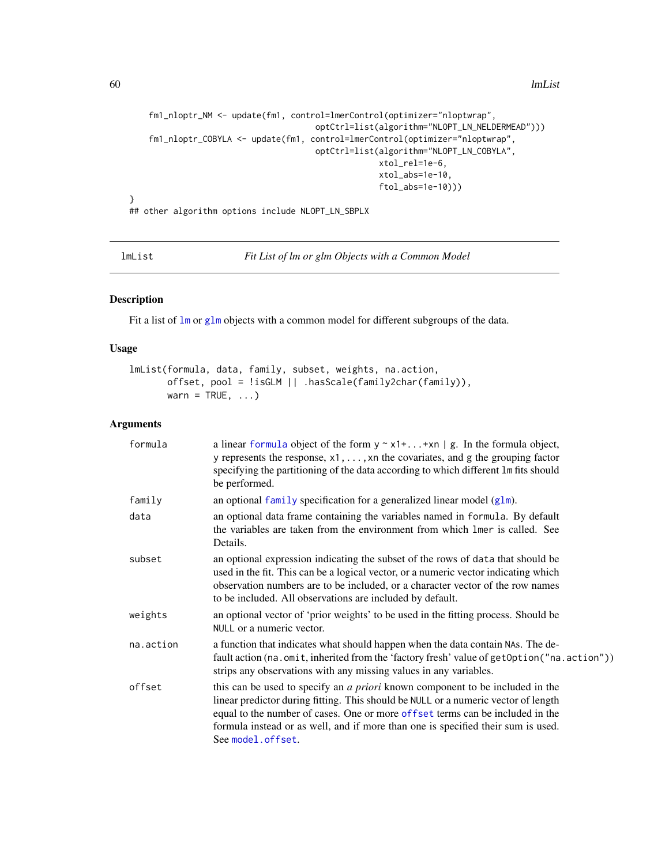```
fm1_nloptr_NM <- update(fm1, control=lmerControl(optimizer="nloptwrap",
                                      optCtrl=list(algorithm="NLOPT_LN_NELDERMEAD")))
    fm1_nloptr_COBYLA <- update(fm1, control=lmerControl(optimizer="nloptwrap",
                                      optCtrl=list(algorithm="NLOPT_LN_COBYLA",
                                                  xtol_rel=1e-6,
                                                   xtol_abs=1e-10,
                                                  ftol_abs=1e-10)))
}
```
## other algorithm options include NLOPT\_LN\_SBPLX

<span id="page-59-0"></span>lmList *Fit List of lm or glm Objects with a Common Model*

# Description

Fit a list of  $\text{lm}$  $\text{lm}$  $\text{lm}$  or [glm](#page-0-0) objects with a common model for different subgroups of the data.

# Usage

```
lmList(formula, data, family, subset, weights, na.action,
      offset, pool = !isGLM || .hasScale(family2char(family)),
      warn = TRUE, \ldots)
```
# Arguments

| formula   | a linear formula object of the form $y \sim x1 +  + xn \mid g$ . In the formula object,<br>y represents the response, $x1, \ldots, xn$ the covariates, and g the grouping factor<br>specifying the partitioning of the data according to which different 1m fits should<br>be performed.                                                                             |
|-----------|----------------------------------------------------------------------------------------------------------------------------------------------------------------------------------------------------------------------------------------------------------------------------------------------------------------------------------------------------------------------|
| family    | an optional family specification for a generalized linear model $(glm)$ .                                                                                                                                                                                                                                                                                            |
| data      | an optional data frame containing the variables named in formula. By default<br>the variables are taken from the environment from which lmer is called. See<br>Details.                                                                                                                                                                                              |
| subset    | an optional expression indicating the subset of the rows of data that should be<br>used in the fit. This can be a logical vector, or a numeric vector indicating which<br>observation numbers are to be included, or a character vector of the row names<br>to be included. All observations are included by default.                                                |
| weights   | an optional vector of 'prior weights' to be used in the fitting process. Should be<br>NULL or a numeric vector.                                                                                                                                                                                                                                                      |
| na.action | a function that indicates what should happen when the data contain NAs. The de-<br>fault action (na.omit, inherited from the 'factory fresh' value of getOption ("na.action"))<br>strips any observations with any missing values in any variables.                                                                                                                  |
| offset    | this can be used to specify an <i>a priori</i> known component to be included in the<br>linear predictor during fitting. This should be NULL or a numeric vector of length<br>equal to the number of cases. One or more offset terms can be included in the<br>formula instead or as well, and if more than one is specified their sum is used.<br>See model.offset. |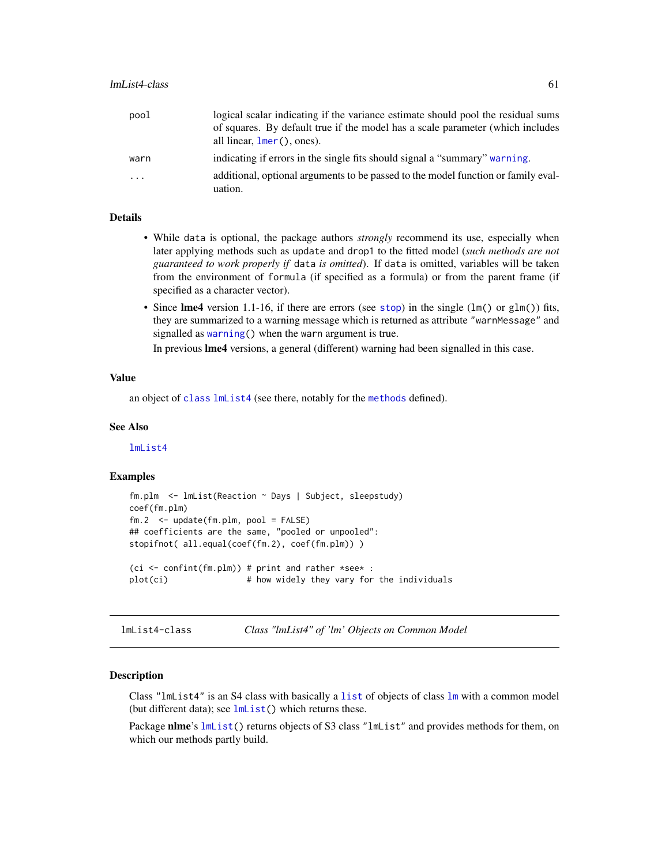| pool                    | logical scalar indicating if the variance estimate should pool the residual sums  |
|-------------------------|-----------------------------------------------------------------------------------|
|                         | of squares. By default true if the model has a scale parameter (which includes    |
|                         | all linear, $lmer()$ , ones).                                                     |
| warn                    | indicating if errors in the single fits should signal a "summary" warning.        |
| $\cdot$ $\cdot$ $\cdot$ | additional, optional arguments to be passed to the model function or family eval- |
|                         | uation.                                                                           |

# Details

- While data is optional, the package authors *strongly* recommend its use, especially when later applying methods such as update and drop1 to the fitted model (*such methods are not guaranteed to work properly if* data *is omitted*). If data is omitted, variables will be taken from the environment of formula (if specified as a formula) or from the parent frame (if specified as a character vector).
- Since lme4 version 1.1-16, if there are errors (see [stop](#page-0-0)) in the single ( $lm()$  or  $glm()$ ) fits, they are summarized to a warning message which is returned as attribute "warnMessage" and signalled as [warning\(](#page-0-0)) when the warn argument is true.

In previous lme4 versions, a general (different) warning had been signalled in this case.

# Value

an object of [class](#page-0-0) [lmList4](#page-60-0) (see there, notably for the [methods](#page-0-0) defined).

# See Also

[lmList4](#page-60-0)

### Examples

```
fm.plm <- lmList(Reaction ~ Days | Subject, sleepstudy)
coef(fm.plm)
fm.2 <- update(fm.plm, pool = FALSE)
## coefficients are the same, "pooled or unpooled":
stopifnot( all.equal(coef(fm.2), coef(fm.plm)) )
(ci \le confint(fm.plm)) # print and rather *see* :
plot(ci) # how widely they vary for the individuals
```
<span id="page-60-0"></span>lmList4-class *Class "lmList4" of 'lm' Objects on Common Model*

# **Description**

Class "lmList4" is an S4 class with basically a [list](#page-0-0) of objects of class [lm](#page-0-0) with a common model (but different data); see  $lmList()$  $lmList()$  which returns these.

Package nlme's [lmList\(](#page-59-0)) returns objects of S3 class "lmList" and provides methods for them, on which our methods partly build.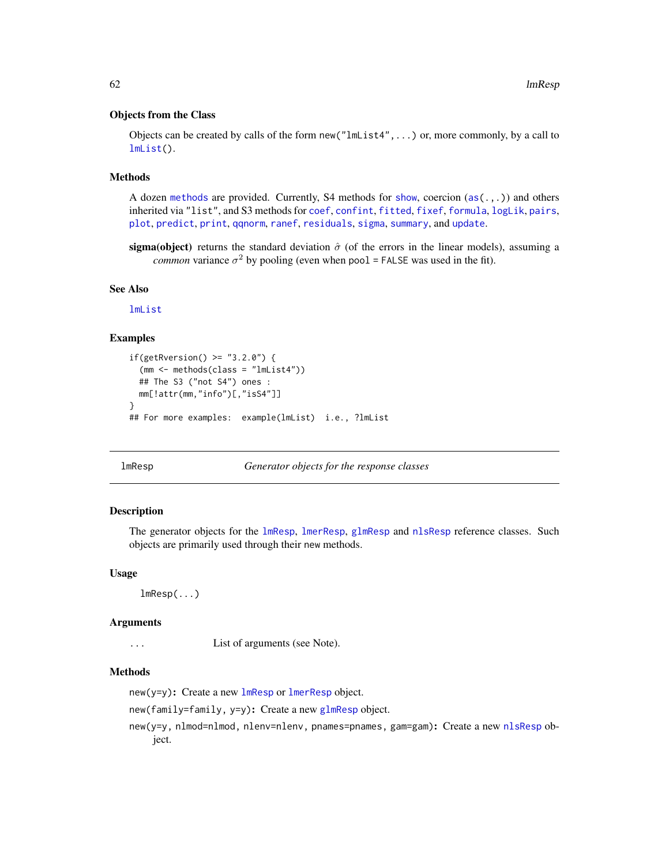### Objects from the Class

Objects can be created by calls of the form  $new("lmList4", \ldots)$  or, more commonly, by a call to [lmList\(](#page-59-0)).

### **Methods**

A dozen [methods](#page-0-0) are provided. Currently, S4 methods for [show](#page-0-0), coercion  $(as (., .))$  and others inherited via "list", and S3 methods for [coef](#page-0-0), [confint](#page-0-0), [fitted](#page-0-0), [fixef](#page-26-0), [formula](#page-0-0), [logLik](#page-0-0), [pairs](#page-0-0), [plot](#page-0-0), [predict](#page-0-0), [print](#page-0-0), [qqnorm](#page-0-0), [ranef](#page-102-0), [residuals](#page-0-0), [sigma](#page-110-0), [summary](#page-0-0), and [update](#page-0-0).

sigma(object) returns the standard deviation  $\hat{\sigma}$  (of the errors in the linear models), assuming a *common* variance  $\sigma^2$  by pooling (even when pool = FALSE was used in the fit).

# See Also

[lmList](#page-59-0)

# **Examples**

```
if(getRversion() >= "3.2.0") {
  (mm <- methods(class = "lmList4"))
 ## The S3 ("not S4") ones :
 mm[!attr(mm,"info")[,"isS4"]]
}
## For more examples: example(lmList) i.e., ?lmList
```
<span id="page-61-0"></span>lmResp *Generator objects for the response classes*

# Description

The generator objects for the [lmResp](#page-62-0), [lmerResp](#page-62-1), [glmResp](#page-62-1) and [nlsResp](#page-62-1) reference classes. Such objects are primarily used through their new methods.

### Usage

lmResp(...)

### Arguments

... List of arguments (see Note).

# Methods

 $new(y=y)$ : Create a new  $lm$ Resp or  $lm$ erResp object.

new(family=family, y=y): Create a new [glmResp](#page-62-1) object.

new(y=y, nlmod=nlmod, nlenv=nlenv, pnames=pnames, gam=gam): Create a new [nlsResp](#page-62-1) object.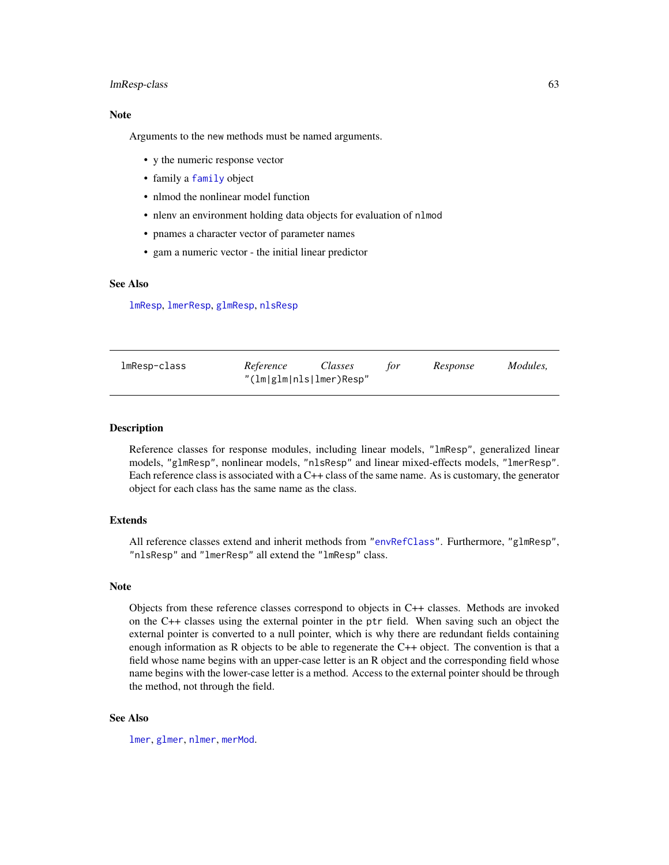### lmResp-class 63

# Note

Arguments to the new methods must be named arguments.

- y the numeric response vector
- family a [family](#page-0-0) object
- nlmod the nonlinear model function
- nlenv an environment holding data objects for evaluation of nlmod
- pnames a character vector of parameter names
- gam a numeric vector the initial linear predictor

# See Also

[lmResp](#page-62-0), [lmerResp](#page-62-1), [glmResp](#page-62-1), [nlsResp](#page-62-1)

<span id="page-62-0"></span>

| lmResp-class | Reference               | Classes | tor | Response | Modules. |
|--------------|-------------------------|---------|-----|----------|----------|
|              | "(lm glm nls lmer)Resp" |         |     |          |          |

# <span id="page-62-1"></span>Description

Reference classes for response modules, including linear models, "lmResp", generalized linear models, "glmResp", nonlinear models, "nlsResp" and linear mixed-effects models, "lmerResp". Each reference class is associated with a C++ class of the same name. As is customary, the generator object for each class has the same name as the class.

### Extends

All reference classes extend and inherit methods from ["envRefClass"](#page-0-0). Furthermore, "glmResp", "nlsResp" and "lmerResp" all extend the "lmResp" class.

#### Note

Objects from these reference classes correspond to objects in C++ classes. Methods are invoked on the C++ classes using the external pointer in the ptr field. When saving such an object the external pointer is converted to a null pointer, which is why there are redundant fields containing enough information as R objects to be able to regenerate the C++ object. The convention is that a field whose name begins with an upper-case letter is an R object and the corresponding field whose name begins with the lower-case letter is a method. Access to the external pointer should be through the method, not through the field.

### See Also

[lmer](#page-50-0), [glmer](#page-32-0), [nlmer](#page-82-0), [merMod](#page-63-1).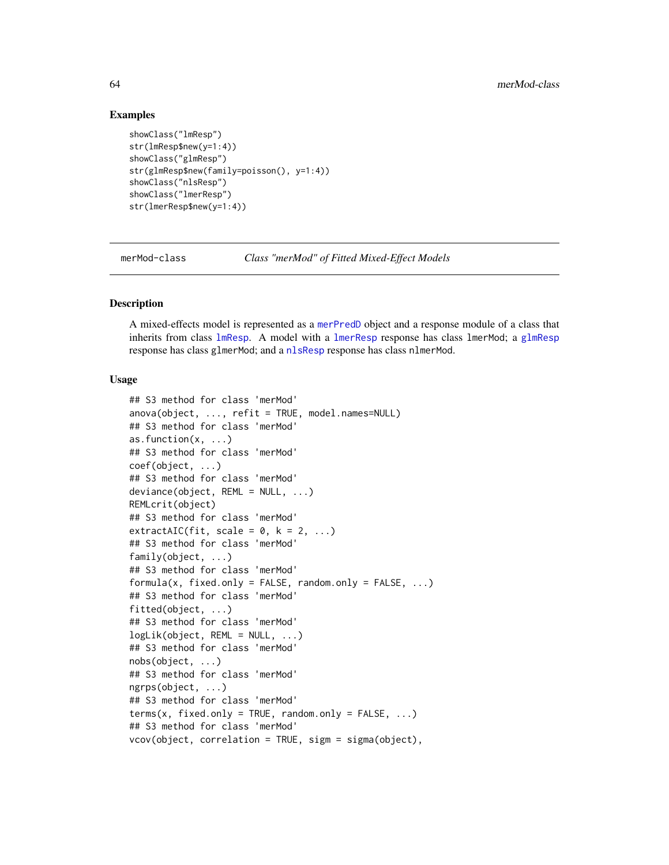# Examples

```
showClass("lmResp")
str(lmResp$new(y=1:4))
showClass("glmResp")
str(glmResp$new(family=poisson(), y=1:4))
showClass("nlsResp")
showClass("lmerResp")
str(lmerResp$new(y=1:4))
```
<span id="page-63-1"></span>merMod-class *Class "merMod" of Fitted Mixed-Effect Models*

# <span id="page-63-0"></span>Description

A mixed-effects model is represented as a [merPredD](#page-68-1) object and a response module of a class that inherits from class [lmResp](#page-62-0). A model with a [lmerResp](#page-62-1) response has class lmerMod; a [glmResp](#page-62-1) response has class glmerMod; and a [nlsResp](#page-62-1) response has class nlmerMod.

# Usage

```
## S3 method for class 'merMod'
anova(object, ..., refit = TRUE, model.names=NULL)
## S3 method for class 'merMod'
as.function(x, ...)
## S3 method for class 'merMod'
coef(object, ...)
## S3 method for class 'merMod'
deviance(object, REML = NULL, ...)
REMLcrit(object)
## S3 method for class 'merMod'
extractAIC(fit, scale = 0, k = 2, ...)
## S3 method for class 'merMod'
family(object, ...)
## S3 method for class 'merMod'
formula(x, fixed-only = FALSE, random-only = FALSE, ...)## S3 method for class 'merMod'
fitted(object, ...)
## S3 method for class 'merMod'
logLik(object, REML = NULL, ...)
## S3 method for class 'merMod'
nobs(object, ...)
## S3 method for class 'merMod'
ngrps(object, ...)
## S3 method for class 'merMod'
terms(x, fixed-only = TRUE, random-only = FALSE, ...)## S3 method for class 'merMod'
vcov(object, correlation = TRUE, sigm = sigma(object),
```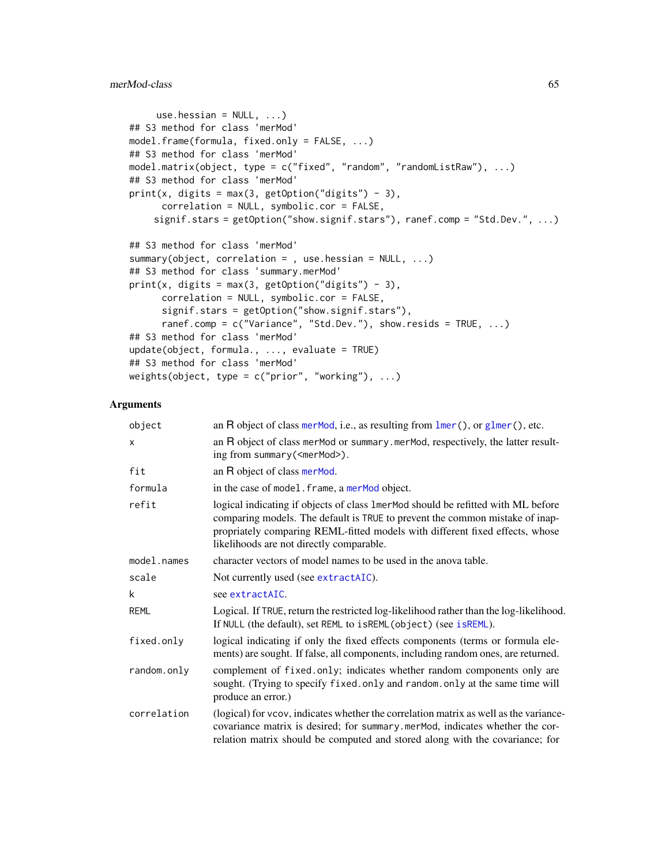# merMod-class 65

```
use.hessian = NULL, ...)## S3 method for class 'merMod'
model.frame(formula, fixed.only = FALSE, ...)
## S3 method for class 'merMod'
model.matrix(object, type = c("fixed", "random", "randomListRaw"), ...)
## S3 method for class 'merMod'
print(x, digits = max(3, getOption("digits") - 3),correlation = NULL, symbolic.cor = FALSE,
    signif.stars = getOption("show.signif.stars"), ranef.comp = "Std.Dev.", ...)
## S3 method for class 'merMod'
summary(object, correlation = , use.hessian = NULL, ...)
## S3 method for class 'summary.merMod'
print(x, digits = max(3, getOption("digits") - 3),
      correlation = NULL, symbolic.cor = FALSE,
      signif.stars = getOption("show.signif.stars"),
      ranef.comp = c("Variance", "Std.Dev."), show.resids = TRUE, ...)
## S3 method for class 'merMod'
update(object, formula., ..., evaluate = TRUE)## S3 method for class 'merMod'
weights(object, type = c("prior", "working"), ...)
```
### Arguments

| object      | an $R$ object of class merMod, i.e., as resulting from $lmer()$ , or $glmer()$ , etc.                                                                                                                                                                                                         |
|-------------|-----------------------------------------------------------------------------------------------------------------------------------------------------------------------------------------------------------------------------------------------------------------------------------------------|
| X           | an R object of class merMod or summary.merMod, respectively, the latter result-<br>ing from summary ( <mermod>).</mermod>                                                                                                                                                                     |
| fit         | an R object of class merMod.                                                                                                                                                                                                                                                                  |
| formula     | in the case of model. frame, a merMod object.                                                                                                                                                                                                                                                 |
| refit       | logical indicating if objects of class 1 merMod should be refitted with ML before<br>comparing models. The default is TRUE to prevent the common mistake of inap-<br>propriately comparing REML-fitted models with different fixed effects, whose<br>likelihoods are not directly comparable. |
| model.names | character vectors of model names to be used in the anova table.                                                                                                                                                                                                                               |
| scale       | Not currently used (see extractAIC).                                                                                                                                                                                                                                                          |
| k           | see extractAIC.                                                                                                                                                                                                                                                                               |
| <b>REML</b> | Logical. If TRUE, return the restricted log-likelihood rather than the log-likelihood.<br>If NULL (the default), set REML to isREML (object) (see isREML).                                                                                                                                    |
| fixed.only  | logical indicating if only the fixed effects components (terms or formula ele-<br>ments) are sought. If false, all components, including random ones, are returned.                                                                                                                           |
| random.only | complement of fixed.only; indicates whether random components only are<br>sought. (Trying to specify fixed.only and random.only at the same time will<br>produce an error.)                                                                                                                   |
| correlation | (logical) for vcov, indicates whether the correlation matrix as well as the variance-<br>covariance matrix is desired; for summary mermod, indicates whether the cor-<br>relation matrix should be computed and stored along with the covariance; for                                         |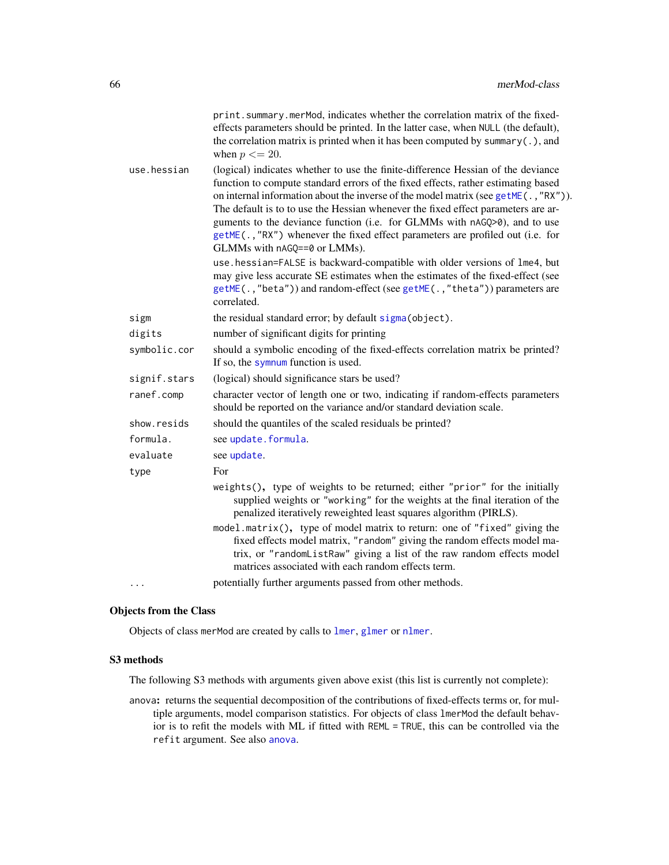|              | print.summary.merMod, indicates whether the correlation matrix of the fixed-<br>effects parameters should be printed. In the latter case, when NULL (the default),<br>the correlation matrix is printed when it has been computed by summary $(.)$ , and<br>when $p \leq 20$ .                                                                                                                                                                                                                                                                   |
|--------------|--------------------------------------------------------------------------------------------------------------------------------------------------------------------------------------------------------------------------------------------------------------------------------------------------------------------------------------------------------------------------------------------------------------------------------------------------------------------------------------------------------------------------------------------------|
| use.hessian  | (logical) indicates whether to use the finite-difference Hessian of the deviance<br>function to compute standard errors of the fixed effects, rather estimating based<br>on internal information about the inverse of the model matrix (see getME(., "RX")).<br>The default is to to use the Hessian whenever the fixed effect parameters are ar-<br>guments to the deviance function (i.e. for GLMMs with nAGQ>0), and to use<br>getME(., "RX") whenever the fixed effect parameters are profiled out (i.e. for<br>GLMMs with nAGQ==0 or LMMs). |
|              | use.hessian=FALSE is backward-compatible with older versions of lme4, but<br>may give less accurate SE estimates when the estimates of the fixed-effect (see<br>getME(.,"beta")) and random-effect (see getME(.,"theta")) parameters are<br>correlated.                                                                                                                                                                                                                                                                                          |
| sigm         | the residual standard error; by default sigma (object).                                                                                                                                                                                                                                                                                                                                                                                                                                                                                          |
| digits       | number of significant digits for printing                                                                                                                                                                                                                                                                                                                                                                                                                                                                                                        |
| symbolic.cor | should a symbolic encoding of the fixed-effects correlation matrix be printed?<br>If so, the symnum function is used.                                                                                                                                                                                                                                                                                                                                                                                                                            |
| signif.stars | (logical) should significance stars be used?                                                                                                                                                                                                                                                                                                                                                                                                                                                                                                     |
| ranef.comp   | character vector of length one or two, indicating if random-effects parameters<br>should be reported on the variance and/or standard deviation scale.                                                                                                                                                                                                                                                                                                                                                                                            |
| show.resids  | should the quantiles of the scaled residuals be printed?                                                                                                                                                                                                                                                                                                                                                                                                                                                                                         |
| formula.     | see update.formula.                                                                                                                                                                                                                                                                                                                                                                                                                                                                                                                              |
| evaluate     | see update.                                                                                                                                                                                                                                                                                                                                                                                                                                                                                                                                      |
| type         | For                                                                                                                                                                                                                                                                                                                                                                                                                                                                                                                                              |
|              | weights(), type of weights to be returned; either "prior" for the initially<br>supplied weights or "working" for the weights at the final iteration of the<br>penalized iteratively reweighted least squares algorithm (PIRLS).                                                                                                                                                                                                                                                                                                                  |
|              | model.matrix(), type of model matrix to return: one of "fixed" giving the<br>fixed effects model matrix, "random" giving the random effects model ma-<br>trix, or "randomListRaw" giving a list of the raw random effects model<br>matrices associated with each random effects term.                                                                                                                                                                                                                                                            |
| $\cdots$     | potentially further arguments passed from other methods.                                                                                                                                                                                                                                                                                                                                                                                                                                                                                         |

### Objects from the Class

Objects of class merMod are created by calls to [lmer](#page-50-0), [glmer](#page-32-0) or [nlmer](#page-82-0).

# S3 methods

The following S3 methods with arguments given above exist (this list is currently not complete):

anova: returns the sequential decomposition of the contributions of fixed-effects terms or, for multiple arguments, model comparison statistics. For objects of class lmerMod the default behavior is to refit the models with ML if fitted with REML = TRUE, this can be controlled via the refit argument. See also [anova](#page-0-0).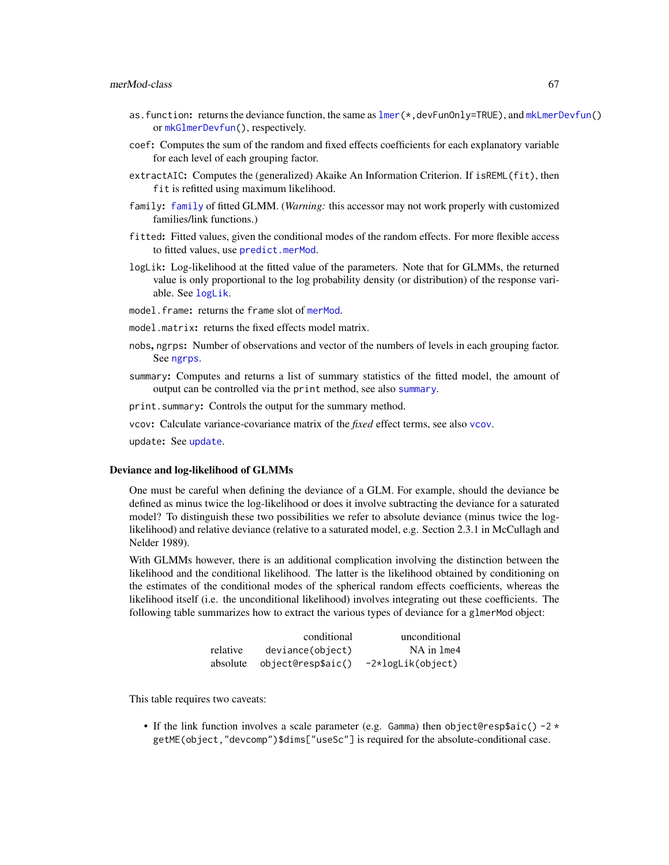### merMod-class 67

- as.function: returns the deviance function, the same as  $lmer(\star,devFunOnly=TRUE)$  $lmer(\star,devFunOnly=TRUE)$ , and  $mklmerDevfun()$ or [mkGlmerDevfun\(](#page-73-1)), respectively.
- coef: Computes the sum of the random and fixed effects coefficients for each explanatory variable for each level of each grouping factor.
- extractAIC: Computes the (generalized) Akaike An Information Criterion. If isREML(fit), then fit is refitted using maximum likelihood.
- family: [family](#page-0-0) of fitted GLMM. (*Warning:* this accessor may not work properly with customized families/link functions.)
- fitted: Fitted values, given the conditional modes of the random effects. For more flexible access to fitted values, use [predict.merMod](#page-93-0).
- logLik: Log-likelihood at the fitted value of the parameters. Note that for GLMMs, the returned value is only proportional to the log probability density (or distribution) of the response variable. See [logLik](#page-0-0).
- model.frame: returns the frame slot of [merMod](#page-63-1).
- model.matrix: returns the fixed effects model matrix.
- nobs, ngrps: Number of observations and vector of the numbers of levels in each grouping factor. See [ngrps](#page-80-0).
- summary: Computes and returns a list of summary statistics of the fitted model, the amount of output can be controlled via the print method, see also [summary](#page-0-0).

print.summary: Controls the output for the summary method.

vcov: Calculate variance-covariance matrix of the *fixed* effect terms, see also [vcov](#page-0-0).

update: See [update](#page-0-0).

#### Deviance and log-likelihood of GLMMs

One must be careful when defining the deviance of a GLM. For example, should the deviance be defined as minus twice the log-likelihood or does it involve subtracting the deviance for a saturated model? To distinguish these two possibilities we refer to absolute deviance (minus twice the loglikelihood) and relative deviance (relative to a saturated model, e.g. Section 2.3.1 in McCullagh and Nelder 1989).

With GLMMs however, there is an additional complication involving the distinction between the likelihood and the conditional likelihood. The latter is the likelihood obtained by conditioning on the estimates of the conditional modes of the spherical random effects coefficients, whereas the likelihood itself (i.e. the unconditional likelihood) involves integrating out these coefficients. The following table summarizes how to extract the various types of deviance for a glmerMod object:

|          | conditional        | unconditional     |
|----------|--------------------|-------------------|
| relative | deviance(object)   | NA in 1me4        |
| absolute | object@resp\$aic() | -2*logLik(object) |

This table requires two caveats:

• If the link function involves a scale parameter (e.g. Gamma) then object@resp\$aic()  $-2 \times$ getME(object,"devcomp")\$dims["useSc"] is required for the absolute-conditional case.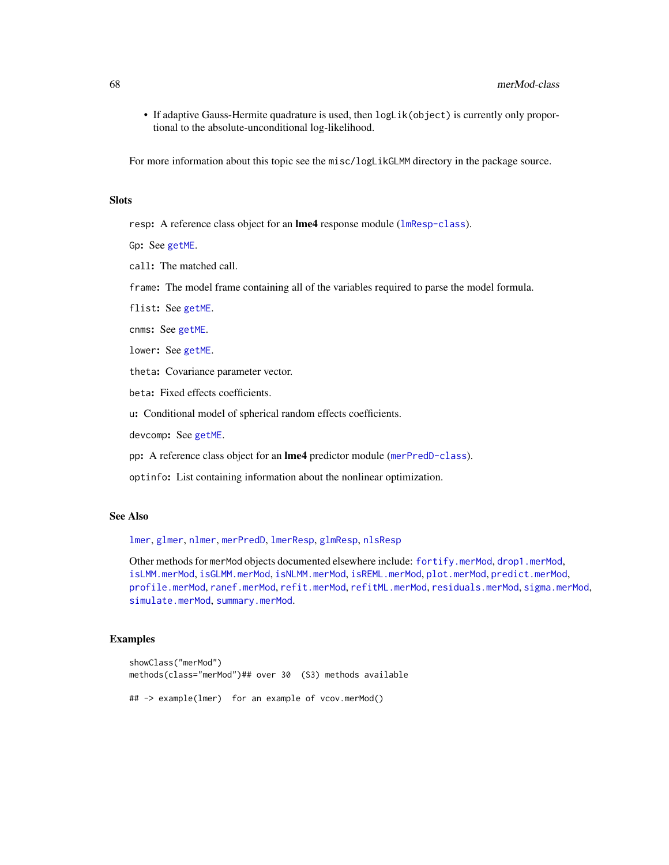• If adaptive Gauss-Hermite quadrature is used, then logLik(object) is currently only proportional to the absolute-unconditional log-likelihood.

For more information about this topic see the misc/logLikGLMM directory in the package source.

# Slots

resp: A reference class object for an **lme4** response module ([lmResp-class](#page-62-0)).

Gp: See [getME](#page-28-0).

call: The matched call.

frame: The model frame containing all of the variables required to parse the model formula.

flist: See [getME](#page-28-0).

cnms: See [getME](#page-28-0).

lower: See [getME](#page-28-0).

theta: Covariance parameter vector.

beta: Fixed effects coefficients.

u: Conditional model of spherical random effects coefficients.

devcomp: See [getME](#page-28-0).

pp: A reference class object for an lme4 predictor module ([merPredD-class](#page-68-1)).

optinfo: List containing information about the nonlinear optimization.

# See Also

[lmer](#page-50-0), [glmer](#page-32-0), [nlmer](#page-82-0), [merPredD](#page-68-1), [lmerResp](#page-62-1), [glmResp](#page-62-1), [nlsResp](#page-62-1)

Other methods for merMod objects documented elsewhere include: [fortify.merMod](#page-27-0), [drop1.merMod](#page-20-0), [isLMM.merMod](#page-47-1), [isGLMM.merMod](#page-47-1), [isNLMM.merMod](#page-47-1), [isREML.merMod](#page-47-1), [plot.merMod](#page-89-0), [predict.merMod](#page-93-0), [profile.merMod](#page-95-0), [ranef.merMod](#page-102-1), [refit.merMod](#page-104-1), [refitML.merMod](#page-106-0), [residuals.merMod](#page-109-0), [sigma.merMod](#page-110-1), [simulate.merMod](#page-111-0), [summary.merMod](#page-63-0).

### Examples

```
showClass("merMod")
methods(class="merMod")## over 30 (S3) methods available
## -> example(lmer) for an example of vcov.merMod()
```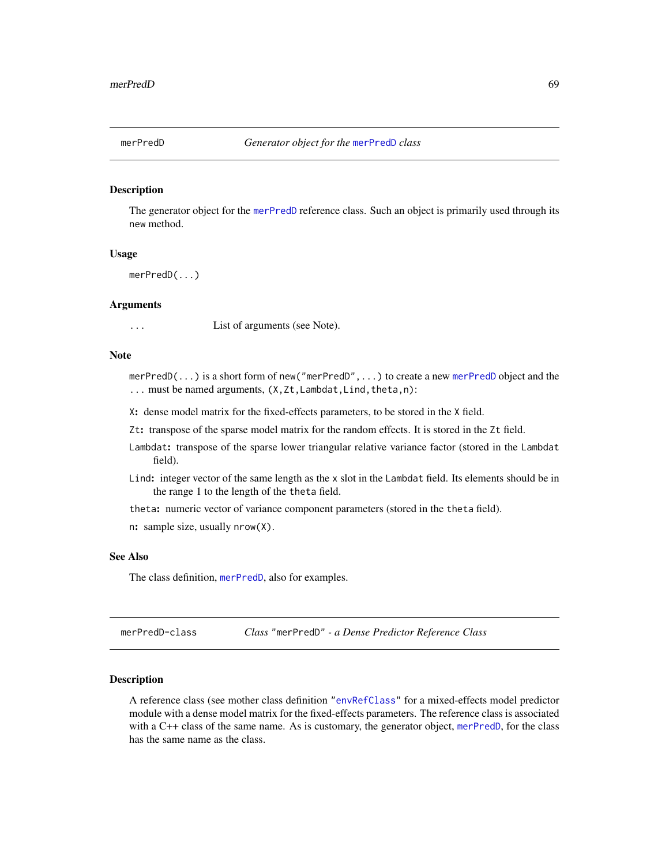<span id="page-68-0"></span>

# Description

The generator object for the [merPredD](#page-68-1) reference class. Such an object is primarily used through its new method.

### Usage

merPredD(...)

# Arguments

... List of arguments (see Note).

# Note

merPredD(...) is a short form of new("merPredD",...) to create a new [merPredD](#page-68-1) object and the ... must be named arguments, (X,Zt,Lambdat,Lind,theta,n):

X: dense model matrix for the fixed-effects parameters, to be stored in the X field.

Zt: transpose of the sparse model matrix for the random effects. It is stored in the Zt field.

- Lambdat: transpose of the sparse lower triangular relative variance factor (stored in the Lambdat field).
- Lind: integer vector of the same length as the x slot in the Lambdat field. Its elements should be in the range 1 to the length of the theta field.

theta: numeric vector of variance component parameters (stored in the theta field).

n: sample size, usually nrow(X).

### See Also

The class definition, [merPredD](#page-68-1), also for examples.

<span id="page-68-1"></span>merPredD-class *Class* "merPredD" *- a Dense Predictor Reference Class*

### Description

A reference class (see mother class definition ["envRefClass"](#page-0-0) for a mixed-effects model predictor module with a dense model matrix for the fixed-effects parameters. The reference class is associated with a C++ class of the same name. As is customary, the generator object, [merPredD](#page-68-0), for the class has the same name as the class.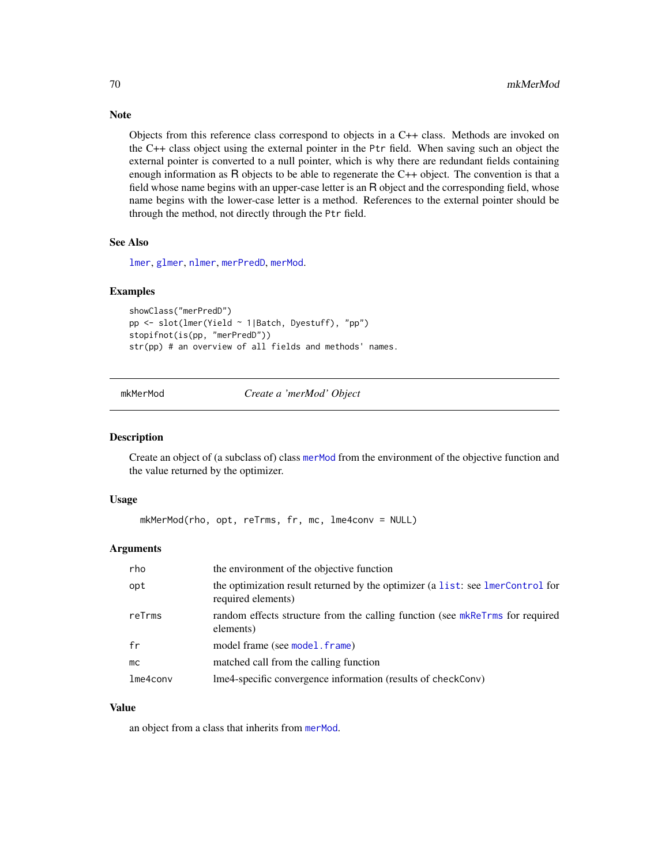Objects from this reference class correspond to objects in a C++ class. Methods are invoked on the C++ class object using the external pointer in the Ptr field. When saving such an object the external pointer is converted to a null pointer, which is why there are redundant fields containing enough information as R objects to be able to regenerate the C++ object. The convention is that a field whose name begins with an upper-case letter is an R object and the corresponding field, whose name begins with the lower-case letter is a method. References to the external pointer should be through the method, not directly through the Ptr field.

### See Also

[lmer](#page-50-0), [glmer](#page-32-0), [nlmer](#page-82-0), [merPredD](#page-68-0), [merMod](#page-63-1).

### Examples

```
showClass("merPredD")
pp <- slot(lmer(Yield ~ 1|Batch, Dyestuff), "pp")
stopifnot(is(pp, "merPredD"))
str(pp) # an overview of all fields and methods' names.
```
mkMerMod *Create a 'merMod' Object*

#### Description

Create an object of (a subclass of) class [merMod](#page-63-1) from the environment of the objective function and the value returned by the optimizer.

### Usage

```
mkMerMod(rho, opt, reTrms, fr, mc, lme4conv = NULL)
```
### **Arguments**

| rho      | the environment of the objective function                                                            |
|----------|------------------------------------------------------------------------------------------------------|
| opt      | the optimization result returned by the optimizer (a list: see lmerControl for<br>required elements) |
| reTrms   | random effects structure from the calling function (see mkReTrms for required<br>elements)           |
| fr       | model frame (see model . frame)                                                                      |
| mc       | matched call from the calling function                                                               |
| lme4conv | lme4-specific convergence information (results of checkConv)                                         |

### Value

an object from a class that inherits from [merMod](#page-63-1).

# Note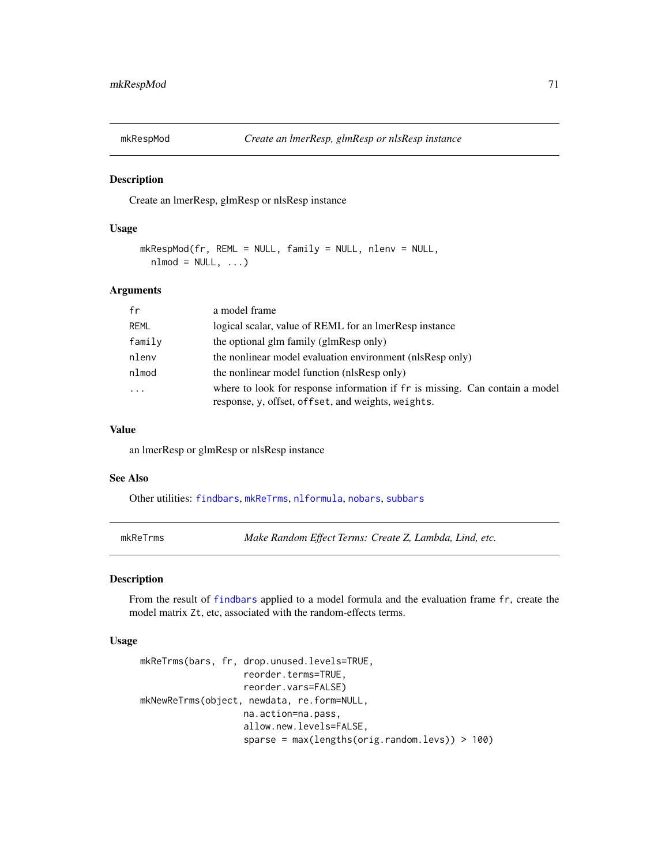# Description

Create an lmerResp, glmResp or nlsResp instance

# Usage

```
mkRespMod(fr, REML = NULL, family = NULL, nlenv = NULL,
 nlmod = NULL, ...
```
# Arguments

| fr        | a model frame                                                                                                                      |
|-----------|------------------------------------------------------------------------------------------------------------------------------------|
| REML      | logical scalar, value of REML for an ImerResp instance                                                                             |
| family    | the optional glm family (glmResp only)                                                                                             |
| nlenv     | the nonlinear model evaluation environment (nlsResp only)                                                                          |
| nlmod     | the nonlinear model function (nlsResp only)                                                                                        |
| $\ddotsc$ | where to look for response information if fr is missing. Can contain a model<br>response, y, offset, offset, and weights, weights. |

#### Value

an lmerResp or glmResp or nlsResp instance

#### See Also

Other utilities: [findbars](#page-25-0), [mkReTrms](#page-70-0), [nlformula](#page-81-0), [nobars](#page-86-0), [subbars](#page-115-0)

<span id="page-70-0"></span>mkReTrms *Make Random Effect Terms: Create Z, Lambda, Lind, etc.*

### Description

From the result of [findbars](#page-25-0) applied to a model formula and the evaluation frame fr, create the model matrix Zt, etc, associated with the random-effects terms.

### Usage

```
mkReTrms(bars, fr, drop.unused.levels=TRUE,
                   reorder.terms=TRUE,
                   reorder.vars=FALSE)
mkNewReTrms(object, newdata, re.form=NULL,
                   na.action=na.pass,
                   allow.new.levels=FALSE,
                   sparse = max(lengths(orig.random.levs)) > 100)
```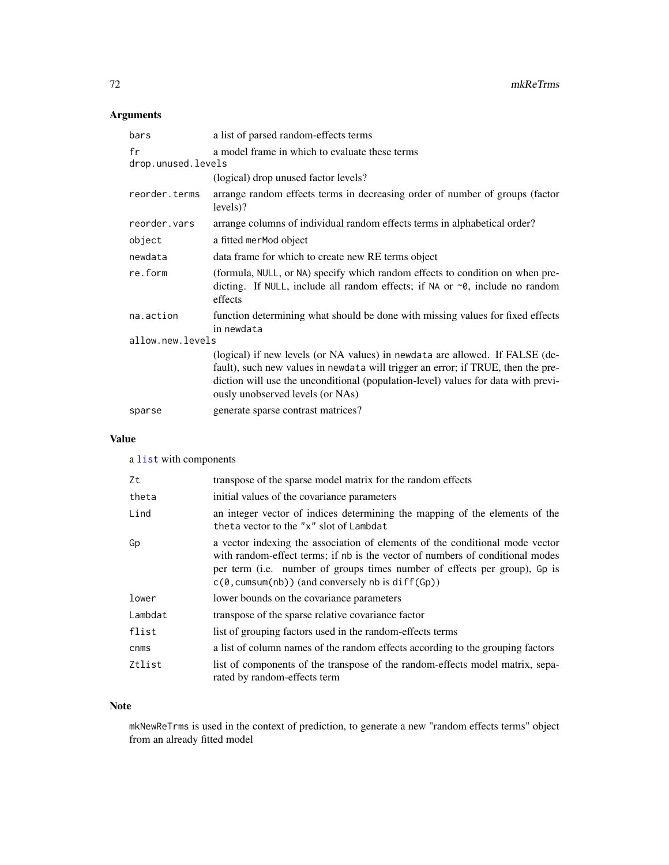# Arguments

| bars                     | a list of parsed random-effects terms                                                                                                                                                                                                                                                     |  |  |
|--------------------------|-------------------------------------------------------------------------------------------------------------------------------------------------------------------------------------------------------------------------------------------------------------------------------------------|--|--|
| fr<br>drop.unused.levels | a model frame in which to evaluate these terms                                                                                                                                                                                                                                            |  |  |
|                          | (logical) drop unused factor levels?                                                                                                                                                                                                                                                      |  |  |
| reorder.terms            | arrange random effects terms in decreasing order of number of groups (factor<br>levels)?                                                                                                                                                                                                  |  |  |
| reorder.vars             | arrange columns of individual random effects terms in alphabetical order?                                                                                                                                                                                                                 |  |  |
| object                   | a fitted merMod object                                                                                                                                                                                                                                                                    |  |  |
| newdata                  | data frame for which to create new RE terms object                                                                                                                                                                                                                                        |  |  |
| re.form                  | (formula, NULL, or NA) specify which random effects to condition on when pre-<br>dicting. If NULL, include all random effects; if NA or $\sim$ 0, include no random<br>effects                                                                                                            |  |  |
| na.action                | function determining what should be done with missing values for fixed effects<br>in newdata                                                                                                                                                                                              |  |  |
| allow.new.levels         |                                                                                                                                                                                                                                                                                           |  |  |
|                          | (logical) if new levels (or NA values) in newdata are allowed. If FALSE (de-<br>fault), such new values in newdata will trigger an error; if TRUE, then the pre-<br>diction will use the unconditional (population-level) values for data with previ-<br>ously unobserved levels (or NAs) |  |  |
| sparse                   | generate sparse contrast matrices?                                                                                                                                                                                                                                                        |  |  |

# Value

a [list](#page-0-0) with components

| Zt      | transpose of the sparse model matrix for the random effects                                                                                                                                                                                                                                                  |
|---------|--------------------------------------------------------------------------------------------------------------------------------------------------------------------------------------------------------------------------------------------------------------------------------------------------------------|
| theta   | initial values of the covariance parameters                                                                                                                                                                                                                                                                  |
| Lind    | an integer vector of indices determining the mapping of the elements of the<br>theta vector to the "x" slot of Lambdat                                                                                                                                                                                       |
| Gp      | a vector indexing the association of elements of the conditional mode vector<br>with random-effect terms; if nb is the vector of numbers of conditional modes<br>per term (i.e. number of groups times number of effects per group), Gp is<br>$c(\theta, \text{cumsum}(nb))$ (and conversely nb is diff(Gp)) |
| lower   | lower bounds on the covariance parameters                                                                                                                                                                                                                                                                    |
| Lambdat | transpose of the sparse relative covariance factor                                                                                                                                                                                                                                                           |
| flist   | list of grouping factors used in the random-effects terms                                                                                                                                                                                                                                                    |
| cnms    | a list of column names of the random effects according to the grouping factors                                                                                                                                                                                                                               |
| Ztlist  | list of components of the transpose of the random-effects model matrix, sepa-<br>rated by random-effects term                                                                                                                                                                                                |

# Note

mkNewReTrms is used in the context of prediction, to generate a new "random effects terms" object from an already fitted model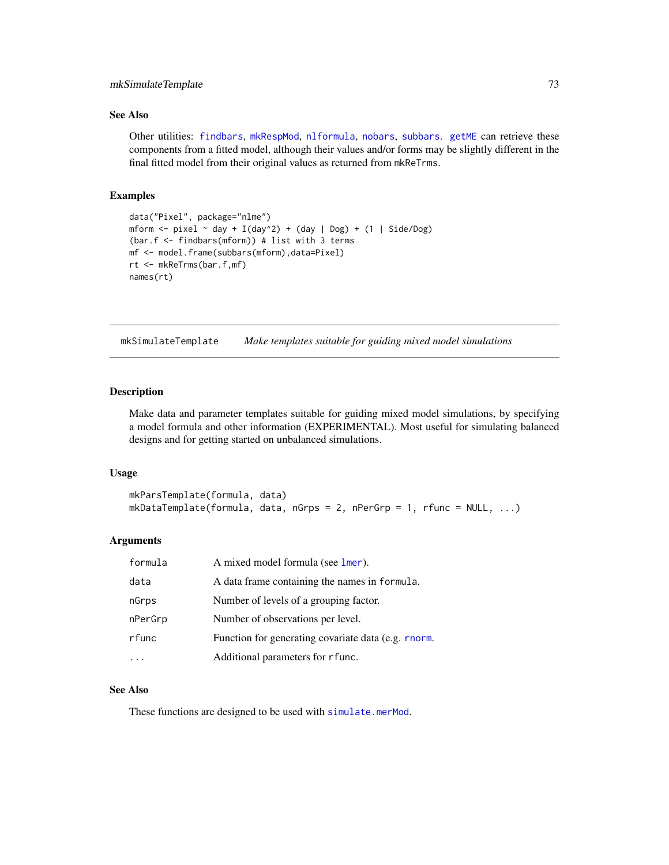## mkSimulateTemplate 73

# See Also

Other utilities: [findbars](#page-25-0), [mkRespMod](#page-70-0), [nlformula](#page-81-0), [nobars](#page-86-0), [subbars](#page-115-0). [getME](#page-28-0) can retrieve these components from a fitted model, although their values and/or forms may be slightly different in the final fitted model from their original values as returned from mkReTrms.

## Examples

```
data("Pixel", package="nlme")
mform \le pixel \sim day + I(day^2) + (day | Dog) + (1 | Side/Dog)
(bar.f <- findbars(mform)) # list with 3 terms
mf <- model.frame(subbars(mform),data=Pixel)
rt <- mkReTrms(bar.f,mf)
names(rt)
```
mkSimulateTemplate *Make templates suitable for guiding mixed model simulations*

### Description

Make data and parameter templates suitable for guiding mixed model simulations, by specifying a model formula and other information (EXPERIMENTAL). Most useful for simulating balanced designs and for getting started on unbalanced simulations.

#### Usage

```
mkParsTemplate(formula, data)
mkDataTemplate(formula, data, nGrps = 2, nPerGrp = 1, rfunc = NULL, ...)
```
### Arguments

| formula | A mixed model formula (see lmer).                   |
|---------|-----------------------------------------------------|
| data    | A data frame containing the names in formula.       |
| nGrps   | Number of levels of a grouping factor.              |
| nPerGrp | Number of observations per level.                   |
| rfunc   | Function for generating covariate data (e.g. rnorm. |
|         | Additional parameters for r func.                   |

# See Also

These functions are designed to be used with [simulate.merMod](#page-111-0).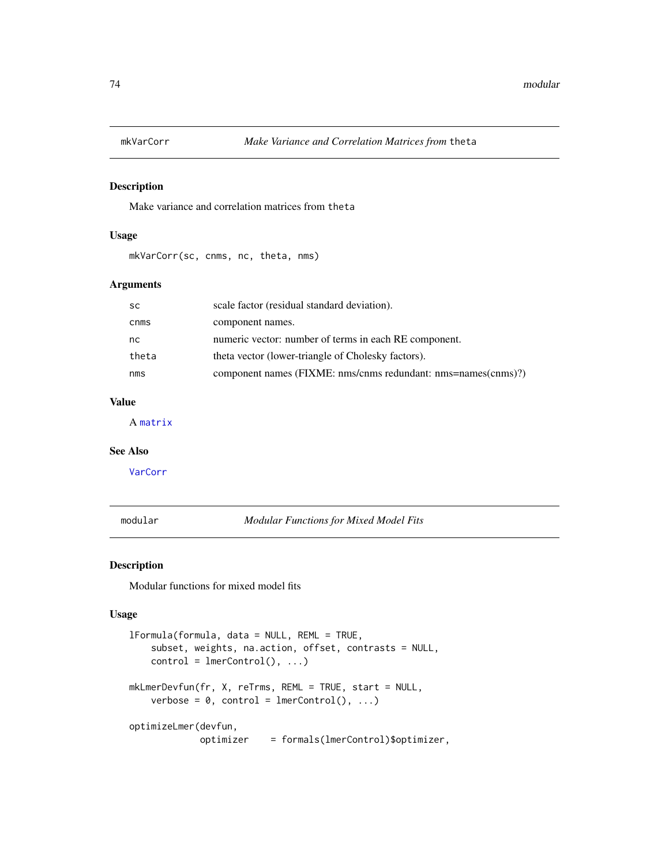# Description

Make variance and correlation matrices from theta

## Usage

mkVarCorr(sc, cnms, nc, theta, nms)

# Arguments

| <b>SC</b> | scale factor (residual standard deviation).                   |
|-----------|---------------------------------------------------------------|
| cnms      | component names.                                              |
| nc.       | numeric vector: number of terms in each RE component.         |
| theta     | theta vector (lower-triangle of Cholesky factors).            |
| nms       | component names (FIXME: nms/cnms redundant: nms=names(cnms)?) |

# Value

A [matrix](#page-0-0)

## See Also

[VarCorr](#page-117-0)

<span id="page-73-1"></span>modular *Modular Functions for Mixed Model Fits*

## <span id="page-73-0"></span>Description

Modular functions for mixed model fits

#### Usage

```
lFormula(formula, data = NULL, REML = TRUE,
    subset, weights, na.action, offset, contrasts = NULL,
    control = lmerControl(), ...)mkLmerDevfun(fr, X, reTrms, REML = TRUE, start = NULL,
   verbose = 0, control = lmerControl(), ...)
optimizeLmer(devfun,
            optimizer = formals(lmerControl)$optimizer,
```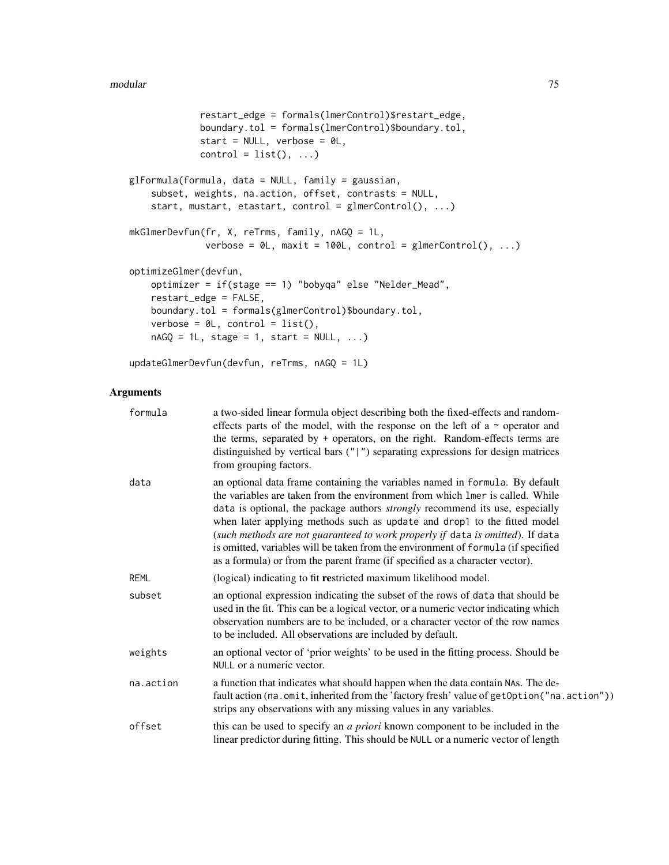```
restart_edge = formals(lmerControl)$restart_edge,
             boundary.tol = formals(lmerControl)$boundary.tol,
             start = NULL, verbose = OL,
             control = list(), ...)glFormula(formula, data = NULL, family = gaussian,
    subset, weights, na.action, offset, contrasts = NULL,
    start, mustart, etastart, control = glmerControl(), ...)
mkGlmerDevfun(fr, X, reTrms, family, nAGQ = 1L,
              verbose = \emptyset L, maxit = 100L, control = glmerControl(), ...)
optimizeGlmer(devfun,
    optimizer = if(stage == 1) "bobyqa" else "Nelder_Mead",
    restart_edge = FALSE,
   boundary.tol = formals(glmerControl)$boundary.tol,
    verbose = 0L, control = list(),
    nAGQ = 1L, stage = 1, start = NULL, ...)
```
updateGlmerDevfun(devfun, reTrms, nAGQ = 1L)

## Arguments

| formula     | a two-sided linear formula object describing both the fixed-effects and random-<br>effects parts of the model, with the response on the left of a $\sim$ operator and<br>the terms, separated by + operators, on the right. Random-effects terms are<br>distinguished by vertical bars $("  ")$ separating expressions for design matrices<br>from grouping factors.                                                                                                                                                                                                                    |
|-------------|-----------------------------------------------------------------------------------------------------------------------------------------------------------------------------------------------------------------------------------------------------------------------------------------------------------------------------------------------------------------------------------------------------------------------------------------------------------------------------------------------------------------------------------------------------------------------------------------|
| data        | an optional data frame containing the variables named in formula. By default<br>the variables are taken from the environment from which lmer is called. While<br>data is optional, the package authors <i>strongly</i> recommend its use, especially<br>when later applying methods such as update and drop1 to the fitted model<br>(such methods are not guaranteed to work properly if data is omitted). If data<br>is omitted, variables will be taken from the environment of formula (if specified<br>as a formula) or from the parent frame (if specified as a character vector). |
| <b>REML</b> | (logical) indicating to fit restricted maximum likelihood model.                                                                                                                                                                                                                                                                                                                                                                                                                                                                                                                        |
| subset      | an optional expression indicating the subset of the rows of data that should be<br>used in the fit. This can be a logical vector, or a numeric vector indicating which<br>observation numbers are to be included, or a character vector of the row names<br>to be included. All observations are included by default.                                                                                                                                                                                                                                                                   |
| weights     | an optional vector of 'prior weights' to be used in the fitting process. Should be<br>NULL or a numeric vector.                                                                                                                                                                                                                                                                                                                                                                                                                                                                         |
| na.action   | a function that indicates what should happen when the data contain NAs. The de-<br>fault action (na.omit, inherited from the 'factory fresh' value of getOption ("na.action"))<br>strips any observations with any missing values in any variables.                                                                                                                                                                                                                                                                                                                                     |
| offset      | this can be used to specify an <i>a priori</i> known component to be included in the<br>linear predictor during fitting. This should be NULL or a numeric vector of length                                                                                                                                                                                                                                                                                                                                                                                                              |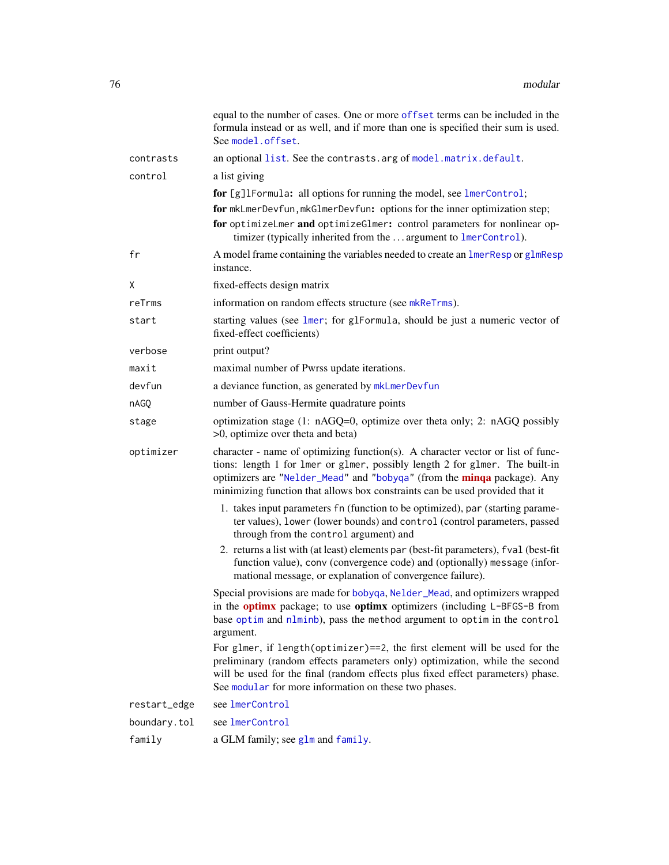|              | equal to the number of cases. One or more offset terms can be included in the<br>formula instead or as well, and if more than one is specified their sum is used.<br>See model.offset.                                                                                                                                     |
|--------------|----------------------------------------------------------------------------------------------------------------------------------------------------------------------------------------------------------------------------------------------------------------------------------------------------------------------------|
| contrasts    | an optional list. See the contrasts. arg of model. matrix. default.                                                                                                                                                                                                                                                        |
| control      | a list giving                                                                                                                                                                                                                                                                                                              |
|              | for [g]1Formula: all options for running the model, see lmerControl;<br>for mkLmerDevfun, mkGlmerDevfun: options for the inner optimization step;<br>for optimizeLmer and optimizeGlmer: control parameters for nonlinear op-<br>timizer (typically inherited from the  argument to lmerControl).                          |
| fr           | A model frame containing the variables needed to create an lmerResp or glmResp<br>instance.                                                                                                                                                                                                                                |
| X            | fixed-effects design matrix                                                                                                                                                                                                                                                                                                |
| reTrms       | information on random effects structure (see mkReTrms).                                                                                                                                                                                                                                                                    |
| start        | starting values (see lmer; for glFormula, should be just a numeric vector of<br>fixed-effect coefficients)                                                                                                                                                                                                                 |
| verbose      | print output?                                                                                                                                                                                                                                                                                                              |
| maxit        | maximal number of Pwrss update iterations.                                                                                                                                                                                                                                                                                 |
| devfun       | a deviance function, as generated by mkLmerDevfun                                                                                                                                                                                                                                                                          |
| nAGQ         | number of Gauss-Hermite quadrature points                                                                                                                                                                                                                                                                                  |
| stage        | optimization stage (1: nAGQ=0, optimize over theta only; 2: nAGQ possibly<br>>0, optimize over theta and beta)                                                                                                                                                                                                             |
| optimizer    | character - name of optimizing function(s). A character vector or list of func-<br>tions: length 1 for 1mer or g1mer, possibly length 2 for g1mer. The built-in<br>optimizers are "Nelder_Mead" and "bobyqa" (from the minqa package). Any<br>minimizing function that allows box constraints can be used provided that it |
|              | 1. takes input parameters fn (function to be optimized), par (starting parame-<br>ter values), lower (lower bounds) and control (control parameters, passed<br>through from the control argument) and                                                                                                                      |
|              | 2. returns a list with (at least) elements par (best-fit parameters), fval (best-fit<br>function value), conv (convergence code) and (optionally) message (infor-<br>mational message, or explanation of convergence failure).                                                                                             |
|              | Special provisions are made for bobyqa, Nelder_Mead, and optimizers wrapped<br>in the <b>optimx</b> package; to use <b>optimx</b> optimizers (including L-BFGS-B from<br>base optim and nlminb), pass the method argument to optim in the control<br>argument.                                                             |
|              | For glmer, if length(optimizer)==2, the first element will be used for the<br>preliminary (random effects parameters only) optimization, while the second<br>will be used for the final (random effects plus fixed effect parameters) phase.<br>See modular for more information on these two phases.                      |
| restart_edge | see lmerControl                                                                                                                                                                                                                                                                                                            |
| boundary.tol | see lmerControl                                                                                                                                                                                                                                                                                                            |
| family       | a GLM family; see glm and family.                                                                                                                                                                                                                                                                                          |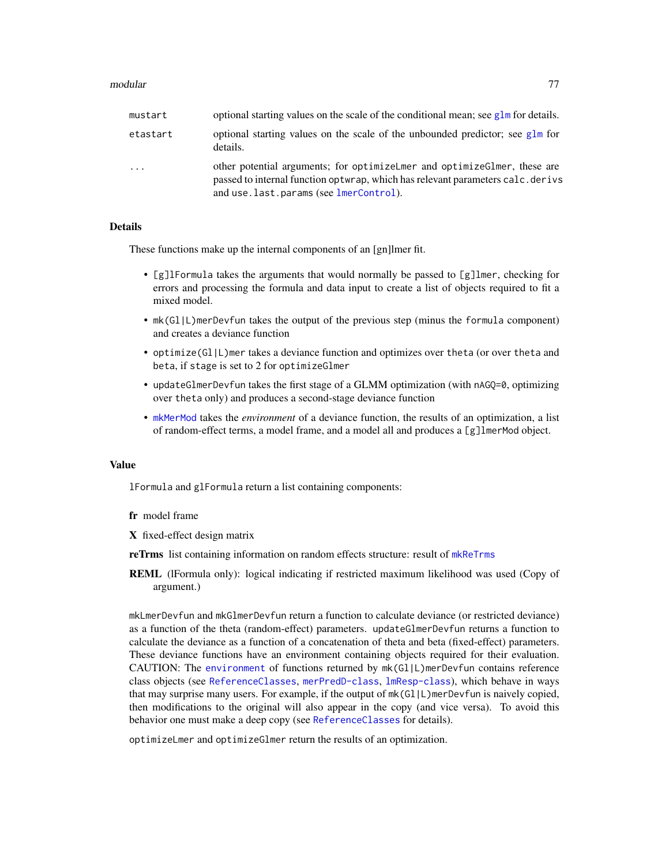#### modular 77

| mustart  | optional starting values on the scale of the conditional mean; see $g1m$ for details.                                                                                                                  |
|----------|--------------------------------------------------------------------------------------------------------------------------------------------------------------------------------------------------------|
| etastart | optional starting values on the scale of the unbounded predictor; see glm for<br>details.                                                                                                              |
| $\cdots$ | other potential arguments; for optimizelmer and optimize Glmer, these are<br>passed to internal function optwrap, which has relevant parameters calc. derivs<br>and use.last.params (see lmerControl). |

## Details

These functions make up the internal components of an [gn]lmer fit.

- [g]lFormula takes the arguments that would normally be passed to [g]lmer, checking for errors and processing the formula and data input to create a list of objects required to fit a mixed model.
- mk(Gl|L)merDevfun takes the output of the previous step (minus the formula component) and creates a deviance function
- optimize(Gl|L)mer takes a deviance function and optimizes over theta (or over theta and beta, if stage is set to 2 for optimizeGlmer
- updateGlmerDevfun takes the first stage of a GLMM optimization (with nAGQ=0, optimizing over theta only) and produces a second-stage deviance function
- [mkMerMod](#page-69-0) takes the *environment* of a deviance function, the results of an optimization, a list of random-effect terms, a model frame, and a model all and produces a [g]lmerMod object.

#### Value

lFormula and glFormula return a list containing components:

- fr model frame
- X fixed-effect design matrix
- reTrms list containing information on random effects structure: result of [mkReTrms](#page-70-1)
- REML (lFormula only): logical indicating if restricted maximum likelihood was used (Copy of argument.)

mkLmerDevfun and mkGlmerDevfun return a function to calculate deviance (or restricted deviance) as a function of the theta (random-effect) parameters. updateGlmerDevfun returns a function to calculate the deviance as a function of a concatenation of theta and beta (fixed-effect) parameters. These deviance functions have an environment containing objects required for their evaluation. CAUTION: The [environment](#page-0-0) of functions returned by mk(Gl|L)merDevfun contains reference class objects (see [ReferenceClasses](#page-0-0), [merPredD-class](#page-68-0), [lmResp-class](#page-62-0)), which behave in ways that may surprise many users. For example, if the output of mk(Gl|L)merDevfun is naively copied, then modifications to the original will also appear in the copy (and vice versa). To avoid this behavior one must make a deep copy (see [ReferenceClasses](#page-0-0) for details).

optimizeLmer and optimizeGlmer return the results of an optimization.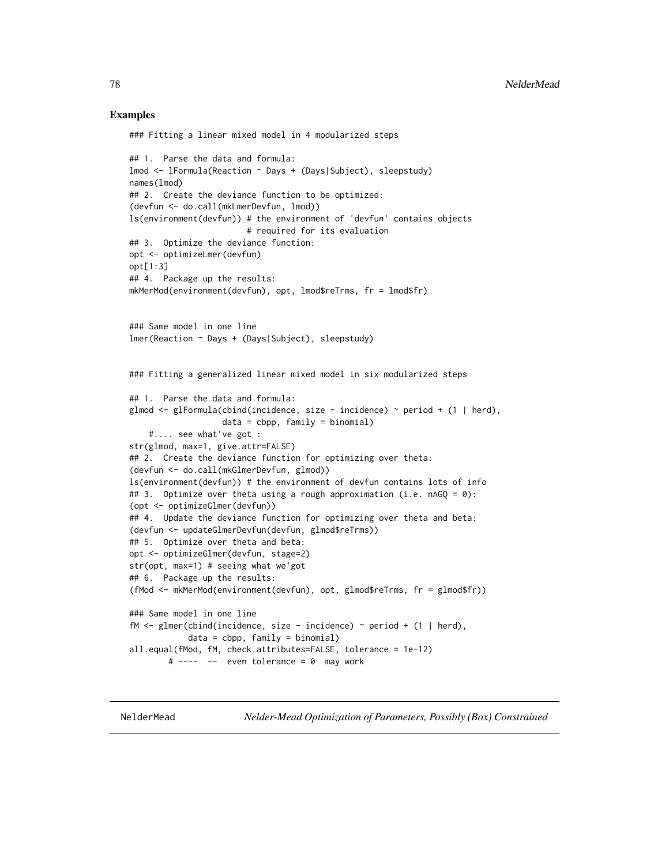## Examples

### Fitting a linear mixed model in 4 modularized steps

```
## 1. Parse the data and formula:
lmod <- lFormula(Reaction ~ Days + (Days|Subject), sleepstudy)
names(lmod)
## 2. Create the deviance function to be optimized:
(devfun <- do.call(mkLmerDevfun, lmod))
ls(environment(devfun)) # the environment of 'devfun' contains objects
                        # required for its evaluation
## 3. Optimize the deviance function:
opt <- optimizeLmer(devfun)
opt[1:3]
## 4. Package up the results:
mkMerMod(environment(devfun), opt, lmod$reTrms, fr = lmod$fr)
### Same model in one line
lmer(Reaction ~ Days + (Days|Subject), sleepstudy)
### Fitting a generalized linear mixed model in six modularized steps
## 1. Parse the data and formula:
glmod \leq glFormula(cbind(incidence, size - incidence) \sim period + (1 | herd),
                   data = cbpp, family = binomial)
    #.... see what've got :
str(glmod, max=1, give.attr=FALSE)
## 2. Create the deviance function for optimizing over theta:
(devfun <- do.call(mkGlmerDevfun, glmod))
ls(environment(devfun)) # the environment of devfun contains lots of info
## 3. Optimize over theta using a rough approximation (i.e. nAGQ = 0):
(opt <- optimizeGlmer(devfun))
## 4. Update the deviance function for optimizing over theta and beta:
(devfun <- updateGlmerDevfun(devfun, glmod$reTrms))
## 5. Optimize over theta and beta:
opt <- optimizeGlmer(devfun, stage=2)
str(opt, max=1) # seeing what we'got
## 6. Package up the results:
(fMod <- mkMerMod(environment(devfun), opt, glmod$reTrms, fr = glmod$fr))
### Same model in one line
fM \leq glmer(cbind(incidence, size - incidence) \approx period + (1 | herd),data = cbpp, family = binomial)
all.equal(fMod, fM, check.attributes=FALSE, tolerance = 1e-12)
        # ---- -- even tolerance = 0 may work
```
<span id="page-77-0"></span>

NelderMead *Nelder-Mead Optimization of Parameters, Possibly (Box) Constrained*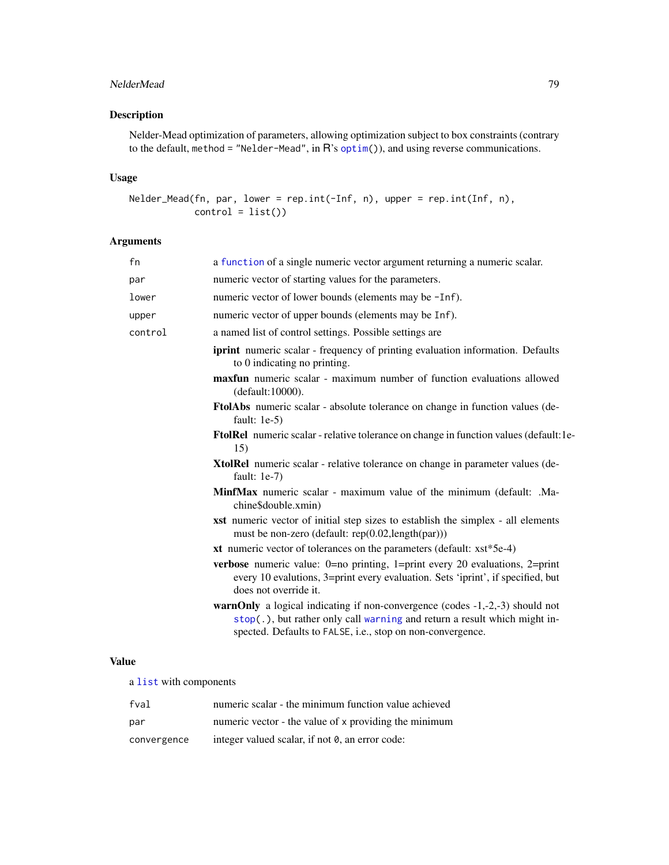# NelderMead 79

# Description

Nelder-Mead optimization of parameters, allowing optimization subject to box constraints (contrary to the default, method = "Nelder-Mead", in R's [optim\(](#page-0-0))), and using reverse communications.

## Usage

```
Nelder_Mead(fn, par, lower = rep.int(-Inf, n), upper = rep.int(Inf, n),
           control = list()
```
# Arguments

| fn      | a function of a single numeric vector argument returning a numeric scalar.                                                                                                                                                          |
|---------|-------------------------------------------------------------------------------------------------------------------------------------------------------------------------------------------------------------------------------------|
| par     | numeric vector of starting values for the parameters.                                                                                                                                                                               |
| lower   | numeric vector of lower bounds (elements may be -Inf).                                                                                                                                                                              |
| upper   | numeric vector of upper bounds (elements may be Inf).                                                                                                                                                                               |
| control | a named list of control settings. Possible settings are                                                                                                                                                                             |
|         | <b>iprint</b> numeric scalar - frequency of printing evaluation information. Defaults<br>to 0 indicating no printing.                                                                                                               |
|         | maxfun numeric scalar - maximum number of function evaluations allowed<br>(default:10000).                                                                                                                                          |
|         | <b>FtolAbs</b> numeric scalar - absolute tolerance on change in function values (de-<br>fault: $1e-5$ )                                                                                                                             |
|         | <b>FtolRel</b> numeric scalar - relative tolerance on change in function values (default: le-<br>15)                                                                                                                                |
|         | XtolRel numeric scalar - relative tolerance on change in parameter values (de-<br>fault: $1e-7$ )                                                                                                                                   |
|         | <b>MinfMax</b> numeric scalar - maximum value of the minimum (default: .Ma-<br>chine\$double.xmin)                                                                                                                                  |
|         | <b>xst</b> numeric vector of initial step sizes to establish the simplex - all elements<br>must be non-zero (default: rep(0.02,length(par)))                                                                                        |
|         | xt numeric vector of tolerances on the parameters (default: $xst*5e-4$ )                                                                                                                                                            |
|         | <b>verbose</b> numeric value: $0=$ no printing, $1=$ print every 20 evaluations, $2=$ print<br>every 10 evalutions, 3=print every evaluation. Sets 'iprint', if specified, but<br>does not override it.                             |
|         | <b>warnOnly</b> a logical indicating if non-convergence (codes $-1, -2, -3$ ) should not<br>stop(.), but rather only call warning and return a result which might in-<br>spected. Defaults to FALSE, i.e., stop on non-convergence. |
|         |                                                                                                                                                                                                                                     |

# Value

a [list](#page-0-0) with components

| fval        | numeric scalar - the minimum function value achieved  |
|-------------|-------------------------------------------------------|
| par         | numeric vector - the value of x providing the minimum |
| convergence | integer valued scalar, if not 0, an error code:       |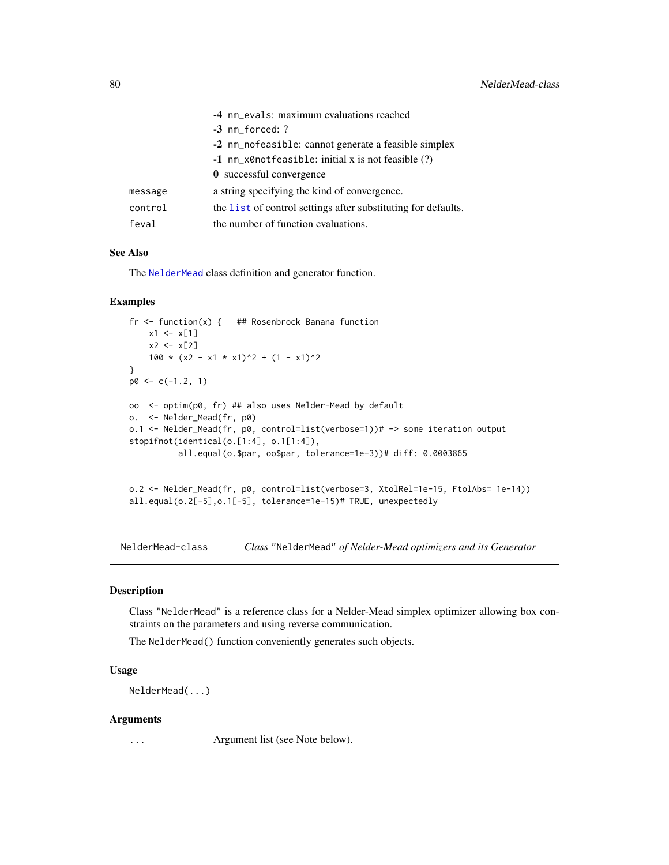|         | -4 nm_evals: maximum evaluations reached                      |
|---------|---------------------------------------------------------------|
|         | $-3$ nm forced: ?                                             |
|         | -2 nm_nofeasible: cannot generate a feasible simplex          |
|         | $-1$ nm_x0notfeasible: initial x is not feasible (?)          |
|         | 0 successful convergence                                      |
| message | a string specifying the kind of convergence.                  |
| control | the list of control settings after substituting for defaults. |
| feval   | the number of function evaluations.                           |

# See Also

The [NelderMead](#page-79-0) class definition and generator function.

#### Examples

```
fr \leq function(x) { ## Rosenbrock Banana function
   x1 \leq x[1]x2 < - x[2]100 * (x2 - x1 * x1)^2 + (1 - x1)^2
}
p0 \leq -c(-1.2, 1)oo <- optim(p0, fr) ## also uses Nelder-Mead by default
o. <- Nelder_Mead(fr, p0)
o.1 <- Nelder_Mead(fr, p0, control=list(verbose=1))# -> some iteration output
stopifnot(identical(o.[1:4], o.1[1:4]),
          all.equal(o.$par, oo$par, tolerance=1e-3))# diff: 0.0003865
o.2 <- Nelder_Mead(fr, p0, control=list(verbose=3, XtolRel=1e-15, FtolAbs= 1e-14))
all.equal(o.2[-5],o.1[-5], tolerance=1e-15)# TRUE, unexpectedly
```
<span id="page-79-0"></span>NelderMead-class *Class* "NelderMead" *of Nelder-Mead optimizers and its Generator*

#### Description

Class "NelderMead" is a reference class for a Nelder-Mead simplex optimizer allowing box constraints on the parameters and using reverse communication.

The NelderMead() function conveniently generates such objects.

#### Usage

NelderMead(...)

#### Arguments

... Argument list (see Note below).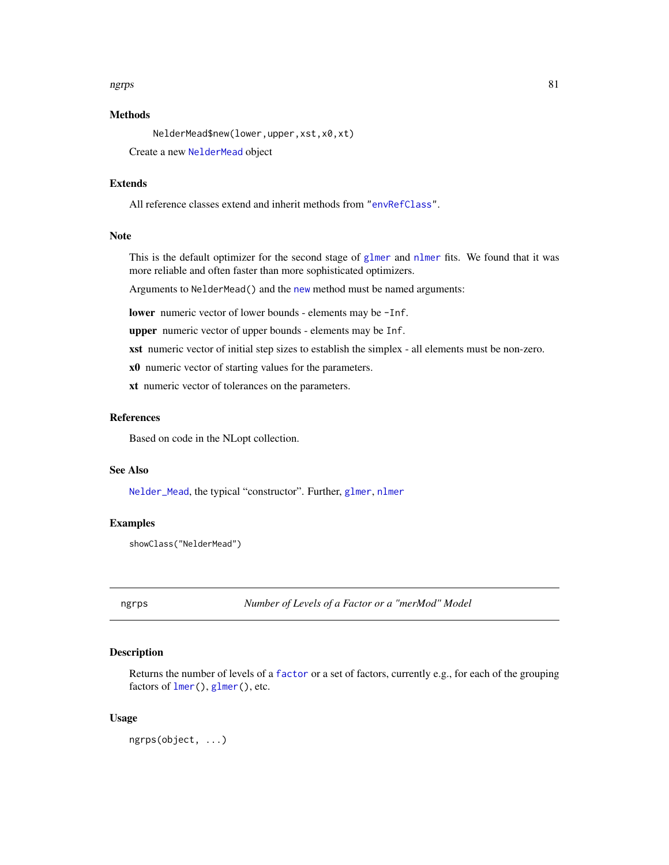## ngrps 81

# Methods

NelderMead\$new(lower,upper,xst,x0,xt)

Create a new [NelderMead](#page-79-0) object

# Extends

All reference classes extend and inherit methods from ["envRefClass"](#page-0-0).

### Note

This is the default optimizer for the second stage of [glmer](#page-32-0) and [nlmer](#page-82-0) fits. We found that it was more reliable and often faster than more sophisticated optimizers.

Arguments to NelderMead() and the [new](#page-0-0) method must be named arguments:

lower numeric vector of lower bounds - elements may be -Inf.

upper numeric vector of upper bounds - elements may be Inf.

xst numeric vector of initial step sizes to establish the simplex - all elements must be non-zero.

x0 numeric vector of starting values for the parameters.

xt numeric vector of tolerances on the parameters.

### References

Based on code in the NLopt collection.

## See Also

[Nelder\\_Mead](#page-77-0), the typical "constructor". Further, [glmer](#page-32-0), [nlmer](#page-82-0)

# Examples

showClass("NelderMead")

<span id="page-80-0"></span>ngrps *Number of Levels of a Factor or a "merMod" Model*

# Description

Returns the number of levels of a [factor](#page-0-0) or a set of factors, currently e.g., for each of the grouping factors of [lmer\(](#page-50-0)), [glmer\(](#page-32-0)), etc.

### Usage

ngrps(object, ...)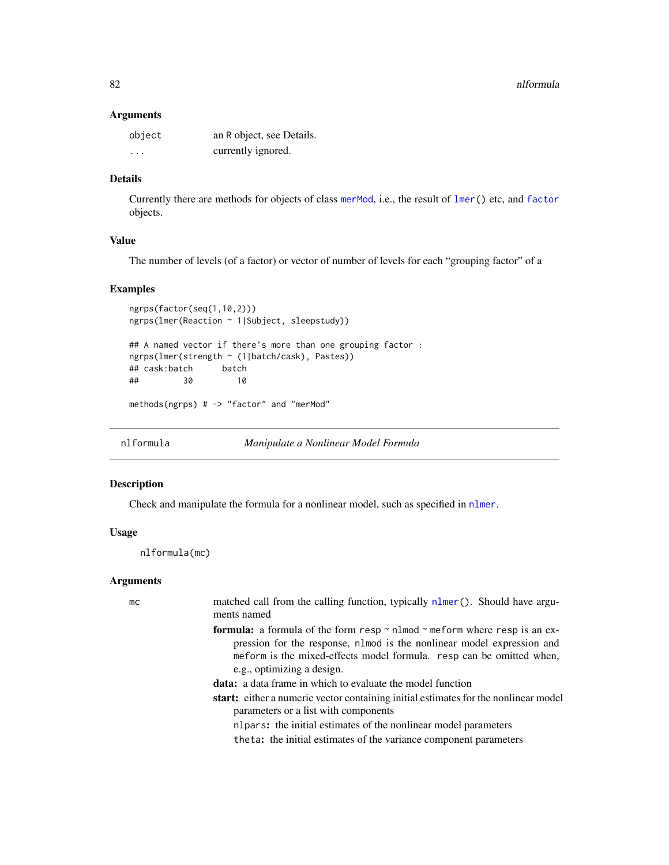#### **Arguments**

| object                  | an R object, see Details. |
|-------------------------|---------------------------|
| $\cdot$ $\cdot$ $\cdot$ | currently ignored.        |

# Details

Currently there are methods for objects of class [merMod](#page-63-0), i.e., the result of [lmer\(](#page-50-0)) etc, and [factor](#page-0-0) objects.

# Value

The number of levels (of a factor) or vector of number of levels for each "grouping factor" of a

## Examples

```
ngrps(factor(seq(1,10,2)))
ngrps(lmer(Reaction ~ 1|Subject, sleepstudy))
## A named vector if there's more than one grouping factor :
ngrps(lmer(strength ~ (1|batch/cask), Pastes))
## cask:batch batch
## 30 10
methods(ngrps) # -> "factor" and "merMod"
```
<span id="page-81-0"></span>nlformula *Manipulate a Nonlinear Model Formula*

### Description

Check and manipulate the formula for a nonlinear model, such as specified in [nlmer](#page-82-0).

## Usage

nlformula(mc)

#### Arguments

mc matched call from the calling function, typically [nlmer\(](#page-82-0)). Should have arguments named

- formula: a formula of the form resp  $\sim$  nlmod  $\sim$  meform where resp is an expression for the response, nlmod is the nonlinear model expression and meform is the mixed-effects model formula. resp can be omitted when, e.g., optimizing a design.
- data: a data frame in which to evaluate the model function
- start: either a numeric vector containing initial estimates for the nonlinear model parameters or a list with components
	- nlpars: the initial estimates of the nonlinear model parameters
	- theta: the initial estimates of the variance component parameters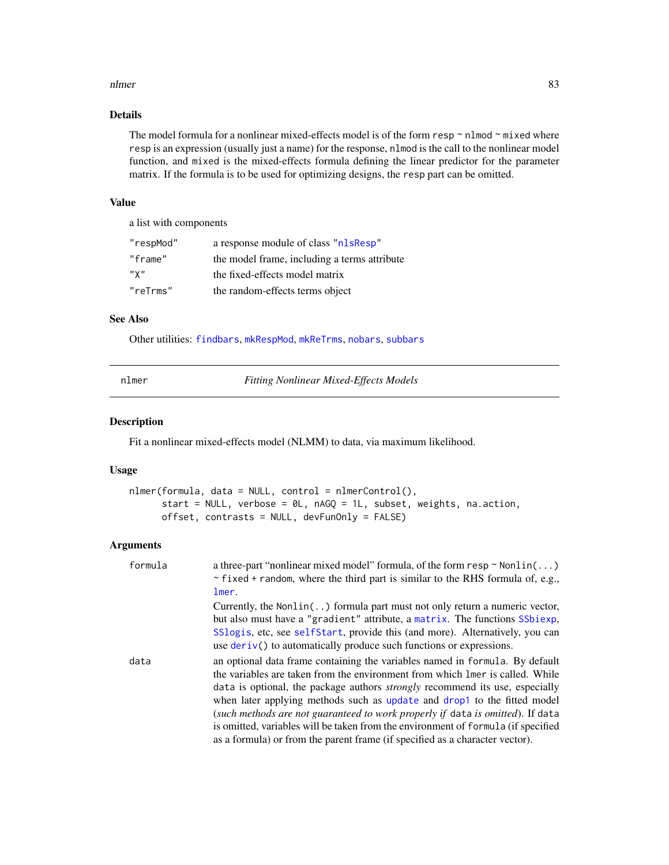#### nlmer 83

# Details

The model formula for a nonlinear mixed-effects model is of the form resp  $\sim$  nlmod  $\sim$  mixed where resp is an expression (usually just a name) for the response, nlmod is the call to the nonlinear model function, and mixed is the mixed-effects formula defining the linear predictor for the parameter matrix. If the formula is to be used for optimizing designs, the resp part can be omitted.

# Value

a list with components

| "respMod" | a response module of class "nlsResp"         |
|-----------|----------------------------------------------|
| "frame"   | the model frame, including a terms attribute |
| $"$ Y $"$ | the fixed-effects model matrix               |
| "reTrms"  | the random-effects terms object              |

# See Also

Other utilities: [findbars](#page-25-0), [mkRespMod](#page-70-0), [mkReTrms](#page-70-1), [nobars](#page-86-0), [subbars](#page-115-0)

<span id="page-82-0"></span>

| nıme |
|------|
|      |

 $Fitting$  *Nonlinear Mixed-Effects Models* 

## Description

Fit a nonlinear mixed-effects model (NLMM) to data, via maximum likelihood.

## Usage

```
nlmer(formula, data = NULL, control = nlmerControl(),
      start = NULL, verbose = \thetaL, nAGQ = 1L, subset, weights, na.action,
      offset, contrasts = NULL, devFunOnly = FALSE)
```
## Arguments

| formula | a three-part "nonlinear mixed model" formula, of the form $resp ~ Nonlin( \dots )$<br>$\sim$ fixed + random, where the third part is similar to the RHS formula of, e.g.,<br>lmer.                                                                                                                                                                                                                                                                                                                                                                                                      |
|---------|-----------------------------------------------------------------------------------------------------------------------------------------------------------------------------------------------------------------------------------------------------------------------------------------------------------------------------------------------------------------------------------------------------------------------------------------------------------------------------------------------------------------------------------------------------------------------------------------|
|         | Currently, the Non $\text{lin}(\ldots)$ formula part must not only return a numeric vector,<br>but also must have a "gradient" attribute, a matrix. The functions SSbiexp,<br>SSlogis, etc, see self Start, provide this (and more). Alternatively, you can<br>use $deriv()$ to automatically produce such functions or expressions.                                                                                                                                                                                                                                                    |
| data    | an optional data frame containing the variables named in formula. By default<br>the variables are taken from the environment from which lmer is called. While<br>data is optional, the package authors <i>strongly</i> recommend its use, especially<br>when later applying methods such as update and drop1 to the fitted model<br>(such methods are not guaranteed to work properly if data is omitted). If data<br>is omitted, variables will be taken from the environment of formula (if specified<br>as a formula) or from the parent frame (if specified as a character vector). |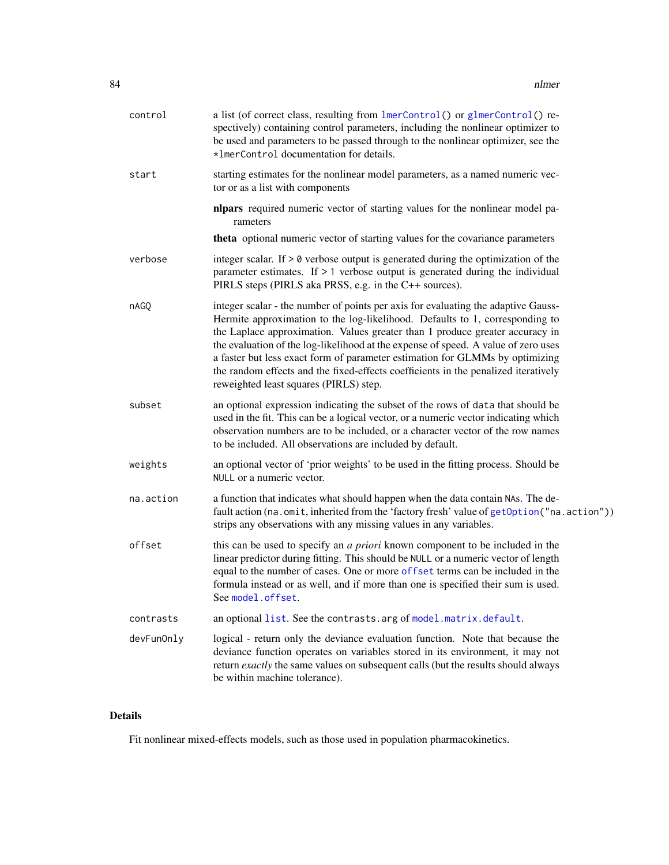| control    | a list (of correct class, resulting from lmerControl() or glmerControl() re-<br>spectively) containing control parameters, including the nonlinear optimizer to<br>be used and parameters to be passed through to the nonlinear optimizer, see the<br>*1merControl documentation for details.                                                                                                                                                                                                                                                           |
|------------|---------------------------------------------------------------------------------------------------------------------------------------------------------------------------------------------------------------------------------------------------------------------------------------------------------------------------------------------------------------------------------------------------------------------------------------------------------------------------------------------------------------------------------------------------------|
| start      | starting estimates for the nonlinear model parameters, as a named numeric vec-<br>tor or as a list with components                                                                                                                                                                                                                                                                                                                                                                                                                                      |
|            | nlpars required numeric vector of starting values for the nonlinear model pa-<br>rameters                                                                                                                                                                                                                                                                                                                                                                                                                                                               |
|            | theta optional numeric vector of starting values for the covariance parameters                                                                                                                                                                                                                                                                                                                                                                                                                                                                          |
| verbose    | integer scalar. If $> 0$ verbose output is generated during the optimization of the<br>parameter estimates. If $> 1$ verbose output is generated during the individual<br>PIRLS steps (PIRLS aka PRSS, e.g. in the C++ sources).                                                                                                                                                                                                                                                                                                                        |
| nAGQ       | integer scalar - the number of points per axis for evaluating the adaptive Gauss-<br>Hermite approximation to the log-likelihood. Defaults to 1, corresponding to<br>the Laplace approximation. Values greater than 1 produce greater accuracy in<br>the evaluation of the log-likelihood at the expense of speed. A value of zero uses<br>a faster but less exact form of parameter estimation for GLMMs by optimizing<br>the random effects and the fixed-effects coefficients in the penalized iteratively<br>reweighted least squares (PIRLS) step. |
| subset     | an optional expression indicating the subset of the rows of data that should be<br>used in the fit. This can be a logical vector, or a numeric vector indicating which<br>observation numbers are to be included, or a character vector of the row names<br>to be included. All observations are included by default.                                                                                                                                                                                                                                   |
| weights    | an optional vector of 'prior weights' to be used in the fitting process. Should be<br>NULL or a numeric vector.                                                                                                                                                                                                                                                                                                                                                                                                                                         |
| na.action  | a function that indicates what should happen when the data contain NAs. The de-<br>fault action (na.omit, inherited from the 'factory fresh' value of getOption ("na.action"))<br>strips any observations with any missing values in any variables.                                                                                                                                                                                                                                                                                                     |
| offset     | this can be used to specify an <i>a priori</i> known component to be included in the<br>linear predictor during fitting. This should be NULL or a numeric vector of length<br>equal to the number of cases. One or more offset terms can be included in the<br>formula instead or as well, and if more than one is specified their sum is used.<br>See model.offset.                                                                                                                                                                                    |
| contrasts  | an optional list. See the contrasts. arg of model. matrix. default.                                                                                                                                                                                                                                                                                                                                                                                                                                                                                     |
| devFunOnly | logical - return only the deviance evaluation function. Note that because the<br>deviance function operates on variables stored in its environment, it may not<br>return exactly the same values on subsequent calls (but the results should always<br>be within machine tolerance).                                                                                                                                                                                                                                                                    |

# Details

Fit nonlinear mixed-effects models, such as those used in population pharmacokinetics.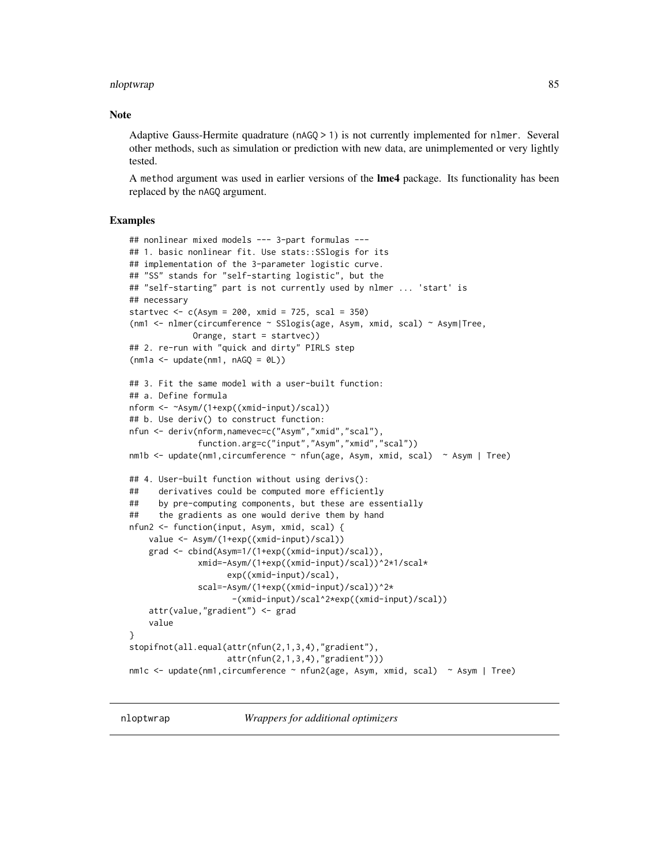#### nloptwrap 85

## Note

Adaptive Gauss-Hermite quadrature (nAGQ > 1) is not currently implemented for nlmer. Several other methods, such as simulation or prediction with new data, are unimplemented or very lightly tested.

A method argument was used in earlier versions of the **lme4** package. Its functionality has been replaced by the nAGQ argument.

# Examples

```
## nonlinear mixed models --- 3-part formulas ---
## 1. basic nonlinear fit. Use stats::SSlogis for its
## implementation of the 3-parameter logistic curve.
## "SS" stands for "self-starting logistic", but the
## "self-starting" part is not currently used by nlmer ... 'start' is
## necessary
startvec <-c(Asym = 200, xmid = 725, scal = 350)(nm1 <- nlmer(circumference ~ SSlogis(age, Asym, xmid, scal) ~ Asym|Tree,
            Orange, start = startvec))
## 2. re-run with "quick and dirty" PIRLS step
(mna \leftarrow update(mn1, nAGQ = 0L))## 3. Fit the same model with a user-built function:
## a. Define formula
nform <- ~Asym/(1+exp((xmid-input)/scal))
## b. Use deriv() to construct function:
nfun <- deriv(nform,namevec=c("Asym","xmid","scal"),
              function.arg=c("input","Asym","xmid","scal"))
nm1b <- update(nm1,circumference ~ nfun(age, Asym, xmid, scal) ~ Asym | Tree)
## 4. User-built function without using derivs():
## derivatives could be computed more efficiently
## by pre-computing components, but these are essentially
## the gradients as one would derive them by hand
nfun2 <- function(input, Asym, xmid, scal) {
   value <- Asym/(1+exp((xmid-input)/scal))
    grad <- cbind(Asym=1/(1+exp((xmid-input)/scal)),
              xmid=-Asym/(1+exp((xmid-input)/scal))^2*1/scal*
                    exp((xmid-input)/scal),
              scal=-Asym/(1+exp((xmid-input)/scal))^2*
                     -(xmid-input)/scal^2*exp((xmid-input)/scal))
    attr(value,"gradient") <- grad
    value
}
stopifnot(all.equal(attr(nfun(2,1,3,4),"gradient"),
                    attr(nfun(2,1,3,4),"gradient")))
nm1c <- update(nm1,circumference ~ nfun2(age, Asym, xmid, scal) ~ Asym | Tree)
```
nloptwrap *Wrappers for additional optimizers*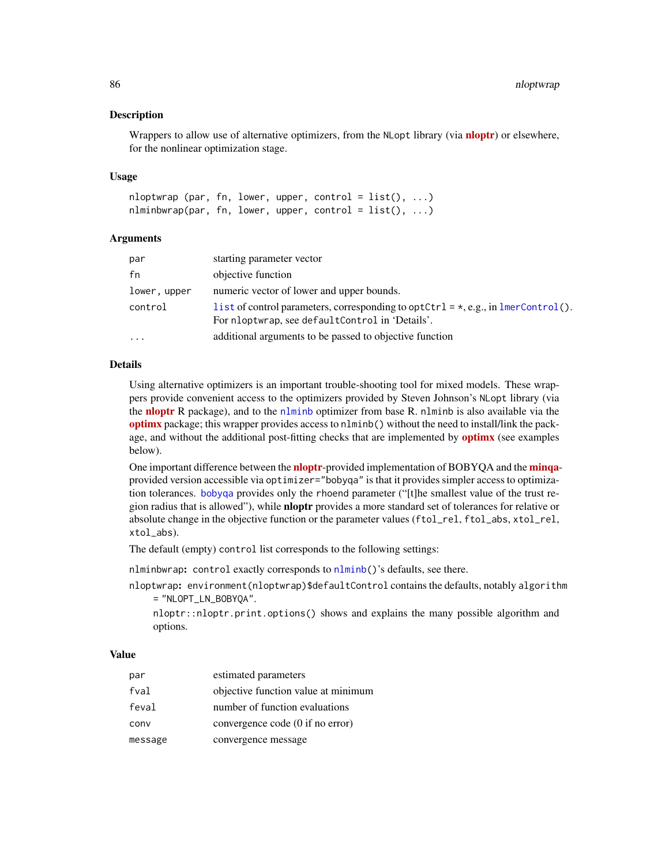#### Description

Wrappers to allow use of alternative optimizers, from the NLopt library (via **[nloptr](https://CRAN.R-project.org/package=nloptr)**) or elsewhere, for the nonlinear optimization stage.

### Usage

nloptwrap (par, fn, lower, upper, control =  $list(), ...)$ nlminbwrap(par, fn, lower, upper, control =  $list()$ , ...)

#### Arguments

| par          | starting parameter vector                                                                                                                    |
|--------------|----------------------------------------------------------------------------------------------------------------------------------------------|
| fn           | objective function                                                                                                                           |
| lower, upper | numeric vector of lower and upper bounds.                                                                                                    |
| control      | l ist of control parameters, corresponding to optCtrl = $\star$ , e.g., in lmerControl().<br>For nloptwrap, see defaultControl in 'Details'. |
| $\cdot$      | additional arguments to be passed to objective function                                                                                      |

## Details

Using alternative optimizers is an important trouble-shooting tool for mixed models. These wrappers provide convenient access to the optimizers provided by Steven Johnson's NLopt library (via the [nloptr](https://CRAN.R-project.org/package=nloptr) R package), and to the [nlminb](#page-0-0) optimizer from base R. nlminb is also available via the [optimx](https://CRAN.R-project.org/package=optimx) package; this wrapper provides access to nlminb() without the need to install/link the package, and without the additional post-fitting checks that are implemented by **[optimx](https://CRAN.R-project.org/package=optimx)** (see examples below).

One important difference between the **[nloptr](https://CRAN.R-project.org/package=nloptr)**-provided implementation of BOBYQA and the **[minqa](https://CRAN.R-project.org/package=minqa)**provided version accessible via optimizer="bobyqa" is that it provides simpler access to optimization tolerances. [bobyqa](#page-0-0) provides only the rhoend parameter ("[t]he smallest value of the trust region radius that is allowed"), while **nloptr** provides a more standard set of tolerances for relative or absolute change in the objective function or the parameter values (ftol\_rel, ftol\_abs, xtol\_rel, xtol\_abs).

The default (empty) control list corresponds to the following settings:

nlminbwrap: control exactly corresponds to [nlminb\(](#page-0-0))'s defaults, see there.

nloptwrap: environment(nloptwrap)\$defaultControl contains the defaults, notably algorithm = "NLOPT\_LN\_BOBYQA".

nloptr::nloptr.print.options() shows and explains the many possible algorithm and options.

# Value

| par     | estimated parameters                |
|---------|-------------------------------------|
| fval    | objective function value at minimum |
| feval   | number of function evaluations      |
| conv    | convergence code (0 if no error)    |
| message | convergence message                 |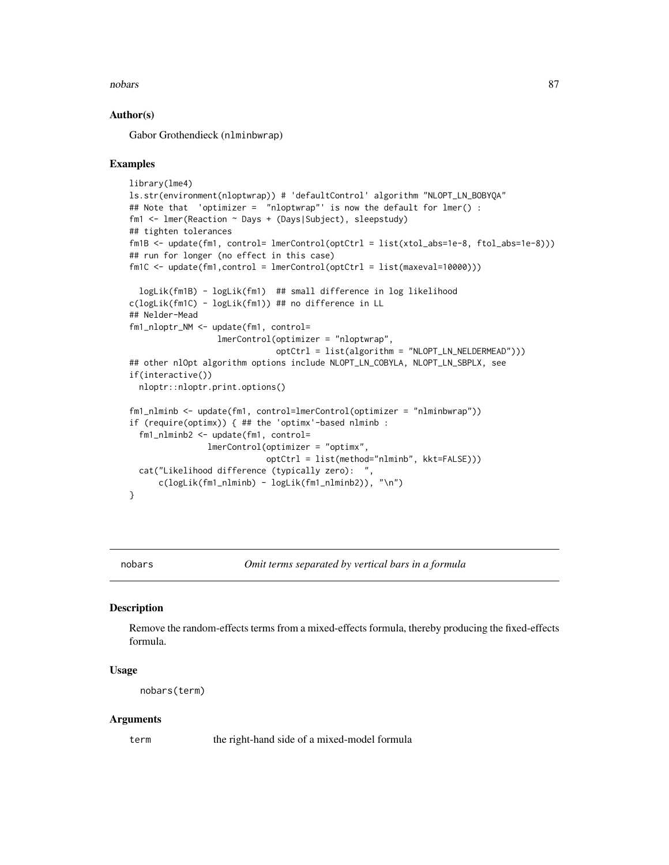#### nobars 87

## Author(s)

Gabor Grothendieck (nlminbwrap)

## Examples

```
library(lme4)
ls.str(environment(nloptwrap)) # 'defaultControl' algorithm "NLOPT_LN_BOBYQA"
## Note that 'optimizer = "nloptwrap"' is now the default for lmer() :
fm1 <- lmer(Reaction ~ Days + (Days|Subject), sleepstudy)
## tighten tolerances
fm1B <- update(fm1, control= lmerControl(optCtrl = list(xtol_abs=1e-8, ftol_abs=1e-8)))
## run for longer (no effect in this case)
fm1C \leq update(fm1,control = lmerControl(optCtrl = list(maxeval=10000)))logLik(fm1B) - logLik(fm1) ## small difference in log likelihood
c(logLik(fm1C) - logLik(fm1)) ## no difference in LL
## Nelder-Mead
fm1_nloptr_NM <- update(fm1, control=
                  lmerControl(optimizer = "nloptwrap",
                              optCtrl = list(algorithm = "NLOPT_LN_NELDERMEAD")))
## other nlOpt algorithm options include NLOPT_LN_COBYLA, NLOPT_LN_SBPLX, see
if(interactive())
 nloptr::nloptr.print.options()
fm1_nlminb <- update(fm1, control=lmerControl(optimizer = "nlminbwrap"))
if (require(optimx)) { ## the 'optimx'-based nlminb :
 fm1_nlminb2 <- update(fm1, control=
                lmerControl(optimizer = "optimx",
                            optCtrl = list(method="nlminb", kkt=FALSE)))
 cat("Likelihood difference (typically zero): "
     c(logLik(fm1_nlminb) - logLik(fm1_nlminb2)), "\n")
}
```
<span id="page-86-0"></span>

nobars *Omit terms separated by vertical bars in a formula*

#### Description

Remove the random-effects terms from a mixed-effects formula, thereby producing the fixed-effects formula.

## Usage

```
nobars(term)
```
#### Arguments

term the right-hand side of a mixed-model formula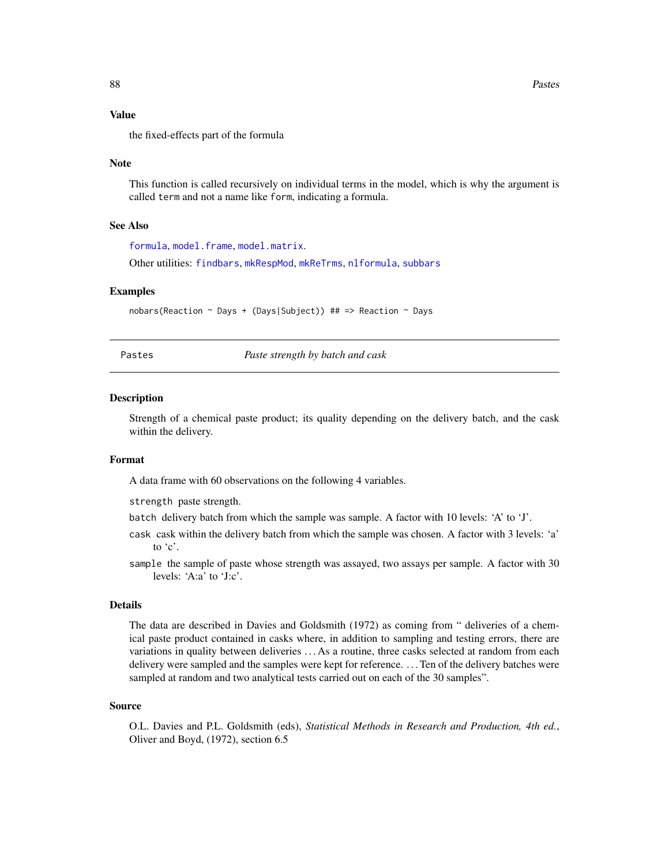#### Value

the fixed-effects part of the formula

#### Note

This function is called recursively on individual terms in the model, which is why the argument is called term and not a name like form, indicating a formula.

## See Also

[formula](#page-0-0), [model.frame](#page-0-0), [model.matrix](#page-0-0). Other utilities: [findbars](#page-25-0), [mkRespMod](#page-70-0), [mkReTrms](#page-70-1), [nlformula](#page-81-0), [subbars](#page-115-0)

#### Examples

nobars(Reaction ~ Days + (Days|Subject)) ## => Reaction ~ Days

Pastes *Paste strength by batch and cask*

#### **Description**

Strength of a chemical paste product; its quality depending on the delivery batch, and the cask within the delivery.

### Format

A data frame with 60 observations on the following 4 variables.

strength paste strength.

- batch delivery batch from which the sample was sample. A factor with 10 levels: 'A' to 'J'.
- cask cask within the delivery batch from which the sample was chosen. A factor with 3 levels: 'a' to 'c'.
- sample the sample of paste whose strength was assayed, two assays per sample. A factor with 30 levels: 'A:a' to 'J:c'.

#### Details

The data are described in Davies and Goldsmith (1972) as coming from " deliveries of a chemical paste product contained in casks where, in addition to sampling and testing errors, there are variations in quality between deliveries . . . As a routine, three casks selected at random from each delivery were sampled and the samples were kept for reference. . . . Ten of the delivery batches were sampled at random and two analytical tests carried out on each of the 30 samples".

#### Source

O.L. Davies and P.L. Goldsmith (eds), *Statistical Methods in Research and Production, 4th ed.*, Oliver and Boyd, (1972), section 6.5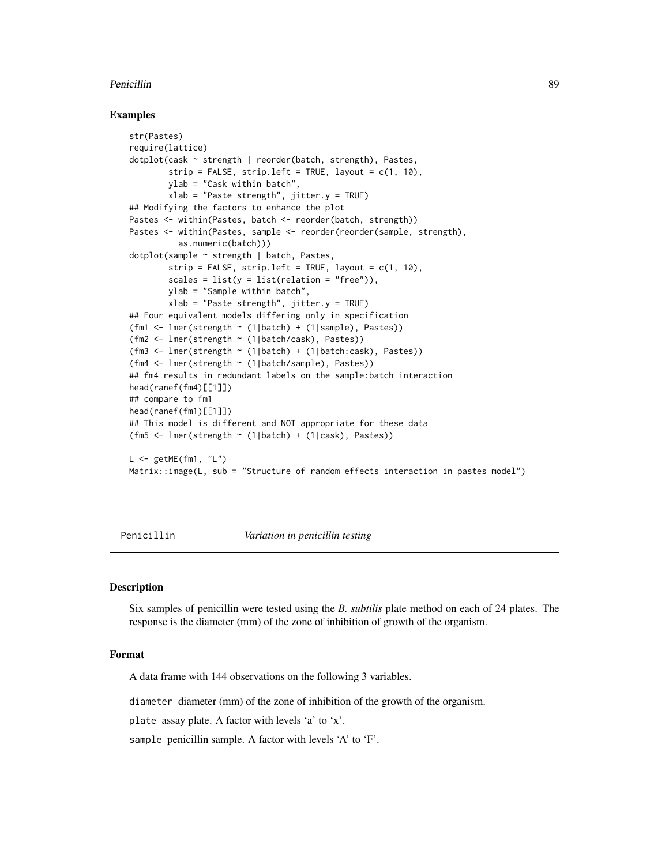#### Penicillin 89 and 200 million and 200 million and 200 million and 200 million and 200 million and 30 million and 30 million and 30 million and 30 million and 30 million and 30 million and 30 million and 30 million and 30 m

## Examples

```
str(Pastes)
require(lattice)
dotplot(cask ~ strength | reorder(batch, strength), Pastes,
        strip = FALSE, strip.left = TRUE, layout = c(1, 10),
        ylab = "Cask within batch",
        xlab = "Paste strength", jitter.y = TRUE)
## Modifying the factors to enhance the plot
Pastes <- within(Pastes, batch <- reorder(batch, strength))
Pastes <- within(Pastes, sample <- reorder(reorder(sample, strength),
          as.numeric(batch)))
dotplot(sample ~ strength | batch, Pastes,
        strip = FALSE, strip.left = TRUE, layout = c(1, 10),
        scales = list(y = list(relation = "free")),
        ylab = "Sample within batch",
        xlab = "Paste strength", jitter.y = TRUE)
## Four equivalent models differing only in specification
(fm1 <- lmer(strength ~ (1|batch) + (1|sample), Pastes))
(fm2 <- lmer(strength ~ (1|batch/cask), Pastes))
(fm3 <- lmer(strength ~ (1|batch) + (1|batch:cask), Pastes))
(fm4 <- lmer(strength ~ (1|batch/sample), Pastes))
## fm4 results in redundant labels on the sample:batch interaction
head(ranef(fm4)[[1]])
## compare to fm1
head(ranef(fm1)[[1]])
## This model is different and NOT appropriate for these data
(fm5 \leftarrow lmer(strength \sim (1|batch) + (1|cask), Pastes))
L \leq - getME(fm1, "L")
Matrix::image(L, sub = "Structure of random effects interaction in pastes model")
```
Penicillin *Variation in penicillin testing*

## **Description**

Six samples of penicillin were tested using the *B. subtilis* plate method on each of 24 plates. The response is the diameter (mm) of the zone of inhibition of growth of the organism.

## Format

A data frame with 144 observations on the following 3 variables.

diameter diameter (mm) of the zone of inhibition of the growth of the organism.

plate assay plate. A factor with levels 'a' to 'x'.

sample penicillin sample. A factor with levels 'A' to 'F'.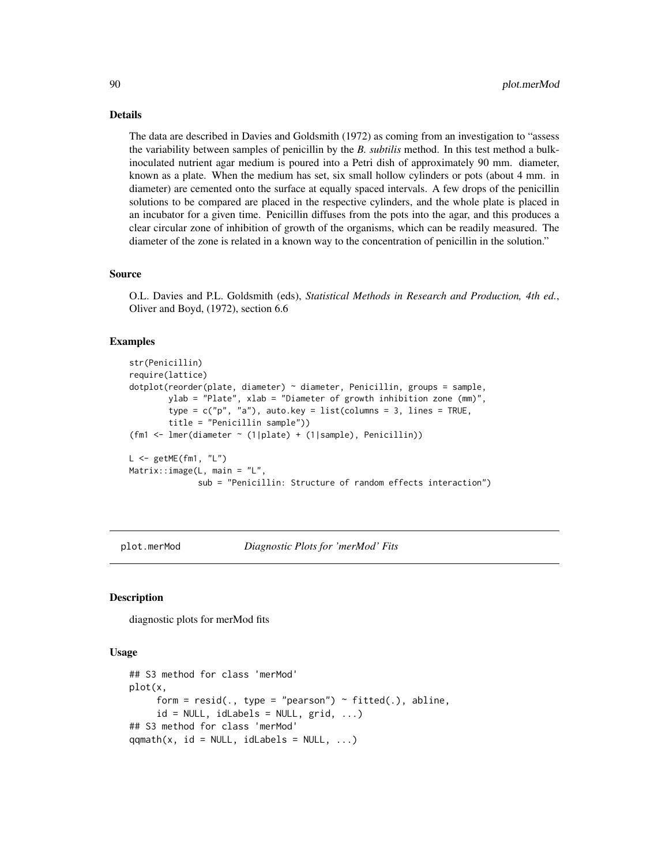## Details

The data are described in Davies and Goldsmith (1972) as coming from an investigation to "assess the variability between samples of penicillin by the *B. subtilis* method. In this test method a bulkinoculated nutrient agar medium is poured into a Petri dish of approximately 90 mm. diameter, known as a plate. When the medium has set, six small hollow cylinders or pots (about 4 mm. in diameter) are cemented onto the surface at equally spaced intervals. A few drops of the penicillin solutions to be compared are placed in the respective cylinders, and the whole plate is placed in an incubator for a given time. Penicillin diffuses from the pots into the agar, and this produces a clear circular zone of inhibition of growth of the organisms, which can be readily measured. The diameter of the zone is related in a known way to the concentration of penicillin in the solution."

#### Source

O.L. Davies and P.L. Goldsmith (eds), *Statistical Methods in Research and Production, 4th ed.*, Oliver and Boyd, (1972), section 6.6

## Examples

```
str(Penicillin)
require(lattice)
dotplot(reorder(plate, diameter) ~ diameter, Penicillin, groups = sample,
        ylab = "Plate", xlab = "Diameter of growth inhibition zone (mm)",
        type = c("p", "a"), auto.key = list(columns = 3, lines = TRUE,
        title = "Penicillin sample"))
(fm1 <- lmer(diameter ~ (1|plate) + (1|sample), Penicillin))
L \leq - getME(fm1, "L")
Matrix::image(L, main = "L",sub = "Penicillin: Structure of random effects interaction")
```
plot.merMod *Diagnostic Plots for 'merMod' Fits*

## Description

diagnostic plots for merMod fits

#### Usage

```
## S3 method for class 'merMod'
plot(x,
     form = resid(., type = "pearson") \sim fitted(.), abline,
     id = NULL, idLabels = NULL, grid, ...)
## S3 method for class 'merMod'
qqmath(t), id = NULL, idLabels = NULL, ...)
```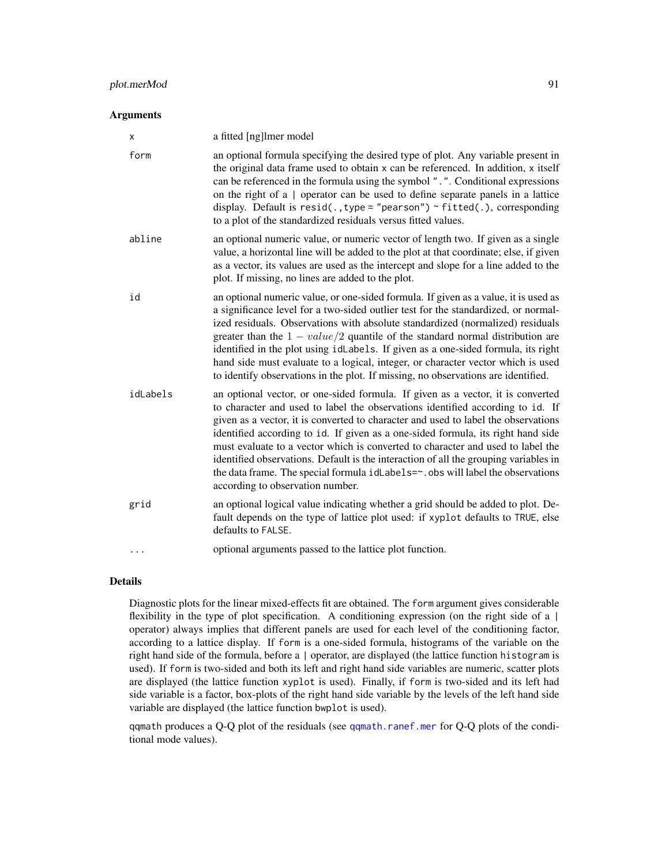## plot.merMod 91

#### **Arguments**

| x        | a fitted [ng]lmer model                                                                                                                                                                                                                                                                                                                                                                                                                                                                                                                                                                                                                       |
|----------|-----------------------------------------------------------------------------------------------------------------------------------------------------------------------------------------------------------------------------------------------------------------------------------------------------------------------------------------------------------------------------------------------------------------------------------------------------------------------------------------------------------------------------------------------------------------------------------------------------------------------------------------------|
| form     | an optional formula specifying the desired type of plot. Any variable present in<br>the original data frame used to obtain x can be referenced. In addition, x itself<br>can be referenced in the formula using the symbol ". ". Conditional expressions<br>on the right of a   operator can be used to define separate panels in a lattice<br>display. Default is $resid($ ., type = "pearson") ~ fitted(.), corresponding<br>to a plot of the standardized residuals versus fitted values.                                                                                                                                                  |
| abline   | an optional numeric value, or numeric vector of length two. If given as a single<br>value, a horizontal line will be added to the plot at that coordinate; else, if given<br>as a vector, its values are used as the intercept and slope for a line added to the<br>plot. If missing, no lines are added to the plot.                                                                                                                                                                                                                                                                                                                         |
| id       | an optional numeric value, or one-sided formula. If given as a value, it is used as<br>a significance level for a two-sided outlier test for the standardized, or normal-<br>ized residuals. Observations with absolute standardized (normalized) residuals<br>greater than the $1 - value/2$ quantile of the standard normal distribution are<br>identified in the plot using idLabels. If given as a one-sided formula, its right<br>hand side must evaluate to a logical, integer, or character vector which is used<br>to identify observations in the plot. If missing, no observations are identified.                                  |
| idLabels | an optional vector, or one-sided formula. If given as a vector, it is converted<br>to character and used to label the observations identified according to id. If<br>given as a vector, it is converted to character and used to label the observations<br>identified according to id. If given as a one-sided formula, its right hand side<br>must evaluate to a vector which is converted to character and used to label the<br>identified observations. Default is the interaction of all the grouping variables in<br>the data frame. The special formula idLabels=~. obs will label the observations<br>according to observation number. |
| grid     | an optional logical value indicating whether a grid should be added to plot. De-<br>fault depends on the type of lattice plot used: if xyplot defaults to TRUE, else<br>defaults to FALSE.                                                                                                                                                                                                                                                                                                                                                                                                                                                    |
| .        | optional arguments passed to the lattice plot function.                                                                                                                                                                                                                                                                                                                                                                                                                                                                                                                                                                                       |
|          |                                                                                                                                                                                                                                                                                                                                                                                                                                                                                                                                                                                                                                               |

# Details

Diagnostic plots for the linear mixed-effects fit are obtained. The form argument gives considerable flexibility in the type of plot specification. A conditioning expression (on the right side of a  $|$ operator) always implies that different panels are used for each level of the conditioning factor, according to a lattice display. If form is a one-sided formula, histograms of the variable on the right hand side of the formula, before a | operator, are displayed (the lattice function histogram is used). If form is two-sided and both its left and right hand side variables are numeric, scatter plots are displayed (the lattice function xyplot is used). Finally, if form is two-sided and its left had side variable is a factor, box-plots of the right hand side variable by the levels of the left hand side variable are displayed (the lattice function bwplot is used).

qqmath produces a Q-Q plot of the residuals (see [qqmath.ranef.mer](#page-102-0) for Q-Q plots of the conditional mode values).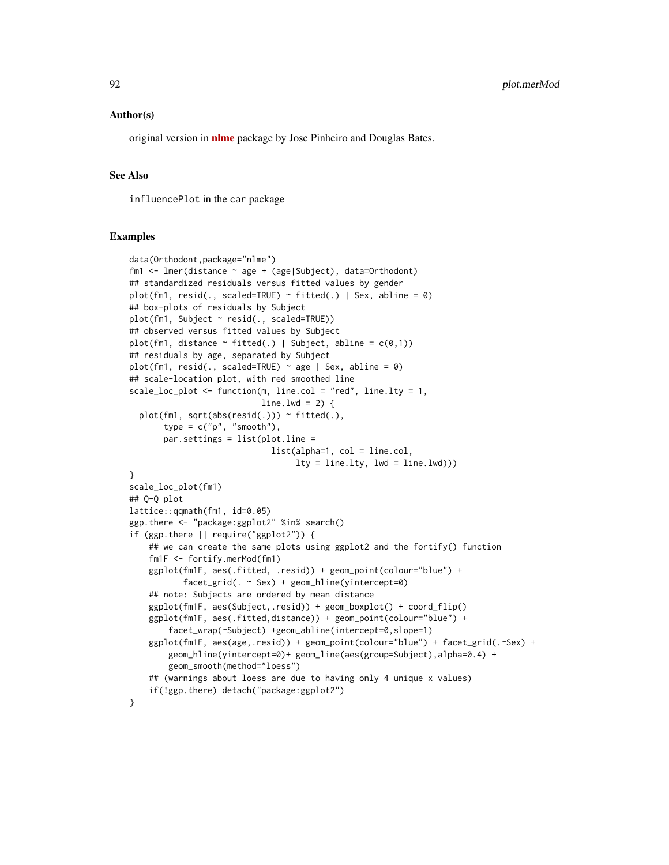#### Author(s)

original version in [nlme](https://CRAN.R-project.org/package=nlme) package by Jose Pinheiro and Douglas Bates.

### See Also

influencePlot in the car package

#### Examples

```
data(Orthodont,package="nlme")
fm1 <- lmer(distance ~ age + (age|Subject), data=Orthodont)
## standardized residuals versus fitted values by gender
plot(fm1, resid(., scaled=TRUE) \sim fitted(.) | Sex, abline = 0)
## box-plots of residuals by Subject
plot(fm1, Subject ~ resid(., scaled=TRUE))
## observed versus fitted values by Subject
plot(fm1, distance \sim fitted(.) | Subject, abline = c(0,1))
## residuals by age, separated by Subject
plot(fm1, resid(., scaled=TRUE) \sim age | Sex, abline = 0)
## scale-location plot, with red smoothed line
scale_loc_plot <- function(m, line.col = "red", line.lty = 1,
                           line.lwd = 2) { }plot(fm1, sqrt(abs(resid(.))) ~ fitted(.),
       type = c("p", "smooth"),par.settings = list(plot.line =
                             list(alpha=1, col = line.col,
                                  lty = line.lty, lwd = line.lwd))}
scale_loc_plot(fm1)
## Q-Q plot
lattice::qqmath(fm1, id=0.05)
ggp.there <- "package:ggplot2" %in% search()
if (ggp.there || require("ggplot2")) {
    ## we can create the same plots using ggplot2 and the fortify() function
    fm1F <- fortify.merMod(fm1)
    ggplot(fm1F, aes(.fitted, .resid)) + geom_point(colour="blue") +
           facet_grid(. ~ Sex) + geom_hline(yintercept=0)
    ## note: Subjects are ordered by mean distance
    ggplot(fm1F, aes(Subject,.resid)) + geom_boxplot() + coord_flip()
    ggplot(fm1F, aes(.fitted,distance)) + geom_point(colour="blue") +
        facet_wrap(~Subject) +geom_abline(intercept=0,slope=1)
    ggplot(fm1F, aes(age,.resid)) + geom_point(colour="blue") + facet_grid(.~Sex) +
        geom_hline(yintercept=0)+ geom_line(aes(group=Subject),alpha=0.4) +
        geom_smooth(method="loess")
    ## (warnings about loess are due to having only 4 unique x values)
    if(!ggp.there) detach("package:ggplot2")
}
```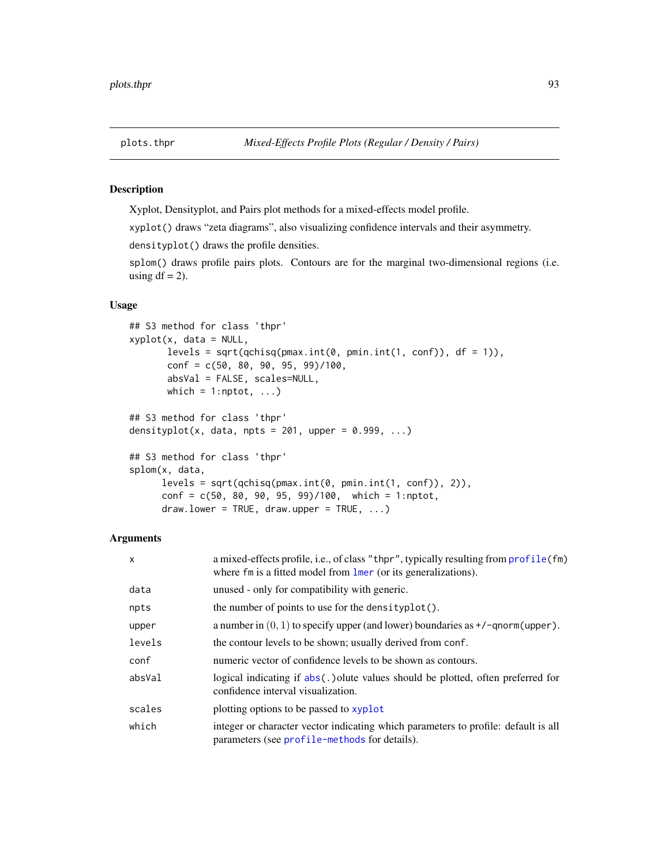## <span id="page-92-0"></span>Description

Xyplot, Densityplot, and Pairs plot methods for a mixed-effects model profile.

xyplot() draws "zeta diagrams", also visualizing confidence intervals and their asymmetry.

densityplot() draws the profile densities.

splom() draws profile pairs plots. Contours are for the marginal two-dimensional regions (i.e. using  $df = 2$ ).

## Usage

```
## S3 method for class 'thpr'
xyplot(x, data = NULL,levels = sqrt(qchisq(pmax.int(0, pmin.int(1, conf)), df = 1)),conf = c(50, 80, 90, 95, 99)/100,absVal = FALSE, scales=NULL,
      which = 1:nptot, \ldots)
## S3 method for class 'thpr'
densityplot(x, data, npts = 201, upper = 0.999, ...)
## S3 method for class 'thpr'
splom(x, data,
     levels = sqrt(qchisq(pmax.int(0, pmin.int(1, conf)), 2)),
     conf = c(50, 80, 90, 95, 99)/100, which = 1:nptot,
     draw. lower = TRUE, draw. upper = TRUE, ...
```
### Arguments

| X      | a mixed-effects profile, i.e., of class "thpr", typically resulting from profile (fm)<br>where $f_m$ is a fitted model from $\mathbf{l}_{\text{mer}}$ (or its generalizations). |
|--------|---------------------------------------------------------------------------------------------------------------------------------------------------------------------------------|
| data   | unused - only for compatibility with generic.                                                                                                                                   |
| npts   | the number of points to use for the density $plot()$ .                                                                                                                          |
| upper  | a number in $(0, 1)$ to specify upper (and lower) boundaries as $\pm$ /-qnorm(upper).                                                                                           |
| levels | the contour levels to be shown; usually derived from conf.                                                                                                                      |
| conf   | numeric vector of confidence levels to be shown as contours.                                                                                                                    |
| absVal | logical indicating if $abs(.)$ olute values should be plotted, often preferred for<br>confidence interval visualization.                                                        |
| scales | plotting options to be passed to xyplot                                                                                                                                         |
| which  | integer or character vector indicating which parameters to profile: default is all<br>parameters (see profile-methods for details).                                             |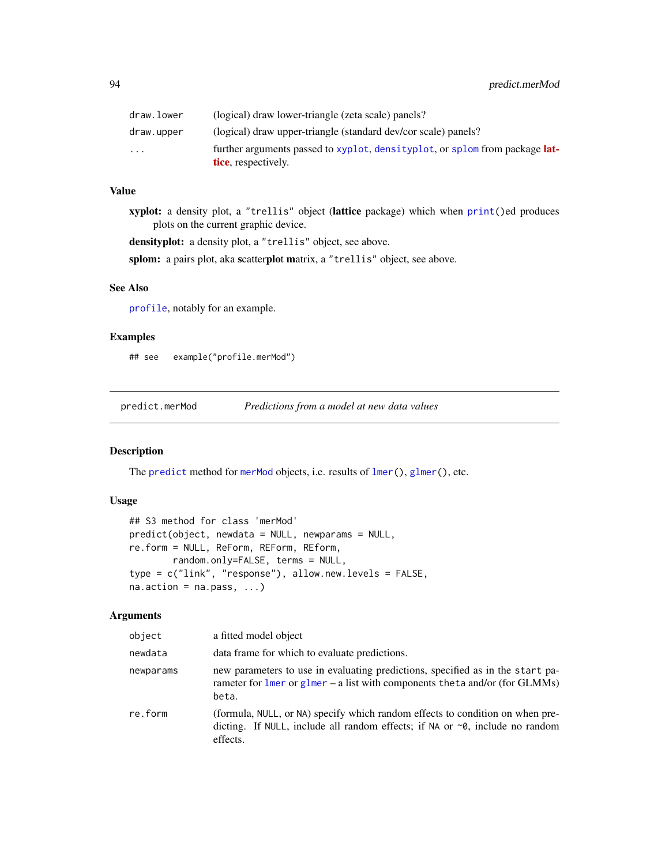| draw.lower              | (logical) draw lower-triangle (zeta scale) panels?                                                        |
|-------------------------|-----------------------------------------------------------------------------------------------------------|
| draw.upper              | (logical) draw upper-triangle (standard dev/cor scale) panels?                                            |
| $\cdot$ $\cdot$ $\cdot$ | further arguments passed to xyplot, densityplot, or splom from package <b>lat-</b><br>tice, respectively. |

# Value

xyplot: a density plot, a "trellis" object (lattice package) which when [print\(](#page-0-0))ed produces plots on the current graphic device.

densityplot: a density plot, a "trellis" object, see above.

splom: a pairs plot, aka scatterplot matrix, a "trellis" object, see above.

# See Also

[profile](#page-95-0), notably for an example.

# Examples

## see example("profile.merMod")

predict.merMod *Predictions from a model at new data values*

# Description

The [predict](#page-0-0) method for [merMod](#page-63-0) objects, i.e. results of  $lmer(), glmer(), etc.$  $lmer(), glmer(), etc.$  $lmer(), glmer(), etc.$  $lmer(), glmer(), etc.$ 

### Usage

```
## S3 method for class 'merMod'
predict(object, newdata = NULL, newparams = NULL,
re.form = NULL, ReForm, REForm, REform,
       random.only=FALSE, terms = NULL,
type = c("link", "response"), allow.new.levels = FALSE,
na. action = na. pass, ...
```
# Arguments

| object    | a fitted model object                                                                                                                                                            |
|-----------|----------------------------------------------------------------------------------------------------------------------------------------------------------------------------------|
| newdata   | data frame for which to evaluate predictions.                                                                                                                                    |
| newparams | new parameters to use in evaluating predictions, specified as in the start pa-<br>rameter for $l$ mer or $glmer - a$ list with components the ta and/or (for GLMMs)<br>beta.     |
| re.form   | (formula, NULL, or NA) specify which random effects to condition on when pre-<br>dicting. If NULL, include all random effects; if NA or $\sim 0$ , include no random<br>effects. |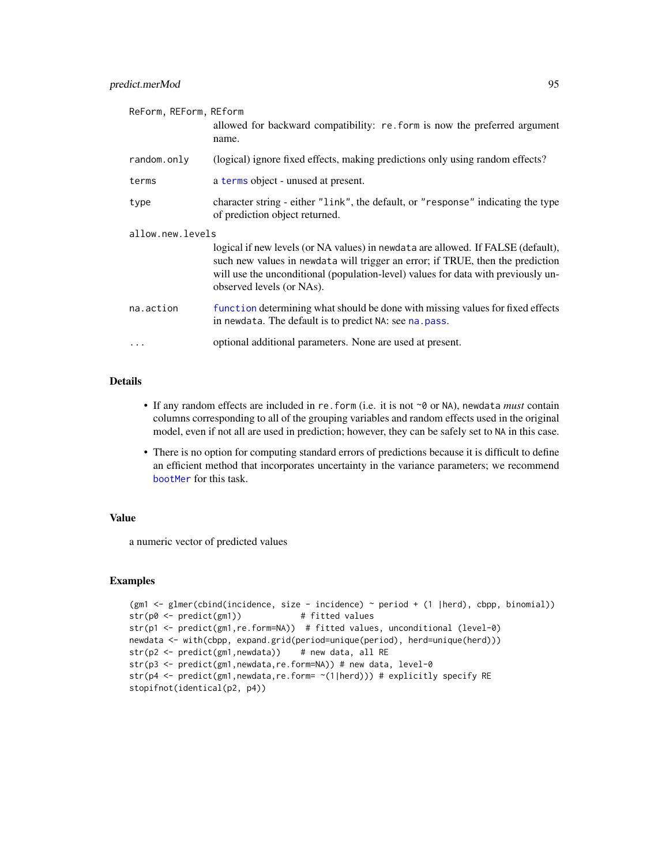| ReForm, REForm, REform | allowed for backward compatibility: re. form is now the preferred argument<br>name.                                                                                                                                                                                                  |
|------------------------|--------------------------------------------------------------------------------------------------------------------------------------------------------------------------------------------------------------------------------------------------------------------------------------|
| random.only            | (logical) ignore fixed effects, making predictions only using random effects?                                                                                                                                                                                                        |
| terms                  | a terms object - unused at present.                                                                                                                                                                                                                                                  |
| type                   | character string - either "link", the default, or "response" indicating the type<br>of prediction object returned.                                                                                                                                                                   |
| allow.new.levels       |                                                                                                                                                                                                                                                                                      |
|                        | logical if new levels (or NA values) in newdata are allowed. If FALSE (default),<br>such new values in newdata will trigger an error; if TRUE, then the prediction<br>will use the unconditional (population-level) values for data with previously un-<br>observed levels (or NAs). |
| na.action              | function determining what should be done with missing values for fixed effects<br>in newdata. The default is to predict NA: see na. pass.                                                                                                                                            |
| $\cdots$               | optional additional parameters. None are used at present.                                                                                                                                                                                                                            |

# Details

- If any random effects are included in re.form (i.e. it is not ~0 or NA), newdata *must* contain columns corresponding to all of the grouping variables and random effects used in the original model, even if not all are used in prediction; however, they can be safely set to NA in this case.
- There is no option for computing standard errors of predictions because it is difficult to define an efficient method that incorporates uncertainty in the variance parameters; we recommend [bootMer](#page-7-0) for this task.

## Value

a numeric vector of predicted values

### Examples

```
(gm1 <- glmer(cbind(incidence, size - incidence) ~ period + (1 |herd), cbpp, binomial))
str(p0 <- predict(gm1)) # fitted values
str(p1 <- predict(gm1,re.form=NA)) # fitted values, unconditional (level-0)
newdata <- with(cbpp, expand.grid(period=unique(period), herd=unique(herd)))
str(p2 \leq -\text{predict}(gm1, \text{newdata})) # new data, all RE
str(p3 <- predict(gm1, newdata, re.form=NA)) # new data, level-0
str(p4 <- predict(gm1, newdata, re.form= ~(1|herd))) # explicitly specify RE
stopifnot(identical(p2, p4))
```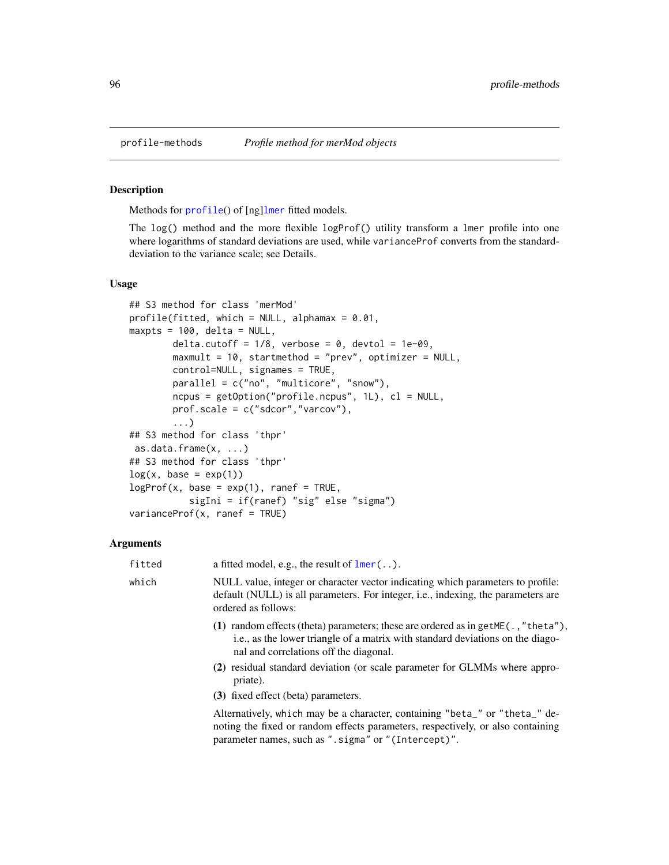<span id="page-95-0"></span>

### <span id="page-95-1"></span>Description

Methods for [profile](#page-0-0)() of [ng][lmer](#page-50-0) fitted models.

The log() method and the more flexible logProf() utility transform a lmer profile into one where logarithms of standard deviations are used, while varianceProf converts from the standarddeviation to the variance scale; see Details.

#### Usage

```
## S3 method for class 'merMod'
profile(fitted, which = NULL, alphamax = 0.01,
maxpts = 100, delta = NULL,
        delta.cutoff = 1/8, verbose = 0, devtol = 1e-09,
        maxmult = 10, startmethod = "prev", optimizer = NULL,
        control=NULL, signames = TRUE,
        parallel = c("no", "multicore", "snow"),
        ncpus = getOption("profile.ncpus", 1L), cl = NULL,
        prof.scale = c("sdcor","varcov"),
        ...)
## S3 method for class 'thpr'
as.data.frame(x, ...)
## S3 method for class 'thpr'
log(x, base = exp(1))logProf(x, base = exp(1), range = TRUE,sigIni = if(ranef) "sig" else "sigma")
varianceProf(x, \text{rand } = \text{TRUE})
```
## Arguments

| fitted | a fitted model, e.g., the result of $lmer$ ().                                                                                                                                                                          |
|--------|-------------------------------------------------------------------------------------------------------------------------------------------------------------------------------------------------------------------------|
| which  | NULL value, integer or character vector indicating which parameters to profile:<br>default (NULL) is all parameters. For integer, i.e., indexing, the parameters are<br>ordered as follows:                             |
|        | (1) random effects (theta) parameters; these are ordered as in get ME( $\ldots$ , "theta"),<br>i.e., as the lower triangle of a matrix with standard deviations on the diago-<br>nal and correlations off the diagonal. |
|        | (2) residual standard deviation (or scale parameter for GLMMs where appro-<br>priate).                                                                                                                                  |
|        | (3) fixed effect (beta) parameters.                                                                                                                                                                                     |
|        | Alternatively, which may be a character, containing "beta_" or "theta_" de-<br>noting the fixed or random effects parameters, respectively, or also containing                                                          |

parameter names, such as ".sigma" or "(Intercept)".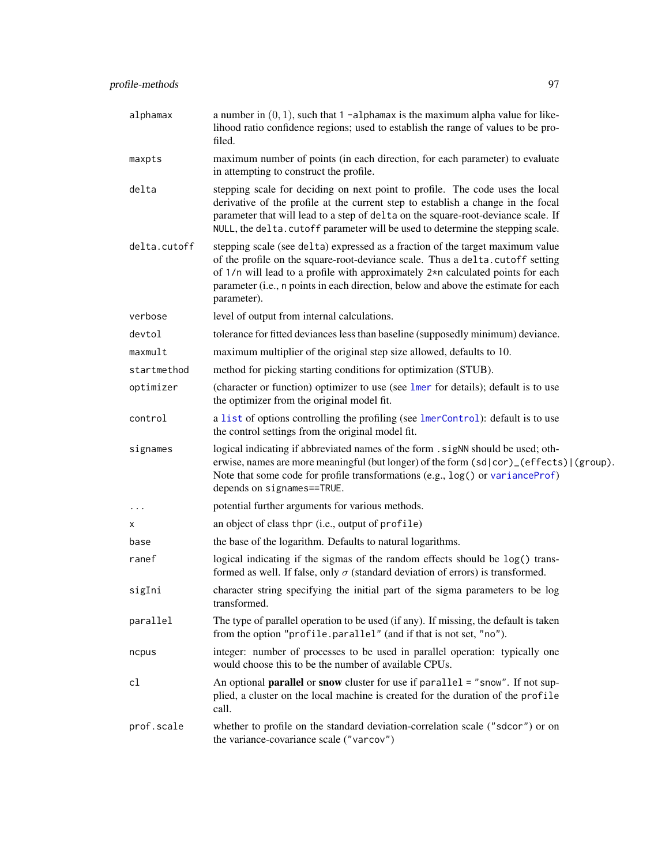| alphamax     | a number in $(0, 1)$ , such that 1 -alphamax is the maximum alpha value for like-<br>lihood ratio confidence regions; used to establish the range of values to be pro-<br>filed.                                                                                                                                                                            |
|--------------|-------------------------------------------------------------------------------------------------------------------------------------------------------------------------------------------------------------------------------------------------------------------------------------------------------------------------------------------------------------|
| maxpts       | maximum number of points (in each direction, for each parameter) to evaluate<br>in attempting to construct the profile.                                                                                                                                                                                                                                     |
| delta        | stepping scale for deciding on next point to profile. The code uses the local<br>derivative of the profile at the current step to establish a change in the focal<br>parameter that will lead to a step of delta on the square-root-deviance scale. If<br>NULL, the delta. cutoff parameter will be used to determine the stepping scale.                   |
| delta.cutoff | stepping scale (see delta) expressed as a fraction of the target maximum value<br>of the profile on the square-root-deviance scale. Thus a delta.cutoff setting<br>of $1/n$ will lead to a profile with approximately $2*n$ calculated points for each<br>parameter (i.e., n points in each direction, below and above the estimate for each<br>parameter). |
| verbose      | level of output from internal calculations.                                                                                                                                                                                                                                                                                                                 |
| devtol       | tolerance for fitted deviances less than baseline (supposedly minimum) deviance.                                                                                                                                                                                                                                                                            |
| maxmult      | maximum multiplier of the original step size allowed, defaults to 10.                                                                                                                                                                                                                                                                                       |
| startmethod  | method for picking starting conditions for optimization (STUB).                                                                                                                                                                                                                                                                                             |
| optimizer    | (character or function) optimizer to use (see lmer for details); default is to use<br>the optimizer from the original model fit.                                                                                                                                                                                                                            |
| control      | a list of options controlling the profiling (see lmerControl): default is to use<br>the control settings from the original model fit.                                                                                                                                                                                                                       |
| signames     | logical indicating if abbreviated names of the form . sigNN should be used; oth-<br>erwise, names are more meaningful (but longer) of the form (sd cor)_(effects) (group).<br>Note that some code for profile transformations (e.g., log() or varianceProf)<br>depends on signames==TRUE.                                                                   |
| $\cdots$     | potential further arguments for various methods.                                                                                                                                                                                                                                                                                                            |
| х            | an object of class thpr (i.e., output of profile)                                                                                                                                                                                                                                                                                                           |
| base         | the base of the logarithm. Defaults to natural logarithms.                                                                                                                                                                                                                                                                                                  |
| ranef        | logical indicating if the sigmas of the random effects should be log() trans-<br>formed as well. If false, only $\sigma$ (standard deviation of errors) is transformed.                                                                                                                                                                                     |
| sigIni       | character string specifying the initial part of the sigma parameters to be log<br>transformed.                                                                                                                                                                                                                                                              |
| parallel     | The type of parallel operation to be used (if any). If missing, the default is taken<br>from the option "profile.parallel" (and if that is not set, "no").                                                                                                                                                                                                  |
| ncpus        | integer: number of processes to be used in parallel operation: typically one<br>would choose this to be the number of available CPUs.                                                                                                                                                                                                                       |
| cl           | An optional <b>parallel</b> or snow cluster for use if parallel = "snow". If not sup-<br>plied, a cluster on the local machine is created for the duration of the profile<br>call.                                                                                                                                                                          |
| prof.scale   | whether to profile on the standard deviation-correlation scale ("sdcor") or on<br>the variance-covariance scale ("varcov")                                                                                                                                                                                                                                  |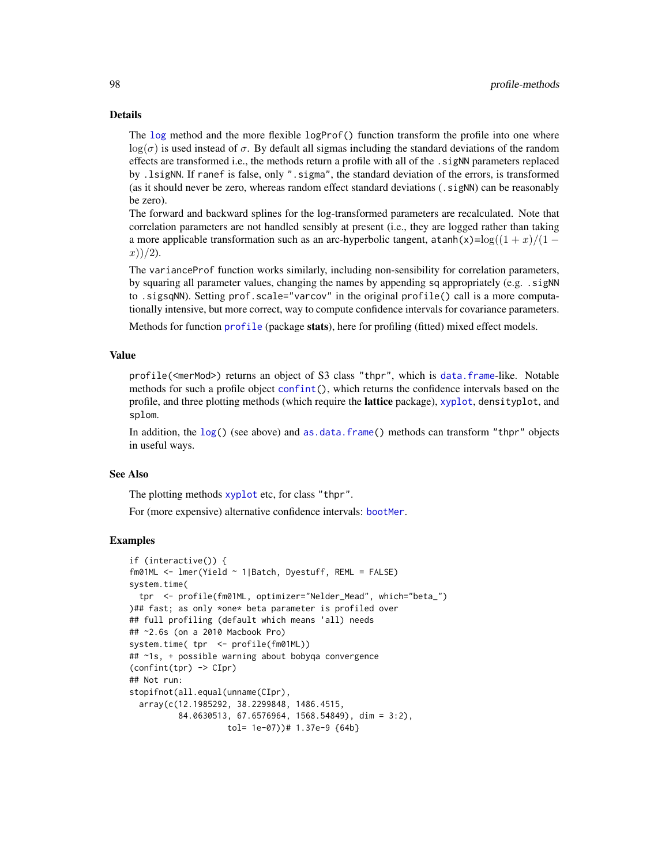## Details

The [log](#page-0-0) method and the more flexible logProf() function transform the profile into one where  $log(\sigma)$  is used instead of  $\sigma$ . By default all sigmas including the standard deviations of the random effects are transformed i.e., the methods return a profile with all of the .sigNN parameters replaced by .lsigNN. If ranef is false, only ".sigma", the standard deviation of the errors, is transformed (as it should never be zero, whereas random effect standard deviations (.sigNN) can be reasonably be zero).

The forward and backward splines for the log-transformed parameters are recalculated. Note that correlation parameters are not handled sensibly at present (i.e., they are logged rather than taking a more applicable transformation such as an arc-hyperbolic tangent, atanh(x)=log( $(1 + x)/(1 (x))/2$ ).

The varianceProf function works similarly, including non-sensibility for correlation parameters, by squaring all parameter values, changing the names by appending sq appropriately (e.g. . sigNN) to .sigsqNN). Setting prof.scale="varcov" in the original profile() call is a more computationally intensive, but more correct, way to compute confidence intervals for covariance parameters.

Methods for function [profile](#page-0-0) (package stats), here for profiling (fitted) mixed effect models.

## Value

profile(<merMod>) returns an object of S3 class "thpr", which is [data.frame](#page-0-0)-like. Notable methods for such a profile object [confint\(](#page-0-0)), which returns the confidence intervals based on the profile, and three plotting methods (which require the lattice package), [xyplot](#page-92-0), densityplot, and splom.

In addition, the [log\(](#page-0-0)) (see above) and [as.data.frame\(](#page-0-0)) methods can transform "thpr" objects in useful ways.

#### See Also

The plotting methods [xyplot](#page-92-0) etc, for class "thpr".

For (more expensive) alternative confidence intervals: [bootMer](#page-7-0).

### Examples

```
if (interactive()) {
fm01ML <- lmer(Yield ~ 1|Batch, Dyestuff, REML = FALSE)
system.time(
 tpr <- profile(fm01ML, optimizer="Nelder_Mead", which="beta_")
)## fast; as only *one* beta parameter is profiled over
## full profiling (default which means 'all) needs
## ~2.6s (on a 2010 Macbook Pro)
system.time( tpr <- profile(fm01ML))
## ~1s, + possible warning about bobyqa convergence
(confint(tpr) -> CIpr)
## Not run:
stopifnot(all.equal(unname(CIpr),
 array(c(12.1985292, 38.2299848, 1486.4515,
          84.0630513, 67.6576964, 1568.54849), dim = 3:2),
                    tol= 1e-07))# 1.37e-9 {64b}
```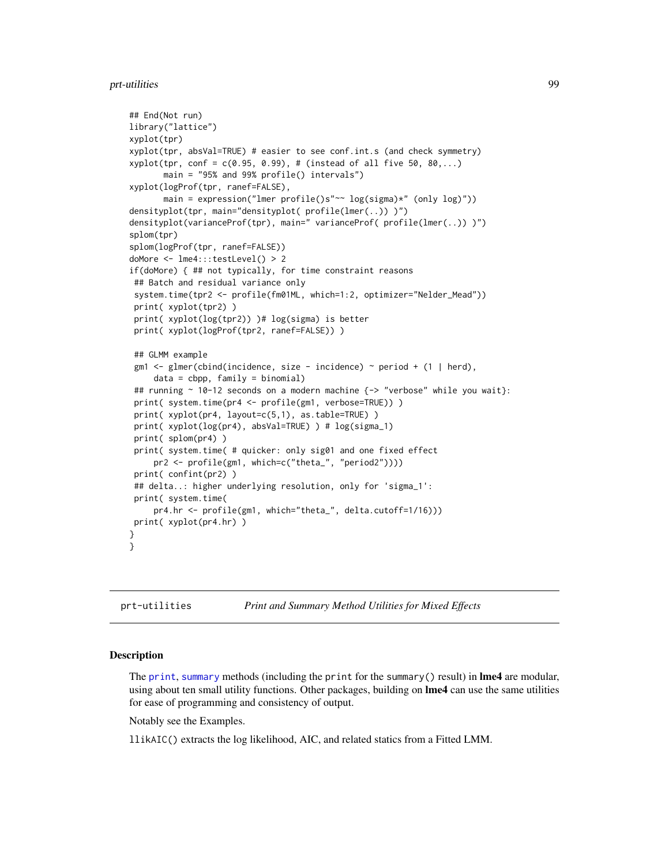# prt-utilities 99

```
## End(Not run)
library("lattice")
xyplot(tpr)
xyplot(tpr, absVal=TRUE) # easier to see conf.int.s (and check symmetry)
xyplot(tpr, conf = c(0.95, 0.99), # (instead of all five 50, 80,...)
       main = "95% and 99% profile() intervals")
xyplot(logProf(tpr, ranef=FALSE),
       main = expression("lmer profile()s"~~ log(sigma)*" (only log)"))
densityplot(tpr, main="densityplot( profile(lmer(..)) )")
densityplot(varianceProf(tpr), main=" varianceProf( profile(lmer(..)) )")
splom(tpr)
splom(logProf(tpr, ranef=FALSE))
doMore <- lme4:::testLevel() > 2
if(doMore) { ## not typically, for time constraint reasons
 ## Batch and residual variance only
 system.time(tpr2 <- profile(fm01ML, which=1:2, optimizer="Nelder_Mead"))
print( xyplot(tpr2) )
 print( xyplot(log(tpr2)) )# log(sigma) is better
 print( xyplot(logProf(tpr2, ranef=FALSE)) )
 ## GLMM example
 gm1 \leq-glmer(cbind(incidence, size - incidence) \approx period + (1 | herd),data = cbpp, family = binomial)
 ## running \sim 10-12 seconds on a modern machine {\sim "verbose" while you wait}:
 print( system.time(pr4 <- profile(gm1, verbose=TRUE)) )
 print( xyplot(pr4, layout=c(5,1), as.table=TRUE) )
 print( xyplot(log(pr4), absVal=TRUE) ) # log(sigma_1)
 print( splom(pr4) )
 print( system.time( # quicker: only sig01 and one fixed effect
     pr2 <- profile(gm1, which=c("theta_", "period2"))))
 print( confint(pr2) )
 ## delta..: higher underlying resolution, only for 'sigma_1':
 print( system.time(
     pr4.hr <- profile(gm1, which="theta_", delta.cutoff=1/16)))
print( xyplot(pr4.hr) )
}
}
```
prt-utilities *Print and Summary Method Utilities for Mixed Effects*

#### Description

The [print](#page-0-0), [summary](#page-0-0) methods (including the print for the summary() result) in  $\text{Im}e4$  are modular, using about ten small utility functions. Other packages, building on lme4 can use the same utilities for ease of programming and consistency of output.

Notably see the Examples.

llikAIC() extracts the log likelihood, AIC, and related statics from a Fitted LMM.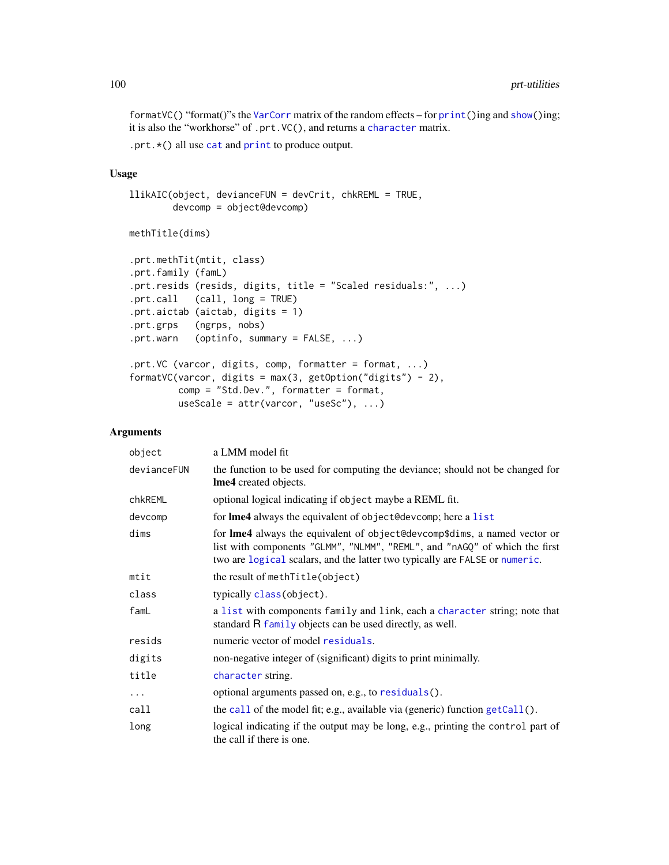formatVC() "format()"s the [VarCorr](#page-117-0) matrix of the random effects – for [print\(](#page-0-0))ing and [show\(](#page-0-0))ing; it is also the "workhorse" of .prt.VC(), and returns a [character](#page-0-0) matrix.

.prt.\*() all use [cat](#page-0-0) and [print](#page-0-0) to produce output.

# Usage

```
llikAIC(object, devianceFUN = devCrit, chkREML = TRUE,
       devcomp = object@devcomp)
```
methTitle(dims)

```
.prt.methTit(mtit, class)
.prt.family (famL)
.prt.resids (resids, digits, title = "Scaled residuals:", ...)
.prt.call (call, long = TRUE)
.prt.aictab (aictab, digits = 1)
.prt.grps (ngrps, nobs)
.prt.warn (optinfo, summary = FALSE, ...)
.prt.VC (varcor, digits, comp, formatter = format, ...)
formatVC(varcor, digits = max(3, getOption("digits") - 2),
        comp = "Std.Dev.", formatter = format,
        useScale = attr(varcor, "useSc"), ...)
```
# Arguments

| object      | a LMM model fit                                                                                                                                                                                                                               |
|-------------|-----------------------------------------------------------------------------------------------------------------------------------------------------------------------------------------------------------------------------------------------|
| devianceFUN | the function to be used for computing the deviance; should not be changed for<br>Ime4 created objects.                                                                                                                                        |
| chkREML     | optional logical indicating if object maybe a REML fit.                                                                                                                                                                                       |
| devcomp     | for <b>lme4</b> always the equivalent of object@devcomp; here a list                                                                                                                                                                          |
| dims        | for <b>lme4</b> always the equivalent of object@devcomp\$dims, a named vector or<br>list with components "GLMM", "NLMM", "REML", and "nAGQ" of which the first<br>two are logical scalars, and the latter two typically are FALSE or numeric. |
| mtit        | the result of methlitle(object)                                                                                                                                                                                                               |
| class       | typically class (object).                                                                                                                                                                                                                     |
| famL        | a list with components family and link, each a character string; note that<br>standard R family objects can be used directly, as well.                                                                                                        |
| resids      | numeric vector of model residuals.                                                                                                                                                                                                            |
| digits      | non-negative integer of (significant) digits to print minimally.                                                                                                                                                                              |
| title       | character string.                                                                                                                                                                                                                             |
| $\cdots$    | optional arguments passed on, e.g., to residuals().                                                                                                                                                                                           |
| call        | the call of the model fit; e.g., available via (generic) function $getCall()$ .                                                                                                                                                               |
| long        | logical indicating if the output may be long, e.g., printing the control part of<br>the call if there is one.                                                                                                                                 |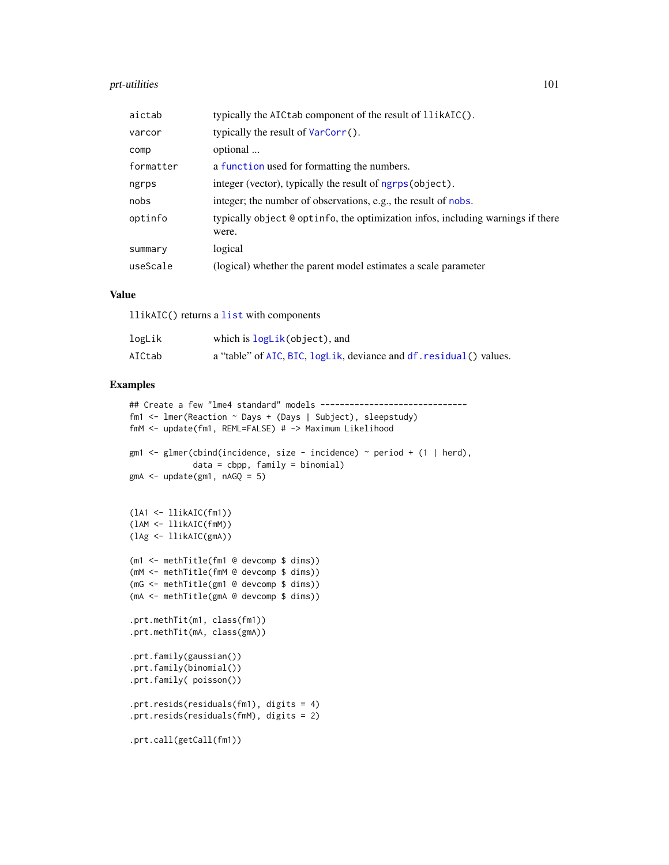# prt-utilities 101

| aictab    | typically the AIC tab component of the result of llikAIC().                              |
|-----------|------------------------------------------------------------------------------------------|
| varcor    | typically the result of VarCorr().                                                       |
| comp      | optional                                                                                 |
| formatter | a function used for formatting the numbers.                                              |
| ngrps     | integer (vector), typically the result of ngrps (object).                                |
| nobs      | integer; the number of observations, e.g., the result of nobs.                           |
| optinfo   | typically object @ optinfo, the optimization infos, including warnings if there<br>were. |
| summary   | logical                                                                                  |
| useScale  | (logical) whether the parent model estimates a scale parameter                           |

# Value

llikAIC() returns a [list](#page-0-0) with components

| logLik | which is logLik(object), and                                        |
|--------|---------------------------------------------------------------------|
| AICtab | a "table" of AIC, BIC, logLik, deviance and df. residual () values. |

# Examples

```
## Create a few "lme4 standard" models -------------------------------
fm1 <- lmer(Reaction ~ Days + (Days | Subject), sleepstudy)
fmM <- update(fm1, REML=FALSE) # -> Maximum Likelihood
gm1 \leq glmer(cbind(incidence, size - incidence) \leq period + (1 | herd),data = cbp, family = binomialgmA \leq update(gm1, nAGQ = 5)(lA1 <- llikAIC(fm1))
(lAM <- llikAIC(fmM))
(lAg <- llikAIC(gmA))
(m1 <- methTitle(fm1 @ devcomp $ dims))
(mM <- methTitle(fmM @ devcomp $ dims))
(mG <- methTitle(gm1 @ devcomp $ dims))
(mA <- methTitle(gmA @ devcomp $ dims))
.prt.methTit(m1, class(fm1))
.prt.methTit(mA, class(gmA))
.prt.family(gaussian())
.prt.family(binomial())
.prt.family( poisson())
.prt.resids(residuals(fm1), digits = 4)
.prt.resids(residuals(fmM), digits = 2)
.prt.call(getCall(fm1))
```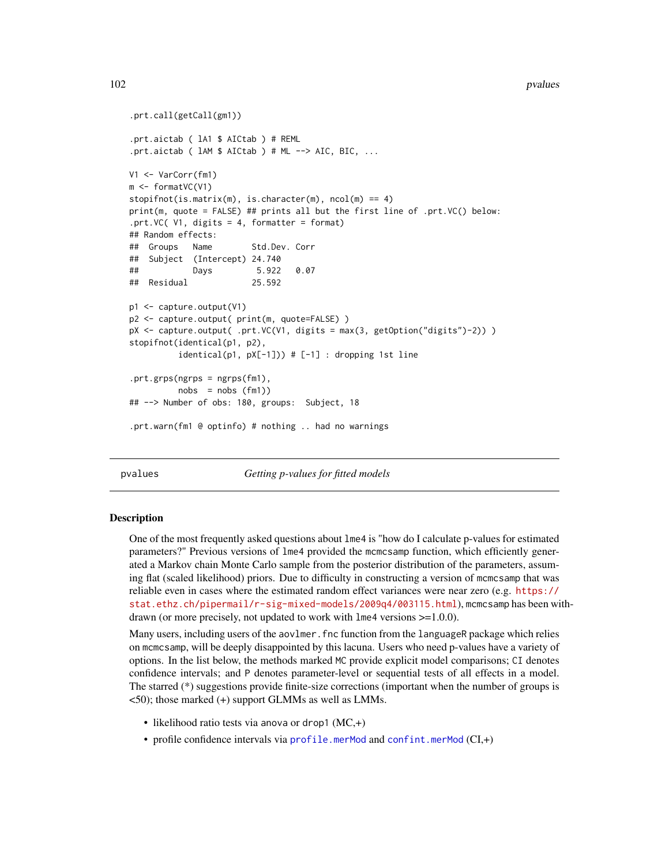```
.prt.call(getCall(gm1))
.prt.aictab ( lA1 $ AICtab ) # REML
.prt.aictab ( lAM $ AICtab ) # ML --> AIC, BIC, ...
V1 <- VarCorr(fm1)
m <- formatVC(V1)
stopifnot(is.matrix(m), is.character(m), ncol(m) == 4)print(m, quote = FALSE) ## prints all but the first line of .prt.VC() below:
.prt.VC(V1, digits = 4, formatter = format)## Random effects:
## Groups Name Std.Dev. Corr
## Subject (Intercept) 24.740
## Days 5.922 0.07
## Residual 25.592
p1 <- capture.output(V1)
p2 <- capture.output( print(m, quote=FALSE) )
pX <- capture.output( .prt.VC(V1, digits = max(3, getOption("digits")-2)) )
stopifnot(identical(p1, p2),
         identical(p1, pX[-1])) # [-1] : dropping 1st line.prt.grps(ngrps = ngrps(fm1),
         nobs = nobs (fm1)## --> Number of obs: 180, groups: Subject, 18
.prt.warn(fm1 @ optinfo) # nothing .. had no warnings
```
pvalues *Getting p-values for fitted models*

#### **Description**

One of the most frequently asked questions about lme4 is "how do I calculate p-values for estimated parameters?" Previous versions of lme4 provided the mcmcsamp function, which efficiently generated a Markov chain Monte Carlo sample from the posterior distribution of the parameters, assuming flat (scaled likelihood) priors. Due to difficulty in constructing a version of mcmcsamp that was reliable even in cases where the estimated random effect variances were near zero (e.g. [https://](https://stat.ethz.ch/pipermail/r-sig-mixed-models/2009q4/003115.html) [stat.ethz.ch/pipermail/r-sig-mixed-models/2009q4/003115.html](https://stat.ethz.ch/pipermail/r-sig-mixed-models/2009q4/003115.html)), mcmcsamp has been withdrawn (or more precisely, not updated to work with lme4 versions >=1.0.0).

Many users, including users of the aovlmer.fnc function from the languageR package which relies on mcmcsamp, will be deeply disappointed by this lacuna. Users who need p-values have a variety of options. In the list below, the methods marked MC provide explicit model comparisons; CI denotes confidence intervals; and P denotes parameter-level or sequential tests of all effects in a model. The starred (\*) suggestions provide finite-size corrections (important when the number of groups is <50); those marked (+) support GLMMs as well as LMMs.

- likelihood ratio tests via anova or drop1  $(MC,+)$
- profile confidence intervals via [profile.merMod](#page-95-1) and [confint.merMod](#page-13-0) (CI,+)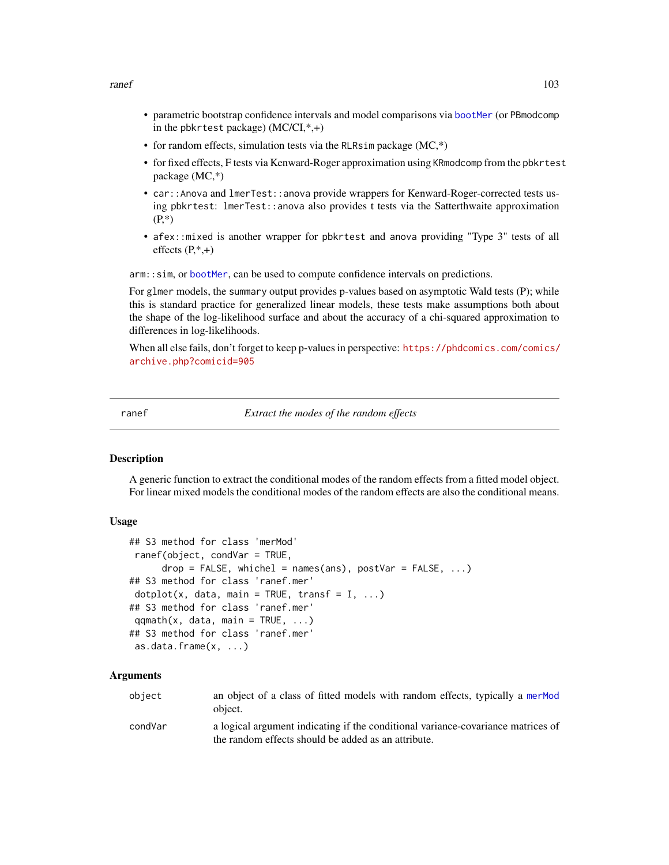ranef and the contract of the contract of the contract of the contract of the contract of the contract of the contract of the contract of the contract of the contract of the contract of the contract of the contract of the

- parametric bootstrap confidence intervals and model comparisons via [bootMer](#page-7-0) (or PBmodcomp in the pbkrtest package) (MC/CI,\*,+)
- for random effects, simulation tests via the RLRsim package  $(MC,^*)$
- for fixed effects, F tests via Kenward-Roger approximation using KRmodcomp from the pbkrtest package (MC,\*)
- car::Anova and lmerTest::anova provide wrappers for Kenward-Roger-corrected tests using pbkrtest: lmerTest::anova also provides t tests via the Satterthwaite approximation  $(P,^*)$
- afex::mixed is another wrapper for pbkrtest and anova providing "Type 3" tests of all effects  $(P,*,+)$

arm:: sim, or [bootMer](#page-7-0), can be used to compute confidence intervals on predictions.

For glmer models, the summary output provides p-values based on asymptotic Wald tests (P); while this is standard practice for generalized linear models, these tests make assumptions both about the shape of the log-likelihood surface and about the accuracy of a chi-squared approximation to differences in log-likelihoods.

When all else fails, don't forget to keep p-values in perspective: [https://phdcomics.com/comics/](https://phdcomics.com/comics/archive.php?comicid=905) [archive.php?comicid=905](https://phdcomics.com/comics/archive.php?comicid=905)

ranef *Extract the modes of the random effects*

## <span id="page-102-0"></span>**Description**

A generic function to extract the conditional modes of the random effects from a fitted model object. For linear mixed models the conditional modes of the random effects are also the conditional means.

## Usage

```
## S3 method for class 'merMod'
ranef(object, condVar = TRUE,
     drop = FALSE, whichel = names(ans), postVar = FALSE, ...)
## S3 method for class 'ranef.mer'
dot(x, data, main = TRUE, transfer = I, ...)## S3 method for class 'ranef.mer'
qqmath(t), data, main = TRUE, ...)
## S3 method for class 'ranef.mer'
as.data.frame(x, ...)
```
### Arguments

| obiect  | an object of a class of fitted models with random effects, typically a mermod<br>object.                                                |
|---------|-----------------------------------------------------------------------------------------------------------------------------------------|
| condVar | a logical argument indicating if the conditional variance-covariance matrices of<br>the random effects should be added as an attribute. |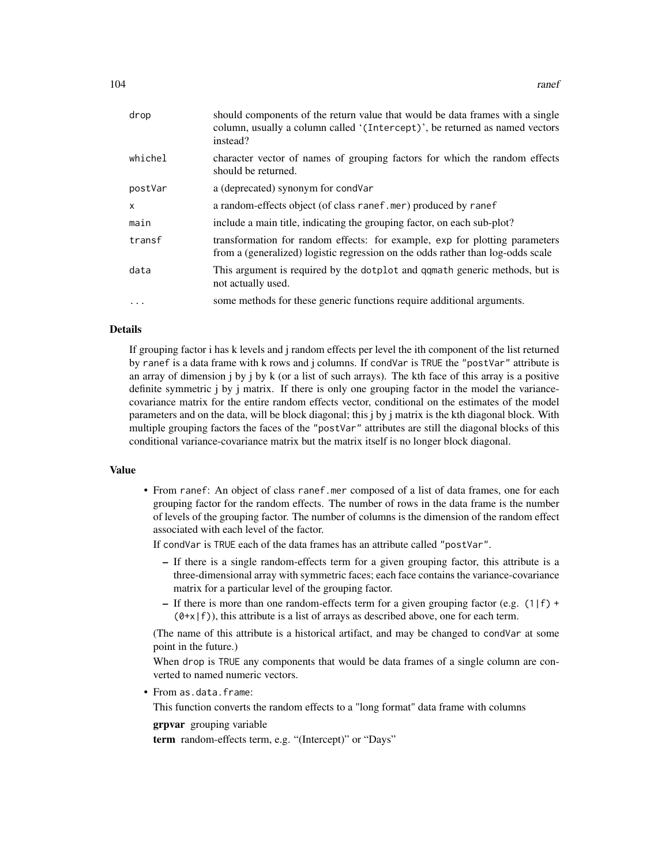| drop      | should components of the return value that would be data frames with a single<br>column, usually a column called '(Intercept)', be returned as named vectors<br>instead? |
|-----------|--------------------------------------------------------------------------------------------------------------------------------------------------------------------------|
| whichel   | character vector of names of grouping factors for which the random effects<br>should be returned.                                                                        |
| postVar   | a (deprecated) synonym for condVar                                                                                                                                       |
| X         | a random-effects object (of class ranef.mer) produced by ranef                                                                                                           |
| main      | include a main title, indicating the grouping factor, on each sub-plot?                                                                                                  |
| transf    | transformation for random effects: for example, exp for plotting parameters<br>from a (generalized) logistic regression on the odds rather than log-odds scale           |
| data      | This argument is required by the dotplot and qqmath generic methods, but is<br>not actually used.                                                                        |
| $\ddotsc$ | some methods for these generic functions require additional arguments.                                                                                                   |

## Details

If grouping factor i has k levels and j random effects per level the ith component of the list returned by ranef is a data frame with k rows and j columns. If condVar is TRUE the "postVar" attribute is an array of dimension j by j by k (or a list of such arrays). The kth face of this array is a positive definite symmetric j by j matrix. If there is only one grouping factor in the model the variancecovariance matrix for the entire random effects vector, conditional on the estimates of the model parameters and on the data, will be block diagonal; this j by j matrix is the kth diagonal block. With multiple grouping factors the faces of the "postVar" attributes are still the diagonal blocks of this conditional variance-covariance matrix but the matrix itself is no longer block diagonal.

#### Value

• From ranef: An object of class ranef.mer composed of a list of data frames, one for each grouping factor for the random effects. The number of rows in the data frame is the number of levels of the grouping factor. The number of columns is the dimension of the random effect associated with each level of the factor.

If condVar is TRUE each of the data frames has an attribute called "postVar".

- If there is a single random-effects term for a given grouping factor, this attribute is a three-dimensional array with symmetric faces; each face contains the variance-covariance matrix for a particular level of the grouping factor.
- If there is more than one random-effects term for a given grouping factor (e.g.  $(1|f)$  +  $(0+x|f)$ , this attribute is a list of arrays as described above, one for each term.

(The name of this attribute is a historical artifact, and may be changed to condVar at some point in the future.)

When drop is TRUE any components that would be data frames of a single column are converted to named numeric vectors.

• From as.data.frame:

This function converts the random effects to a "long format" data frame with columns

grpvar grouping variable

term random-effects term, e.g. "(Intercept)" or "Days"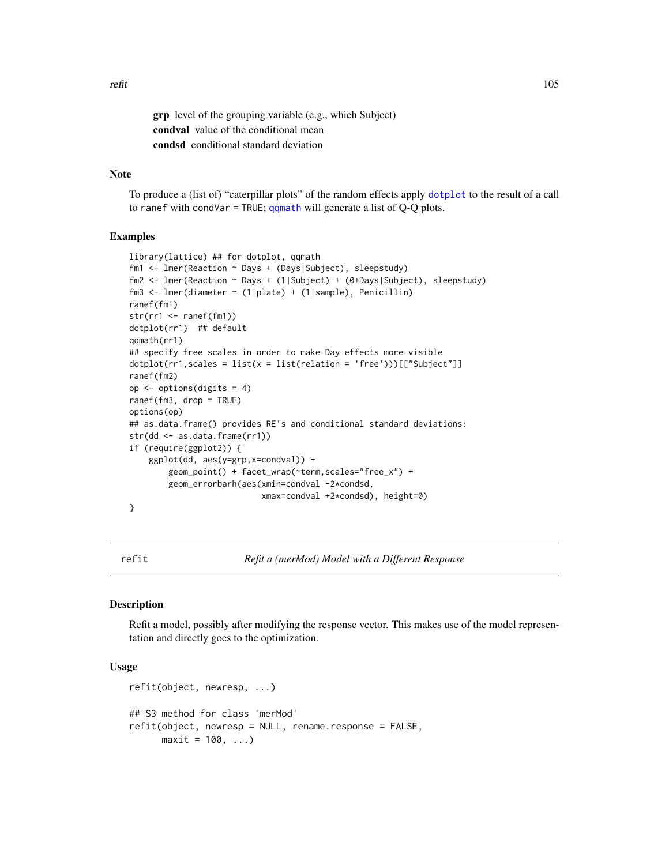grp level of the grouping variable (e.g., which Subject) condval value of the conditional mean condsd conditional standard deviation

# Note

To produce a (list of) "caterpillar plots" of the random effects apply [dotplot](#page-0-0) to the result of a call to ranef with condVar = TRUE;  $qq$ math will generate a list of Q-Q plots.

#### Examples

```
library(lattice) ## for dotplot, qqmath
fm1 <- lmer(Reaction ~ Days + (Days|Subject), sleepstudy)
fm2 <- lmer(Reaction ~ Days + (1|Subject) + (0+Days|Subject), sleepstudy)
fm3 <- lmer(diameter ~ (1|plate) + (1|sample), Penicillin)
ranef(fm1)
str(rr1 <- ranef(fm1))
dotplot(rr1) ## default
qqmath(rr1)
## specify free scales in order to make Day effects more visible
dot(rr1, scales = list(x = list(relation = 'free'))[["Subject"]ranef(fm2)
op <- options(digits = 4)
ranef(fm3, drop = TRUE)
options(op)
## as.data.frame() provides RE's and conditional standard deviations:
str(dd <- as.data.frame(rr1))
if (require(ggplot2)) {
   ggplot(dd, aes(y=grp,x=condval)) +
       geom_point() + facet_wrap(~term,scales="free_x") +
        geom_errorbarh(aes(xmin=condval -2*condsd,
                          xmax=condval +2*condsd), height=0)
}
```
<span id="page-104-0"></span>

refit *Refit a (merMod) Model with a Different Response*

#### **Description**

Refit a model, possibly after modifying the response vector. This makes use of the model representation and directly goes to the optimization.

#### Usage

```
refit(object, newresp, ...)
## S3 method for class 'merMod'
refit(object, newresp = NULL, rename.response = FALSE,
     maxit = 100, ...
```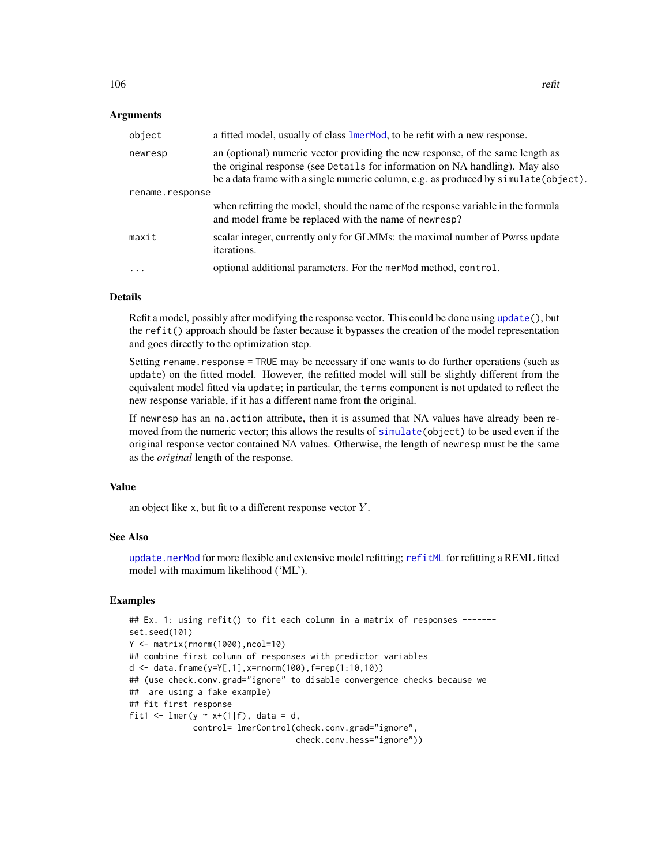## Arguments

| object          | a fitted model, usually of class lmerMod, to be refit with a new response.                                                                                                                                                                            |
|-----------------|-------------------------------------------------------------------------------------------------------------------------------------------------------------------------------------------------------------------------------------------------------|
| newresp         | an (optional) numeric vector providing the new response, of the same length as<br>the original response (see Details for information on NA handling). May also<br>be a data frame with a single numeric column, e.g. as produced by simulate(object). |
| rename.response |                                                                                                                                                                                                                                                       |
|                 | when refitting the model, should the name of the response variable in the formula<br>and model frame be replaced with the name of newresp?                                                                                                            |
| maxit           | scalar integer, currently only for GLMMs: the maximal number of Pwrss update<br>iterations.                                                                                                                                                           |
| $\ddots$ .      | optional additional parameters. For the merMod method, control.                                                                                                                                                                                       |

## Details

Refit a model, possibly after modifying the response vector. This could be done using [update\(](#page-0-0)), but the refit() approach should be faster because it bypasses the creation of the model representation and goes directly to the optimization step.

Setting rename. response = TRUE may be necessary if one wants to do further operations (such as update) on the fitted model. However, the refitted model will still be slightly different from the equivalent model fitted via update; in particular, the terms component is not updated to reflect the new response variable, if it has a different name from the original.

If newresp has an na.action attribute, then it is assumed that NA values have already been removed from the numeric vector; this allows the results of [simulate\(](#page-0-0)object) to be used even if the original response vector contained NA values. Otherwise, the length of newresp must be the same as the *original* length of the response.

### Value

an object like x, but fit to a different response vector  $Y$ .

# See Also

[update.merMod](#page-63-1) for more flexible and extensive model refitting; [refitML](#page-106-0) for refitting a REML fitted model with maximum likelihood ('ML').

# Examples

```
## Ex. 1: using refit() to fit each column in a matrix of responses ------
set.seed(101)
Y <- matrix(rnorm(1000),ncol=10)
## combine first column of responses with predictor variables
d <- data.frame(y=Y[,1],x=rnorm(100),f=rep(1:10,10))
## (use check.conv.grad="ignore" to disable convergence checks because we
## are using a fake example)
## fit first response
fit1 <- lmer(y \sim x+(1|f), data = d,
             control= lmerControl(check.conv.grad="ignore",
                                  check.conv.hess="ignore"))
```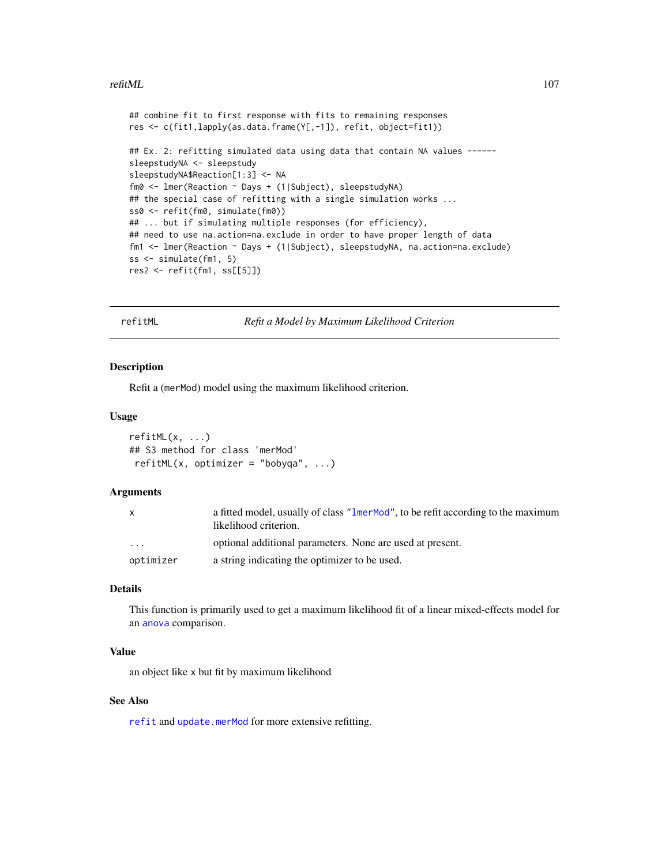### refitML  $107$

```
## combine fit to first response with fits to remaining responses
res <- c(fit1,lapply(as.data.frame(Y[,-1]), refit, object=fit1))
## Ex. 2: refitting simulated data using data that contain NA values ------
sleepstudyNA <- sleepstudy
sleepstudyNA$Reaction[1:3] <- NA
fm0 <- lmer(Reaction ~ Days + (1|Subject), sleepstudyNA)
## the special case of refitting with a single simulation works ...
ss0 <- refit(fm0, simulate(fm0))
## ... but if simulating multiple responses (for efficiency),
## need to use na.action=na.exclude in order to have proper length of data
fm1 <- lmer(Reaction ~ Days + (1|Subject), sleepstudyNA, na.action=na.exclude)
ss <- simulate(fm1, 5)
res2 <- refit(fm1, ss[[5]])
```
refitML *Refit a Model by Maximum Likelihood Criterion*

### Description

Refit a (merMod) model using the maximum likelihood criterion.

### Usage

```
refitML(x, ...)
## S3 method for class 'merMod'
refitML(x, optimizer = "bobyqa", ...)
```
# Arguments

| X                       | a fitted model, usually of class "1merMod", to be refit according to the maximum<br>likelihood criterion. |
|-------------------------|-----------------------------------------------------------------------------------------------------------|
| $\cdot$ $\cdot$ $\cdot$ | optional additional parameters. None are used at present.                                                 |
| optimizer               | a string indicating the optimizer to be used.                                                             |

# Details

This function is primarily used to get a maximum likelihood fit of a linear mixed-effects model for an [anova](#page-0-0) comparison.

## Value

an object like x but fit by maximum likelihood

# See Also

[refit](#page-104-0) and [update.merMod](#page-63-1) for more extensive refitting.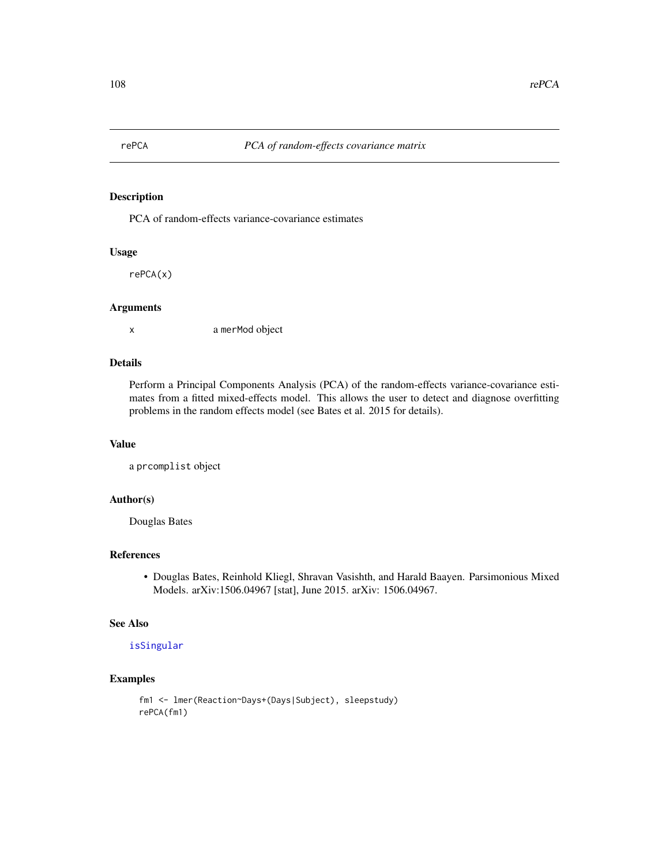# Description

PCA of random-effects variance-covariance estimates

# Usage

rePCA(x)

#### Arguments

x a merMod object

# Details

Perform a Principal Components Analysis (PCA) of the random-effects variance-covariance estimates from a fitted mixed-effects model. This allows the user to detect and diagnose overfitting problems in the random effects model (see Bates et al. 2015 for details).

# Value

```
a prcomplist object
```
# Author(s)

Douglas Bates

## References

• Douglas Bates, Reinhold Kliegl, Shravan Vasishth, and Harald Baayen. Parsimonious Mixed Models. arXiv:1506.04967 [stat], June 2015. arXiv: 1506.04967.

#### See Also

## [isSingular](#page-48-0)

# Examples

```
fm1 <- lmer(Reaction~Days+(Days|Subject), sleepstudy)
rePCA(fm1)
```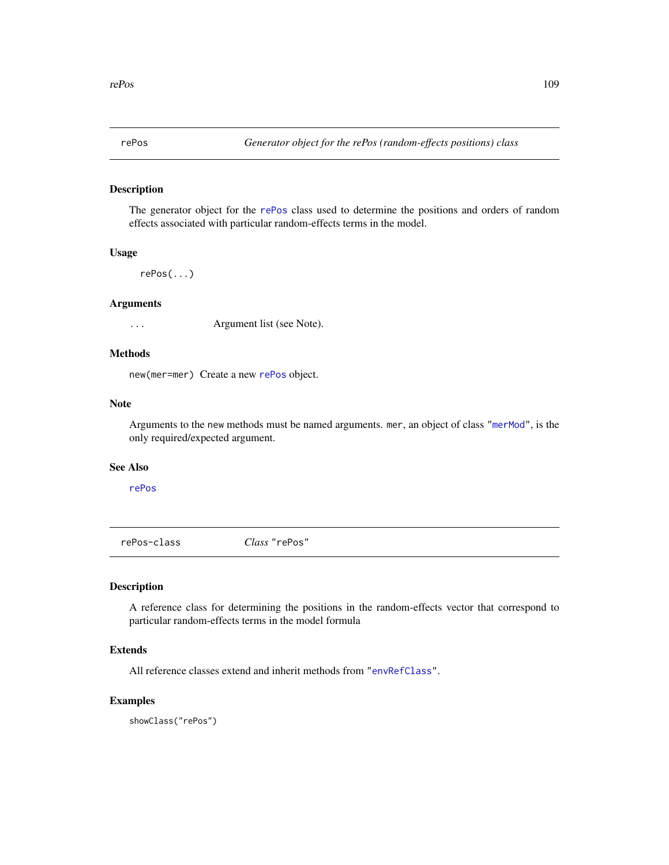<span id="page-108-1"></span>

The generator object for the [rePos](#page-108-0) class used to determine the positions and orders of random effects associated with particular random-effects terms in the model.

# Usage

rePos(...)

# Arguments

... Argument list (see Note).

# Methods

new(mer=mer) Create a new [rePos](#page-108-0) object.

### Note

Arguments to the new methods must be named arguments. mer, an object of class ["merMod"](#page-63-0), is the only required/expected argument.

#### See Also

[rePos](#page-108-0)

<span id="page-108-0"></span>rePos-class *Class* "rePos"

# Description

A reference class for determining the positions in the random-effects vector that correspond to particular random-effects terms in the model formula

# Extends

All reference classes extend and inherit methods from ["envRefClass"](#page-0-0).

### Examples

showClass("rePos")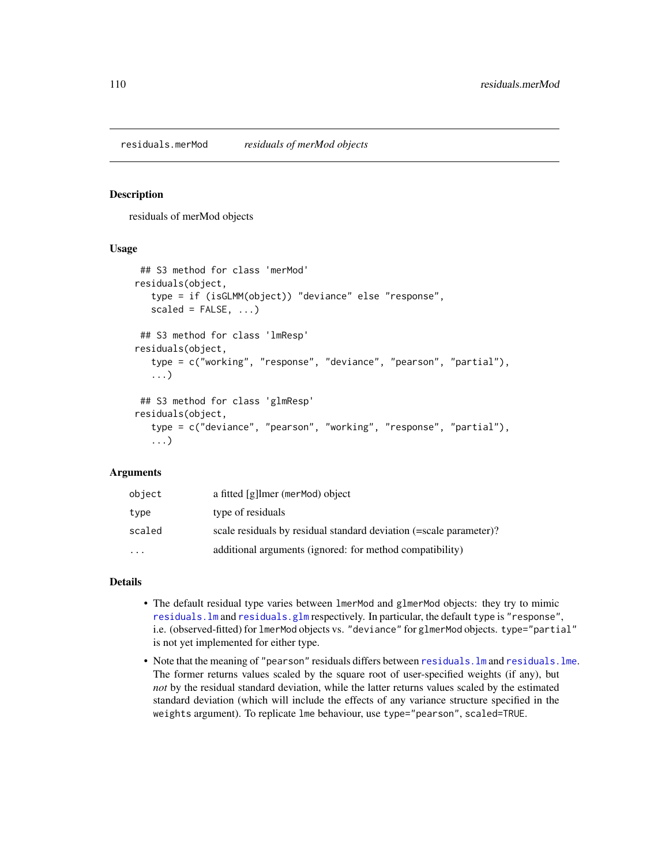<span id="page-109-0"></span>residuals.merMod *residuals of merMod objects*

#### Description

residuals of merMod objects

### Usage

```
## S3 method for class 'merMod'
residuals(object,
   type = if (isGLMM(object)) "deviance" else "response",
   scaled = FALSE, ...)
 ## S3 method for class 'lmResp'
residuals(object,
   type = c("working", "response", "deviance", "pearson", "partial"),
   ...)
## S3 method for class 'glmResp'
residuals(object,
   type = c("deviance", "pearson", "working", "response", "partial"),
   ...)
```
# **Arguments**

| object   | a fitted [g]lmer (merMod) object                                   |
|----------|--------------------------------------------------------------------|
| type     | type of residuals                                                  |
| scaled   | scale residuals by residual standard deviation (=scale parameter)? |
| $\cdots$ | additional arguments (ignored: for method compatibility)           |

# Details

- The default residual type varies between lmerMod and glmerMod objects: they try to mimic [residuals.lm](#page-0-0) and [residuals.glm](#page-0-0) respectively. In particular, the default type is "response", i.e. (observed-fitted) for lmerMod objects vs. "deviance" for glmerMod objects. type="partial" is not yet implemented for either type.
- Note that the meaning of "pearson" residuals differs between [residuals.lm](#page-0-0) and [residuals.lme](#page-0-0). The former returns values scaled by the square root of user-specified weights (if any), but *not* by the residual standard deviation, while the latter returns values scaled by the estimated standard deviation (which will include the effects of any variance structure specified in the weights argument). To replicate lme behaviour, use type="pearson", scaled=TRUE.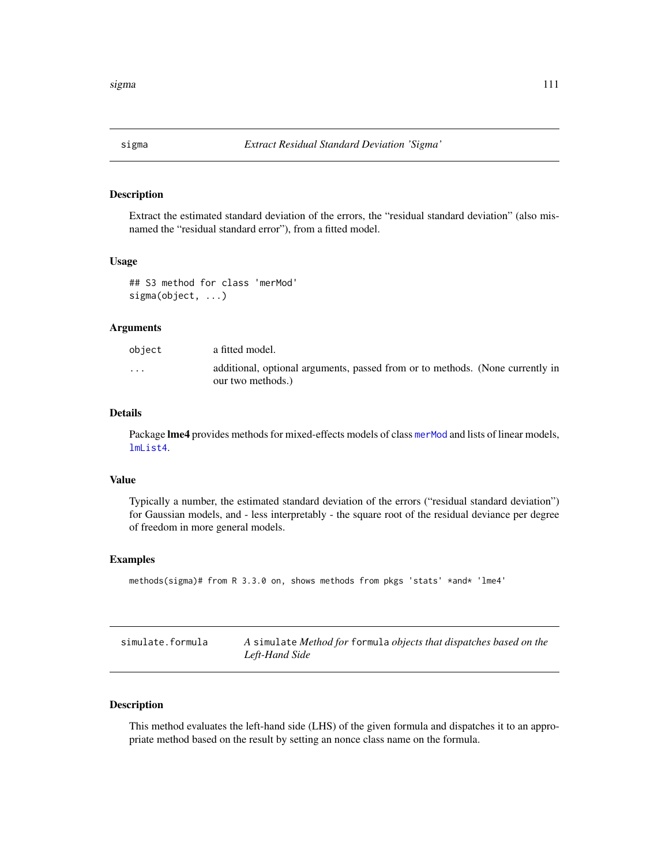<span id="page-110-0"></span>

Extract the estimated standard deviation of the errors, the "residual standard deviation" (also misnamed the "residual standard error"), from a fitted model.

#### Usage

```
## S3 method for class 'merMod'
sigma(object, ...)
```
# Arguments

| obiect   | a fitted model.                                                                                    |
|----------|----------------------------------------------------------------------------------------------------|
| $\cdots$ | additional, optional arguments, passed from or to methods. (None currently in<br>our two methods.) |

# Details

Package lme4 provides methods for mixed-effects models of class [merMod](#page-63-0) and lists of linear models, [lmList4](#page-60-0).

#### Value

Typically a number, the estimated standard deviation of the errors ("residual standard deviation") for Gaussian models, and - less interpretably - the square root of the residual deviance per degree of freedom in more general models.

#### Examples

```
methods(sigma)# from R 3.3.0 on, shows methods from pkgs 'stats' *and* 'lme4'
```

| simulate.formula | A simulate Method for formula objects that dispatches based on the |
|------------------|--------------------------------------------------------------------|
|                  | Left-Hand Side                                                     |

# Description

This method evaluates the left-hand side (LHS) of the given formula and dispatches it to an appropriate method based on the result by setting an nonce class name on the formula.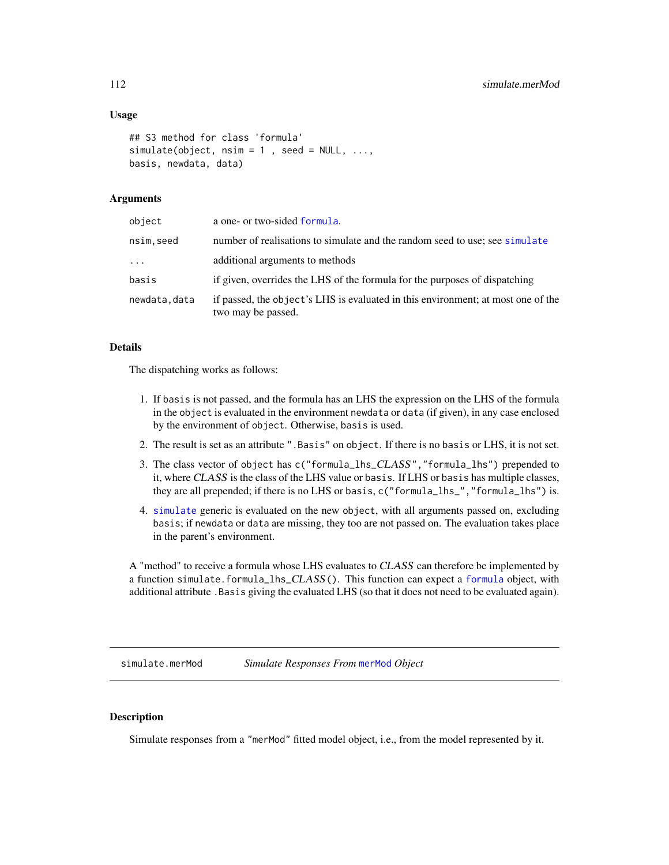### <span id="page-111-0"></span>Usage

```
## S3 method for class 'formula'
simulate(object, nsim = 1, seed = NULL, ...,basis, newdata, data)
```
# Arguments

| object       | a one- or two-sided formula.                                                                           |
|--------------|--------------------------------------------------------------------------------------------------------|
| nsim.seed    | number of realisations to simulate and the random seed to use; see simulate                            |
| $\cdots$     | additional arguments to methods                                                                        |
| basis        | if given, overrides the LHS of the formula for the purposes of dispatching                             |
| newdata.data | if passed, the object's LHS is evaluated in this environment; at most one of the<br>two may be passed. |

#### Details

The dispatching works as follows:

- 1. If basis is not passed, and the formula has an LHS the expression on the LHS of the formula in the object is evaluated in the environment newdata or data (if given), in any case enclosed by the environment of object. Otherwise, basis is used.
- 2. The result is set as an attribute ".Basis" on object. If there is no basis or LHS, it is not set.
- 3. The class vector of object has c("formula\_lhs\_CLASS","formula\_lhs") prepended to it, where CLASS is the class of the LHS value or basis. If LHS or basis has multiple classes, they are all prepended; if there is no LHS or basis, c("formula\_lhs\_","formula\_lhs") is.
- 4. [simulate](#page-0-0) generic is evaluated on the new object, with all arguments passed on, excluding basis; if newdata or data are missing, they too are not passed on. The evaluation takes place in the parent's environment.

A "method" to receive a formula whose LHS evaluates to CLASS can therefore be implemented by a function simulate.[formula](#page-0-0)\_lhs\_CLASS(). This function can expect a formula object, with additional attribute .Basis giving the evaluated LHS (so that it does not need to be evaluated again).

simulate.merMod *Simulate Responses From* [merMod](#page-63-0) *Object*

#### Description

Simulate responses from a "merMod" fitted model object, i.e., from the model represented by it.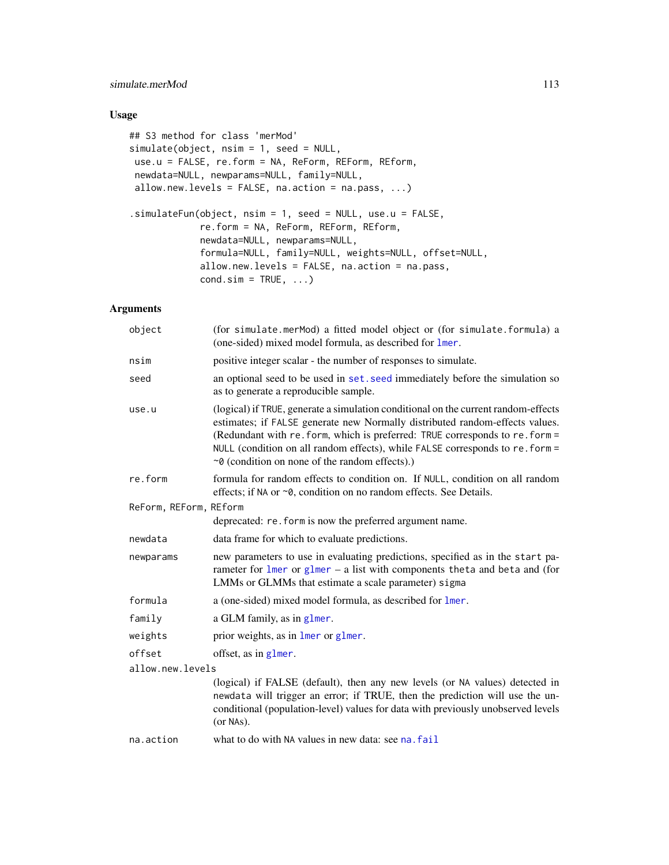# <span id="page-112-0"></span>simulate.merMod 113

# Usage

```
## S3 method for class 'merMod'
simulate(object, nsim = 1, seed = NULL,
use.u = FALSE, re.form = NA, ReForm, REForm, REform,
newdata=NULL, newparams=NULL, family=NULL,
allow.new.levels = FALSE, na.action = na.pass, ...)
.simulateFun(object, nsim = 1, seed = NULL, use.u = FALSE,
             re.form = NA, ReForm, REForm, REform,
            newdata=NULL, newparams=NULL,
             formula=NULL, family=NULL, weights=NULL, offset=NULL,
            allow.new.levels = FALSE, na.action = na.pass,
            cond.sim = TRUE, ...
```
# Arguments

| object                 | (for simulate.merMod) a fitted model object or (for simulate.formula) a<br>(one-sided) mixed model formula, as described for lmer.                                                                                                                                                                                                                                                          |
|------------------------|---------------------------------------------------------------------------------------------------------------------------------------------------------------------------------------------------------------------------------------------------------------------------------------------------------------------------------------------------------------------------------------------|
| nsim                   | positive integer scalar - the number of responses to simulate.                                                                                                                                                                                                                                                                                                                              |
| seed                   | an optional seed to be used in set. seed immediately before the simulation so<br>as to generate a reproducible sample.                                                                                                                                                                                                                                                                      |
| use.u                  | (logical) if TRUE, generate a simulation conditional on the current random-effects<br>estimates; if FALSE generate new Normally distributed random-effects values.<br>(Redundant with re. form, which is preferred: TRUE corresponds to re. form =<br>NULL (condition on all random effects), while FALSE corresponds to re. form =<br>$\sim$ 0 (condition on none of the random effects).) |
| re.form                | formula for random effects to condition on. If NULL, condition on all random<br>effects; if NA or ~0, condition on no random effects. See Details.                                                                                                                                                                                                                                          |
| ReForm, REForm, REform |                                                                                                                                                                                                                                                                                                                                                                                             |
|                        | deprecated: re. form is now the preferred argument name.                                                                                                                                                                                                                                                                                                                                    |
| newdata                | data frame for which to evaluate predictions.                                                                                                                                                                                                                                                                                                                                               |
| newparams              | new parameters to use in evaluating predictions, specified as in the start pa-<br>rameter for $l$ mer or $glmer - a$ list with components theta and beta and (for<br>LMMs or GLMMs that estimate a scale parameter) sigma                                                                                                                                                                   |
| formula                | a (one-sided) mixed model formula, as described for lmer.                                                                                                                                                                                                                                                                                                                                   |
| family                 | a GLM family, as in glmer.                                                                                                                                                                                                                                                                                                                                                                  |
| weights                | prior weights, as in lmer or glmer.                                                                                                                                                                                                                                                                                                                                                         |
| offset                 | offset, as in glmer.                                                                                                                                                                                                                                                                                                                                                                        |
| allow.new.levels       |                                                                                                                                                                                                                                                                                                                                                                                             |
|                        | (logical) if FALSE (default), then any new levels (or NA values) detected in<br>newdata will trigger an error; if TRUE, then the prediction will use the un-<br>conditional (population-level) values for data with previously unobserved levels<br>(or NAs).                                                                                                                               |
| na.action              | what to do with NA values in new data: see na. fail                                                                                                                                                                                                                                                                                                                                         |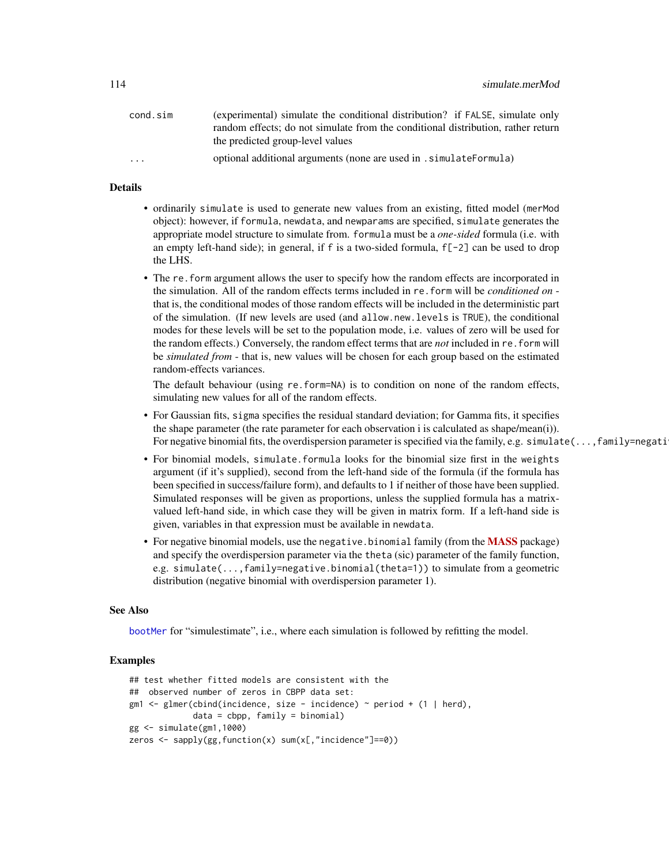<span id="page-113-0"></span>

| cond.sim                | (experimental) simulate the conditional distribution? if FALSE, simulate only    |
|-------------------------|----------------------------------------------------------------------------------|
|                         | random effects; do not simulate from the conditional distribution, rather return |
|                         | the predicted group-level values                                                 |
| $\cdot$ $\cdot$ $\cdot$ | optional additional arguments (none are used in . simulateFormula)               |

#### Details

- ordinarily simulate is used to generate new values from an existing, fitted model (merMod object): however, if formula, newdata, and newparams are specified, simulate generates the appropriate model structure to simulate from. formula must be a *one-sided* formula (i.e. with an empty left-hand side); in general, if f is a two-sided formula,  $f[-2]$  can be used to drop the LHS.
- The re. form argument allows the user to specify how the random effects are incorporated in the simulation. All of the random effects terms included in re.form will be *conditioned on* that is, the conditional modes of those random effects will be included in the deterministic part of the simulation. (If new levels are used (and allow.new.levels is TRUE), the conditional modes for these levels will be set to the population mode, i.e. values of zero will be used for the random effects.) Conversely, the random effect terms that are *not* included in re.form will be *simulated from* - that is, new values will be chosen for each group based on the estimated random-effects variances.

The default behaviour (using re.form=NA) is to condition on none of the random effects, simulating new values for all of the random effects.

- For Gaussian fits, sigma specifies the residual standard deviation; for Gamma fits, it specifies the shape parameter (the rate parameter for each observation i is calculated as shape/mean(i)). For negative binomial fits, the overdispersion parameter is specified via the family, e.g. simulate(..., family=negati
- For binomial models, simulate.formula looks for the binomial size first in the weights argument (if it's supplied), second from the left-hand side of the formula (if the formula has been specified in success/failure form), and defaults to 1 if neither of those have been supplied. Simulated responses will be given as proportions, unless the supplied formula has a matrixvalued left-hand side, in which case they will be given in matrix form. If a left-hand side is given, variables in that expression must be available in newdata.
- For negative binomial models, use the negative.binomial family (from the **[MASS](https://CRAN.R-project.org/package=MASS)** package) and specify the overdispersion parameter via the theta (sic) parameter of the family function, e.g. simulate(...,family=negative.binomial(theta=1)) to simulate from a geometric distribution (negative binomial with overdispersion parameter 1).

#### See Also

[bootMer](#page-7-0) for "simulestimate", i.e., where each simulation is followed by refitting the model.

#### Examples

```
## test whether fitted models are consistent with the
## observed number of zeros in CBPP data set:
gm1 <- glmer(cbind(incidence, size - incidence) \sim period + (1 | herd),
             data = cbpp, family = binomial)
gg <- simulate(gm1,1000)
zeros <- sapply(gg,function(x) sum(x[,"incidence"]==0))
```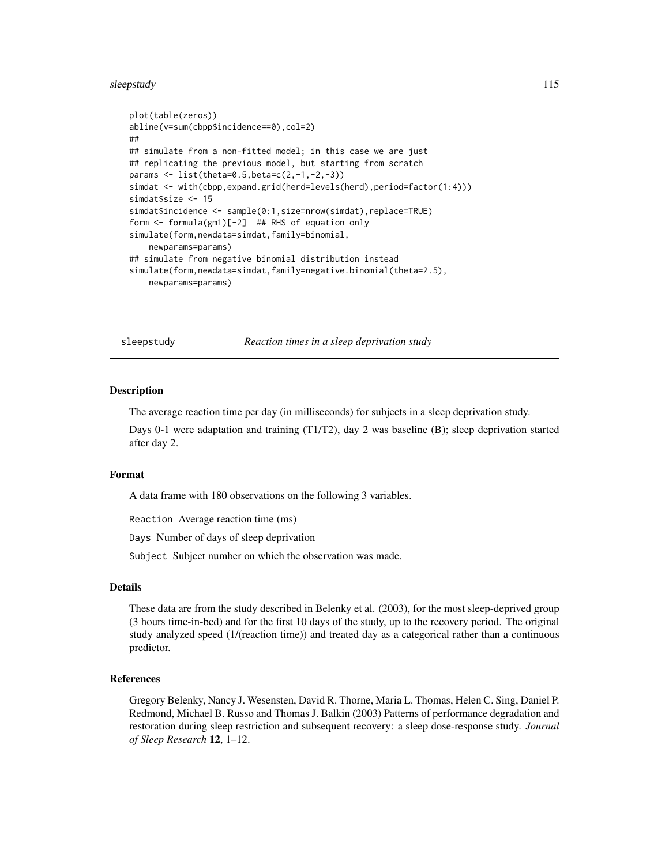#### <span id="page-114-0"></span>sleepstudy and the set of the set of the set of the set of the set of the set of the set of the set of the set of the set of the set of the set of the set of the set of the set of the set of the set of the set of the set o

```
plot(table(zeros))
abline(v=sum(cbpp$incidence==0),col=2)
##
## simulate from a non-fitted model; in this case we are just
## replicating the previous model, but starting from scratch
params <- list(theta=0.5,beta=c(2,-1,-2,-3))
simdat <- with(cbpp, expand.grid(herd=levels(herd), period=factor(1:4)))
simdat$size <- 15
simdat$incidence <- sample(0:1,size=nrow(simdat),replace=TRUE)
form <- formula(gm1)[-2] ## RHS of equation only
simulate(form,newdata=simdat,family=binomial,
    newparams=params)
## simulate from negative binomial distribution instead
simulate(form,newdata=simdat,family=negative.binomial(theta=2.5),
    newparams=params)
```
sleepstudy *Reaction times in a sleep deprivation study*

#### Description

The average reaction time per day (in milliseconds) for subjects in a sleep deprivation study.

Days 0-1 were adaptation and training (T1/T2), day 2 was baseline (B); sleep deprivation started after day 2.

#### Format

A data frame with 180 observations on the following 3 variables.

Reaction Average reaction time (ms)

Days Number of days of sleep deprivation

Subject Subject number on which the observation was made.

#### Details

These data are from the study described in Belenky et al. (2003), for the most sleep-deprived group (3 hours time-in-bed) and for the first 10 days of the study, up to the recovery period. The original study analyzed speed (1/(reaction time)) and treated day as a categorical rather than a continuous predictor.

# References

Gregory Belenky, Nancy J. Wesensten, David R. Thorne, Maria L. Thomas, Helen C. Sing, Daniel P. Redmond, Michael B. Russo and Thomas J. Balkin (2003) Patterns of performance degradation and restoration during sleep restriction and subsequent recovery: a sleep dose-response study. *Journal of Sleep Research* 12, 1–12.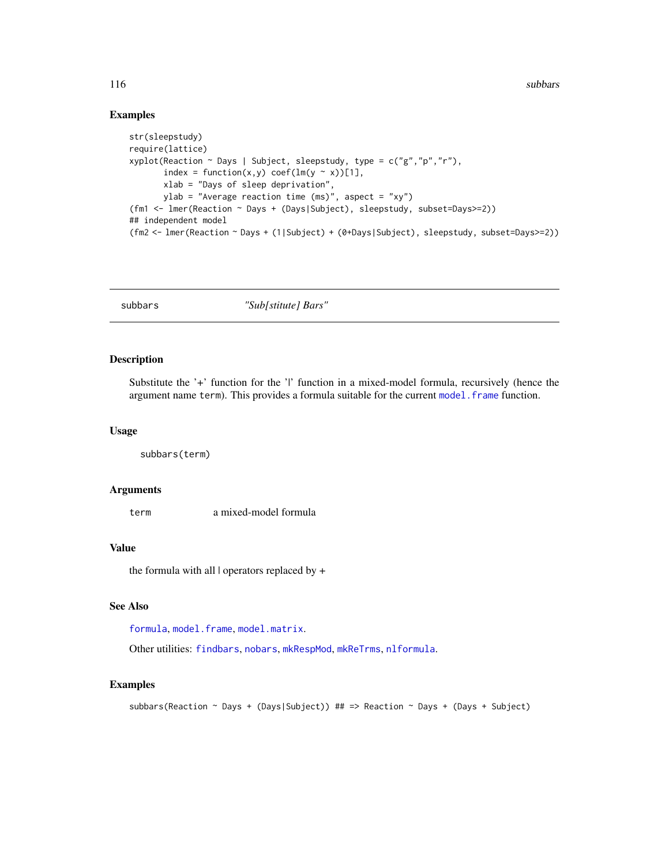# <span id="page-115-0"></span>Examples

```
str(sleepstudy)
require(lattice)
xyplot(Reaction ~ Days | Subject, sleepstudy, type = c("g","p","r"),
       index = function(x,y) coef(lm(y \sim x))[1],
       xlab = "Days of sleep deprivation",
       ylab = "Average reaction time (ms)", aspect = "xy")
(fm1 <- lmer(Reaction ~ Days + (Days|Subject), sleepstudy, subset=Days>=2))
## independent model
(fm2 <- lmer(Reaction ~ Days + (1|Subject) + (0+Days|Subject), sleepstudy, subset=Days>=2))
```
subbars *"Sub[stitute] Bars"*

# Description

Substitute the '+' function for the '|' function in a mixed-model formula, recursively (hence the argument name term). This provides a formula suitable for the current model. frame function.

# Usage

```
subbars(term)
```
#### Arguments

term a mixed-model formula

#### Value

the formula with all | operators replaced by +

# See Also

[formula](#page-0-0), [model.frame](#page-0-0), [model.matrix](#page-0-0).

Other utilities: [findbars](#page-25-0), [nobars](#page-86-0), [mkRespMod](#page-70-0), [mkReTrms](#page-70-1), [nlformula](#page-81-0).

# Examples

subbars(Reaction ~ Days + (Days|Subject)) ## => Reaction ~ Days + (Days + Subject)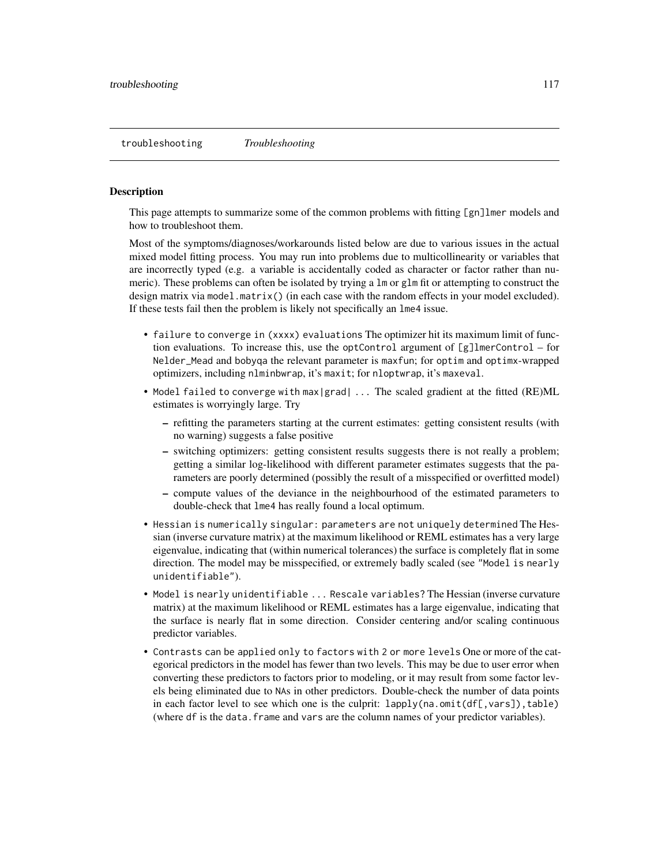<span id="page-116-0"></span>This page attempts to summarize some of the common problems with fitting [gn]lmer models and how to troubleshoot them.

Most of the symptoms/diagnoses/workarounds listed below are due to various issues in the actual mixed model fitting process. You may run into problems due to multicollinearity or variables that are incorrectly typed (e.g. a variable is accidentally coded as character or factor rather than numeric). These problems can often be isolated by trying a lm or glm fit or attempting to construct the design matrix via model.matrix() (in each case with the random effects in your model excluded). If these tests fail then the problem is likely not specifically an lme4 issue.

- failure to converge in (xxxx) evaluations The optimizer hit its maximum limit of function evaluations. To increase this, use the optControl argument of  $[g]$ lmerControl – for Nelder\_Mead and bobyqa the relevant parameter is maxfun; for optim and optimx-wrapped optimizers, including nlminbwrap, it's maxit; for nloptwrap, it's maxeval.
- Model failed to converge with max | grad| ... The scaled gradient at the fitted (RE)ML estimates is worryingly large. Try
	- refitting the parameters starting at the current estimates: getting consistent results (with no warning) suggests a false positive
	- switching optimizers: getting consistent results suggests there is not really a problem; getting a similar log-likelihood with different parameter estimates suggests that the parameters are poorly determined (possibly the result of a misspecified or overfitted model)
	- compute values of the deviance in the neighbourhood of the estimated parameters to double-check that lme4 has really found a local optimum.
- Hessian is numerically singular: parameters are not uniquely determined The Hessian (inverse curvature matrix) at the maximum likelihood or REML estimates has a very large eigenvalue, indicating that (within numerical tolerances) the surface is completely flat in some direction. The model may be misspecified, or extremely badly scaled (see "Model is nearly unidentifiable").
- Model is nearly unidentifiable ... Rescale variables? The Hessian (inverse curvature matrix) at the maximum likelihood or REML estimates has a large eigenvalue, indicating that the surface is nearly flat in some direction. Consider centering and/or scaling continuous predictor variables.
- Contrasts can be applied only to factors with 2 or more levels One or more of the categorical predictors in the model has fewer than two levels. This may be due to user error when converting these predictors to factors prior to modeling, or it may result from some factor levels being eliminated due to NAs in other predictors. Double-check the number of data points in each factor level to see which one is the culprit:  $lapply(na.omit(df[,vars])$ , table) (where df is the data.frame and vars are the column names of your predictor variables).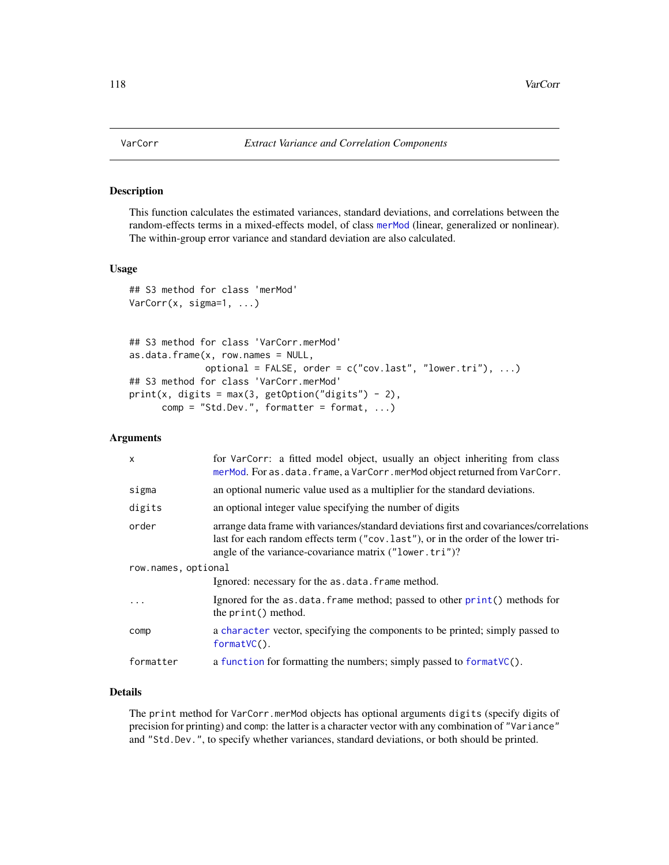This function calculates the estimated variances, standard deviations, and correlations between the random-effects terms in a mixed-effects model, of class [merMod](#page-63-0) (linear, generalized or nonlinear). The within-group error variance and standard deviation are also calculated.

# Usage

```
## S3 method for class 'merMod'
VarCorr(x, sigma=1, ...)
## S3 method for class 'VarCorr.merMod'
as.data.frame(x, row.names = NULL,
              optional = FALSE, order = c("cov.last", "lower.tri"), ...)
## S3 method for class 'VarCorr.merMod'
print(x, digits = max(3, getOption("digits") - 2),comp = "Std.Dev.", formatter = format, ...)
```
#### Arguments

| $\mathsf{x}$        | for VarCorr: a fitted model object, usually an object inheriting from class<br>merMod. For as.data.frame, a VarCorr.merMod object returned from VarCorr.                                                                                 |
|---------------------|------------------------------------------------------------------------------------------------------------------------------------------------------------------------------------------------------------------------------------------|
| sigma               | an optional numeric value used as a multiplier for the standard deviations.                                                                                                                                                              |
| digits              | an optional integer value specifying the number of digits                                                                                                                                                                                |
| order               | arrange data frame with variances/standard deviations first and covariances/correlations<br>last for each random effects term ("cov. last"), or in the order of the lower tri-<br>angle of the variance-covariance matrix ("lower.tri")? |
| row.names, optional |                                                                                                                                                                                                                                          |
|                     | Ignored: necessary for the as.data.frame method.                                                                                                                                                                                         |
| $\cdots$            | Ignored for the as.data.frame method; passed to other print () methods for<br>the print() method.                                                                                                                                        |
| comp                | a character vector, specifying the components to be printed; simply passed to<br>$formatVC()$ .                                                                                                                                          |
| formatter           | a function for formatting the numbers; simply passed to format VC().                                                                                                                                                                     |

# Details

The print method for VarCorr.merMod objects has optional arguments digits (specify digits of precision for printing) and comp: the latter is a character vector with any combination of "Variance" and "Std.Dev.", to specify whether variances, standard deviations, or both should be printed.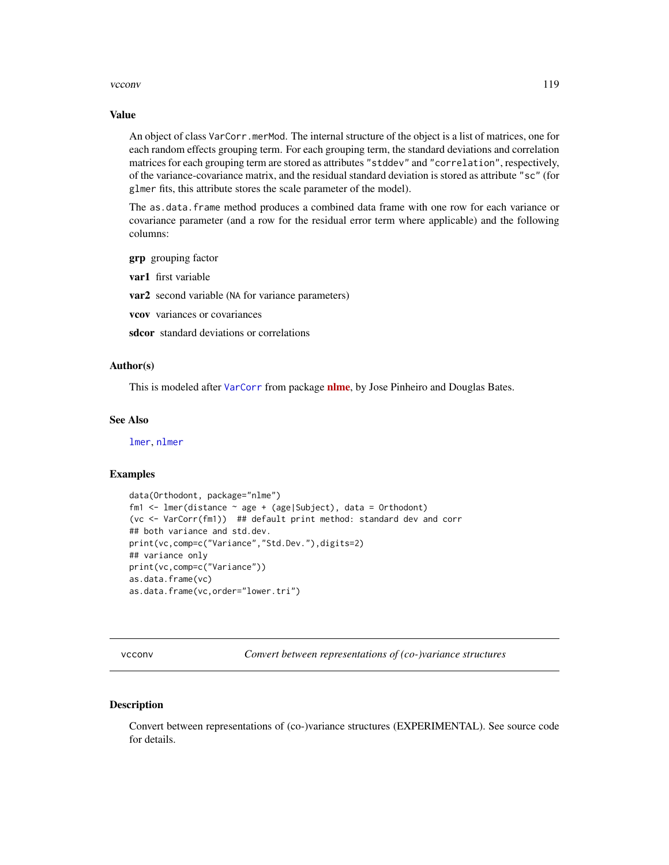#### <span id="page-118-0"></span>vcconv and the set of the set of the set of the set of the set of the set of the set of the set of the set of the set of the set of the set of the set of the set of the set of the set of the set of the set of the set of th

#### Value

An object of class VarCorr.merMod. The internal structure of the object is a list of matrices, one for each random effects grouping term. For each grouping term, the standard deviations and correlation matrices for each grouping term are stored as attributes "stddev" and "correlation", respectively, of the variance-covariance matrix, and the residual standard deviation is stored as attribute "sc" (for glmer fits, this attribute stores the scale parameter of the model).

The as.data.frame method produces a combined data frame with one row for each variance or covariance parameter (and a row for the residual error term where applicable) and the following columns:

- grp grouping factor
- var1 first variable

var2 second variable (NA for variance parameters)

- vcov variances or covariances
- sdcor standard deviations or correlations

#### Author(s)

This is modeled after [VarCorr](#page-117-0) from package [nlme](https://CRAN.R-project.org/package=nlme), by Jose Pinheiro and Douglas Bates.

# See Also

[lmer](#page-50-0), [nlmer](#page-82-0)

#### Examples

```
data(Orthodont, package="nlme")
fm1 <- lmer(distance ~ age + (age|Subject), data = Orthodont)
(vc <- VarCorr(fm1)) ## default print method: standard dev and corr
## both variance and std.dev.
print(vc,comp=c("Variance","Std.Dev."),digits=2)
## variance only
print(vc,comp=c("Variance"))
as.data.frame(vc)
as.data.frame(vc,order="lower.tri")
```
vcconv *Convert between representations of (co-)variance structures*

#### Description

Convert between representations of (co-)variance structures (EXPERIMENTAL). See source code for details.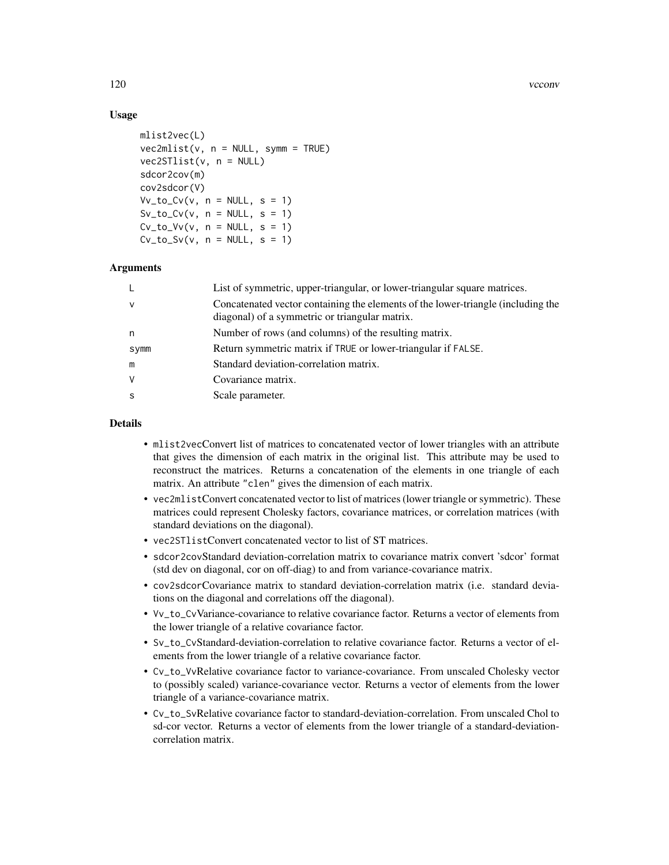# Usage

```
mlist2vec(L)
vec2mlist(v, n = NULL, symm = TRUE)vec2STlist(v, n = NULL)sdcor2cov(m)
cov2sdcor(V)
Vv_to_Cv(v, n = NULL, s = 1)Sv_to_Cv(v, n = NULL, s = 1)Cv_to_V(v, n = NULL, s = 1)Cv_to_Sv(v, n = NULL, s = 1)
```
#### Arguments

| L            | List of symmetric, upper-triangular, or lower-triangular square matrices.                                                          |
|--------------|------------------------------------------------------------------------------------------------------------------------------------|
| $\mathsf{V}$ | Concatenated vector containing the elements of the lower-triangle (including the<br>diagonal) of a symmetric or triangular matrix. |
| n            | Number of rows (and columns) of the resulting matrix.                                                                              |
| Symm         | Return symmetric matrix if TRUE or lower-triangular if FALSE.                                                                      |
| m            | Standard deviation-correlation matrix.                                                                                             |
| V            | Covariance matrix.                                                                                                                 |
| S            | Scale parameter.                                                                                                                   |

#### Details

- mlist2vecConvert list of matrices to concatenated vector of lower triangles with an attribute that gives the dimension of each matrix in the original list. This attribute may be used to reconstruct the matrices. Returns a concatenation of the elements in one triangle of each matrix. An attribute "clen" gives the dimension of each matrix.
- vec2mlistConvert concatenated vector to list of matrices (lower triangle or symmetric). These matrices could represent Cholesky factors, covariance matrices, or correlation matrices (with standard deviations on the diagonal).
- vec2STlistConvert concatenated vector to list of ST matrices.
- sdcor2covStandard deviation-correlation matrix to covariance matrix convert 'sdcor' format (std dev on diagonal, cor on off-diag) to and from variance-covariance matrix.
- cov2sdcorCovariance matrix to standard deviation-correlation matrix (i.e. standard deviations on the diagonal and correlations off the diagonal).
- Vv\_to\_CvVariance-covariance to relative covariance factor. Returns a vector of elements from the lower triangle of a relative covariance factor.
- Sv\_to\_CvStandard-deviation-correlation to relative covariance factor. Returns a vector of elements from the lower triangle of a relative covariance factor.
- Cv\_to\_VvRelative covariance factor to variance-covariance. From unscaled Cholesky vector to (possibly scaled) variance-covariance vector. Returns a vector of elements from the lower triangle of a variance-covariance matrix.
- Cv\_to\_SvRelative covariance factor to standard-deviation-correlation. From unscaled Chol to sd-cor vector. Returns a vector of elements from the lower triangle of a standard-deviationcorrelation matrix.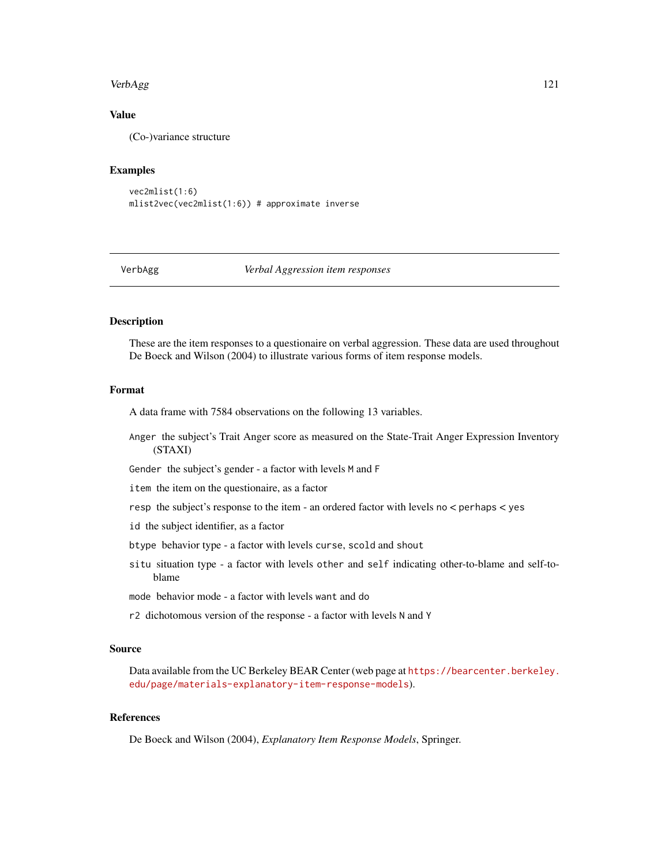#### <span id="page-120-0"></span>VerbAgg 121

# Value

(Co-)variance structure

#### Examples

```
vec2mlist(1:6)
mlist2vec(vec2mlist(1:6)) # approximate inverse
```
#### VerbAgg *Verbal Aggression item responses*

#### **Description**

These are the item responses to a questionaire on verbal aggression. These data are used throughout De Boeck and Wilson (2004) to illustrate various forms of item response models.

### Format

A data frame with 7584 observations on the following 13 variables.

Anger the subject's Trait Anger score as measured on the State-Trait Anger Expression Inventory (STAXI)

Gender the subject's gender - a factor with levels M and F

item the item on the questionaire, as a factor

resp the subject's response to the item - an ordered factor with levels no < perhaps < yes

- id the subject identifier, as a factor
- btype behavior type a factor with levels curse, scold and shout
- situ situation type a factor with levels other and self indicating other-to-blame and self-toblame
- mode behavior mode a factor with levels want and do
- r2 dichotomous version of the response a factor with levels N and Y

# Source

Data available from the UC Berkeley BEAR Center (web page at [https://bearcenter.berkeley.](https://bearcenter.berkeley.edu/page/materials-explanatory-item-response-models) [edu/page/materials-explanatory-item-response-models](https://bearcenter.berkeley.edu/page/materials-explanatory-item-response-models)).

#### References

De Boeck and Wilson (2004), *Explanatory Item Response Models*, Springer.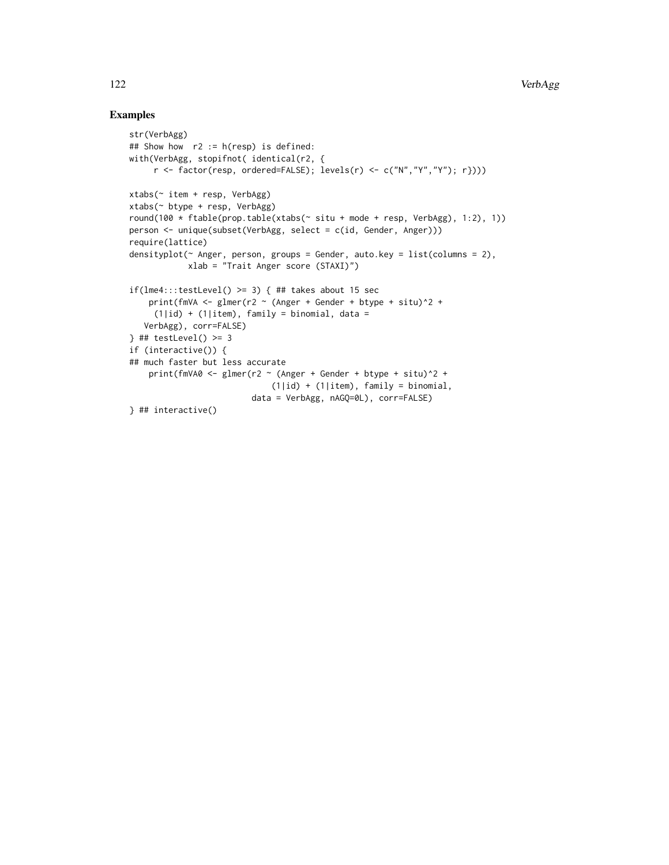# Examples

```
str(VerbAgg)
## Show how r2 := h(r \exp) is defined:
with(VerbAgg, stopifnot( identical(r2, {
     r \leftarrow factor(resp, ordered=False); levels(r) \leftarrow c("N", "Y", "Y"); r})))
xtabs(~ item + resp, VerbAgg)
xtabs(~ btype + resp, VerbAgg)
round(100 \star ftable(prop.table(xtabs(\sim situ + mode + resp, VerbAgg), 1:2), 1))
person <- unique(subset(VerbAgg, select = c(id, Gender, Anger)))
require(lattice)
densityplot(~ Anger, person, groups = Gender, auto.key = list(columns = 2),
            xlab = "Trait Anger score (STAXI)")
if(lme4:::testLevel() >= 3) { ## takes about 15 sec
    print(fmVA <- glmer(r2 \sim (Anger + Gender + btype + situ)\textdegree2 +
     (1|id) + (1|item), family = binomial, data =
   VerbAgg), corr=FALSE)
} # # testLevel() >= 3if (interactive()) {
## much faster but less accurate
    print(fmVA0 <- glmer(r2 \sim (Anger + Gender + btype + situ)2 +(1|id) + (1|item), family = binomial,
                          data = VerbAgg, nAGQ=0L), corr=FALSE)
} ## interactive()
```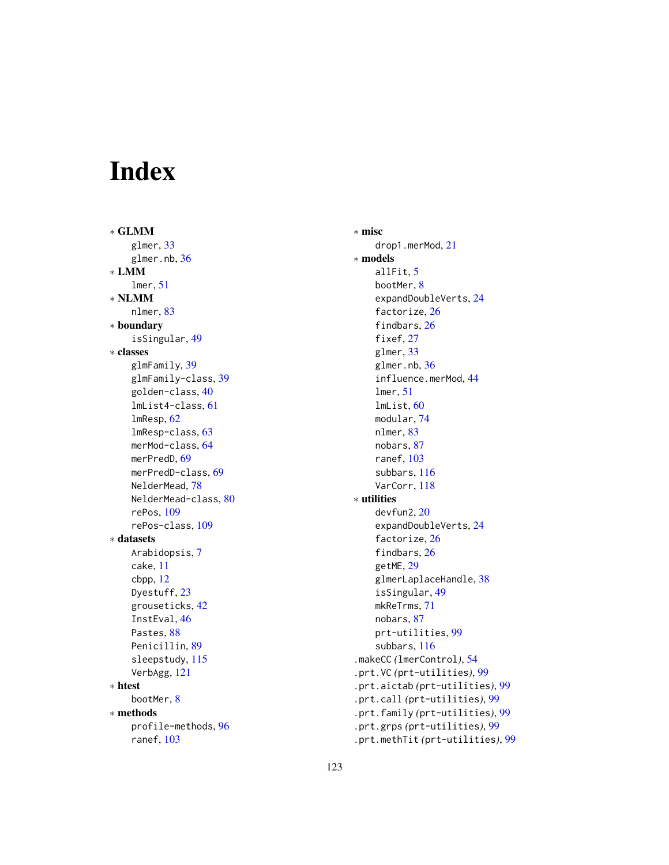# Index

∗ GLMM glmer, [33](#page-32-1) glmer.nb, [36](#page-35-0) ∗ LMM lmer, [51](#page-50-1) ∗ NLMM nlmer, [83](#page-82-1) ∗ boundary isSingular, [49](#page-48-0) ∗ classes glmFamily, [39](#page-38-0) glmFamily-class, [39](#page-38-0) golden-class, [40](#page-39-0) lmList4-class, [61](#page-60-1) lmResp, [62](#page-61-0) lmResp-class, [63](#page-62-0) merMod-class, [64](#page-63-1) merPredD, [69](#page-68-0) merPredD-class, [69](#page-68-0) NelderMead, [78](#page-77-0) NelderMead-class, [80](#page-79-0) rePos, [109](#page-108-1) rePos-class, [109](#page-108-1) ∗ datasets Arabidopsis, [7](#page-6-0) cake, [11](#page-10-0) cbpp, [12](#page-11-0) Dyestuff, [23](#page-22-0) grouseticks, [42](#page-41-0) InstEval, [46](#page-45-0) Pastes, [88](#page-87-0) Penicillin, [89](#page-88-0) sleepstudy, [115](#page-114-0) VerbAgg, [121](#page-120-0) ∗ htest bootMer, [8](#page-7-1) ∗ methods profile-methods, [96](#page-95-0) ranef, [103](#page-102-0)

∗ misc drop1.merMod, [21](#page-20-0) ∗ models allFit, [5](#page-4-0) bootMer, [8](#page-7-1) expandDoubleVerts, [24](#page-23-0) factorize, [26](#page-25-1) findbars, [26](#page-25-1) fixef, [27](#page-26-0) glmer, [33](#page-32-1) glmer.nb, [36](#page-35-0) influence.merMod, [44](#page-43-0) lmer, [51](#page-50-1) lmList, [60](#page-59-0) modular, [74](#page-73-0) nlmer, [83](#page-82-1) nobars, [87](#page-86-1) ranef, [103](#page-102-0) subbars, [116](#page-115-0) VarCorr, [118](#page-117-1) ∗ utilities devfun2, [20](#page-19-0) expandDoubleVerts, [24](#page-23-0) factorize, [26](#page-25-1) findbars, [26](#page-25-1) getME, [29](#page-28-0) glmerLaplaceHandle, [38](#page-37-0) isSingular, [49](#page-48-0) mkReTrms, [71](#page-70-2) nobars, [87](#page-86-1) prt-utilities, [99](#page-98-1) subbars, [116](#page-115-0) .makeCC *(*lmerControl*)*, [54](#page-53-0) .prt.VC *(*prt-utilities*)*, [99](#page-98-1) .prt.aictab *(*prt-utilities*)*, [99](#page-98-1) .prt.call *(*prt-utilities*)*, [99](#page-98-1) .prt.family *(*prt-utilities*)*, [99](#page-98-1) .prt.grps *(*prt-utilities*)*, [99](#page-98-1) .prt.methTit *(*prt-utilities*)*, [99](#page-98-1)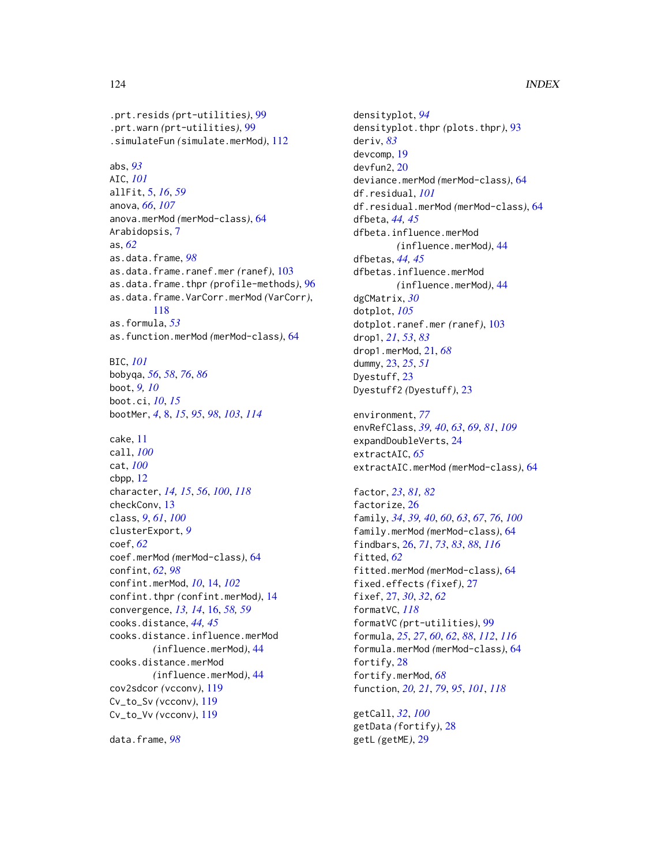.prt.resids *(*prt-utilities*)*, [99](#page-98-1) .prt.warn *(*prt-utilities*)*, [99](#page-98-1) .simulateFun *(*simulate.merMod*)*, [112](#page-111-0)

abs, *[93](#page-92-0)* AIC, *[101](#page-100-0)* allFit, [5,](#page-4-0) *[16](#page-15-0)*, *[59](#page-58-0)* anova, *[66](#page-65-0)*, *[107](#page-106-0)* anova.merMod *(*merMod-class*)*, [64](#page-63-1) Arabidopsis, [7](#page-6-0) as, *[62](#page-61-0)* as.data.frame, *[98](#page-97-0)* as.data.frame.ranef.mer *(*ranef*)*, [103](#page-102-0) as.data.frame.thpr *(*profile-methods*)*, [96](#page-95-0) as.data.frame.VarCorr.merMod *(*VarCorr*)*, [118](#page-117-1) as.formula, *[53](#page-52-0)* as.function.merMod *(*merMod-class*)*, [64](#page-63-1) BIC, *[101](#page-100-0)* bobyqa, *[56](#page-55-0)*, *[58](#page-57-0)*, *[76](#page-75-0)*, *[86](#page-85-0)* boot, *[9,](#page-8-0) [10](#page-9-0)* boot.ci, *[10](#page-9-0)*, *[15](#page-14-0)* bootMer, *[4](#page-3-0)*, [8,](#page-7-1) *[15](#page-14-0)*, *[95](#page-94-0)*, *[98](#page-97-0)*, *[103](#page-102-0)*, *[114](#page-113-0)* cake, [11](#page-10-0) call, *[100](#page-99-0)* cat, *[100](#page-99-0)* cbpp, [12](#page-11-0) character, *[14,](#page-13-0) [15](#page-14-0)*, *[56](#page-55-0)*, *[100](#page-99-0)*, *[118](#page-117-1)* checkConv, [13](#page-12-0) class, *[9](#page-8-0)*, *[61](#page-60-1)*, *[100](#page-99-0)* clusterExport, *[9](#page-8-0)* coef, *[62](#page-61-0)* coef.merMod *(*merMod-class*)*, [64](#page-63-1) confint, *[62](#page-61-0)*, *[98](#page-97-0)* confint.merMod, *[10](#page-9-0)*, [14,](#page-13-0) *[102](#page-101-0)* confint.thpr *(*confint.merMod*)*, [14](#page-13-0) convergence, *[13,](#page-12-0) [14](#page-13-0)*, [16,](#page-15-0) *[58,](#page-57-0) [59](#page-58-0)* cooks.distance, *[44,](#page-43-0) [45](#page-44-0)* cooks.distance.influence.merMod *(*influence.merMod*)*, [44](#page-43-0) cooks.distance.merMod *(*influence.merMod*)*, [44](#page-43-0) cov2sdcor *(*vcconv*)*, [119](#page-118-0) Cv\_to\_Sv *(*vcconv*)*, [119](#page-118-0) Cv\_to\_Vv *(*vcconv*)*, [119](#page-118-0)

data.frame, *[98](#page-97-0)*

densityplot, *[94](#page-93-0)* densityplot.thpr *(*plots.thpr*)*, [93](#page-92-0) deriv, *[83](#page-82-1)* devcomp, [19](#page-18-0) devfun2, [20](#page-19-0) deviance.merMod *(*merMod-class*)*, [64](#page-63-1) df.residual, *[101](#page-100-0)* df.residual.merMod *(*merMod-class*)*, [64](#page-63-1) dfbeta, *[44,](#page-43-0) [45](#page-44-0)* dfbeta.influence.merMod *(*influence.merMod*)*, [44](#page-43-0) dfbetas, *[44,](#page-43-0) [45](#page-44-0)* dfbetas.influence.merMod *(*influence.merMod*)*, [44](#page-43-0) dgCMatrix, *[30](#page-29-0)* dotplot, *[105](#page-104-0)* dotplot.ranef.mer *(*ranef*)*, [103](#page-102-0) drop1, *[21](#page-20-0)*, *[53](#page-52-0)*, *[83](#page-82-1)* drop1.merMod, [21,](#page-20-0) *[68](#page-67-0)* dummy, [23,](#page-22-0) *[25](#page-24-0)*, *[51](#page-50-1)* Dyestuff, [23](#page-22-0) Dyestuff2 *(*Dyestuff*)*, [23](#page-22-0) environment, *[77](#page-76-0)* envRefClass, *[39,](#page-38-0) [40](#page-39-0)*, *[63](#page-62-0)*, *[69](#page-68-0)*, *[81](#page-80-0)*, *[109](#page-108-1)* expandDoubleVerts, [24](#page-23-0) extractAIC, *[65](#page-64-0)* extractAIC.merMod *(*merMod-class*)*, [64](#page-63-1) factor, *[23](#page-22-0)*, *[81,](#page-80-0) [82](#page-81-1)* factorize, [26](#page-25-1) family, *[34](#page-33-0)*, *[39,](#page-38-0) [40](#page-39-0)*, *[60](#page-59-0)*, *[63](#page-62-0)*, *[67](#page-66-0)*, *[76](#page-75-0)*, *[100](#page-99-0)* family.merMod *(*merMod-class*)*, [64](#page-63-1) findbars, [26,](#page-25-1) *[71](#page-70-2)*, *[73](#page-72-0)*, *[83](#page-82-1)*, *[88](#page-87-0)*, *[116](#page-115-0)* fitted, *[62](#page-61-0)*

fitted.merMod *(*merMod-class*)*, [64](#page-63-1) fixed.effects *(*fixef*)*, [27](#page-26-0) fixef, [27,](#page-26-0) *[30](#page-29-0)*, *[32](#page-31-0)*, *[62](#page-61-0)* formatVC, *[118](#page-117-1)* formatVC *(*prt-utilities*)*, [99](#page-98-1) formula, *[25](#page-24-0)*, *[27](#page-26-0)*, *[60](#page-59-0)*, *[62](#page-61-0)*, *[88](#page-87-0)*, *[112](#page-111-0)*, *[116](#page-115-0)* formula.merMod *(*merMod-class*)*, [64](#page-63-1) fortify, [28](#page-27-0) fortify.merMod, *[68](#page-67-0)* function, *[20,](#page-19-0) [21](#page-20-0)*, *[79](#page-78-0)*, *[95](#page-94-0)*, *[101](#page-100-0)*, *[118](#page-117-1)*

getCall, *[32](#page-31-0)*, *[100](#page-99-0)* getData *(*fortify*)*, [28](#page-27-0) getL *(*getME*)*, [29](#page-28-0)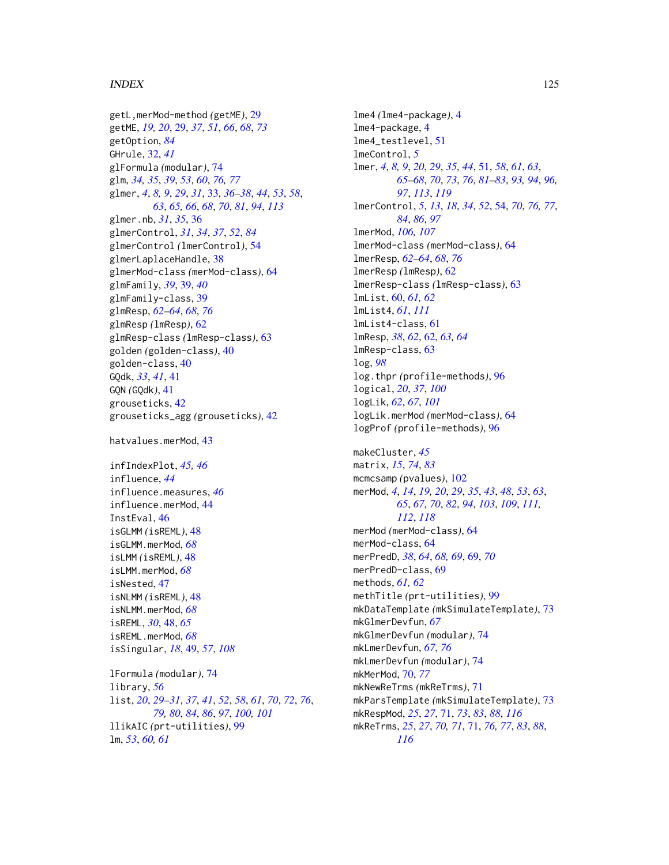#### INDEX 125

getL,merMod-method *(*getME*)*, [29](#page-28-0) getME, *[19,](#page-18-0) [20](#page-19-0)*, [29,](#page-28-0) *[37](#page-36-0)*, *[51](#page-50-1)*, *[66](#page-65-0)*, *[68](#page-67-0)*, *[73](#page-72-0)* getOption, *[84](#page-83-0)* GHrule, [32,](#page-31-0) *[41](#page-40-0)* glFormula *(*modular*)*, [74](#page-73-0) glm, *[34,](#page-33-0) [35](#page-34-0)*, *[39](#page-38-0)*, *[53](#page-52-0)*, *[60](#page-59-0)*, *[76,](#page-75-0) [77](#page-76-0)* glmer, *[4](#page-3-0)*, *[8,](#page-7-1) [9](#page-8-0)*, *[29](#page-28-0)*, *[31](#page-30-0)*, [33,](#page-32-1) *[36–](#page-35-0)[38](#page-37-0)*, *[44](#page-43-0)*, *[53](#page-52-0)*, *[58](#page-57-0)*, *[63](#page-62-0)*, *[65,](#page-64-0) [66](#page-65-0)*, *[68](#page-67-0)*, *[70](#page-69-0)*, *[81](#page-80-0)*, *[94](#page-93-0)*, *[113](#page-112-0)* glmer.nb, *[31](#page-30-0)*, *[35](#page-34-0)*, [36](#page-35-0) glmerControl, *[31](#page-30-0)*, *[34](#page-33-0)*, *[37](#page-36-0)*, *[52](#page-51-0)*, *[84](#page-83-0)* glmerControl *(*lmerControl*)*, [54](#page-53-0) glmerLaplaceHandle, [38](#page-37-0) glmerMod-class *(*merMod-class*)*, [64](#page-63-1) glmFamily, *[39](#page-38-0)*, [39,](#page-38-0) *[40](#page-39-0)* glmFamily-class, [39](#page-38-0) glmResp, *[62](#page-61-0)[–64](#page-63-1)*, *[68](#page-67-0)*, *[76](#page-75-0)* glmResp *(*lmResp*)*, [62](#page-61-0) glmResp-class *(*lmResp-class*)*, [63](#page-62-0) golden *(*golden-class*)*, [40](#page-39-0) golden-class, [40](#page-39-0) GQdk, *[33](#page-32-1)*, *[41](#page-40-0)*, [41](#page-40-0) GQN *(*GQdk*)*, [41](#page-40-0) grouseticks, [42](#page-41-0) grouseticks\_agg *(*grouseticks*)*, [42](#page-41-0)

hatvalues.merMod, [43](#page-42-0)

infIndexPlot, *[45,](#page-44-0) [46](#page-45-0)* influence, *[44](#page-43-0)* influence.measures, *[46](#page-45-0)* influence.merMod, [44](#page-43-0) InstEval, [46](#page-45-0) isGLMM *(*isREML*)*, [48](#page-47-0) isGLMM.merMod, *[68](#page-67-0)* isLMM *(*isREML*)*, [48](#page-47-0) isLMM.merMod, *[68](#page-67-0)* isNested, [47](#page-46-0) isNLMM *(*isREML*)*, [48](#page-47-0) isNLMM.merMod, *[68](#page-67-0)* isREML, *[30](#page-29-0)*, [48,](#page-47-0) *[65](#page-64-0)* isREML.merMod, *[68](#page-67-0)* isSingular, *[18](#page-17-0)*, [49,](#page-48-0) *[57](#page-56-0)*, *[108](#page-107-0)* lFormula *(*modular*)*, [74](#page-73-0)

library, *[56](#page-55-0)* list, *[20](#page-19-0)*, *[29](#page-28-0)[–31](#page-30-0)*, *[37](#page-36-0)*, *[41](#page-40-0)*, *[52](#page-51-0)*, *[58](#page-57-0)*, *[61](#page-60-1)*, *[70](#page-69-0)*, *[72](#page-71-0)*, *[76](#page-75-0)*, *[79,](#page-78-0) [80](#page-79-0)*, *[84](#page-83-0)*, *[86](#page-85-0)*, *[97](#page-96-0)*, *[100,](#page-99-0) [101](#page-100-0)* llikAIC *(*prt-utilities*)*, [99](#page-98-1) lm, *[53](#page-52-0)*, *[60,](#page-59-0) [61](#page-60-1)*

lme4 *(*lme4-package*)*, [4](#page-3-0) lme4-package, [4](#page-3-0) lme4\_testlevel, [51](#page-50-1) lmeControl, *[5](#page-4-0)* lmer, *[4](#page-3-0)*, *[8,](#page-7-1) [9](#page-8-0)*, *[20](#page-19-0)*, *[29](#page-28-0)*, *[35](#page-34-0)*, *[44](#page-43-0)*, [51,](#page-50-1) *[58](#page-57-0)*, *[61](#page-60-1)*, *[63](#page-62-0)*, *[65](#page-64-0)[–68](#page-67-0)*, *[70](#page-69-0)*, *[73](#page-72-0)*, *[76](#page-75-0)*, *[81](#page-80-0)[–83](#page-82-1)*, *[93,](#page-92-0) [94](#page-93-0)*, *[96,](#page-95-0) [97](#page-96-0)*, *[113](#page-112-0)*, *[119](#page-118-0)* lmerControl, *[5](#page-4-0)*, *[13](#page-12-0)*, *[18](#page-17-0)*, *[34](#page-33-0)*, *[52](#page-51-0)*, [54,](#page-53-0) *[70](#page-69-0)*, *[76,](#page-75-0) [77](#page-76-0)*, *[84](#page-83-0)*, *[86](#page-85-0)*, *[97](#page-96-0)* lmerMod, *[106,](#page-105-0) [107](#page-106-0)* lmerMod-class *(*merMod-class*)*, [64](#page-63-1) lmerResp, *[62](#page-61-0)[–64](#page-63-1)*, *[68](#page-67-0)*, *[76](#page-75-0)* lmerResp *(*lmResp*)*, [62](#page-61-0) lmerResp-class *(*lmResp-class*)*, [63](#page-62-0) lmList, [60,](#page-59-0) *[61,](#page-60-1) [62](#page-61-0)* lmList4, *[61](#page-60-1)*, *[111](#page-110-0)* lmList4-class, [61](#page-60-1) lmResp, *[38](#page-37-0)*, *[62](#page-61-0)*, [62,](#page-61-0) *[63,](#page-62-0) [64](#page-63-1)* lmResp-class, [63](#page-62-0) log, *[98](#page-97-0)* log.thpr *(*profile-methods*)*, [96](#page-95-0) logical, *[20](#page-19-0)*, *[37](#page-36-0)*, *[100](#page-99-0)* logLik, *[62](#page-61-0)*, *[67](#page-66-0)*, *[101](#page-100-0)* logLik.merMod *(*merMod-class*)*, [64](#page-63-1) logProf *(*profile-methods*)*, [96](#page-95-0) makeCluster, *[45](#page-44-0)* matrix, *[15](#page-14-0)*, *[74](#page-73-0)*, *[83](#page-82-1)* mcmcsamp *(*pvalues*)*, [102](#page-101-0) merMod, *[4](#page-3-0)*, *[14](#page-13-0)*, *[19,](#page-18-0) [20](#page-19-0)*, *[29](#page-28-0)*, *[35](#page-34-0)*, *[43](#page-42-0)*, *[48](#page-47-0)*, *[53](#page-52-0)*, *[63](#page-62-0)*, *[65](#page-64-0)*, *[67](#page-66-0)*, *[70](#page-69-0)*, *[82](#page-81-1)*, *[94](#page-93-0)*, *[103](#page-102-0)*, *[109](#page-108-1)*, *[111,](#page-110-0) [112](#page-111-0)*, *[118](#page-117-1)* merMod *(*merMod-class*)*, [64](#page-63-1) merMod-class, [64](#page-63-1) merPredD, *[38](#page-37-0)*, *[64](#page-63-1)*, *[68,](#page-67-0) [69](#page-68-0)*, [69,](#page-68-0) *[70](#page-69-0)* merPredD-class, [69](#page-68-0) methods, *[61,](#page-60-1) [62](#page-61-0)* methTitle *(*prt-utilities*)*, [99](#page-98-1) mkDataTemplate *(*mkSimulateTemplate*)*, [73](#page-72-0) mkGlmerDevfun, *[67](#page-66-0)* mkGlmerDevfun *(*modular*)*, [74](#page-73-0)

mkLmerDevfun, *[67](#page-66-0)*, *[76](#page-75-0)* mkLmerDevfun *(*modular*)*, [74](#page-73-0)

*[116](#page-115-0)*

mkNewReTrms *(*mkReTrms*)*, [71](#page-70-2)

mkParsTemplate *(*mkSimulateTemplate*)*, [73](#page-72-0) mkRespMod, *[25](#page-24-0)*, *[27](#page-26-0)*, [71,](#page-70-2) *[73](#page-72-0)*, *[83](#page-82-1)*, *[88](#page-87-0)*, *[116](#page-115-0)* mkReTrms, *[25](#page-24-0)*, *[27](#page-26-0)*, *[70,](#page-69-0) [71](#page-70-2)*, [71,](#page-70-2) *[76,](#page-75-0) [77](#page-76-0)*, *[83](#page-82-1)*, *[88](#page-87-0)*,

mkMerMod, [70,](#page-69-0) *[77](#page-76-0)*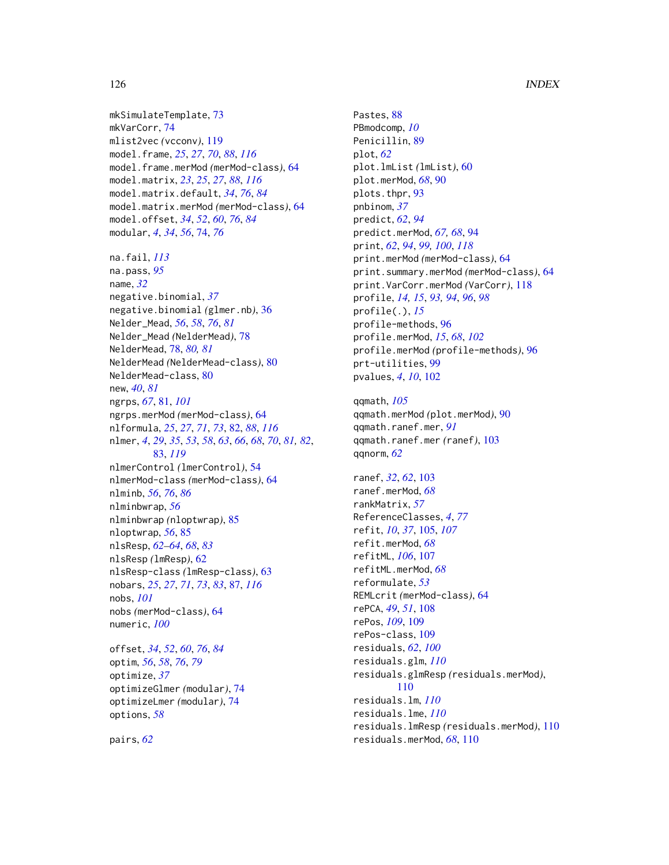mkSimulateTemplate, [73](#page-72-0) mkVarCorr, [74](#page-73-0) mlist2vec *(*vcconv*)*, [119](#page-118-0) model.frame, *[25](#page-24-0)*, *[27](#page-26-0)*, *[70](#page-69-0)*, *[88](#page-87-0)*, *[116](#page-115-0)* model.frame.merMod *(*merMod-class*)*, [64](#page-63-1) model.matrix, *[23](#page-22-0)*, *[25](#page-24-0)*, *[27](#page-26-0)*, *[88](#page-87-0)*, *[116](#page-115-0)* model.matrix.default, *[34](#page-33-0)*, *[76](#page-75-0)*, *[84](#page-83-0)* model.matrix.merMod *(*merMod-class*)*, [64](#page-63-1) model.offset, *[34](#page-33-0)*, *[52](#page-51-0)*, *[60](#page-59-0)*, *[76](#page-75-0)*, *[84](#page-83-0)* modular, *[4](#page-3-0)*, *[34](#page-33-0)*, *[56](#page-55-0)*, [74,](#page-73-0) *[76](#page-75-0)* na.fail, *[113](#page-112-0)* na.pass, *[95](#page-94-0)* name, *[32](#page-31-0)* negative.binomial, *[37](#page-36-0)* negative.binomial *(*glmer.nb*)*, [36](#page-35-0) Nelder\_Mead, *[56](#page-55-0)*, *[58](#page-57-0)*, *[76](#page-75-0)*, *[81](#page-80-0)* Nelder\_Mead *(*NelderMead*)*, [78](#page-77-0) NelderMead, [78,](#page-77-0) *[80,](#page-79-0) [81](#page-80-0)* NelderMead *(*NelderMead-class*)*, [80](#page-79-0) NelderMead-class, [80](#page-79-0) new, *[40](#page-39-0)*, *[81](#page-80-0)* ngrps, *[67](#page-66-0)*, [81,](#page-80-0) *[101](#page-100-0)* ngrps.merMod *(*merMod-class*)*, [64](#page-63-1) nlformula, *[25](#page-24-0)*, *[27](#page-26-0)*, *[71](#page-70-2)*, *[73](#page-72-0)*, [82,](#page-81-1) *[88](#page-87-0)*, *[116](#page-115-0)* nlmer, *[4](#page-3-0)*, *[29](#page-28-0)*, *[35](#page-34-0)*, *[53](#page-52-0)*, *[58](#page-57-0)*, *[63](#page-62-0)*, *[66](#page-65-0)*, *[68](#page-67-0)*, *[70](#page-69-0)*, *[81,](#page-80-0) [82](#page-81-1)*, [83,](#page-82-1) *[119](#page-118-0)* nlmerControl *(*lmerControl*)*, [54](#page-53-0) nlmerMod-class *(*merMod-class*)*, [64](#page-63-1) nlminb, *[56](#page-55-0)*, *[76](#page-75-0)*, *[86](#page-85-0)* nlminbwrap, *[56](#page-55-0)* nlminbwrap *(*nloptwrap*)*, [85](#page-84-0) nloptwrap, *[56](#page-55-0)*, [85](#page-84-0) nlsResp, *[62](#page-61-0)[–64](#page-63-1)*, *[68](#page-67-0)*, *[83](#page-82-1)* nlsResp *(*lmResp*)*, [62](#page-61-0) nlsResp-class *(*lmResp-class*)*, [63](#page-62-0) nobars, *[25](#page-24-0)*, *[27](#page-26-0)*, *[71](#page-70-2)*, *[73](#page-72-0)*, *[83](#page-82-1)*, [87,](#page-86-1) *[116](#page-115-0)* nobs, *[101](#page-100-0)* nobs *(*merMod-class*)*, [64](#page-63-1) numeric, *[100](#page-99-0)*

offset, *[34](#page-33-0)*, *[52](#page-51-0)*, *[60](#page-59-0)*, *[76](#page-75-0)*, *[84](#page-83-0)* optim, *[56](#page-55-0)*, *[58](#page-57-0)*, *[76](#page-75-0)*, *[79](#page-78-0)* optimize, *[37](#page-36-0)* optimizeGlmer *(*modular*)*, [74](#page-73-0) optimizeLmer *(*modular*)*, [74](#page-73-0) options, *[58](#page-57-0)*

pairs, *[62](#page-61-0)*

Pastes, [88](#page-87-0) PBmodcomp, *[10](#page-9-0)* Penicillin, [89](#page-88-0) plot, *[62](#page-61-0)* plot.lmList *(*lmList*)*, [60](#page-59-0) plot.merMod, *[68](#page-67-0)*, [90](#page-89-0) plots.thpr, [93](#page-92-0) pnbinom, *[37](#page-36-0)* predict, *[62](#page-61-0)*, *[94](#page-93-0)* predict.merMod, *[67,](#page-66-0) [68](#page-67-0)*, [94](#page-93-0) print, *[62](#page-61-0)*, *[94](#page-93-0)*, *[99,](#page-98-1) [100](#page-99-0)*, *[118](#page-117-1)* print.merMod *(*merMod-class*)*, [64](#page-63-1) print.summary.merMod *(*merMod-class*)*, [64](#page-63-1) print.VarCorr.merMod *(*VarCorr*)*, [118](#page-117-1) profile, *[14,](#page-13-0) [15](#page-14-0)*, *[93,](#page-92-0) [94](#page-93-0)*, *[96](#page-95-0)*, *[98](#page-97-0)* profile(.), *[15](#page-14-0)* profile-methods, [96](#page-95-0) profile.merMod, *[15](#page-14-0)*, *[68](#page-67-0)*, *[102](#page-101-0)* profile.merMod *(*profile-methods*)*, [96](#page-95-0) prt-utilities, [99](#page-98-1) pvalues, *[4](#page-3-0)*, *[10](#page-9-0)*, [102](#page-101-0)

qqmath, *[105](#page-104-0)* qqmath.merMod *(*plot.merMod*)*, [90](#page-89-0) qqmath.ranef.mer, *[91](#page-90-0)* qqmath.ranef.mer *(*ranef*)*, [103](#page-102-0) qqnorm, *[62](#page-61-0)*

ranef, *[32](#page-31-0)*, *[62](#page-61-0)*, [103](#page-102-0) ranef.merMod, *[68](#page-67-0)* rankMatrix, *[57](#page-56-0)* ReferenceClasses, *[4](#page-3-0)*, *[77](#page-76-0)* refit, *[10](#page-9-0)*, *[37](#page-36-0)*, [105,](#page-104-0) *[107](#page-106-0)* refit.merMod, *[68](#page-67-0)* refitML, *[106](#page-105-0)*, [107](#page-106-0) refitML.merMod, *[68](#page-67-0)* reformulate, *[53](#page-52-0)* REMLcrit *(*merMod-class*)*, [64](#page-63-1) rePCA, *[49](#page-48-0)*, *[51](#page-50-1)*, [108](#page-107-0) rePos, *[109](#page-108-1)*, [109](#page-108-1) rePos-class, [109](#page-108-1) residuals, *[62](#page-61-0)*, *[100](#page-99-0)* residuals.glm, *[110](#page-109-0)* residuals.glmResp *(*residuals.merMod*)*, [110](#page-109-0) residuals.lm, *[110](#page-109-0)* residuals.lme, *[110](#page-109-0)* residuals.lmResp *(*residuals.merMod*)*, [110](#page-109-0) residuals.merMod, *[68](#page-67-0)*, [110](#page-109-0)